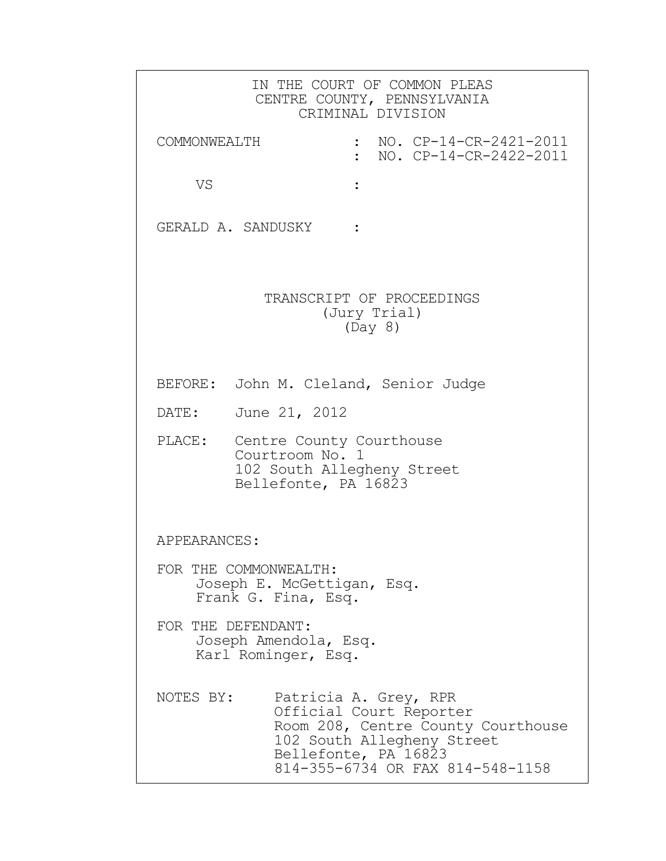|                       | IN THE COURT OF COMMON PLEAS<br>CENTRE COUNTY, PENNSYLVANIA<br>CRIMINAL DIVISION                                                                                                 |
|-----------------------|----------------------------------------------------------------------------------------------------------------------------------------------------------------------------------|
| COMMONWEALTH          | NO. CP-14-CR-2421-2011<br>NO. CP-14-CR-2422-2011                                                                                                                                 |
| VS                    |                                                                                                                                                                                  |
| GERALD A. SANDUSKY :  |                                                                                                                                                                                  |
|                       | TRANSCRIPT OF PROCEEDINGS<br>(Jury Trial)<br>(Day 8)                                                                                                                             |
|                       | BEFORE: John M. Cleland, Senior Judge                                                                                                                                            |
| DATE:                 | June 21, 2012                                                                                                                                                                    |
| PLACE:                | Centre County Courthouse<br>Courtroom No. 1<br>102 South Allegheny Street<br>Bellefonte, PA 16823                                                                                |
| APPEARANCES:          |                                                                                                                                                                                  |
| FOR THE COMMONWEALTH: | Joseph E. McGettigan, Esq.<br>Frank G. Fina, Esq.                                                                                                                                |
| FOR THE DEFENDANT:    | Joseph Amendola, Esq.<br>Karl Rominger, Esq.                                                                                                                                     |
| NOTES BY:             | Patricia A. Grey, RPR<br>Official Court Reporter<br>Room 208, Centre County Courthouse<br>102 South Allegheny Street<br>Bellefonte, PA 16823<br>814-355-6734 OR FAX 814-548-1158 |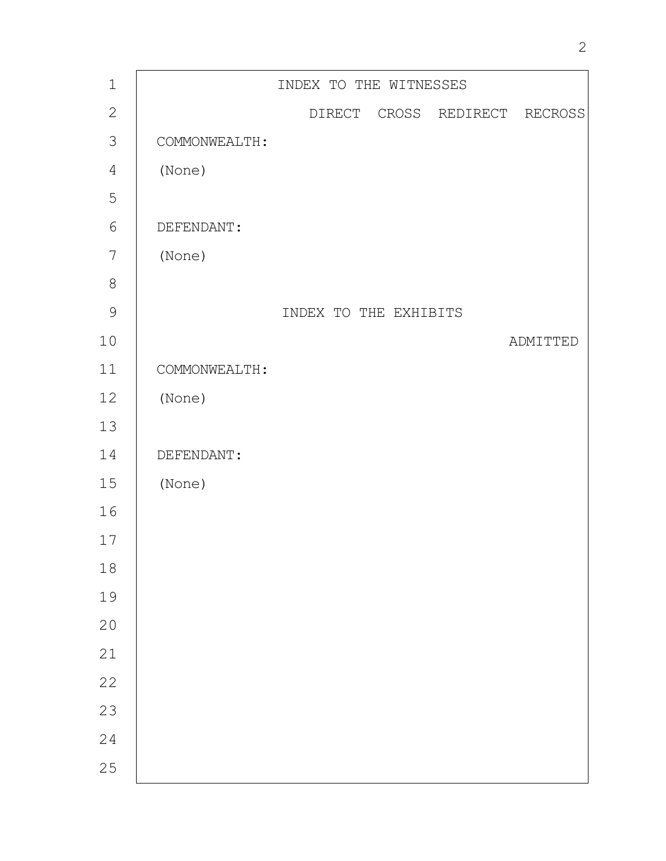| $\mathbf 1$    |               | INDEX TO THE WITNESSES |                  |
|----------------|---------------|------------------------|------------------|
| $\sqrt{2}$     |               | DIRECT CROSS           | REDIRECT RECROSS |
| $\mathfrak{Z}$ | COMMONWEALTH: |                        |                  |
| $\overline{4}$ | (None)        |                        |                  |
| 5              |               |                        |                  |
| $6\,$          | DEFENDANT:    |                        |                  |
| $\overline{7}$ | (None)        |                        |                  |
| $\,8\,$        |               |                        |                  |
| $\mathcal{G}$  |               | INDEX TO THE EXHIBITS  |                  |
| $10$           |               |                        | ADMITTED         |
| 11             | COMMONWEALTH: |                        |                  |
| 12             | (None)        |                        |                  |
| 13             |               |                        |                  |
| 14             | DEFENDANT:    |                        |                  |
| $15$           | (None)        |                        |                  |
| 16             |               |                        |                  |
| 17             |               |                        |                  |
| 18             |               |                        |                  |
| 19             |               |                        |                  |
| 20             |               |                        |                  |
| 21             |               |                        |                  |
| 22             |               |                        |                  |
| 23             |               |                        |                  |
| 24             |               |                        |                  |
| 25             |               |                        |                  |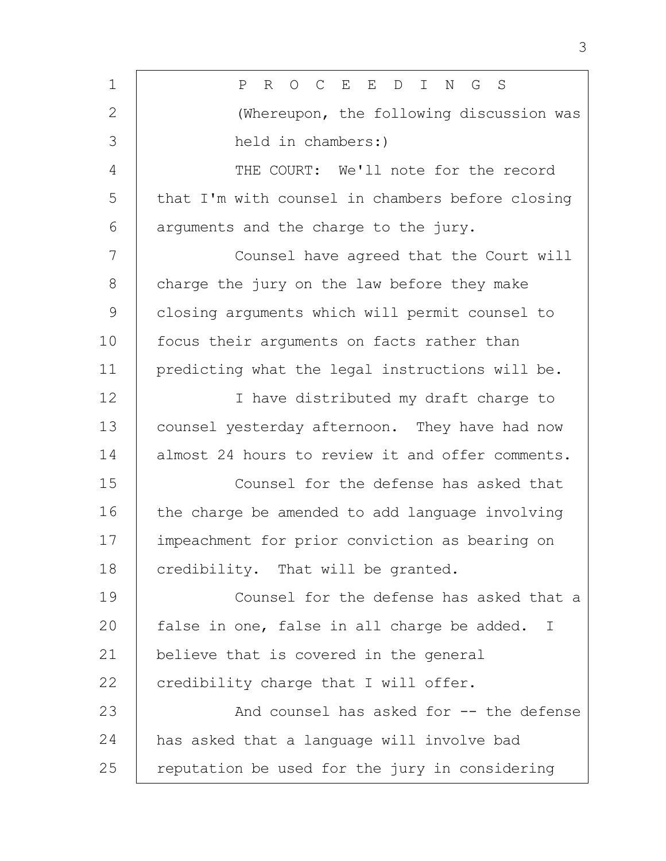| $\mathbf 1$   | $O$ $C$<br>E<br>$E_{\perp}$<br>N<br>Ρ<br>R<br>D<br>$\mathbb{I}$<br>G<br>S |
|---------------|---------------------------------------------------------------------------|
| 2             | (Whereupon, the following discussion was                                  |
| 3             | held in chambers:)                                                        |
| 4             | THE COURT: We'll note for the record                                      |
| 5             | that I'm with counsel in chambers before closing                          |
| 6             | arguments and the charge to the jury.                                     |
| 7             | Counsel have agreed that the Court will                                   |
| 8             | charge the jury on the law before they make                               |
| $\mathcal{G}$ | closing arguments which will permit counsel to                            |
| 10            | focus their arguments on facts rather than                                |
| 11            | predicting what the legal instructions will be.                           |
| 12            | I have distributed my draft charge to                                     |
| 13            | counsel yesterday afternoon. They have had now                            |
| 14            | almost 24 hours to review it and offer comments.                          |
| 15            | Counsel for the defense has asked that                                    |
| 16            | the charge be amended to add language involving                           |
| 17            | impeachment for prior conviction as bearing on                            |
| 18            | credibility. That will be granted.                                        |
| 19            | Counsel for the defense has asked that a                                  |
| 20            | false in one, false in all charge be added. I                             |
| 21            | believe that is covered in the general                                    |
| 22            | credibility charge that I will offer.                                     |
| 23            | And counsel has asked for -- the defense                                  |
| 24            | has asked that a language will involve bad                                |
| 25            | reputation be used for the jury in considering                            |

3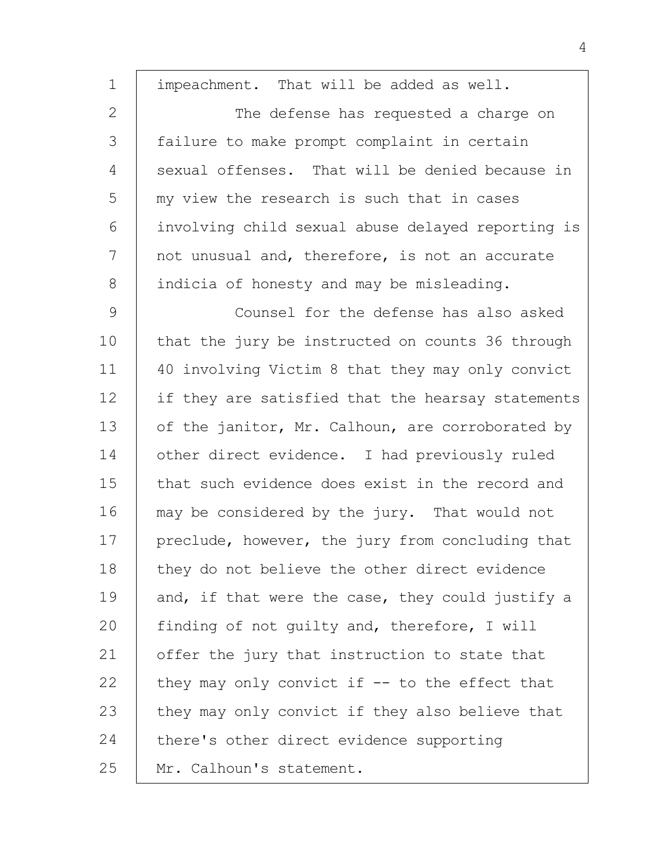| $\mathbf 1$   | impeachment. That will be added as well.          |
|---------------|---------------------------------------------------|
| 2             | The defense has requested a charge on             |
| 3             | failure to make prompt complaint in certain       |
| 4             | sexual offenses. That will be denied because in   |
| 5             | my view the research is such that in cases        |
| 6             | involving child sexual abuse delayed reporting is |
| 7             | not unusual and, therefore, is not an accurate    |
| 8             | indicia of honesty and may be misleading.         |
| $\mathcal{G}$ | Counsel for the defense has also asked            |
| 10            | that the jury be instructed on counts 36 through  |
| 11            | 40 involving Victim 8 that they may only convict  |
| 12            | if they are satisfied that the hearsay statements |
| 13            | of the janitor, Mr. Calhoun, are corroborated by  |
| 14            | other direct evidence. I had previously ruled     |
| 15            | that such evidence does exist in the record and   |
| 16            | may be considered by the jury. That would not     |
| 17            | preclude, however, the jury from concluding that  |
| 18            | they do not believe the other direct evidence     |
| 19            | and, if that were the case, they could justify a  |
| 20            | finding of not guilty and, therefore, I will      |
| 21            | offer the jury that instruction to state that     |
| 22            | they may only convict if $-$ to the effect that   |
| 23            | they may only convict if they also believe that   |
| 24            | there's other direct evidence supporting          |
| 25            | Mr. Calhoun's statement.                          |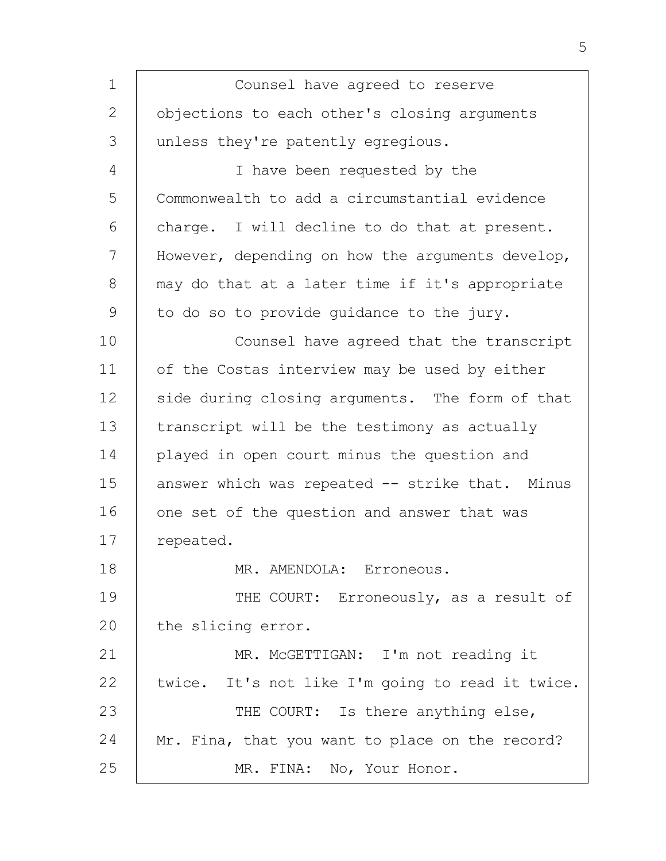| $\mathbf 1$   | Counsel have agreed to reserve                   |
|---------------|--------------------------------------------------|
| $\mathbf{2}$  | objections to each other's closing arguments     |
| 3             | unless they're patently egregious.               |
| 4             | I have been requested by the                     |
| 5             | Commonwealth to add a circumstantial evidence    |
| 6             | charge. I will decline to do that at present.    |
| 7             | However, depending on how the arguments develop, |
| 8             | may do that at a later time if it's appropriate  |
| $\mathcal{G}$ | to do so to provide quidance to the jury.        |
| 10            | Counsel have agreed that the transcript          |
| 11            | of the Costas interview may be used by either    |
| 12            | side during closing arguments. The form of that  |
| 13            | transcript will be the testimony as actually     |
| 14            | played in open court minus the question and      |
| 15            | answer which was repeated -- strike that. Minus  |
| 16            | one set of the question and answer that was      |
| 17            | repeated.                                        |
| 18            | MR. AMENDOLA: Erroneous.                         |
| 19            | THE COURT: Erroneously, as a result of           |
| 20            | the slicing error.                               |
| 21            | MR. MCGETTIGAN: I'm not reading it               |
| 22            | twice. It's not like I'm going to read it twice. |
| 23            | THE COURT: Is there anything else,               |
| 24            | Mr. Fina, that you want to place on the record?  |
| 25            | MR. FINA: No, Your Honor.                        |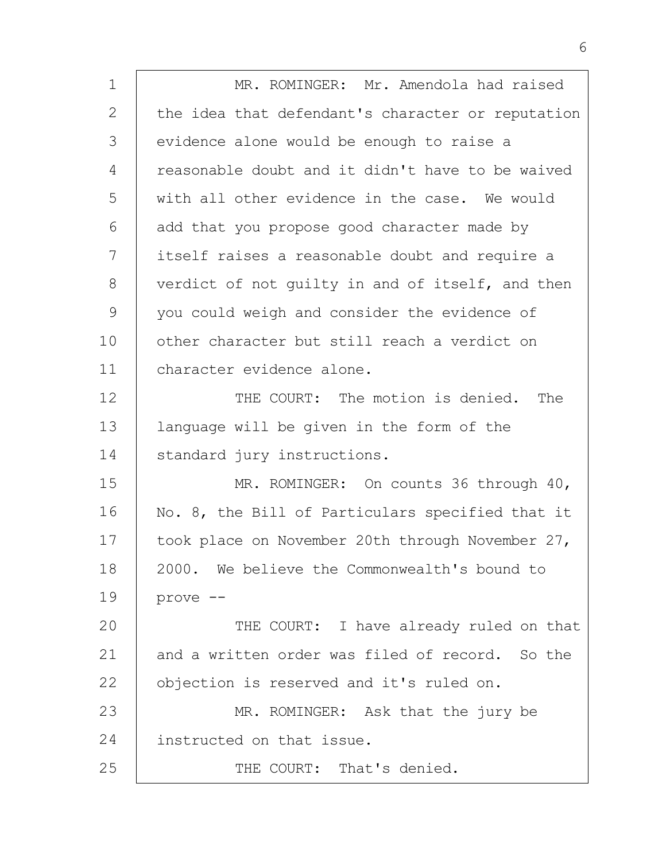| $\mathbf 1$ | MR. ROMINGER: Mr. Amendola had raised             |
|-------------|---------------------------------------------------|
| 2           | the idea that defendant's character or reputation |
| 3           | evidence alone would be enough to raise a         |
| 4           | reasonable doubt and it didn't have to be waived  |
| 5           | with all other evidence in the case. We would     |
| 6           | add that you propose good character made by       |
| 7           | itself raises a reasonable doubt and require a    |
| 8           | verdict of not guilty in and of itself, and then  |
| 9           | you could weigh and consider the evidence of      |
| 10          | other character but still reach a verdict on      |
| 11          | character evidence alone.                         |
| 12          | THE COURT: The motion is denied. The              |
| 13          | language will be given in the form of the         |
| 14          | standard jury instructions.                       |
| 15          | MR. ROMINGER: On counts 36 through 40,            |
| 16          | No. 8, the Bill of Particulars specified that it  |
| 17          | took place on November 20th through November 27,  |
| 18          | 2000. We believe the Commonwealth's bound to      |
| 19          | prove --                                          |
| 20          | THE COURT: I have already ruled on that           |
| 21          | and a written order was filed of record. So the   |
| 22          | objection is reserved and it's ruled on.          |
| 23          | MR. ROMINGER: Ask that the jury be                |
| 24          | instructed on that issue.                         |
| 25          | THE COURT: That's denied.                         |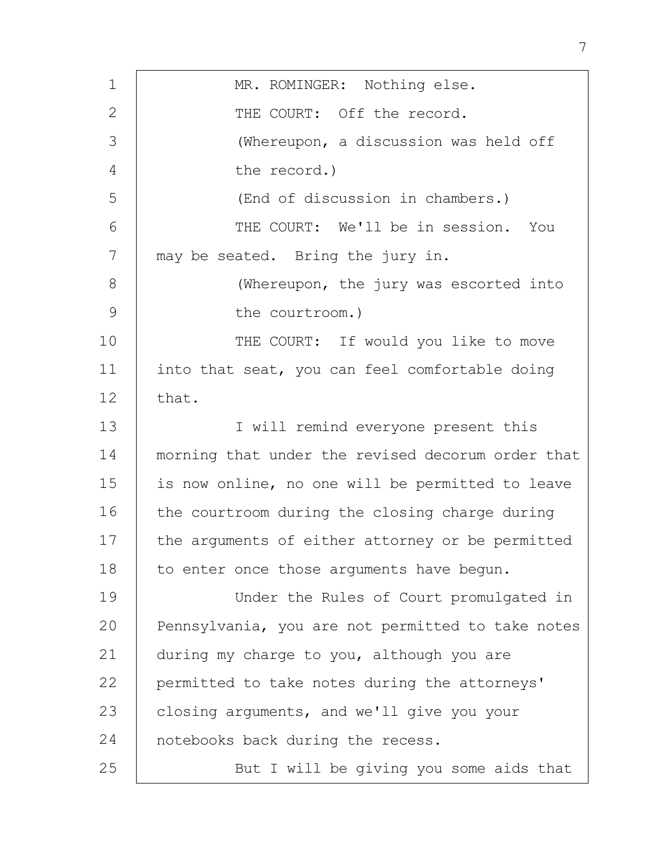| 1             | MR. ROMINGER: Nothing else.                       |
|---------------|---------------------------------------------------|
| $\mathbf{2}$  | THE COURT: Off the record.                        |
| 3             | (Whereupon, a discussion was held off             |
| 4             | the record.)                                      |
| 5             | (End of discussion in chambers.)                  |
| 6             | THE COURT: We'll be in session. You               |
| 7             | may be seated. Bring the jury in.                 |
| 8             | (Whereupon, the jury was escorted into            |
| $\mathcal{G}$ | the courtroom.)                                   |
| 10            | THE COURT: If would you like to move              |
| 11            | into that seat, you can feel comfortable doing    |
| 12            | that.                                             |
| 13            | I will remind everyone present this               |
| 14            | morning that under the revised decorum order that |
| 15            | is now online, no one will be permitted to leave  |
| 16            | the courtroom during the closing charge during    |
| 17            | the arguments of either attorney or be permitted  |
| 18            | to enter once those arguments have begun.         |
| 19            | Under the Rules of Court promulgated in           |
| 20            | Pennsylvania, you are not permitted to take notes |
| 21            | during my charge to you, although you are         |
| 22            | permitted to take notes during the attorneys'     |
| 23            | closing arguments, and we'll give you your        |
| 24            | notebooks back during the recess.                 |
| 25            | But I will be giving you some aids that           |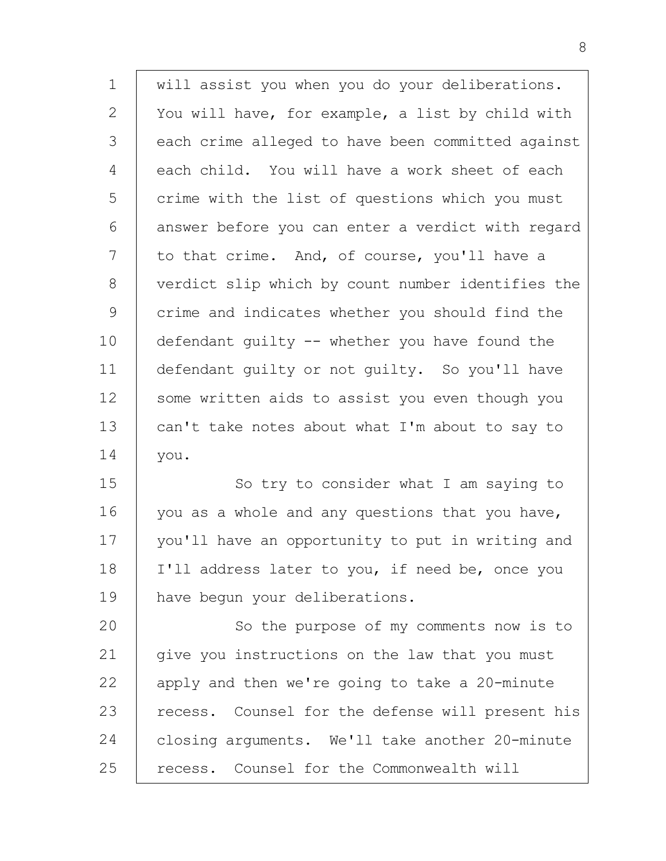| $\mathbf 1$  | will assist you when you do your deliberations.   |
|--------------|---------------------------------------------------|
| $\mathbf{2}$ | You will have, for example, a list by child with  |
| 3            | each crime alleged to have been committed against |
| 4            | each child. You will have a work sheet of each    |
| 5            | crime with the list of questions which you must   |
| 6            | answer before you can enter a verdict with regard |
| 7            | to that crime. And, of course, you'll have a      |
| 8            | verdict slip which by count number identifies the |
| 9            | crime and indicates whether you should find the   |
| 10           | defendant quilty -- whether you have found the    |
| 11           | defendant guilty or not guilty. So you'll have    |
| 12           | some written aids to assist you even though you   |
| 13           | can't take notes about what I'm about to say to   |
| 14           | you.                                              |
| 15           | So try to consider what I am saying to            |
| 16           | you as a whole and any questions that you have,   |
| 17           | you'll have an opportunity to put in writing and  |
| 18           | I'll address later to you, if need be, once you   |
| 19           | have begun your deliberations.                    |
| 20           | So the purpose of my comments now is to           |
| 21           | give you instructions on the law that you must    |
| 22           | apply and then we're going to take a 20-minute    |
| 23           | recess. Counsel for the defense will present his  |
| 24           | closing arguments. We'll take another 20-minute   |
| 25           | recess. Counsel for the Commonwealth will         |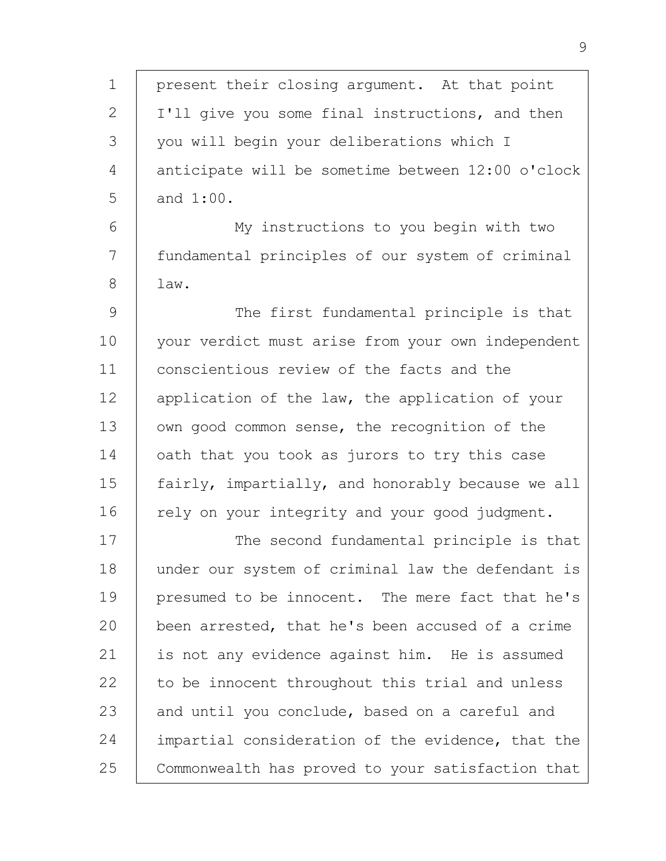1 2 3 4 5 6 7 8 9 10 11 12 13 14 15 16 17 18 19  $20$ 21 22 23 24 25 present their closing argument. At that point I'll give you some final instructions, and then you will begin your deliberations which I anticipate will be sometime between 12:00 o'clock and 1:00. My instructions to you begin with two fundamental principles of our system of criminal law. The first fundamental principle is that your verdict must arise from your own independent conscientious review of the facts and the application of the law, the application of your own good common sense, the recognition of the oath that you took as jurors to try this case fairly, impartially, and honorably because we all rely on your integrity and your good judgment. The second fundamental principle is that under our system of criminal law the defendant is presumed to be innocent. The mere fact that he's been arrested, that he's been accused of a crime is not any evidence against him. He is assumed to be innocent throughout this trial and unless and until you conclude, based on a careful and impartial consideration of the evidence, that the Commonwealth has proved to your satisfaction that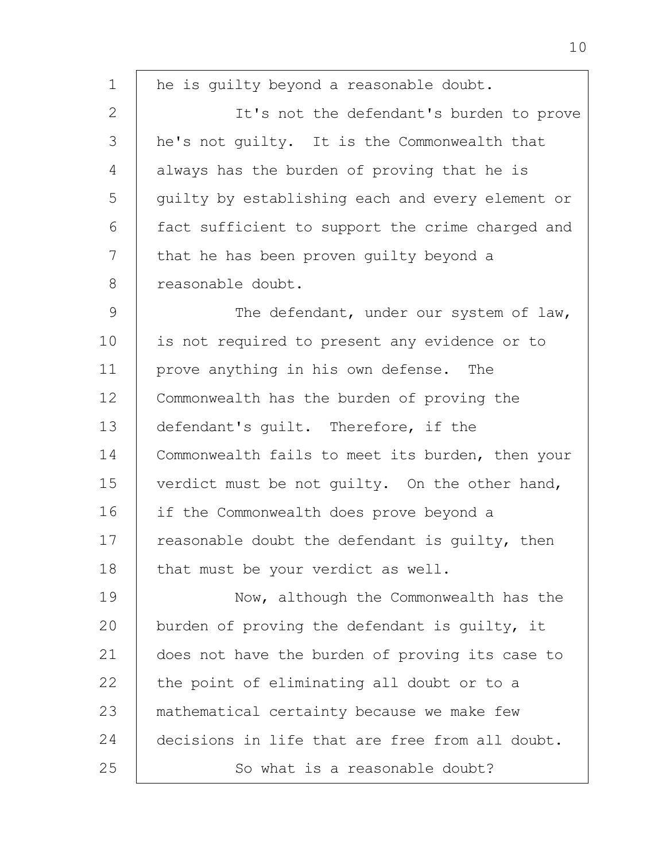1 2 3 4 5 6 7 8 9 10 11 12 13 14 15 16 17 18 19  $20$ 21 22 23 24 25 he is guilty beyond a reasonable doubt. It's not the defendant's burden to prove he's not guilty. It is the Commonwealth that always has the burden of proving that he is guilty by establishing each and every element or fact sufficient to support the crime charged and that he has been proven guilty beyond a reasonable doubt. The defendant, under our system of law, is not required to present any evidence or to prove anything in his own defense. The Commonwealth has the burden of proving the defendant's guilt. Therefore, if the Commonwealth fails to meet its burden, then your verdict must be not guilty. On the other hand, if the Commonwealth does prove beyond a reasonable doubt the defendant is guilty, then that must be your verdict as well. Now, although the Commonwealth has the burden of proving the defendant is guilty, it does not have the burden of proving its case to the point of eliminating all doubt or to a mathematical certainty because we make few decisions in life that are free from all doubt. So what is a reasonable doubt?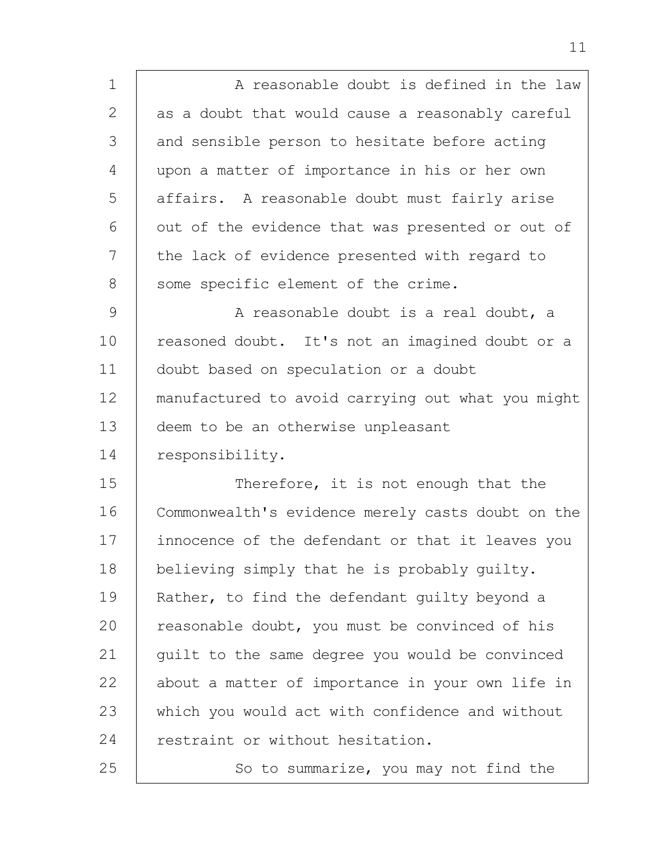| 1  | A reasonable doubt is defined in the law          |
|----|---------------------------------------------------|
| 2  | as a doubt that would cause a reasonably careful  |
| 3  | and sensible person to hesitate before acting     |
| 4  | upon a matter of importance in his or her own     |
| 5  | affairs. A reasonable doubt must fairly arise     |
| 6  | out of the evidence that was presented or out of  |
| 7  | the lack of evidence presented with regard to     |
| 8  | some specific element of the crime.               |
| 9  | A reasonable doubt is a real doubt, a             |
| 10 | reasoned doubt. It's not an imagined doubt or a   |
| 11 | doubt based on speculation or a doubt             |
| 12 | manufactured to avoid carrying out what you might |
| 13 | deem to be an otherwise unpleasant                |
| 14 | responsibility.                                   |
| 15 | Therefore, it is not enough that the              |
| 16 | Commonwealth's evidence merely casts doubt on the |
| 17 | innocence of the defendant or that it leaves you  |
| 18 | believing simply that he is probably quilty.      |
| 19 | Rather, to find the defendant quilty beyond a     |
| 20 | reasonable doubt, you must be convinced of his    |
| 21 | quilt to the same degree you would be convinced   |
| 22 | about a matter of importance in your own life in  |
| 23 | which you would act with confidence and without   |
| 24 | restraint or without hesitation.                  |
| 25 | So to summarize, you may not find the             |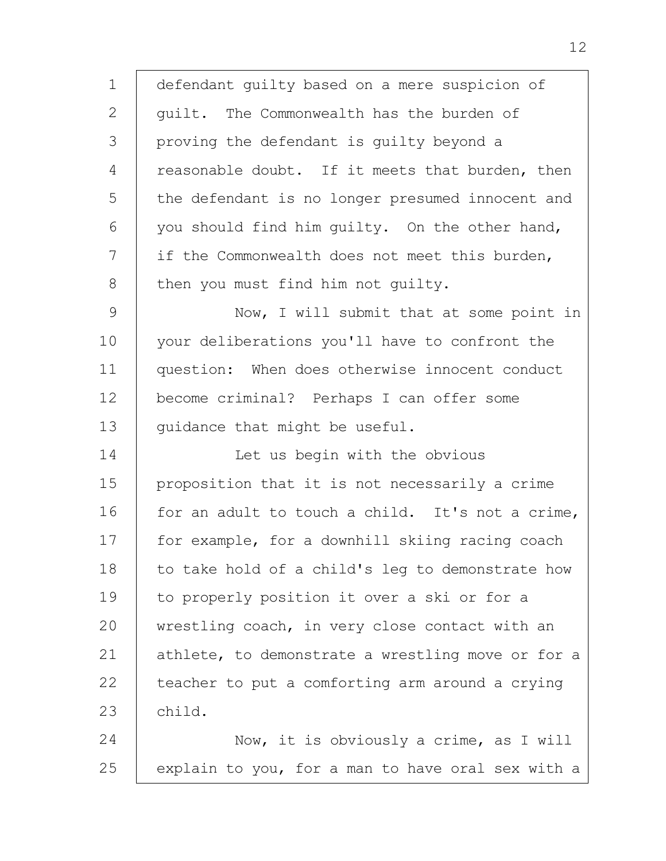1 2 3 4 5 6 7 8 9 10 11 12 13 14 15 16 17 18 19 20 21 22 23 24 25 defendant guilty based on a mere suspicion of guilt. The Commonwealth has the burden of proving the defendant is guilty beyond a reasonable doubt. If it meets that burden, then the defendant is no longer presumed innocent and you should find him guilty. On the other hand, if the Commonwealth does not meet this burden, then you must find him not guilty. Now, I will submit that at some point in your deliberations you'll have to confront the question: When does otherwise innocent conduct become criminal? Perhaps I can offer some guidance that might be useful. Let us begin with the obvious proposition that it is not necessarily a crime for an adult to touch a child. It's not a crime, for example, for a downhill skiing racing coach to take hold of a child's leg to demonstrate how to properly position it over a ski or for a wrestling coach, in very close contact with an athlete, to demonstrate a wrestling move or for a teacher to put a comforting arm around a crying child. Now, it is obviously a crime, as I will explain to you, for a man to have oral sex with a

12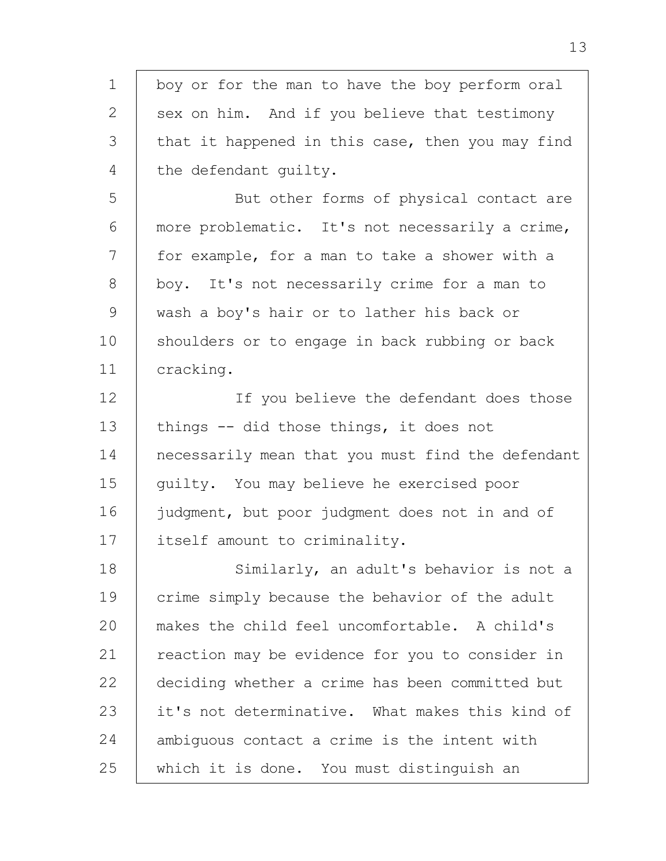1 2 3 4 5 6 7 8 9 10 11 12 13 14 15 16 17 18 19 20 21 22 23 24 25 boy or for the man to have the boy perform oral sex on him. And if you believe that testimony that it happened in this case, then you may find the defendant guilty. But other forms of physical contact are more problematic. It's not necessarily a crime, for example, for a man to take a shower with a boy. It's not necessarily crime for a man to wash a boy's hair or to lather his back or shoulders or to engage in back rubbing or back cracking. If you believe the defendant does those things -- did those things, it does not necessarily mean that you must find the defendant guilty. You may believe he exercised poor judgment, but poor judgment does not in and of itself amount to criminality. Similarly, an adult's behavior is not a crime simply because the behavior of the adult makes the child feel uncomfortable. A child's reaction may be evidence for you to consider in deciding whether a crime has been committed but it's not determinative. What makes this kind of ambiguous contact a crime is the intent with which it is done. You must distinguish an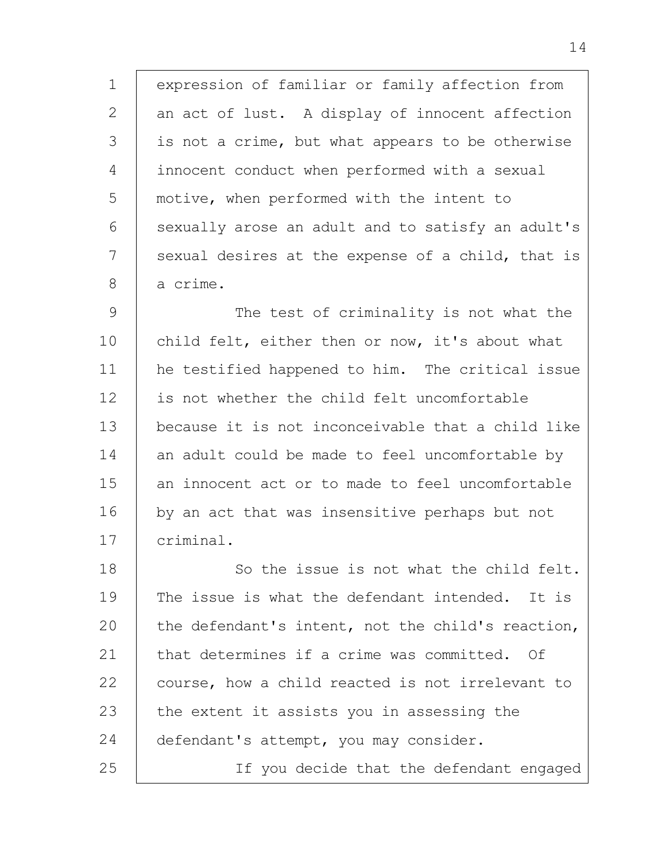1 2 3 4 5 6 7 8 expression of familiar or family affection from an act of lust. A display of innocent affection is not a crime, but what appears to be otherwise innocent conduct when performed with a sexual motive, when performed with the intent to sexually arose an adult and to satisfy an adult's sexual desires at the expense of a child, that is a crime.

9 10 11 12 13 14 15 16 17 The test of criminality is not what the child felt, either then or now, it's about what he testified happened to him. The critical issue is not whether the child felt uncomfortable because it is not inconceivable that a child like an adult could be made to feel uncomfortable by an innocent act or to made to feel uncomfortable by an act that was insensitive perhaps but not criminal.

18 19  $20$ 21 22 23 24 25 So the issue is not what the child felt. The issue is what the defendant intended. It is the defendant's intent, not the child's reaction, that determines if a crime was committed. Of course, how a child reacted is not irrelevant to the extent it assists you in assessing the defendant's attempt, you may consider.

If you decide that the defendant engaged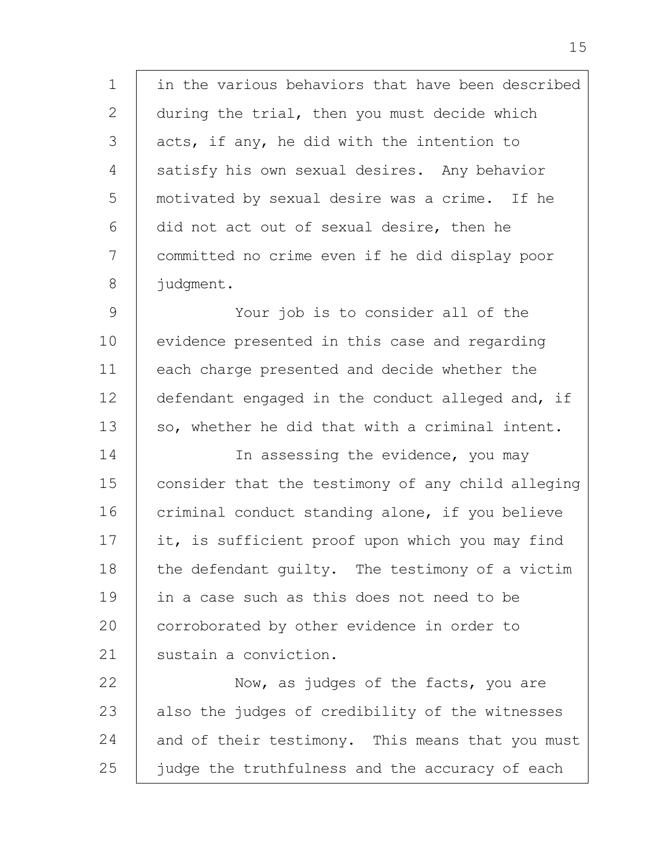1 2 3 4 5 6 7 8 in the various behaviors that have been described during the trial, then you must decide which acts, if any, he did with the intention to satisfy his own sexual desires. Any behavior motivated by sexual desire was a crime. If he did not act out of sexual desire, then he committed no crime even if he did display poor judgment.

9 10 11 12 13 Your job is to consider all of the evidence presented in this case and regarding each charge presented and decide whether the defendant engaged in the conduct alleged and, if so, whether he did that with a criminal intent.

14 15 16 17 18 19 20 21 In assessing the evidence, you may consider that the testimony of any child alleging criminal conduct standing alone, if you believe it, is sufficient proof upon which you may find the defendant guilty. The testimony of a victim in a case such as this does not need to be corroborated by other evidence in order to sustain a conviction.

22 23 24 25 Now, as judges of the facts, you are also the judges of credibility of the witnesses and of their testimony. This means that you must judge the truthfulness and the accuracy of each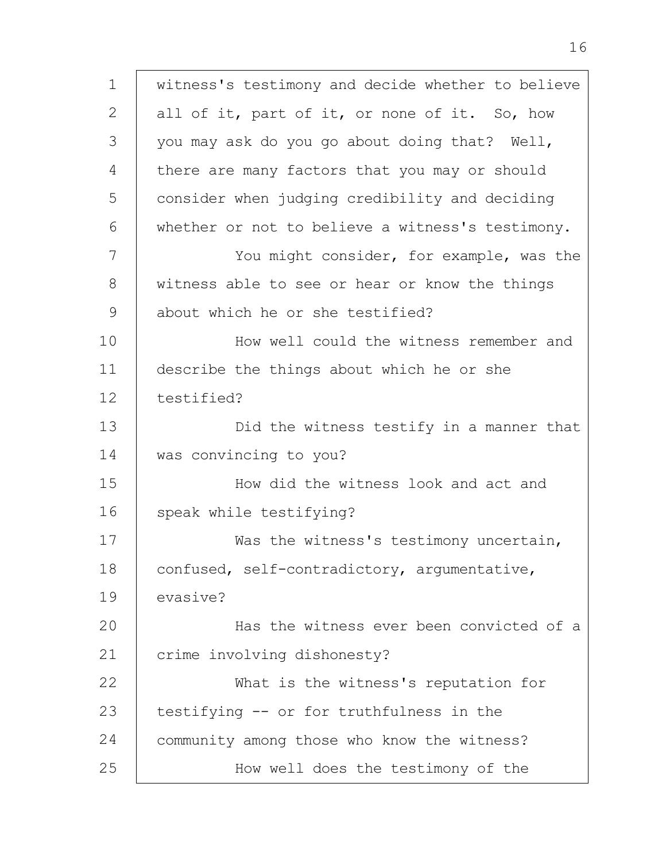1 2 3 4 5 6 7 8 9 10 11 12 13 14 15 16 17 18 19  $20$ 21 22 23 24 25 witness's testimony and decide whether to believe all of it, part of it, or none of it. So, how you may ask do you go about doing that? Well, there are many factors that you may or should consider when judging credibility and deciding whether or not to believe a witness's testimony. You might consider, for example, was the witness able to see or hear or know the things about which he or she testified? How well could the witness remember and describe the things about which he or she testified? Did the witness testify in a manner that was convincing to you? How did the witness look and act and speak while testifying? Was the witness's testimony uncertain, confused, self-contradictory, argumentative, evasive? Has the witness ever been convicted of a crime involving dishonesty? What is the witness's reputation for testifying -- or for truthfulness in the community among those who know the witness? How well does the testimony of the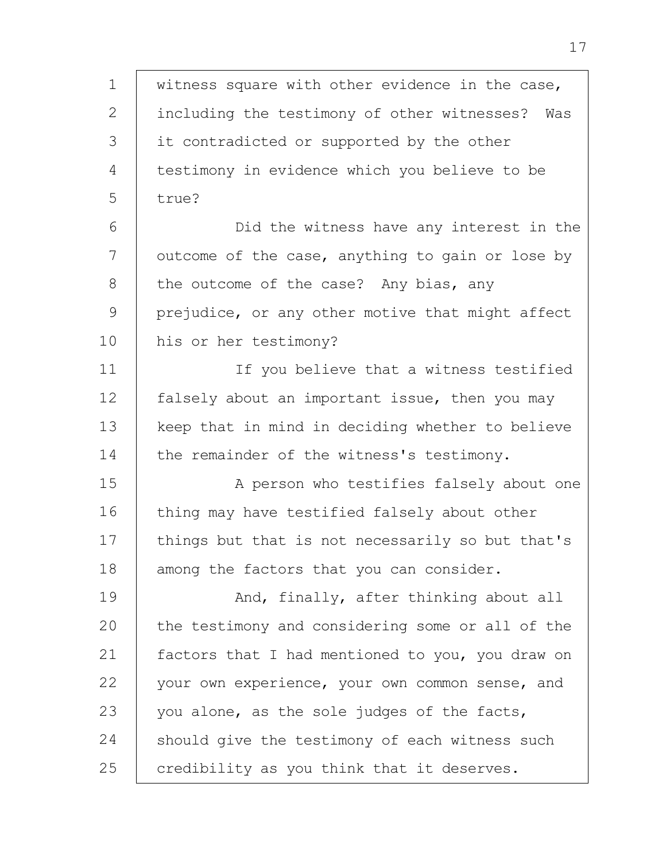1 2 3 4 5 6 7 8 9 10 11 12 13 14 15 16 17 18 19  $20$ 21 22 23 24 25 witness square with other evidence in the case, including the testimony of other witnesses? Was it contradicted or supported by the other testimony in evidence which you believe to be true? Did the witness have any interest in the outcome of the case, anything to gain or lose by the outcome of the case? Any bias, any prejudice, or any other motive that might affect his or her testimony? If you believe that a witness testified falsely about an important issue, then you may keep that in mind in deciding whether to believe the remainder of the witness's testimony. A person who testifies falsely about one thing may have testified falsely about other things but that is not necessarily so but that's among the factors that you can consider. And, finally, after thinking about all the testimony and considering some or all of the factors that I had mentioned to you, you draw on your own experience, your own common sense, and you alone, as the sole judges of the facts, should give the testimony of each witness such credibility as you think that it deserves.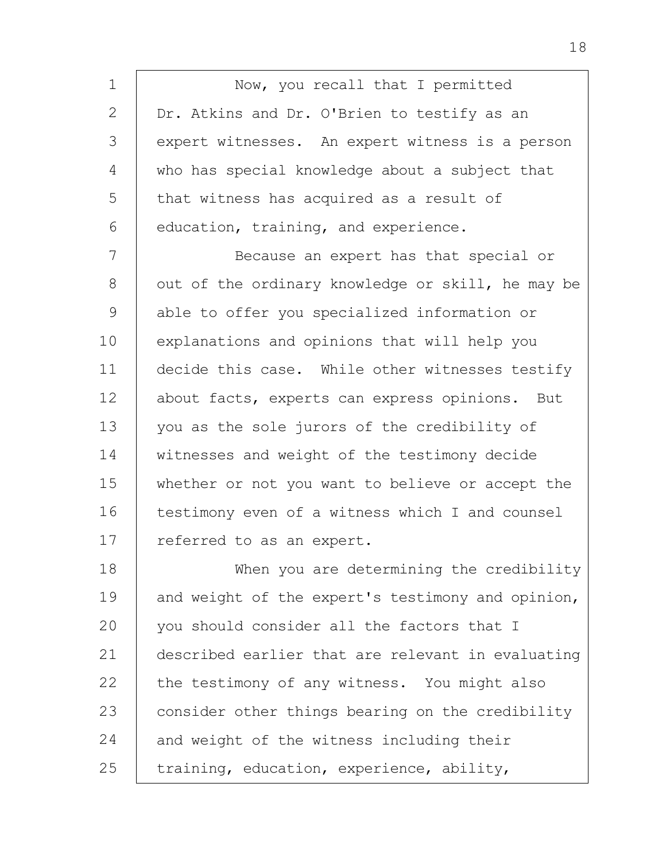1 2 3 4 5 6 7 8 9 10 11 12 13 14 15 16 17 18 19  $20$ 21 22 23 24 25 Now, you recall that I permitted Dr. Atkins and Dr. O'Brien to testify as an expert witnesses. An expert witness is a person who has special knowledge about a subject that that witness has acquired as a result of education, training, and experience. Because an expert has that special or out of the ordinary knowledge or skill, he may be able to offer you specialized information or explanations and opinions that will help you decide this case. While other witnesses testify about facts, experts can express opinions. But you as the sole jurors of the credibility of witnesses and weight of the testimony decide whether or not you want to believe or accept the testimony even of a witness which I and counsel referred to as an expert. When you are determining the credibility and weight of the expert's testimony and opinion, you should consider all the factors that I described earlier that are relevant in evaluating the testimony of any witness. You might also consider other things bearing on the credibility and weight of the witness including their training, education, experience, ability,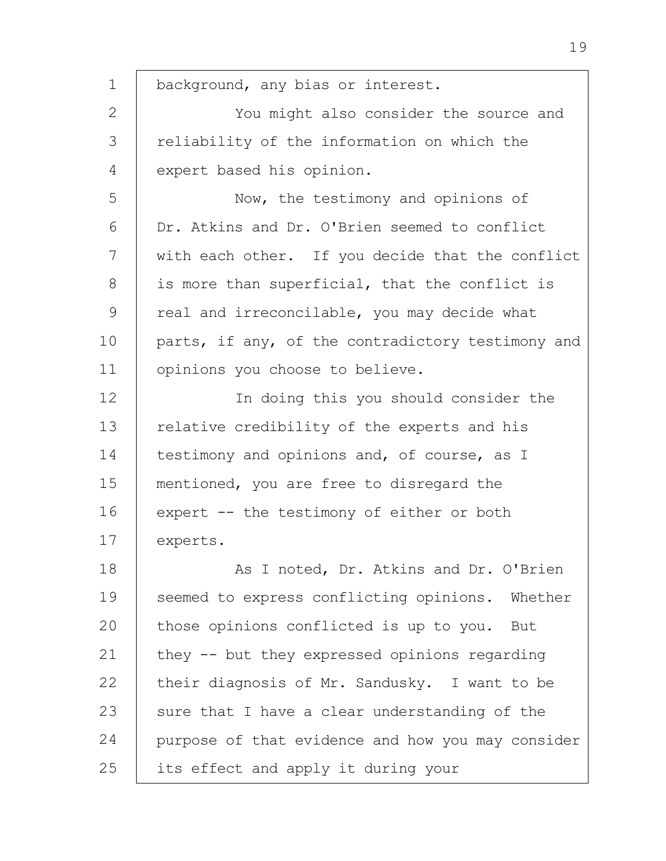1 2 3 4 5 6 7 8 9 10 11 12 13 14 15 16 17 18 19 20 21 22 23 24 25 background, any bias or interest. You might also consider the source and reliability of the information on which the expert based his opinion. Now, the testimony and opinions of Dr. Atkins and Dr. O'Brien seemed to conflict with each other. If you decide that the conflict is more than superficial, that the conflict is real and irreconcilable, you may decide what parts, if any, of the contradictory testimony and opinions you choose to believe. In doing this you should consider the relative credibility of the experts and his testimony and opinions and, of course, as I mentioned, you are free to disregard the expert -- the testimony of either or both experts. As I noted, Dr. Atkins and Dr. O'Brien seemed to express conflicting opinions. Whether those opinions conflicted is up to you. But they -- but they expressed opinions regarding their diagnosis of Mr. Sandusky. I want to be sure that I have a clear understanding of the purpose of that evidence and how you may consider its effect and apply it during your

19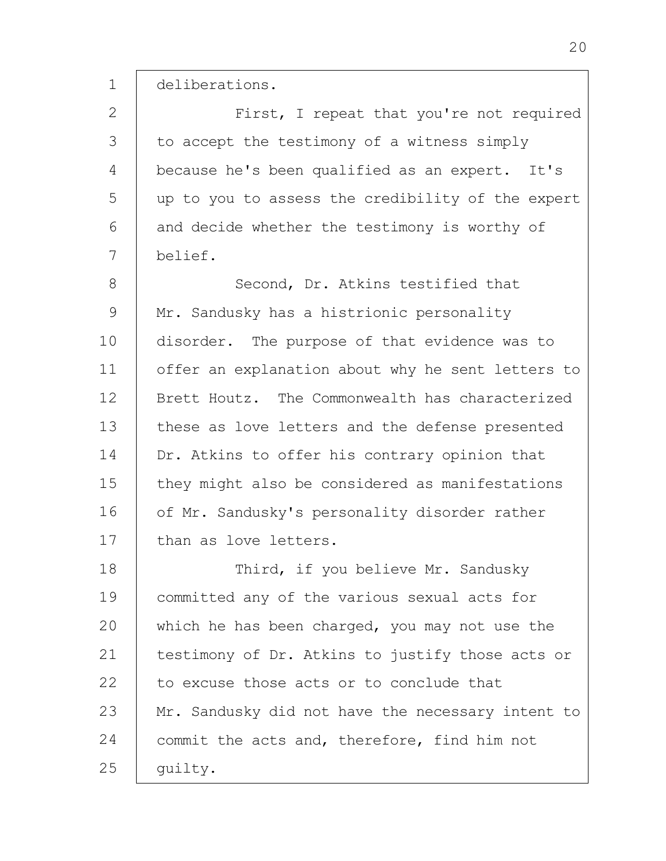1 deliberations.

2 3 4 5 6 7 8 9 10 11 12 13 14 15 16 17 18 19 20 21 22 23 24 25 First, I repeat that you're not required to accept the testimony of a witness simply because he's been qualified as an expert. It's up to you to assess the credibility of the expert and decide whether the testimony is worthy of belief. Second, Dr. Atkins testified that Mr. Sandusky has a histrionic personality disorder. The purpose of that evidence was to offer an explanation about why he sent letters to Brett Houtz. The Commonwealth has characterized these as love letters and the defense presented Dr. Atkins to offer his contrary opinion that they might also be considered as manifestations of Mr. Sandusky's personality disorder rather than as love letters. Third, if you believe Mr. Sandusky committed any of the various sexual acts for which he has been charged, you may not use the testimony of Dr. Atkins to justify those acts or to excuse those acts or to conclude that Mr. Sandusky did not have the necessary intent to commit the acts and, therefore, find him not guilty.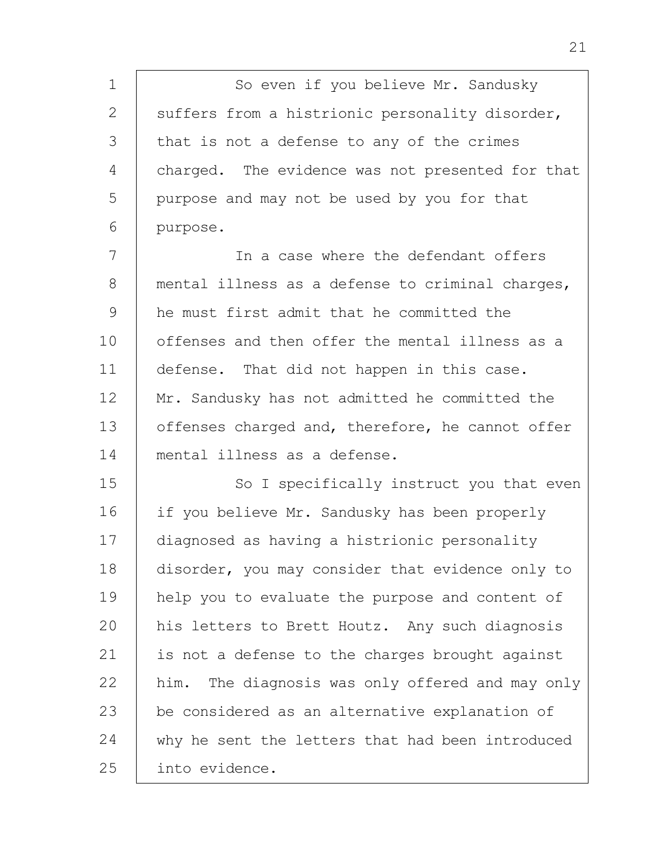1 2 3 4 5 6 So even if you believe Mr. Sandusky suffers from a histrionic personality disorder, that is not a defense to any of the crimes charged. The evidence was not presented for that purpose and may not be used by you for that purpose.

7 8 9 10 11 12 13 14 In a case where the defendant offers mental illness as a defense to criminal charges, he must first admit that he committed the offenses and then offer the mental illness as a defense. That did not happen in this case. Mr. Sandusky has not admitted he committed the offenses charged and, therefore, he cannot offer mental illness as a defense.

15 16 17 18 19 20 21 22 23 24 25 So I specifically instruct you that even if you believe Mr. Sandusky has been properly diagnosed as having a histrionic personality disorder, you may consider that evidence only to help you to evaluate the purpose and content of his letters to Brett Houtz. Any such diagnosis is not a defense to the charges brought against him. The diagnosis was only offered and may only be considered as an alternative explanation of why he sent the letters that had been introduced into evidence.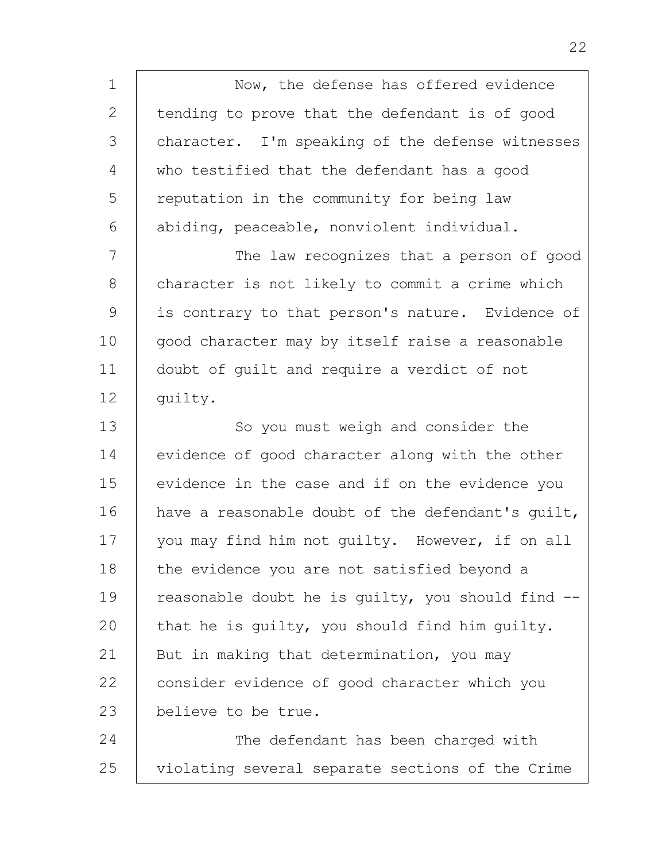1 2 3 4 5 6 7 8 9 10 11 12 13 14 15 16 17 18 19 20 21 22 23 Now, the defense has offered evidence tending to prove that the defendant is of good character. I'm speaking of the defense witnesses who testified that the defendant has a good reputation in the community for being law abiding, peaceable, nonviolent individual. The law recognizes that a person of good character is not likely to commit a crime which is contrary to that person's nature. Evidence of good character may by itself raise a reasonable doubt of guilt and require a verdict of not guilty. So you must weigh and consider the evidence of good character along with the other evidence in the case and if on the evidence you have a reasonable doubt of the defendant's guilt, you may find him not guilty. However, if on all the evidence you are not satisfied beyond a reasonable doubt he is guilty, you should find - that he is guilty, you should find him guilty. But in making that determination, you may consider evidence of good character which you believe to be true.

24 25 The defendant has been charged with violating several separate sections of the Crime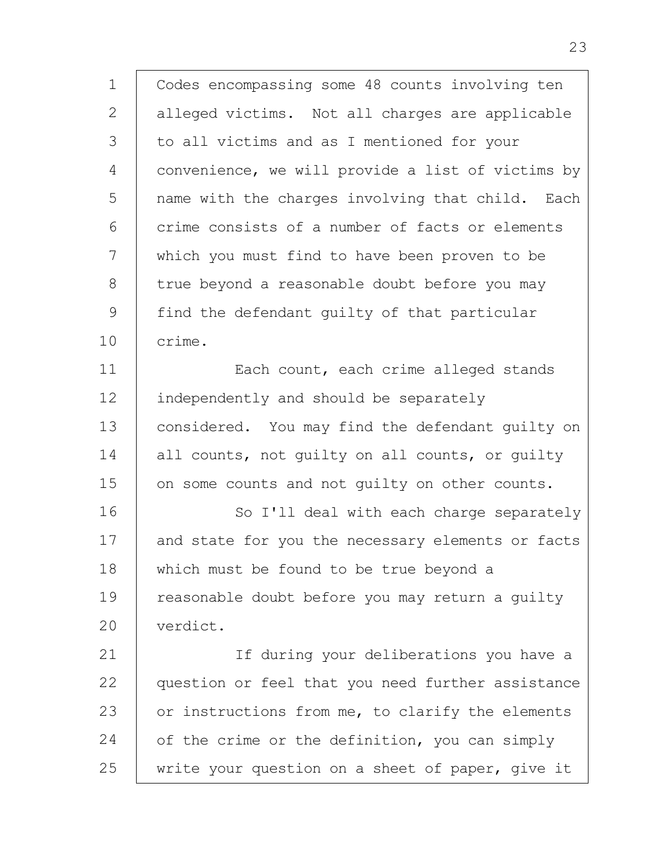1 2 3 4 5 6 7 8 9 10 11 12 13 14 15 16 17 18 19  $20$ 21 22 23 Codes encompassing some 48 counts involving ten alleged victims. Not all charges are applicable to all victims and as I mentioned for your convenience, we will provide a list of victims by name with the charges involving that child. Each crime consists of a number of facts or elements which you must find to have been proven to be true beyond a reasonable doubt before you may find the defendant guilty of that particular crime. Each count, each crime alleged stands independently and should be separately considered. You may find the defendant guilty on all counts, not guilty on all counts, or guilty on some counts and not guilty on other counts. So I'll deal with each charge separately and state for you the necessary elements or facts which must be found to be true beyond a reasonable doubt before you may return a guilty verdict. If during your deliberations you have a question or feel that you need further assistance

24 25 or instructions from me, to clarify the elements of the crime or the definition, you can simply write your question on a sheet of paper, give it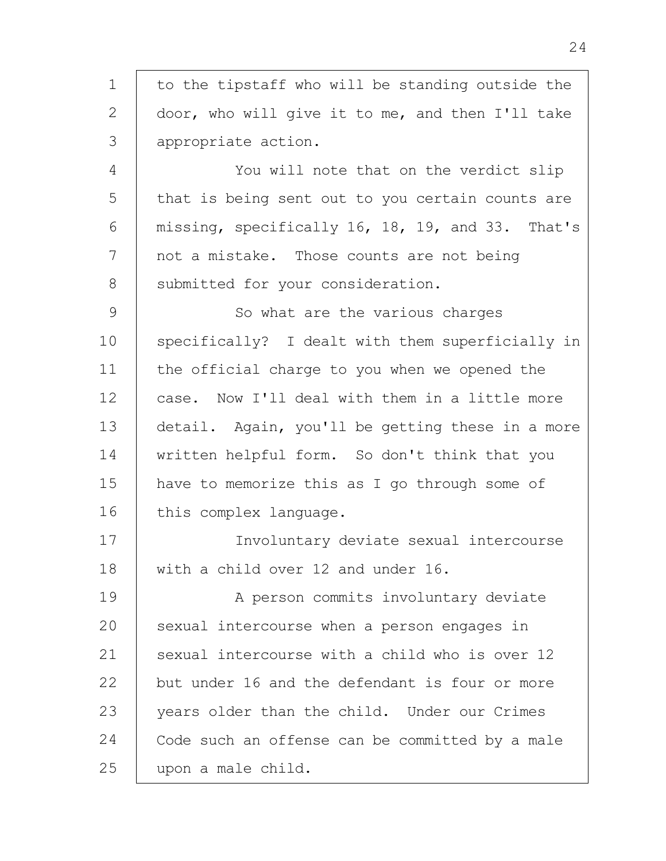1 2 3 4 5 6 7 8 9 10 11 12 13 14 15 16 17 18 19  $20$ 21 22 23 24 25 to the tipstaff who will be standing outside the door, who will give it to me, and then I'll take appropriate action. You will note that on the verdict slip that is being sent out to you certain counts are missing, specifically 16, 18, 19, and 33. That's not a mistake. Those counts are not being submitted for your consideration. So what are the various charges specifically? I dealt with them superficially in the official charge to you when we opened the case. Now I'll deal with them in a little more detail. Again, you'll be getting these in a more written helpful form. So don't think that you have to memorize this as I go through some of this complex language. Involuntary deviate sexual intercourse with a child over 12 and under 16. A person commits involuntary deviate sexual intercourse when a person engages in sexual intercourse with a child who is over 12 but under 16 and the defendant is four or more years older than the child. Under our Crimes Code such an offense can be committed by a male upon a male child.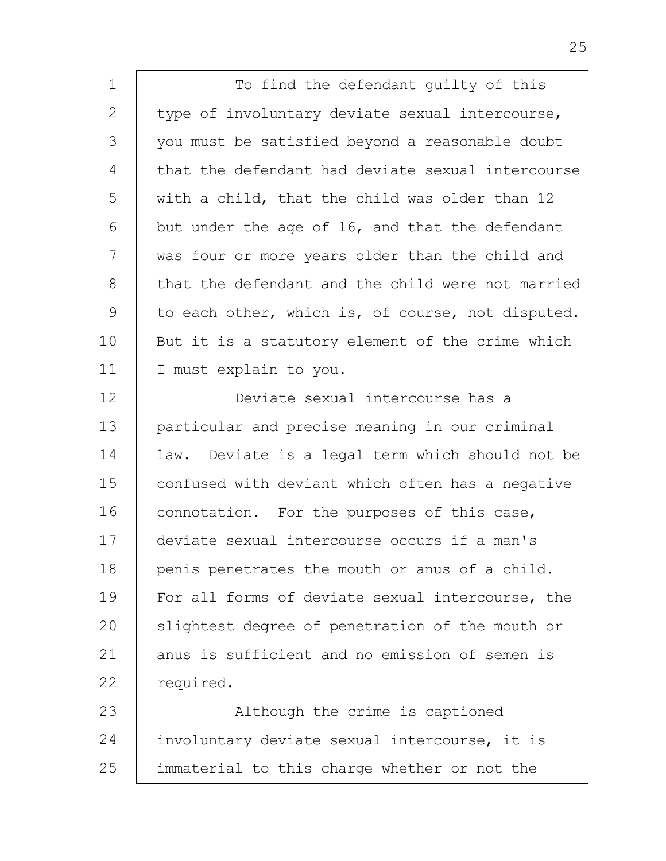1 2 3 4 5 6 7 8 9 10 11 12 13 14 15 16 17 18 19  $20$ 21 22 23 24 25 To find the defendant guilty of this type of involuntary deviate sexual intercourse, you must be satisfied beyond a reasonable doubt that the defendant had deviate sexual intercourse with a child, that the child was older than 12 but under the age of 16, and that the defendant was four or more years older than the child and that the defendant and the child were not married to each other, which is, of course, not disputed. But it is a statutory element of the crime which I must explain to you. Deviate sexual intercourse has a particular and precise meaning in our criminal law. Deviate is a legal term which should not be confused with deviant which often has a negative connotation. For the purposes of this case, deviate sexual intercourse occurs if a man's penis penetrates the mouth or anus of a child. For all forms of deviate sexual intercourse, the slightest degree of penetration of the mouth or anus is sufficient and no emission of semen is required. Although the crime is captioned involuntary deviate sexual intercourse, it is immaterial to this charge whether or not the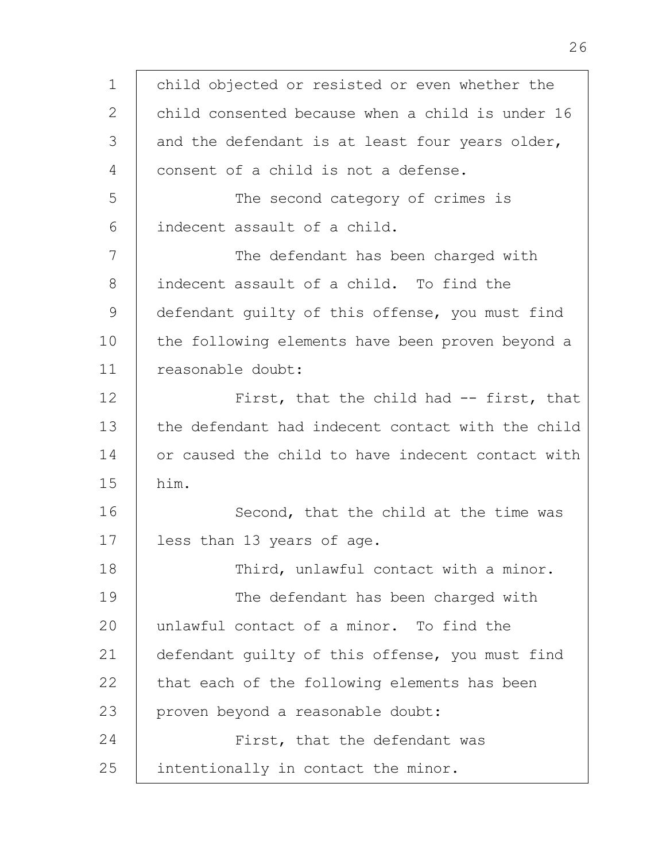1  $\mathcal{L}$ 3 4 5 6 7 8 9 10 11 12 13 14 15 16 17 18 19  $20$ 21 22 23 24 25 child objected or resisted or even whether the child consented because when a child is under 16 and the defendant is at least four years older, consent of a child is not a defense. The second category of crimes is indecent assault of a child. The defendant has been charged with indecent assault of a child. To find the defendant guilty of this offense, you must find the following elements have been proven beyond a reasonable doubt: First, that the child had -- first, that the defendant had indecent contact with the child or caused the child to have indecent contact with him. Second, that the child at the time was less than 13 years of age. Third, unlawful contact with a minor. The defendant has been charged with unlawful contact of a minor. To find the defendant guilty of this offense, you must find that each of the following elements has been proven beyond a reasonable doubt: First, that the defendant was intentionally in contact the minor.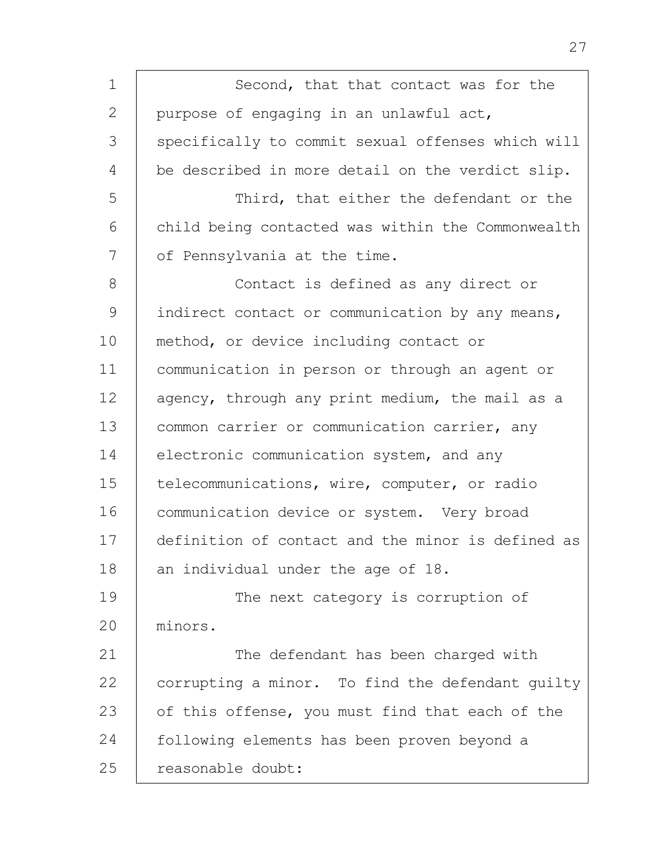1 2 3 4 5 6 7 8 9 10 11 12 13 14 15 16 17 18 19 20 21 22 23 24 25 Second, that that contact was for the purpose of engaging in an unlawful act, specifically to commit sexual offenses which will be described in more detail on the verdict slip. Third, that either the defendant or the child being contacted was within the Commonwealth of Pennsylvania at the time. Contact is defined as any direct or indirect contact or communication by any means, method, or device including contact or communication in person or through an agent or agency, through any print medium, the mail as a common carrier or communication carrier, any electronic communication system, and any telecommunications, wire, computer, or radio communication device or system. Very broad definition of contact and the minor is defined as an individual under the age of 18. The next category is corruption of minors. The defendant has been charged with corrupting a minor. To find the defendant guilty of this offense, you must find that each of the following elements has been proven beyond a reasonable doubt: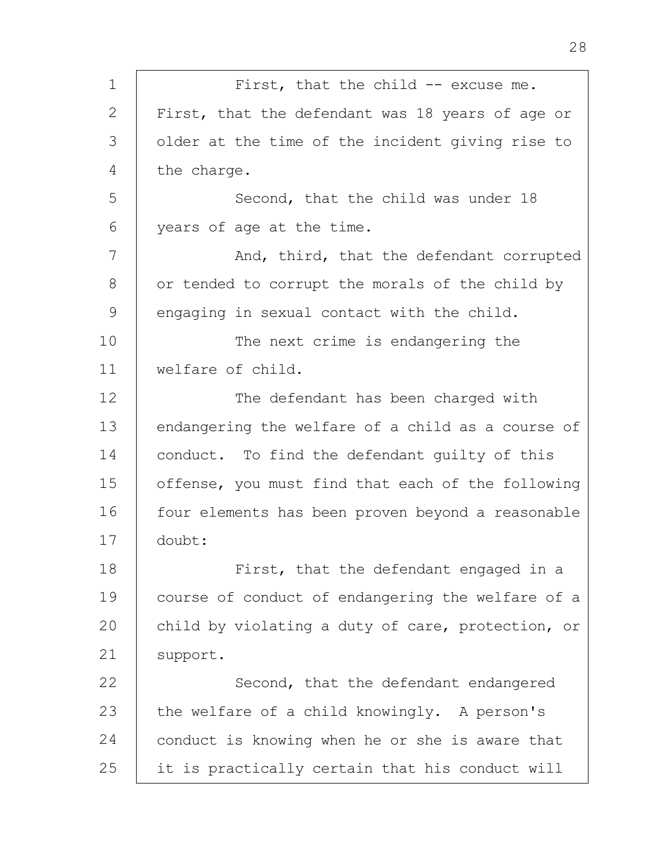| 1  | First, that the child -- excuse me.               |
|----|---------------------------------------------------|
| 2  | First, that the defendant was 18 years of age or  |
| 3  | older at the time of the incident giving rise to  |
| 4  | the charge.                                       |
| 5  | Second, that the child was under 18               |
| 6  | years of age at the time.                         |
| 7  | And, third, that the defendant corrupted          |
| 8  | or tended to corrupt the morals of the child by   |
| 9  | engaging in sexual contact with the child.        |
| 10 | The next crime is endangering the                 |
| 11 | welfare of child.                                 |
| 12 | The defendant has been charged with               |
| 13 | endangering the welfare of a child as a course of |
| 14 | conduct. To find the defendant quilty of this     |
| 15 | offense, you must find that each of the following |
| 16 | four elements has been proven beyond a reasonable |
| 17 | doubt:                                            |
| 18 | First, that the defendant engaged in a            |
| 19 | course of conduct of endangering the welfare of a |
| 20 | child by violating a duty of care, protection, or |
| 21 | support.                                          |
| 22 | Second, that the defendant endangered             |
| 23 | the welfare of a child knowingly. A person's      |
| 24 | conduct is knowing when he or she is aware that   |
| 25 | it is practically certain that his conduct will   |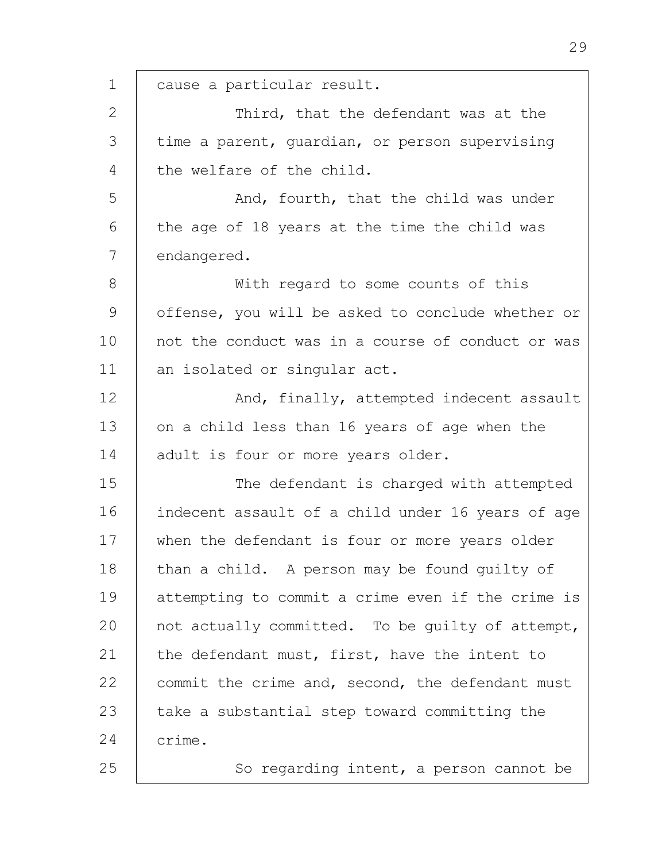1 2 3 4 5 6 7 8 9 10 11 12 13 14 15 16 17 18 19  $20$ 21 22 23 24 25 cause a particular result. Third, that the defendant was at the time a parent, guardian, or person supervising the welfare of the child. And, fourth, that the child was under the age of 18 years at the time the child was endangered. With regard to some counts of this offense, you will be asked to conclude whether or not the conduct was in a course of conduct or was an isolated or singular act. And, finally, attempted indecent assault on a child less than 16 years of age when the adult is four or more years older. The defendant is charged with attempted indecent assault of a child under 16 years of age when the defendant is four or more years older than a child. A person may be found guilty of attempting to commit a crime even if the crime is not actually committed. To be guilty of attempt, the defendant must, first, have the intent to commit the crime and, second, the defendant must take a substantial step toward committing the crime. So regarding intent, a person cannot be

29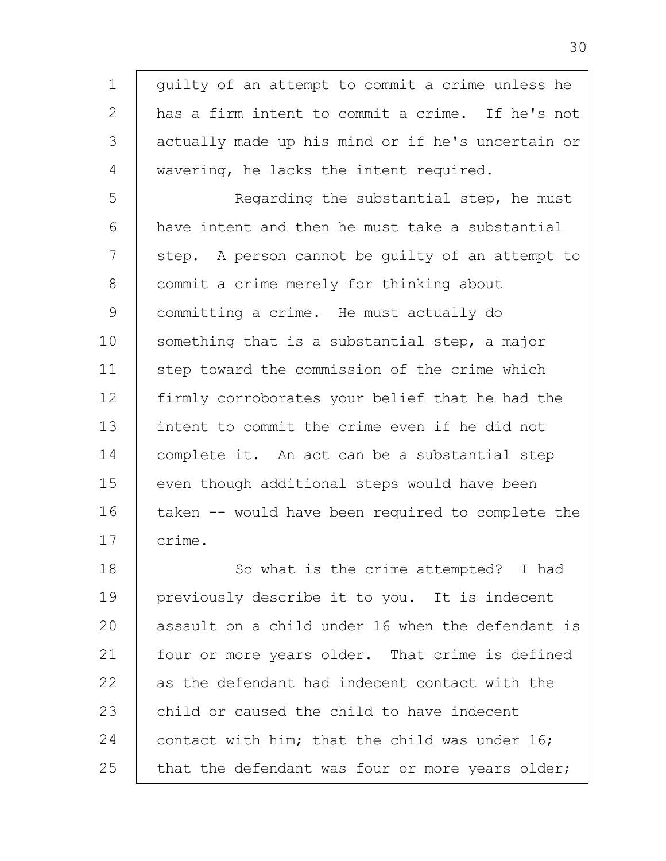1  $\mathcal{L}$ 3 4 5 6 7 8 9 10 11 12 13 14 15 16 17 18 19 20 21 22 23 guilty of an attempt to commit a crime unless he has a firm intent to commit a crime. If he's not actually made up his mind or if he's uncertain or wavering, he lacks the intent required. Regarding the substantial step, he must have intent and then he must take a substantial step. A person cannot be guilty of an attempt to commit a crime merely for thinking about committing a crime. He must actually do something that is a substantial step, a major step toward the commission of the crime which firmly corroborates your belief that he had the intent to commit the crime even if he did not complete it. An act can be a substantial step even though additional steps would have been taken -- would have been required to complete the crime. So what is the crime attempted? I had previously describe it to you. It is indecent assault on a child under 16 when the defendant is four or more years older. That crime is defined as the defendant had indecent contact with the child or caused the child to have indecent

24 25 contact with him; that the child was under 16; that the defendant was four or more years older;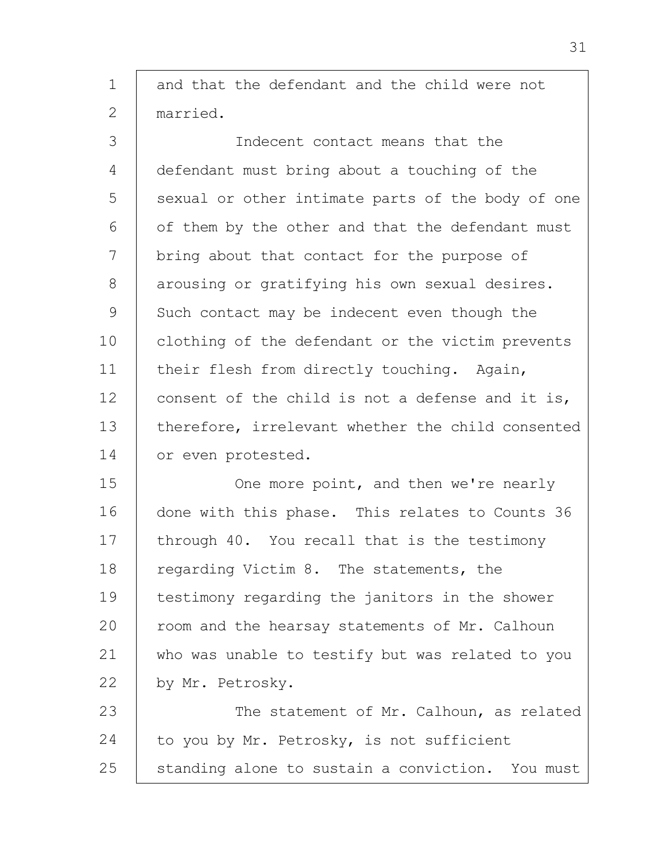1 2 3 4 5 6 7 8 9 10 11 12 13 14 15 16 17 18 19 20 21 22 23 24 and that the defendant and the child were not married. Indecent contact means that the defendant must bring about a touching of the sexual or other intimate parts of the body of one of them by the other and that the defendant must bring about that contact for the purpose of arousing or gratifying his own sexual desires. Such contact may be indecent even though the clothing of the defendant or the victim prevents their flesh from directly touching. Again, consent of the child is not a defense and it is, therefore, irrelevant whether the child consented or even protested. One more point, and then we're nearly done with this phase. This relates to Counts 36 through 40. You recall that is the testimony regarding Victim 8. The statements, the testimony regarding the janitors in the shower room and the hearsay statements of Mr. Calhoun who was unable to testify but was related to you by Mr. Petrosky. The statement of Mr. Calhoun, as related to you by Mr. Petrosky, is not sufficient

25 standing alone to sustain a conviction. You must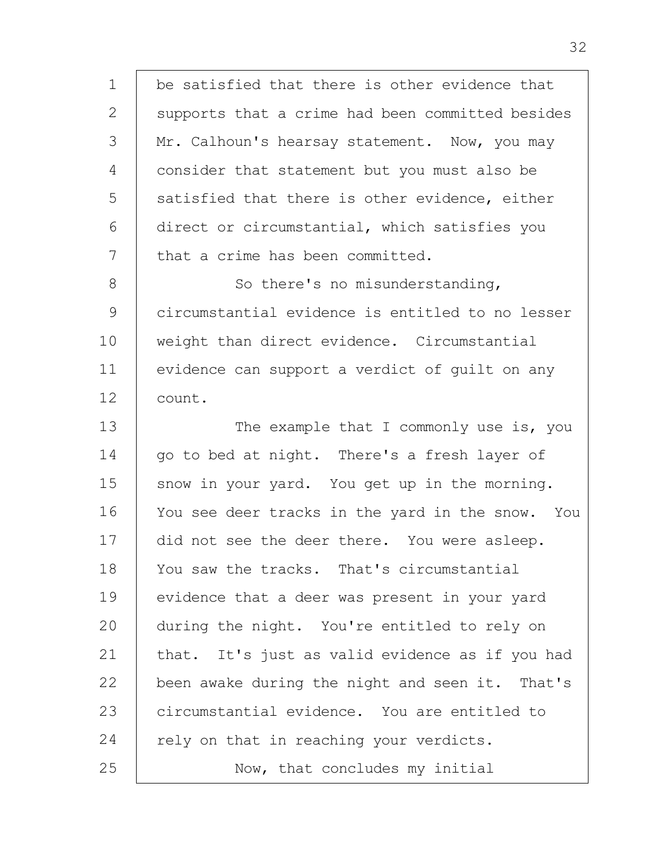1 2 3 4 5 6 7 8 9 10 11 12 13 14 15 16 17 18 19 20 21 22 23 be satisfied that there is other evidence that supports that a crime had been committed besides Mr. Calhoun's hearsay statement. Now, you may consider that statement but you must also be satisfied that there is other evidence, either direct or circumstantial, which satisfies you that a crime has been committed. So there's no misunderstanding, circumstantial evidence is entitled to no lesser weight than direct evidence. Circumstantial evidence can support a verdict of guilt on any count. The example that I commonly use is, you go to bed at night. There's a fresh layer of snow in your yard. You get up in the morning. You see deer tracks in the yard in the snow. You did not see the deer there. You were asleep. You saw the tracks. That's circumstantial evidence that a deer was present in your yard during the night. You're entitled to rely on that. It's just as valid evidence as if you had been awake during the night and seen it. That's circumstantial evidence. You are entitled to

rely on that in reaching your verdicts.

24

25

Now, that concludes my initial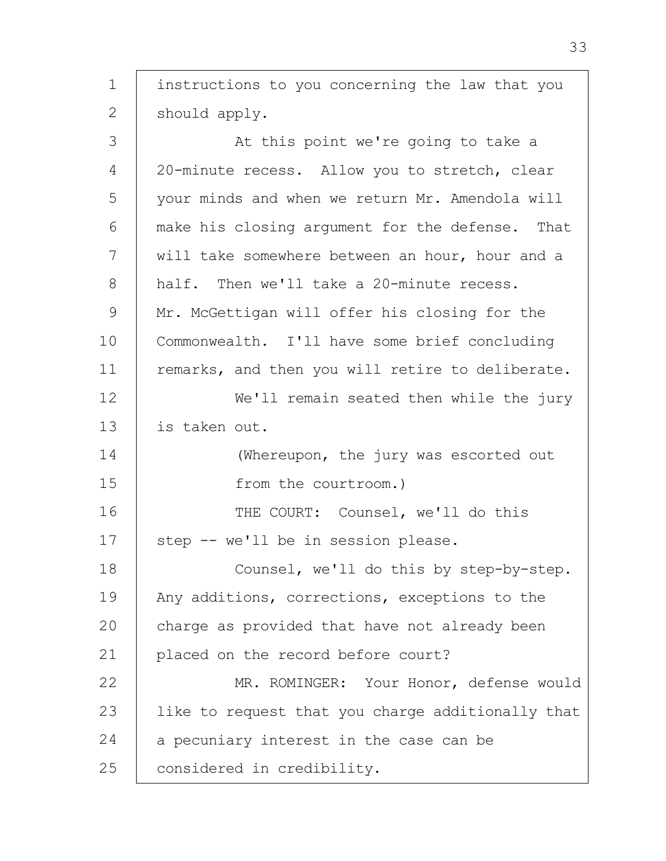1 2 3 4 5 6 7 8 9 10 11 12 13 14 15 16 17 18 19 20 21 22 23 24 25 instructions to you concerning the law that you should apply. At this point we're going to take a 20-minute recess. Allow you to stretch, clear your minds and when we return Mr. Amendola will make his closing argument for the defense. That will take somewhere between an hour, hour and a half. Then we'll take a 20-minute recess. Mr. McGettigan will offer his closing for the Commonwealth. I'll have some brief concluding remarks, and then you will retire to deliberate. We'll remain seated then while the jury is taken out. (Whereupon, the jury was escorted out from the courtroom.) THE COURT: Counsel, we'll do this step -- we'll be in session please. Counsel, we'll do this by step-by-step. Any additions, corrections, exceptions to the charge as provided that have not already been placed on the record before court? MR. ROMINGER: Your Honor, defense would like to request that you charge additionally that a pecuniary interest in the case can be considered in credibility.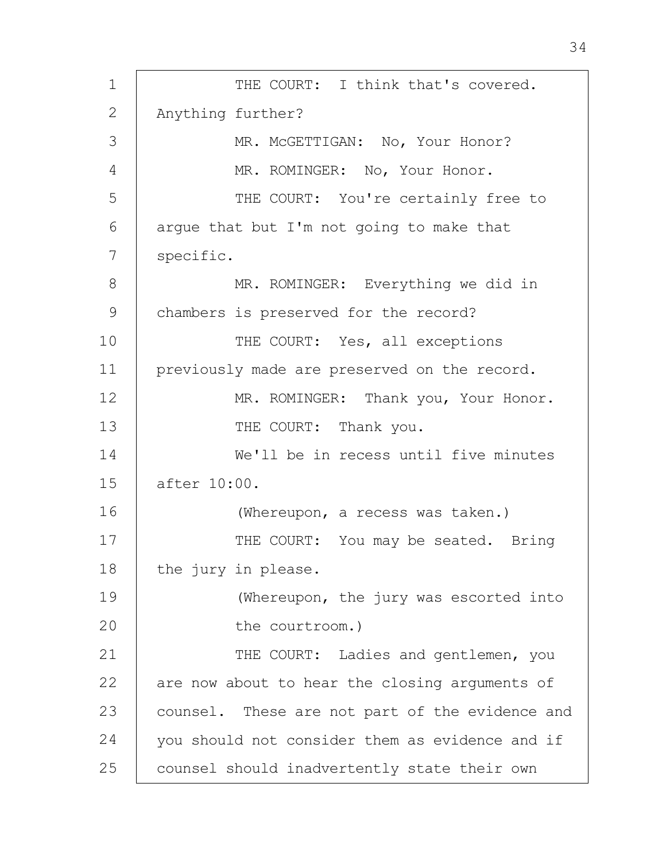1 2 3 4 5 6 7 8 9 10 11 12 13 14 15 16 17 18 19  $20$ 21 22 23 24 25 THE COURT: I think that's covered. Anything further? MR. McGETTIGAN: No, Your Honor? MR. ROMINGER: No, Your Honor. THE COURT: You're certainly free to argue that but I'm not going to make that specific. MR. ROMINGER: Everything we did in chambers is preserved for the record? THE COURT: Yes, all exceptions previously made are preserved on the record. MR. ROMINGER: Thank you, Your Honor. THE COURT: Thank you. We'll be in recess until five minutes after 10:00. (Whereupon, a recess was taken.) THE COURT: You may be seated. Bring the jury in please. (Whereupon, the jury was escorted into the courtroom.) THE COURT: Ladies and gentlemen, you are now about to hear the closing arguments of counsel. These are not part of the evidence and you should not consider them as evidence and if counsel should inadvertently state their own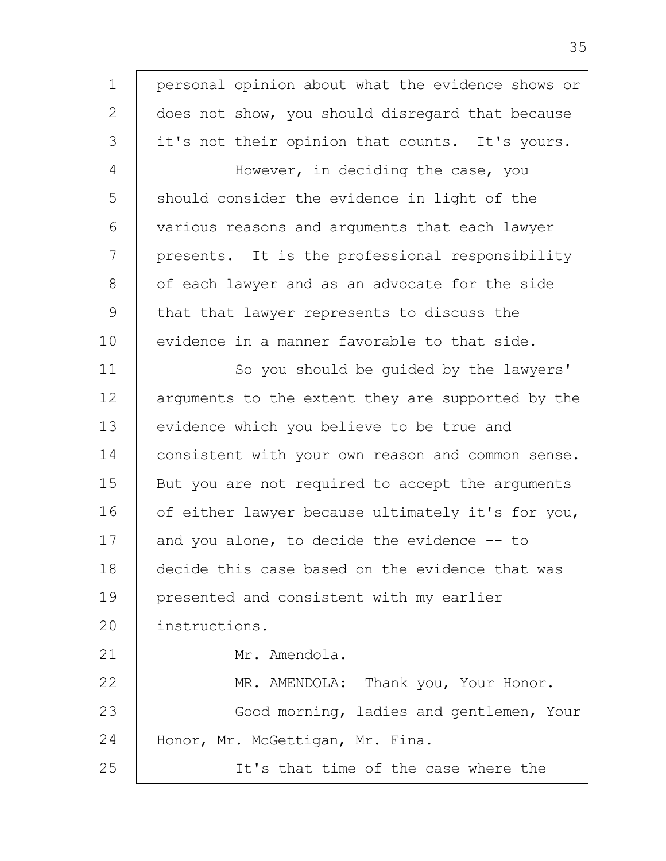1  $\mathcal{L}$ 3 4 5 6 7 8 9 10 11 12 13 14 15 16 17 18 19 20 21 22 23 24 25 personal opinion about what the evidence shows or does not show, you should disregard that because it's not their opinion that counts. It's yours. However, in deciding the case, you should consider the evidence in light of the various reasons and arguments that each lawyer presents. It is the professional responsibility of each lawyer and as an advocate for the side that that lawyer represents to discuss the evidence in a manner favorable to that side. So you should be guided by the lawyers' arguments to the extent they are supported by the evidence which you believe to be true and consistent with your own reason and common sense. But you are not required to accept the arguments of either lawyer because ultimately it's for you, and you alone, to decide the evidence -- to decide this case based on the evidence that was presented and consistent with my earlier instructions. Mr. Amendola. MR. AMENDOLA: Thank you, Your Honor. Good morning, ladies and gentlemen, Your Honor, Mr. McGettigan, Mr. Fina. It's that time of the case where the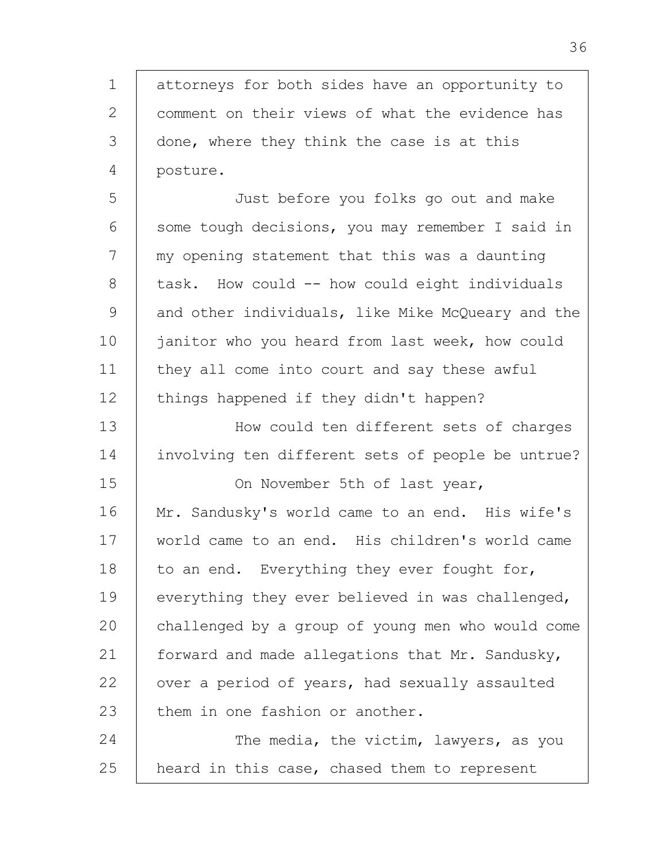1 2 3 4 attorneys for both sides have an opportunity to comment on their views of what the evidence has done, where they think the case is at this posture.

5 6 7 8 9 10 11 12 Just before you folks go out and make some tough decisions, you may remember I said in my opening statement that this was a daunting task. How could -- how could eight individuals and other individuals, like Mike McQueary and the janitor who you heard from last week, how could they all come into court and say these awful things happened if they didn't happen?

13 14 How could ten different sets of charges involving ten different sets of people be untrue?

15

16 17 18 19 20 21 22 23 On November 5th of last year, Mr. Sandusky's world came to an end. His wife's world came to an end. His children's world came to an end. Everything they ever fought for, everything they ever believed in was challenged, challenged by a group of young men who would come forward and made allegations that Mr. Sandusky, over a period of years, had sexually assaulted them in one fashion or another.

24 25 The media, the victim, lawyers, as you heard in this case, chased them to represent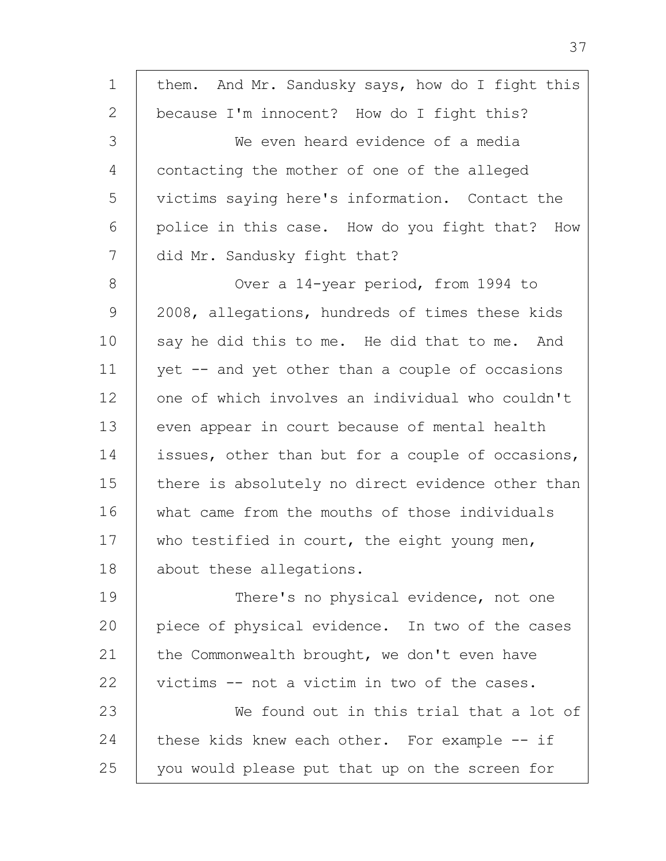| 1             | them. And Mr. Sandusky says, how do I fight this  |
|---------------|---------------------------------------------------|
| 2             | because I'm innocent? How do I fight this?        |
| 3             | We even heard evidence of a media                 |
| 4             | contacting the mother of one of the alleged       |
| 5             | victims saying here's information. Contact the    |
| 6             | police in this case. How do you fight that? How   |
| 7             | did Mr. Sandusky fight that?                      |
| 8             | Over a 14-year period, from 1994 to               |
| $\mathcal{G}$ | 2008, allegations, hundreds of times these kids   |
| 10            | say he did this to me. He did that to me. And     |
| 11            | yet -- and yet other than a couple of occasions   |
| 12            | one of which involves an individual who couldn't  |
| 13            | even appear in court because of mental health     |
| 14            | issues, other than but for a couple of occasions, |
| 15            | there is absolutely no direct evidence other than |
| 16            | what came from the mouths of those individuals    |
| 17            | who testified in court, the eight young men,      |
| 18            | about these allegations.                          |
| 19            | There's no physical evidence, not one             |
| 20            | piece of physical evidence. In two of the cases   |
| 21            | the Commonwealth brought, we don't even have      |
| 22            | victims -- not a victim in two of the cases.      |
| 23            | We found out in this trial that a lot of          |
| 24            | these kids knew each other. For example -- if     |
| 25            | you would please put that up on the screen for    |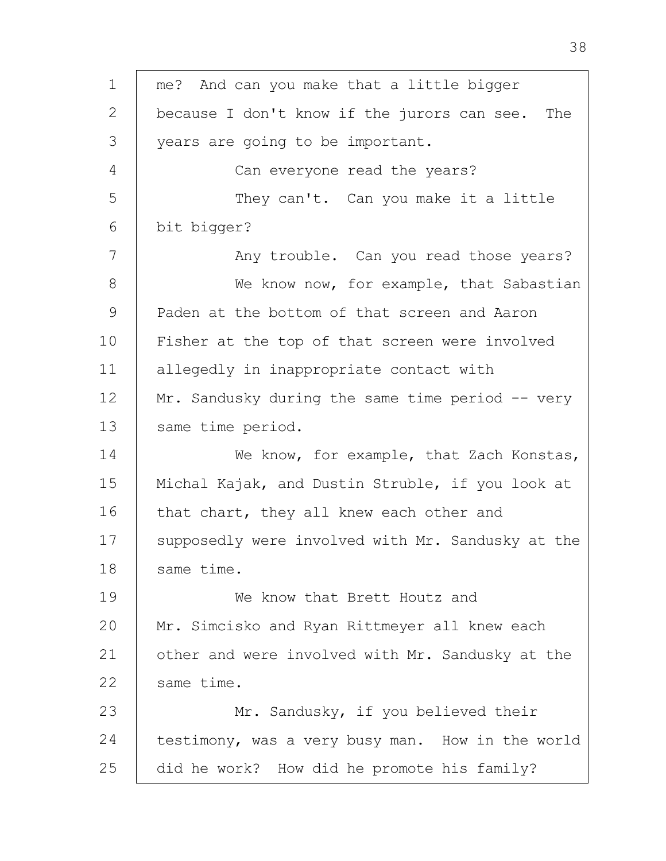1 2 3 4 5 6 7 8 9 10 11 12 13 14 15 16 17 18 19  $20$ 21 22 23 24 25 me? And can you make that a little bigger because I don't know if the jurors can see. The years are going to be important. Can everyone read the years? They can't. Can you make it a little bit bigger? Any trouble. Can you read those years? We know now, for example, that Sabastian Paden at the bottom of that screen and Aaron Fisher at the top of that screen were involved allegedly in inappropriate contact with Mr. Sandusky during the same time period  $-$  very same time period. We know, for example, that Zach Konstas, Michal Kajak, and Dustin Struble, if you look at that chart, they all knew each other and supposedly were involved with Mr. Sandusky at the same time. We know that Brett Houtz and Mr. Simcisko and Ryan Rittmeyer all knew each other and were involved with Mr. Sandusky at the same time. Mr. Sandusky, if you believed their testimony, was a very busy man. How in the world did he work? How did he promote his family?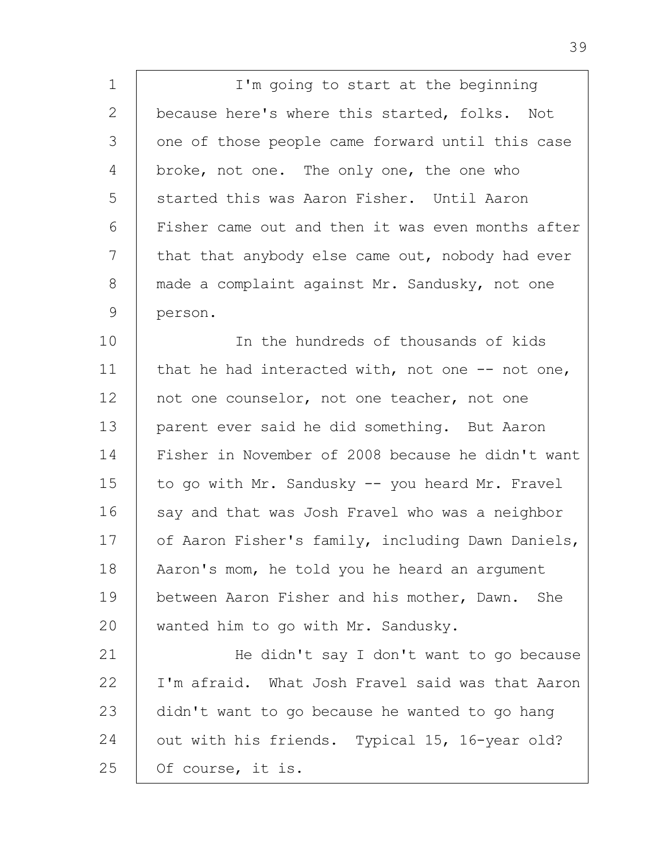1 2 3 4 5 6 7 8 9 I'm going to start at the beginning because here's where this started, folks. Not one of those people came forward until this case broke, not one. The only one, the one who started this was Aaron Fisher. Until Aaron Fisher came out and then it was even months after that that anybody else came out, nobody had ever made a complaint against Mr. Sandusky, not one person.

10 11 12 13 14 15 16 17 18 19 20 In the hundreds of thousands of kids that he had interacted with, not one -- not one, not one counselor, not one teacher, not one parent ever said he did something. But Aaron Fisher in November of 2008 because he didn't want to go with Mr. Sandusky -- you heard Mr. Fravel say and that was Josh Fravel who was a neighbor of Aaron Fisher's family, including Dawn Daniels, Aaron's mom, he told you he heard an argument between Aaron Fisher and his mother, Dawn. She wanted him to go with Mr. Sandusky.

21 22 23 24 25 He didn't say I don't want to go because I'm afraid. What Josh Fravel said was that Aaron didn't want to go because he wanted to go hang out with his friends. Typical 15, 16-year old? Of course, it is.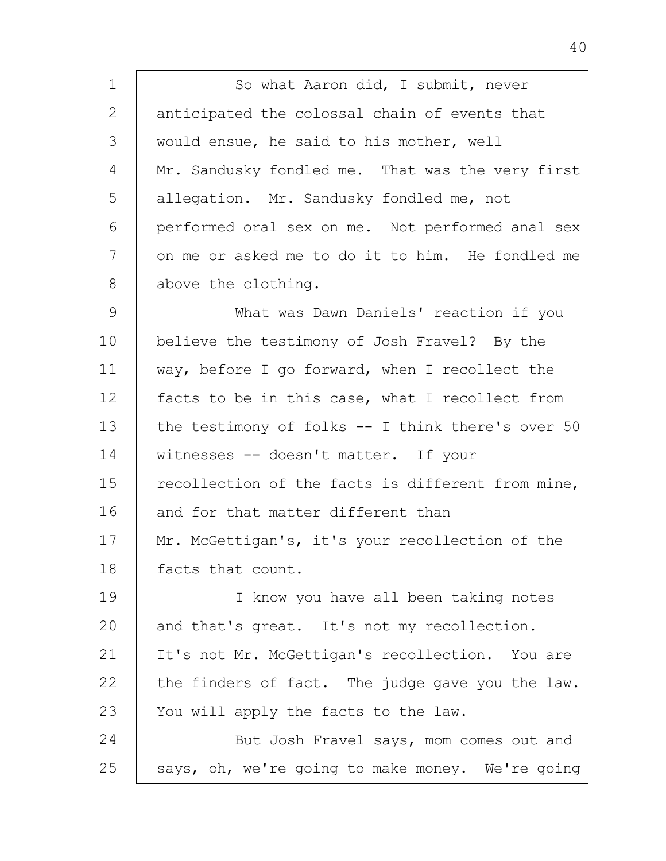1 2 3 4 5 6 7 8 So what Aaron did, I submit, never anticipated the colossal chain of events that would ensue, he said to his mother, well Mr. Sandusky fondled me. That was the very first allegation. Mr. Sandusky fondled me, not performed oral sex on me. Not performed anal sex on me or asked me to do it to him. He fondled me above the clothing.

9 10 11 12 13 14 15 16 17 18 What was Dawn Daniels' reaction if you believe the testimony of Josh Fravel? By the way, before I go forward, when I recollect the facts to be in this case, what I recollect from the testimony of folks -- I think there's over 50 witnesses -- doesn't matter. If your recollection of the facts is different from mine, and for that matter different than Mr. McGettigan's, it's your recollection of the facts that count.

19  $20$ 21 22 23 24 I know you have all been taking notes and that's great. It's not my recollection. It's not Mr. McGettigan's recollection. You are the finders of fact. The judge gave you the law. You will apply the facts to the law. But Josh Fravel says, mom comes out and

25 says, oh, we're going to make money. We're going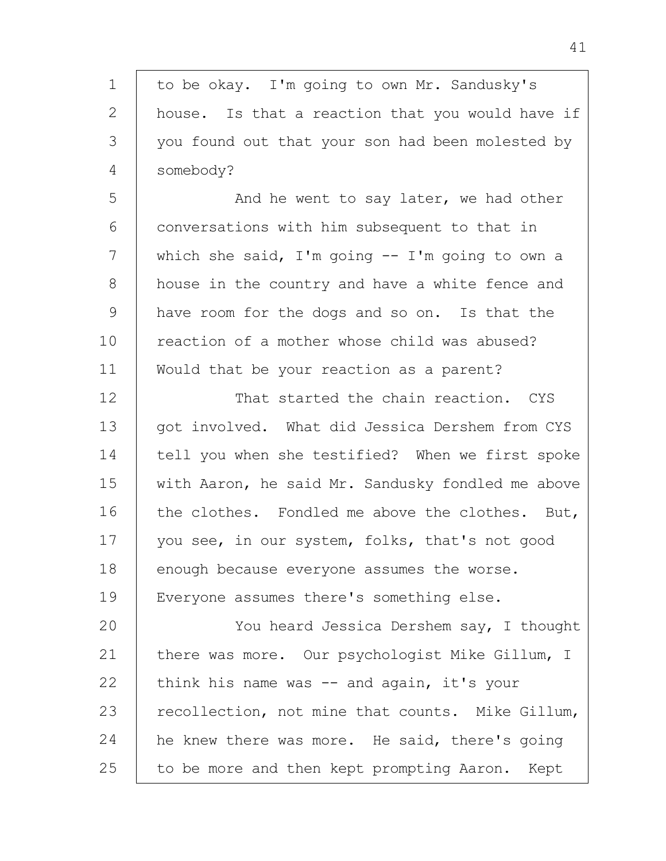| $\mathbf 1$ | to be okay. I'm going to own Mr. Sandusky's       |
|-------------|---------------------------------------------------|
| 2           | house. Is that a reaction that you would have if  |
| 3           | you found out that your son had been molested by  |
| 4           | somebody?                                         |
| 5           | And he went to say later, we had other            |
| 6           | conversations with him subsequent to that in      |
| 7           | which she said, I'm going $-$ I'm going to own a  |
| 8           | house in the country and have a white fence and   |
| 9           | have room for the dogs and so on. Is that the     |
| 10          | reaction of a mother whose child was abused?      |
| 11          | Would that be your reaction as a parent?          |
| 12          | That started the chain reaction. CYS              |
| 13          | got involved. What did Jessica Dershem from CYS   |
| 14          | tell you when she testified? When we first spoke  |
| 15          | with Aaron, he said Mr. Sandusky fondled me above |
| 16          | the clothes. Fondled me above the clothes. But,   |
| 17          | you see, in our system, folks, that's not good    |
| 18          | enough because everyone assumes the worse.        |
| 19          | Everyone assumes there's something else.          |
| 20          | You heard Jessica Dershem say, I thought          |
| 21          | there was more. Our psychologist Mike Gillum, I   |
| 22          | think his name was -- and again, it's your        |
| 23          | recollection, not mine that counts. Mike Gillum,  |
| 24          | he knew there was more. He said, there's going    |
| 25          | to be more and then kept prompting Aaron. Kept    |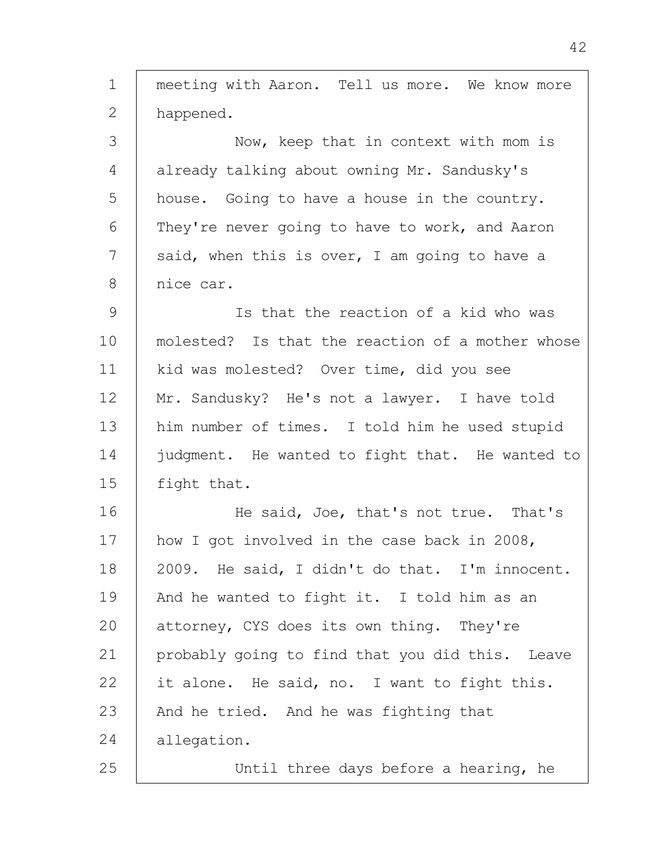1 2 3 4 5 6 7 8 9 10 11 12 13 14 15 16 17 18 19 20 21 22 23 24 25 meeting with Aaron. Tell us more. We know more happened. Now, keep that in context with mom is already talking about owning Mr. Sandusky's house. Going to have a house in the country. They're never going to have to work, and Aaron said, when this is over, I am going to have a nice car. Is that the reaction of a kid who was molested? Is that the reaction of a mother whose kid was molested? Over time, did you see Mr. Sandusky? He's not a lawyer. I have told him number of times. I told him he used stupid judgment. He wanted to fight that. He wanted to fight that. He said, Joe, that's not true. That's how I got involved in the case back in 2008, 2009. He said, I didn't do that. I'm innocent. And he wanted to fight it. I told him as an attorney, CYS does its own thing. They're probably going to find that you did this. Leave it alone. He said, no. I want to fight this. And he tried. And he was fighting that allegation. Until three days before a hearing, he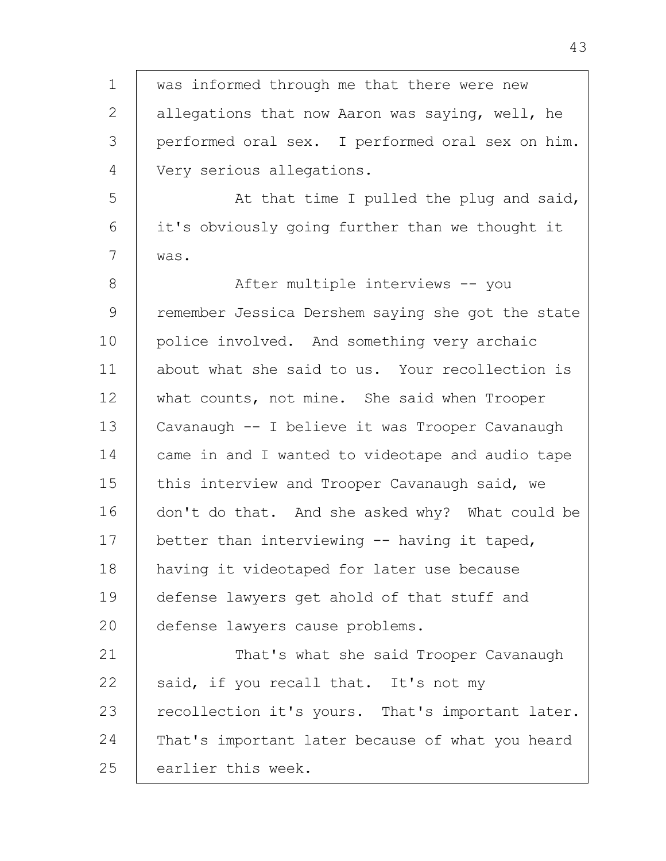1 2 3 4 5 6 7 8 9 10 11 12 13 14 15 16 17 18 19 20 21 22 23 24 25 was informed through me that there were new allegations that now Aaron was saying, well, he performed oral sex. I performed oral sex on him. Very serious allegations. At that time I pulled the plug and said, it's obviously going further than we thought it was. After multiple interviews -- you remember Jessica Dershem saying she got the state police involved. And something very archaic about what she said to us. Your recollection is what counts, not mine. She said when Trooper Cavanaugh -- I believe it was Trooper Cavanaugh came in and I wanted to videotape and audio tape this interview and Trooper Cavanaugh said, we don't do that. And she asked why? What could be better than interviewing -- having it taped, having it videotaped for later use because defense lawyers get ahold of that stuff and defense lawyers cause problems. That's what she said Trooper Cavanaugh said, if you recall that. It's not my recollection it's yours. That's important later. That's important later because of what you heard earlier this week.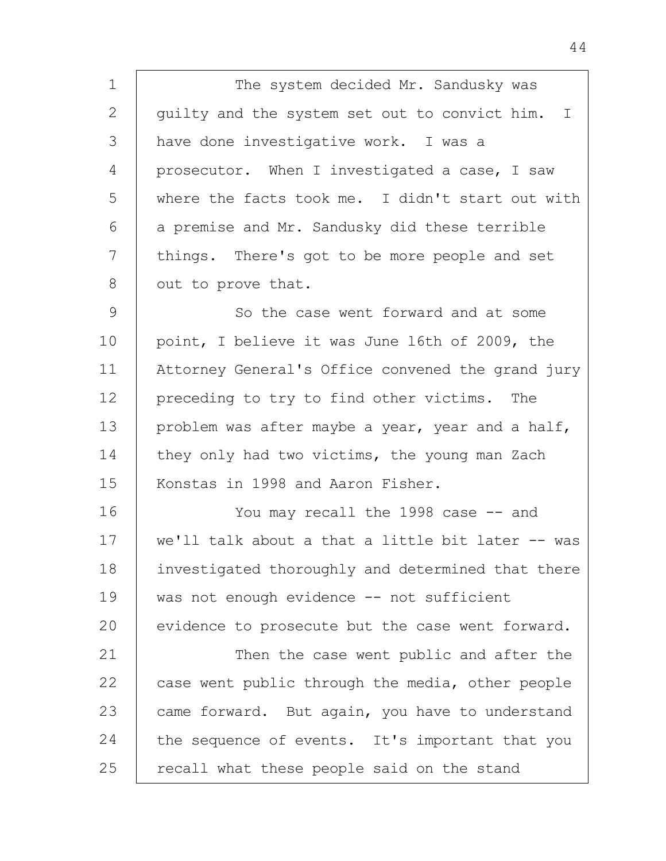1 2 3 4 5 6 7 8 The system decided Mr. Sandusky was guilty and the system set out to convict him. I have done investigative work. I was a prosecutor. When I investigated a case, I saw where the facts took me. I didn't start out with a premise and Mr. Sandusky did these terrible things. There's got to be more people and set out to prove that.

9 10 11 12 13 14 15 So the case went forward and at some point, I believe it was June l6th of 2009, the Attorney General's Office convened the grand jury preceding to try to find other victims. The problem was after maybe a year, year and a half, they only had two victims, the young man Zach Konstas in 1998 and Aaron Fisher.

16 17 18 19 20 21 22 23 24 You may recall the 1998 case -- and we'll talk about a that a little bit later -- was investigated thoroughly and determined that there was not enough evidence -- not sufficient evidence to prosecute but the case went forward. Then the case went public and after the case went public through the media, other people came forward. But again, you have to understand the sequence of events. It's important that you

recall what these people said on the stand

25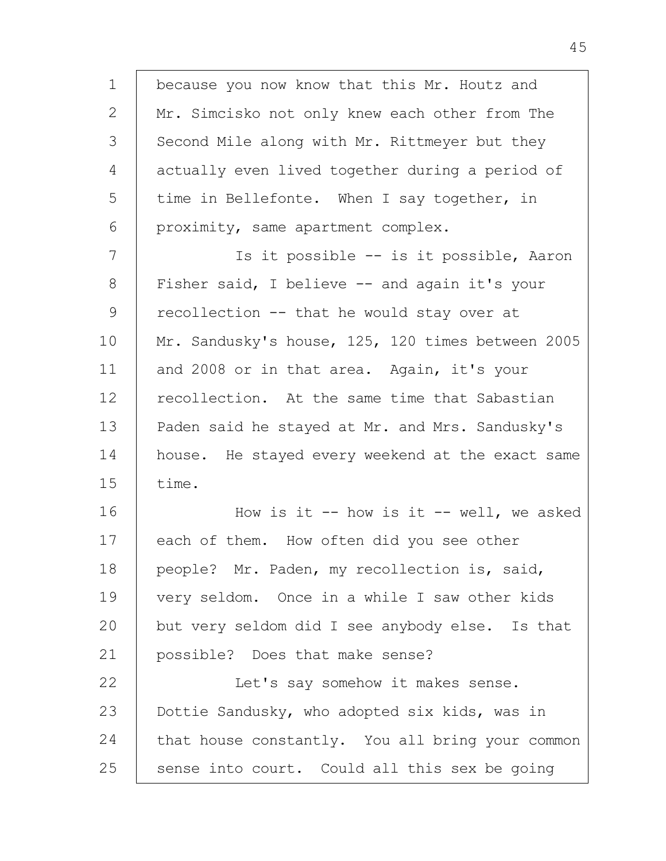1 2 3 4 5 6 7 8 9 10 11 12 13 14 15 16 17 18 19  $20$ 21 22 23 24 25 because you now know that this Mr. Houtz and Mr. Simcisko not only knew each other from The Second Mile along with Mr. Rittmeyer but they actually even lived together during a period of time in Bellefonte. When I say together, in proximity, same apartment complex. Is it possible -- is it possible, Aaron Fisher said, I believe -- and again it's your recollection -- that he would stay over at Mr. Sandusky's house, 125, 120 times between 2005 and 2008 or in that area. Again, it's your recollection. At the same time that Sabastian Paden said he stayed at Mr. and Mrs. Sandusky's house. He stayed every weekend at the exact same time. How is it  $--$  how is it  $--$  well, we asked each of them. How often did you see other people? Mr. Paden, my recollection is, said, very seldom. Once in a while I saw other kids but very seldom did I see anybody else. Is that possible? Does that make sense? Let's say somehow it makes sense. Dottie Sandusky, who adopted six kids, was in that house constantly. You all bring your common sense into court. Could all this sex be going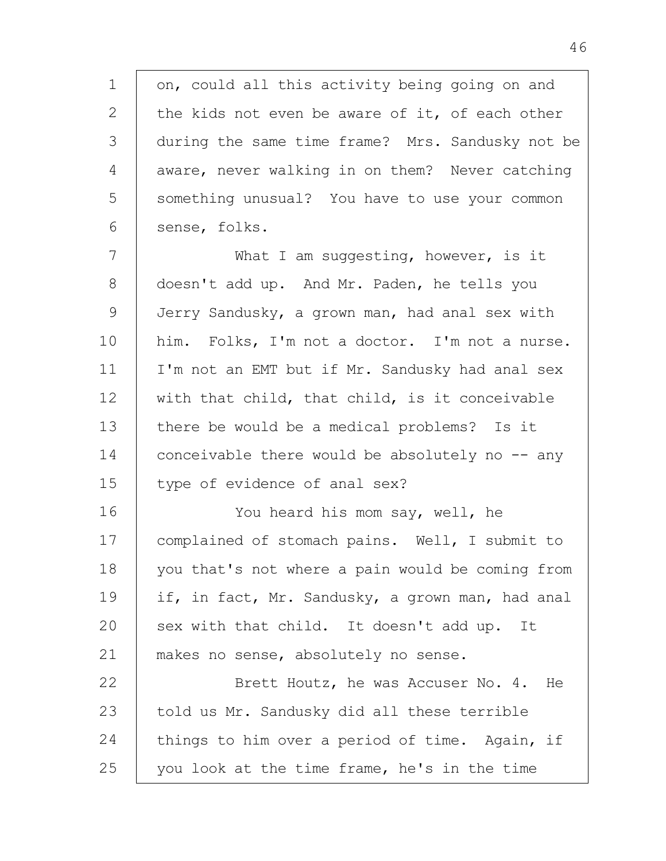1 2 3 4 5 6 on, could all this activity being going on and the kids not even be aware of it, of each other during the same time frame? Mrs. Sandusky not be aware, never walking in on them? Never catching something unusual? You have to use your common sense, folks.

7 8 9 10 11 12 13 14 15 What I am suggesting, however, is it doesn't add up. And Mr. Paden, he tells you Jerry Sandusky, a grown man, had anal sex with him. Folks, I'm not a doctor. I'm not a nurse. I'm not an EMT but if Mr. Sandusky had anal sex with that child, that child, is it conceivable there be would be a medical problems? Is it conceivable there would be absolutely no  $-$  any type of evidence of anal sex?

16 17 18 19  $20$ 21 You heard his mom say, well, he complained of stomach pains. Well, I submit to you that's not where a pain would be coming from if, in fact, Mr. Sandusky, a grown man, had anal sex with that child. It doesn't add up. It makes no sense, absolutely no sense.

22 23 24 25 Brett Houtz, he was Accuser No. 4. He told us Mr. Sandusky did all these terrible things to him over a period of time. Again, if you look at the time frame, he's in the time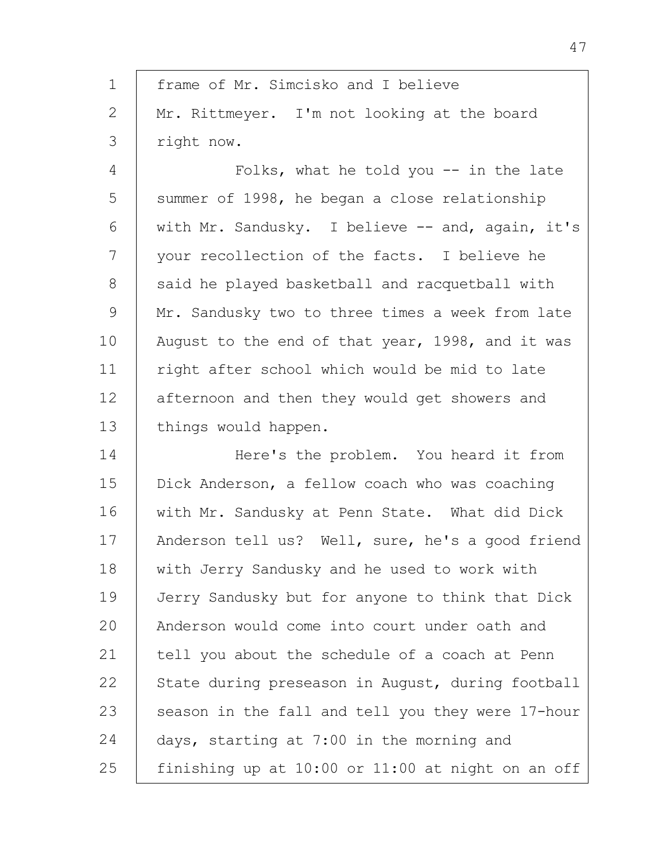| 1             | frame of Mr. Simcisko and I believe               |
|---------------|---------------------------------------------------|
| $\mathbf{2}$  | Mr. Rittmeyer. I'm not looking at the board       |
| $\mathcal{S}$ | right now.                                        |
| 4             | Folks, what he told you $-$ in the late           |
| 5             | summer of 1998, he began a close relationship     |
| 6             | with Mr. Sandusky. I believe -- and, again, it's  |
| 7             | your recollection of the facts. I believe he      |
| $8\,$         | said he played basketball and racquetball with    |
| $\mathsf 9$   | Mr. Sandusky two to three times a week from late  |
| 10            | August to the end of that year, 1998, and it was  |
| 11            | right after school which would be mid to late     |
| 12            | afternoon and then they would get showers and     |
| 13            | things would happen.                              |
| 14            | Here's the problem. You heard it from             |
| 15            | Dick Anderson, a fellow coach who was coaching    |
| 16            | with Mr. Sandusky at Penn State. What did Dick    |
| 17            | Anderson tell us? Well, sure, he's a good friend  |
| 18            | with Jerry Sandusky and he used to work with      |
| 19            | Jerry Sandusky but for anyone to think that Dick  |
| 20            | Anderson would come into court under oath and     |
| 21            | tell you about the schedule of a coach at Penn    |
| 22            | State during preseason in August, during football |
| 23            | season in the fall and tell you they were 17-hour |
| 24            | days, starting at 7:00 in the morning and         |
| 25            | finishing up at 10:00 or 11:00 at night on an off |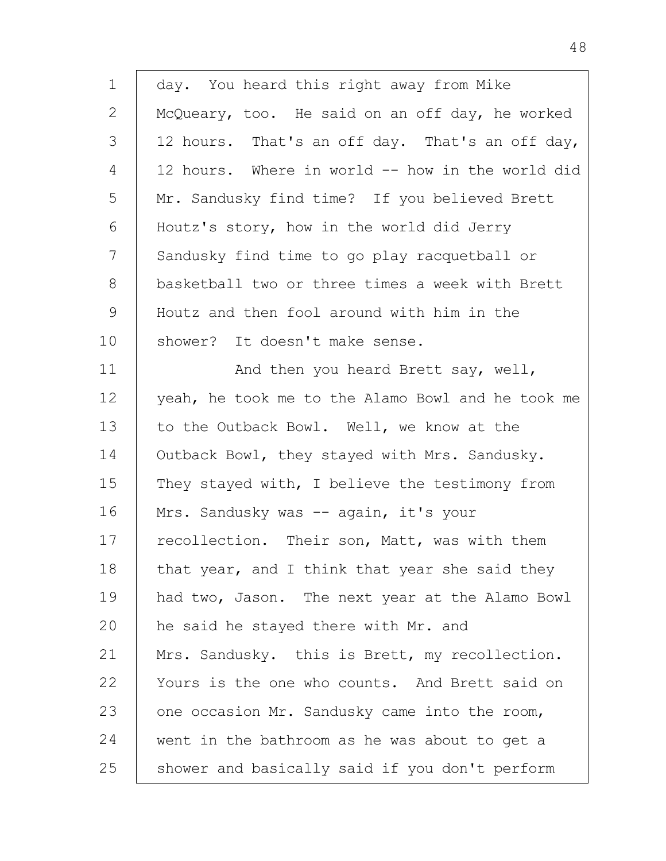| 1     | day. You heard this right away from Mike          |
|-------|---------------------------------------------------|
| 2     | McQueary, too. He said on an off day, he worked   |
| 3     | 12 hours. That's an off day. That's an off day,   |
| 4     | 12 hours. Where in world -- how in the world did  |
| 5     | Mr. Sandusky find time? If you believed Brett     |
| 6     | Houtz's story, how in the world did Jerry         |
| 7     | Sandusky find time to go play racquetball or      |
| $8\,$ | basketball two or three times a week with Brett   |
| 9     | Houtz and then fool around with him in the        |
| 10    | shower? It doesn't make sense.                    |
| 11    | And then you heard Brett say, well,               |
| 12    | yeah, he took me to the Alamo Bowl and he took me |
| 13    | to the Outback Bowl. Well, we know at the         |
| 14    | Outback Bowl, they stayed with Mrs. Sandusky.     |
| 15    | They stayed with, I believe the testimony from    |
| 16    | Mrs. Sandusky was -- again, it's your             |
| 17    | recollection. Their son, Matt, was with them      |
| 18    | that year, and I think that year she said they    |
| 19    | had two, Jason. The next year at the Alamo Bowl   |
| 20    | he said he stayed there with Mr. and              |
| 21    | Mrs. Sandusky. this is Brett, my recollection.    |
| 22    | Yours is the one who counts. And Brett said on    |
| 23    | one occasion Mr. Sandusky came into the room,     |
| 24    | went in the bathroom as he was about to get a     |
| 25    | shower and basically said if you don't perform    |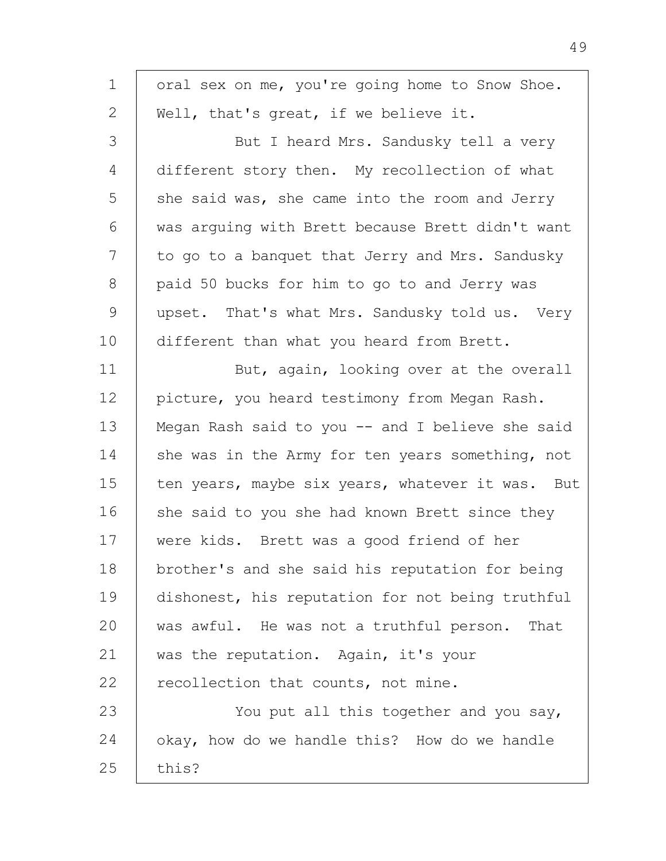| $\mathbf 1$   | oral sex on me, you're going home to Snow Shoe.  |
|---------------|--------------------------------------------------|
| $\mathbf{2}$  | Well, that's great, if we believe it.            |
| 3             | But I heard Mrs. Sandusky tell a very            |
| 4             | different story then. My recollection of what    |
| 5             | she said was, she came into the room and Jerry   |
| 6             | was arquing with Brett because Brett didn't want |
| 7             | to go to a banquet that Jerry and Mrs. Sandusky  |
| $8\,$         | paid 50 bucks for him to go to and Jerry was     |
| $\mathcal{G}$ | upset. That's what Mrs. Sandusky told us. Very   |
| 10            | different than what you heard from Brett.        |
| 11            | But, again, looking over at the overall          |
| 12            | picture, you heard testimony from Megan Rash.    |
| 13            | Megan Rash said to you -- and I believe she said |
| 14            | she was in the Army for ten years something, not |
| 15            | ten years, maybe six years, whatever it was. But |
| 16            | she said to you she had known Brett since they   |
| 17            | were kids. Brett was a good friend of her        |
| 18            | brother's and she said his reputation for being  |
| 19            | dishonest, his reputation for not being truthful |
| 20            | was awful. He was not a truthful person.<br>That |
| 21            | was the reputation. Again, it's your             |
| 22            | recollection that counts, not mine.              |
| 23            | You put all this together and you say,           |
| 24            | okay, how do we handle this? How do we handle    |
| 25            | this?                                            |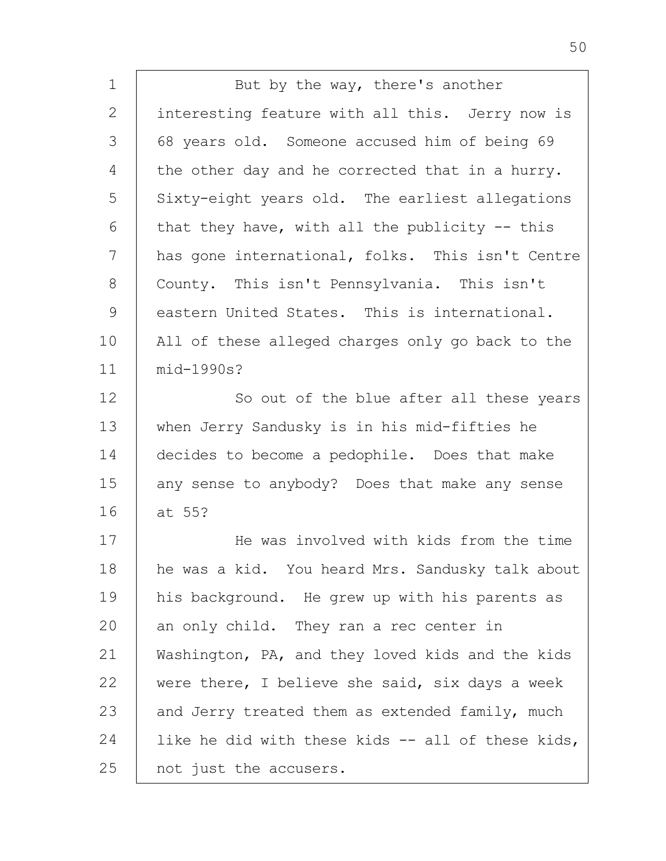1 2 3 4 5 6 7 8 9 10 11 12 13 14 15 16 17 18 19 20 21 22 23 24 25 But by the way, there's another interesting feature with all this. Jerry now is 68 years old. Someone accused him of being 69 the other day and he corrected that in a hurry. Sixty-eight years old. The earliest allegations that they have, with all the publicity  $-$ - this has gone international, folks. This isn't Centre County. This isn't Pennsylvania. This isn't eastern United States. This is international. All of these alleged charges only go back to the mid-1990s? So out of the blue after all these years when Jerry Sandusky is in his mid-fifties he decides to become a pedophile. Does that make any sense to anybody? Does that make any sense at 55? He was involved with kids from the time he was a kid. You heard Mrs. Sandusky talk about his background. He grew up with his parents as an only child. They ran a rec center in Washington, PA, and they loved kids and the kids were there, I believe she said, six days a week and Jerry treated them as extended family, much like he did with these kids -- all of these kids, not just the accusers.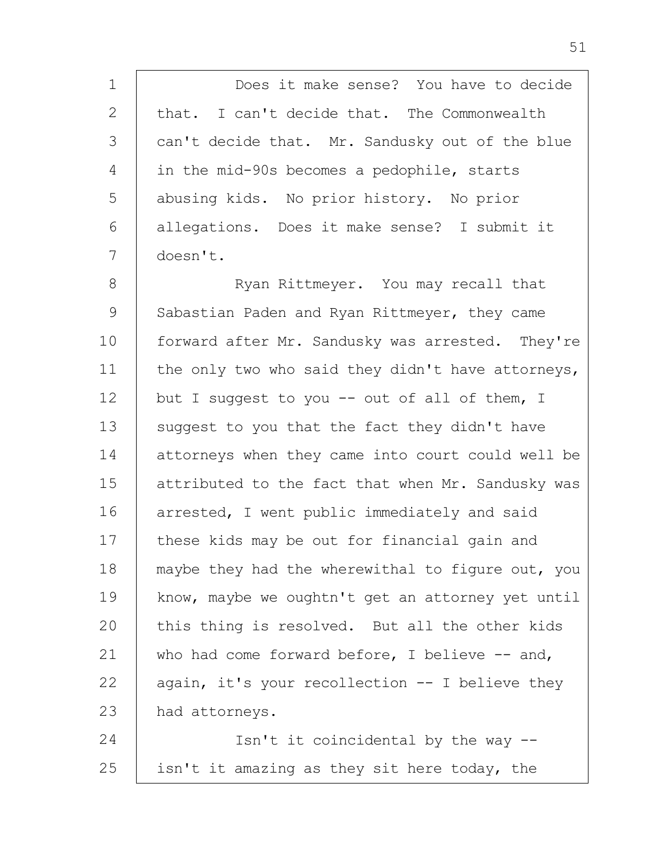1 2 3 4 5 6 7 Does it make sense? You have to decide that. I can't decide that. The Commonwealth can't decide that. Mr. Sandusky out of the blue in the mid-90s becomes a pedophile, starts abusing kids. No prior history. No prior allegations. Does it make sense? I submit it doesn't.

8 9 10 11 12 13 14 15 16 17 18 19 20 21 22 23 Ryan Rittmeyer. You may recall that Sabastian Paden and Ryan Rittmeyer, they came forward after Mr. Sandusky was arrested. They're the only two who said they didn't have attorneys, but I suggest to you -- out of all of them, I suggest to you that the fact they didn't have attorneys when they came into court could well be attributed to the fact that when Mr. Sandusky was arrested, I went public immediately and said these kids may be out for financial gain and maybe they had the wherewithal to figure out, you know, maybe we oughtn't get an attorney yet until this thing is resolved. But all the other kids who had come forward before, I believe -- and, again, it's your recollection -- I believe they had attorneys.

24 25 Isn't it coincidental by the way - isn't it amazing as they sit here today, the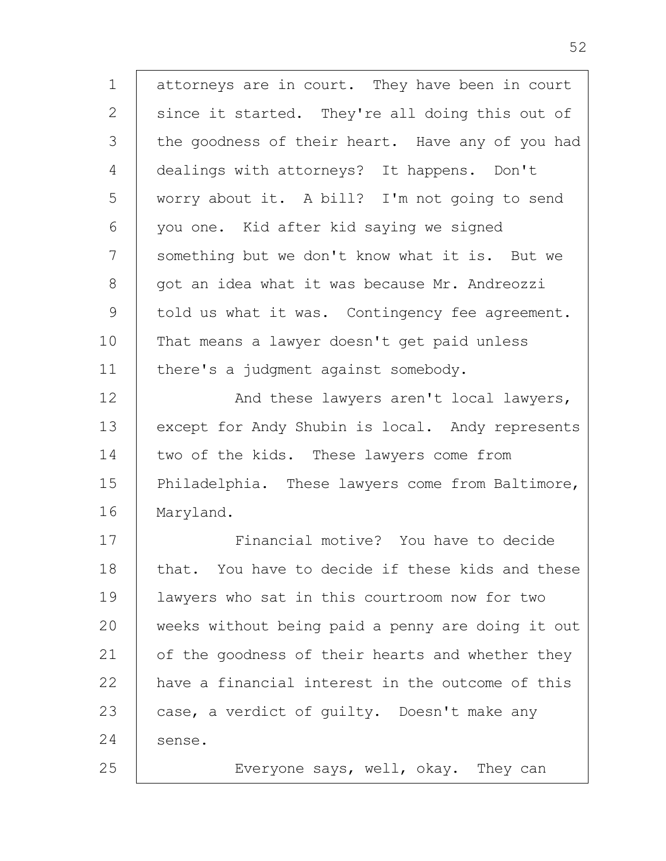1 2 3 4 5 6 7 8 9 10 11 12 13 14 15 16 17 18 19 20 21 22 23 24 25 attorneys are in court. They have been in court since it started. They're all doing this out of the goodness of their heart. Have any of you had dealings with attorneys? It happens. Don't worry about it. A bill? I'm not going to send you one. Kid after kid saying we signed something but we don't know what it is. But we got an idea what it was because Mr. Andreozzi told us what it was. Contingency fee agreement. That means a lawyer doesn't get paid unless there's a judgment against somebody. And these lawyers aren't local lawyers, except for Andy Shubin is local. Andy represents two of the kids. These lawyers come from Philadelphia. These lawyers come from Baltimore, Maryland. Financial motive? You have to decide that. You have to decide if these kids and these lawyers who sat in this courtroom now for two weeks without being paid a penny are doing it out of the goodness of their hearts and whether they have a financial interest in the outcome of this case, a verdict of guilty. Doesn't make any sense. Everyone says, well, okay. They can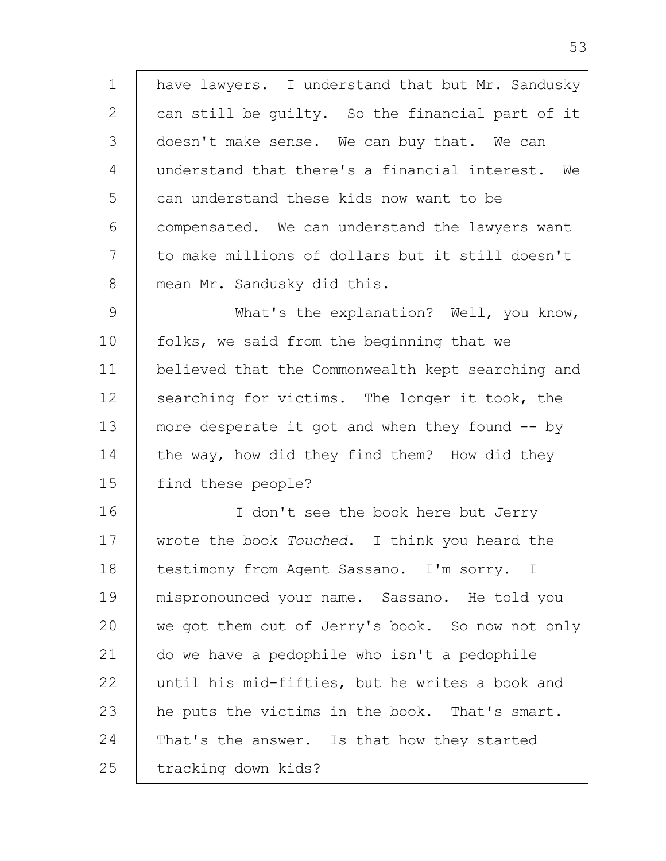1 2 3 4 5 6 7 8 9 10 11 12 13 14 15 16 17 18 19 20 21 22 23 24 25 have lawyers. I understand that but Mr. Sandusky can still be guilty. So the financial part of it doesn't make sense. We can buy that. We can understand that there's a financial interest. We can understand these kids now want to be compensated. We can understand the lawyers want to make millions of dollars but it still doesn't mean Mr. Sandusky did this. What's the explanation? Well, you know, folks, we said from the beginning that we believed that the Commonwealth kept searching and searching for victims. The longer it took, the more desperate it got and when they found  $-$  by the way, how did they find them? How did they find these people? I don't see the book here but Jerry wrote the book *Touched*. I think you heard the testimony from Agent Sassano. I'm sorry. I mispronounced your name. Sassano. He told you we got them out of Jerry's book. So now not only do we have a pedophile who isn't a pedophile until his mid-fifties, but he writes a book and he puts the victims in the book. That's smart. That's the answer. Is that how they started tracking down kids?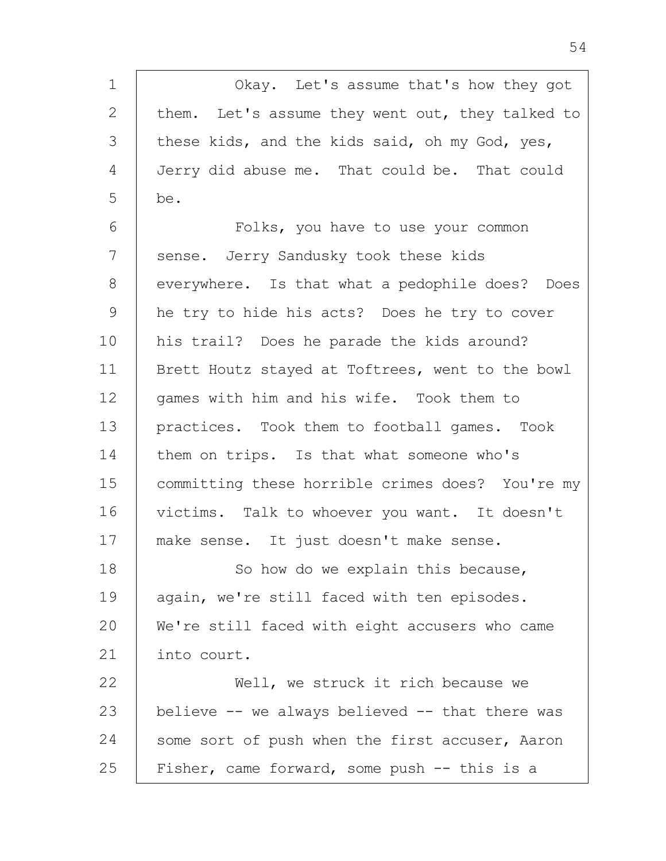| $\mathbf 1$  | Okay. Let's assume that's how they got           |
|--------------|--------------------------------------------------|
| $\mathbf{2}$ | them. Let's assume they went out, they talked to |
| 3            | these kids, and the kids said, oh my God, yes,   |
| 4            | Jerry did abuse me. That could be. That could    |
| 5            | be.                                              |
| 6            | Folks, you have to use your common               |
| 7            | sense. Jerry Sandusky took these kids            |
| 8            | everywhere. Is that what a pedophile does? Does  |
| 9            | he try to hide his acts? Does he try to cover    |
| 10           | his trail? Does he parade the kids around?       |
| 11           | Brett Houtz stayed at Toftrees, went to the bowl |
| 12           | games with him and his wife. Took them to        |
| 13           | practices. Took them to football games. Took     |
| 14           | them on trips. Is that what someone who's        |
| 15           | committing these horrible crimes does? You're my |
| 16           | victims. Talk to whoever you want. It doesn't    |
| 17           | make sense. It just doesn't make sense.          |
| 18           | So how do we explain this because,               |
| 19           | again, we're still faced with ten episodes.      |
| 20           | We're still faced with eight accusers who came   |
| 21           | into court.                                      |
| 22           | Well, we struck it rich because we               |
| 23           | believe -- we always believed -- that there was  |
| 24           | some sort of push when the first accuser, Aaron  |
| 25           | Fisher, came forward, some push -- this is a     |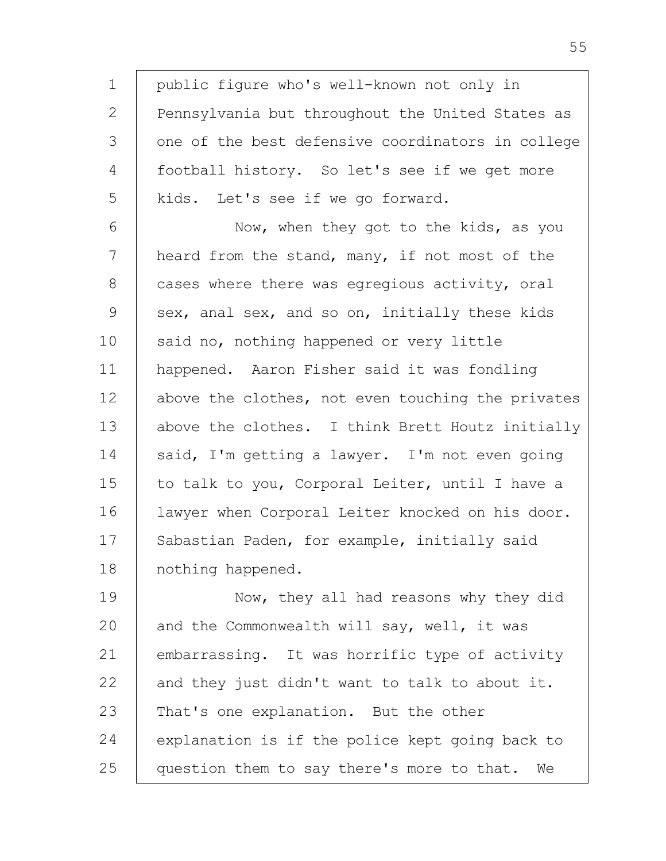1 2 3 4 5 6 7 8 9 10 11 12 13 14 15 16 17 18 19 20 21 22 23 24 25 public figure who's well-known not only in Pennsylvania but throughout the United States as one of the best defensive coordinators in college football history. So let's see if we get more kids. Let's see if we go forward. Now, when they got to the kids, as you heard from the stand, many, if not most of the cases where there was egregious activity, oral sex, anal sex, and so on, initially these kids said no, nothing happened or very little happened. Aaron Fisher said it was fondling above the clothes, not even touching the privates above the clothes. I think Brett Houtz initially said, I'm getting a lawyer. I'm not even going to talk to you, Corporal Leiter, until I have a lawyer when Corporal Leiter knocked on his door. Sabastian Paden, for example, initially said nothing happened. Now, they all had reasons why they did and the Commonwealth will say, well, it was embarrassing. It was horrific type of activity and they just didn't want to talk to about it. That's one explanation. But the other explanation is if the police kept going back to question them to say there's more to that. We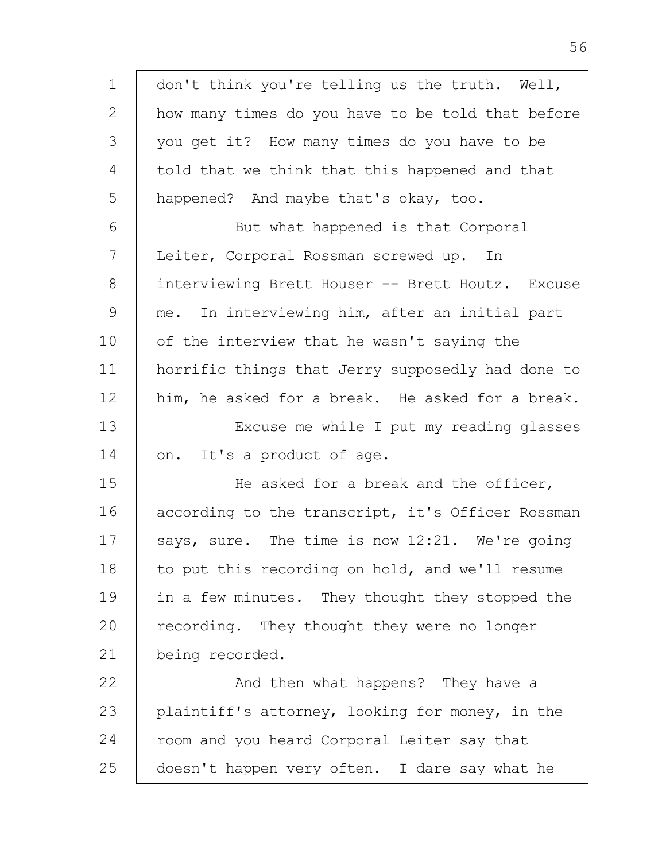| $\mathbf 1$ | don't think you're telling us the truth. Well,    |
|-------------|---------------------------------------------------|
| 2           | how many times do you have to be told that before |
| 3           | you get it? How many times do you have to be      |
| 4           | told that we think that this happened and that    |
| 5           | happened? And maybe that's okay, too.             |
| 6           | But what happened is that Corporal                |
| 7           | Leiter, Corporal Rossman screwed up. In           |
| $8\,$       | interviewing Brett Houser -- Brett Houtz. Excuse  |
| $\mathsf 9$ | me. In interviewing him, after an initial part    |
| 10          | of the interview that he wasn't saying the        |
| 11          | horrific things that Jerry supposedly had done to |
| 12          | him, he asked for a break. He asked for a break.  |
| 13          | Excuse me while I put my reading glasses          |
| 14          | on. It's a product of age.                        |
| 15          | He asked for a break and the officer,             |
| 16          | according to the transcript, it's Officer Rossman |
| 17          | says, sure. The time is now 12:21. We're going    |
| 18          | to put this recording on hold, and we'll resume   |
| 19          | in a few minutes. They thought they stopped the   |
| 20          | recording. They thought they were no longer       |
| 21          | being recorded.                                   |
| 22          | And then what happens? They have a                |
| 23          | plaintiff's attorney, looking for money, in the   |
| 24          | room and you heard Corporal Leiter say that       |
| 25          | doesn't happen very often. I dare say what he     |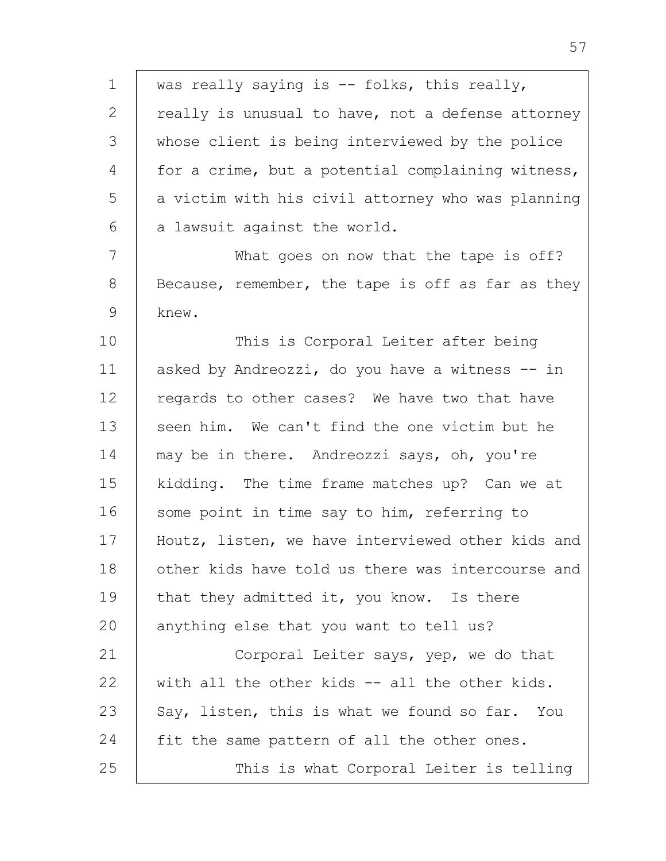1 2 3 4 5 6 was really saying is -- folks, this really, really is unusual to have, not a defense attorney whose client is being interviewed by the police for a crime, but a potential complaining witness, a victim with his civil attorney who was planning a lawsuit against the world.

7 8 9 What goes on now that the tape is off? Because, remember, the tape is off as far as they knew.

10 11 12 13 14 15 16 17 18 19 20 This is Corporal Leiter after being asked by Andreozzi, do you have a witness -- in regards to other cases? We have two that have seen him. We can't find the one victim but he may be in there. Andreozzi says, oh, you're kidding. The time frame matches up? Can we at some point in time say to him, referring to Houtz, listen, we have interviewed other kids and other kids have told us there was intercourse and that they admitted it, you know. Is there anything else that you want to tell us?

21 22 23 24 25 Corporal Leiter says, yep, we do that with all the other kids -- all the other kids. Say, listen, this is what we found so far. You fit the same pattern of all the other ones. This is what Corporal Leiter is telling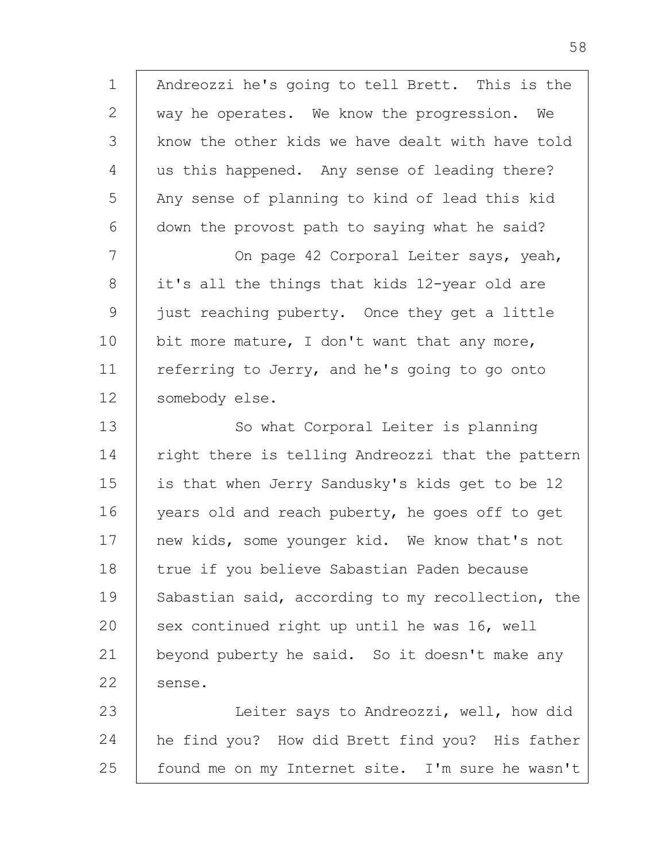1 2 3 4 5 6 7 8 9 10 11 12 13 14 15 16 17 18 19 20 21 22 23 24 Andreozzi he's going to tell Brett. This is the way he operates. We know the progression. We know the other kids we have dealt with have told us this happened. Any sense of leading there? Any sense of planning to kind of lead this kid down the provost path to saying what he said? On page 42 Corporal Leiter says, yeah, it's all the things that kids 12-year old are just reaching puberty. Once they get a little bit more mature, I don't want that any more, referring to Jerry, and he's going to go onto somebody else. So what Corporal Leiter is planning right there is telling Andreozzi that the pattern is that when Jerry Sandusky's kids get to be 12 years old and reach puberty, he goes off to get new kids, some younger kid. We know that's not true if you believe Sabastian Paden because Sabastian said, according to my recollection, the sex continued right up until he was 16, well beyond puberty he said. So it doesn't make any sense. Leiter says to Andreozzi, well, how did he find you? How did Brett find you? His father

found me on my Internet site. I'm sure he wasn't

25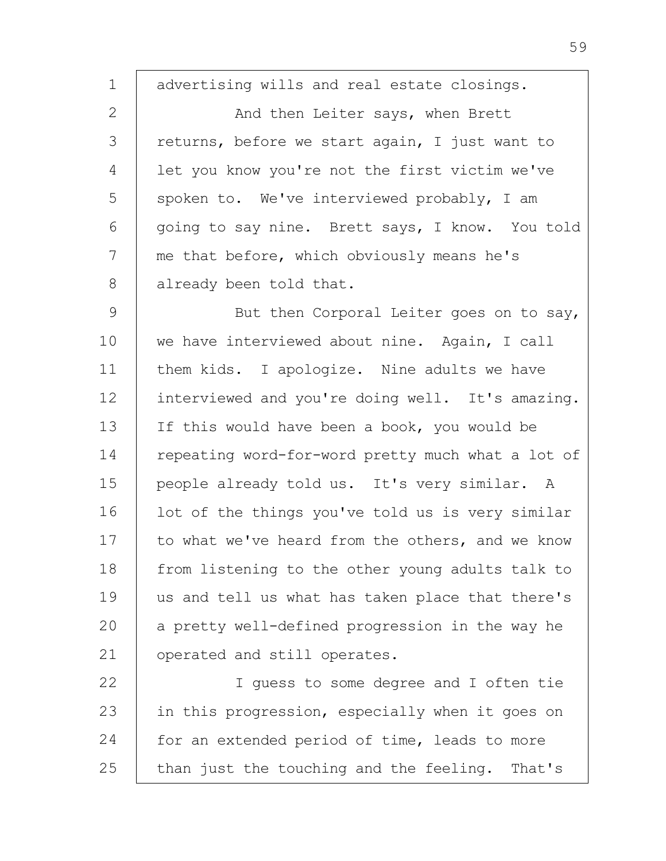1 2 3 4 5 6 7 8 advertising wills and real estate closings. And then Leiter says, when Brett returns, before we start again, I just want to let you know you're not the first victim we've spoken to. We've interviewed probably, I am going to say nine. Brett says, I know. You told me that before, which obviously means he's already been told that.

9 10 11 12 13 14 15 16 17 18 19 20 21 But then Corporal Leiter goes on to say, we have interviewed about nine. Again, I call them kids. I apologize. Nine adults we have interviewed and you're doing well. It's amazing. If this would have been a book, you would be repeating word-for-word pretty much what a lot of people already told us. It's very similar. A lot of the things you've told us is very similar to what we've heard from the others, and we know from listening to the other young adults talk to us and tell us what has taken place that there's a pretty well-defined progression in the way he operated and still operates.

22 23 24 25 I guess to some degree and I often tie in this progression, especially when it goes on for an extended period of time, leads to more than just the touching and the feeling. That's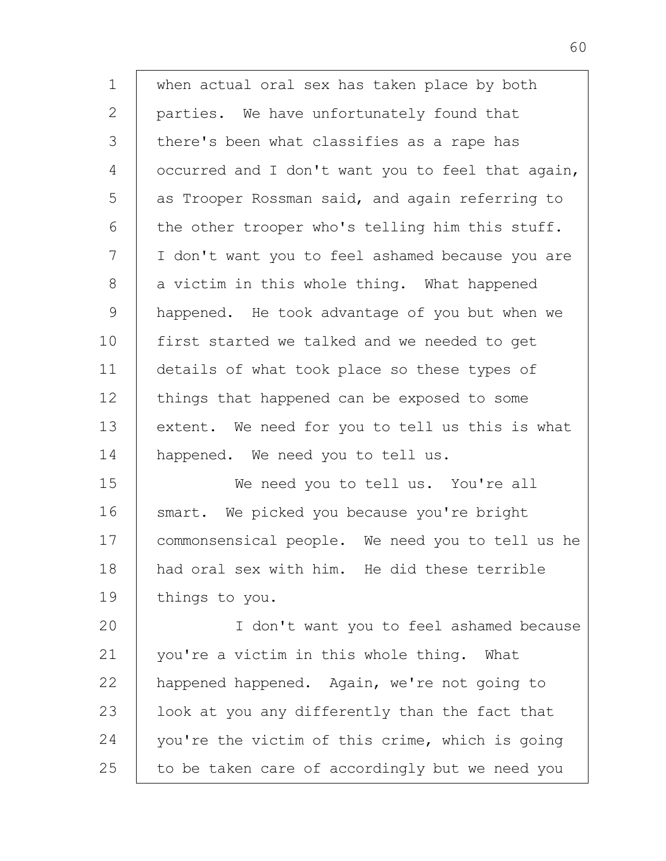1 2 3 4 5 6 7 8 9 10 11 12 13 14 15 16 17 18 19 20 21 22 23 24 when actual oral sex has taken place by both parties. We have unfortunately found that there's been what classifies as a rape has occurred and I don't want you to feel that again, as Trooper Rossman said, and again referring to the other trooper who's telling him this stuff. I don't want you to feel ashamed because you are a victim in this whole thing. What happened happened. He took advantage of you but when we first started we talked and we needed to get details of what took place so these types of things that happened can be exposed to some extent. We need for you to tell us this is what happened. We need you to tell us. We need you to tell us. You're all smart. We picked you because you're bright commonsensical people. We need you to tell us he had oral sex with him. He did these terrible things to you. I don't want you to feel ashamed because you're a victim in this whole thing. What happened happened. Again, we're not going to look at you any differently than the fact that you're the victim of this crime, which is going

25 to be taken care of accordingly but we need you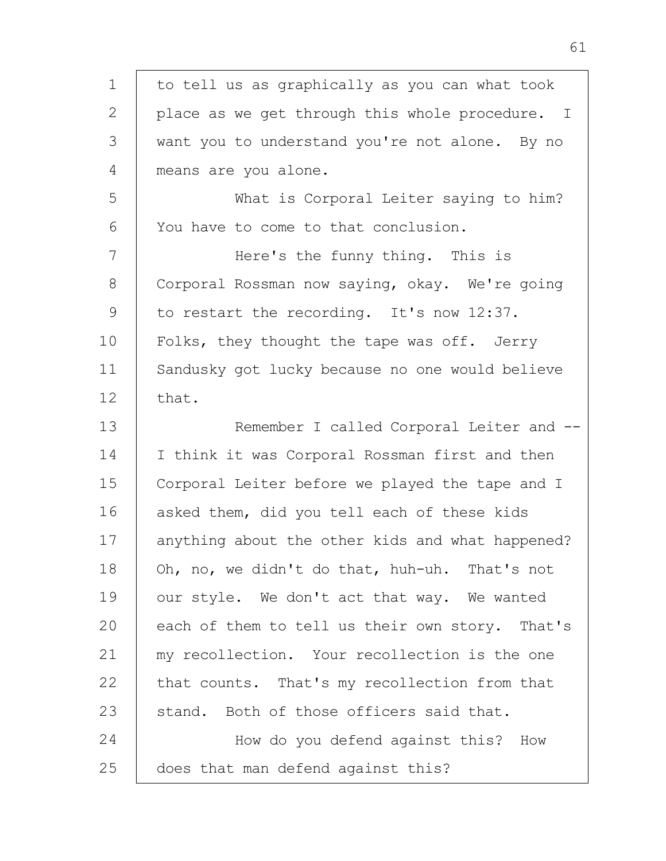| $\mathbf 1$   | to tell us as graphically as you can what took   |
|---------------|--------------------------------------------------|
| $\mathbf{2}$  | place as we get through this whole procedure. I  |
| 3             | want you to understand you're not alone. By no   |
| 4             | means are you alone.                             |
| 5             | What is Corporal Leiter saying to him?           |
| 6             | You have to come to that conclusion.             |
| 7             | Here's the funny thing. This is                  |
| 8             | Corporal Rossman now saying, okay. We're going   |
| $\mathcal{G}$ | to restart the recording. It's now 12:37.        |
| 10            | Folks, they thought the tape was off. Jerry      |
| 11            | Sandusky got lucky because no one would believe  |
| 12            | that.                                            |
| 13            | Remember I called Corporal Leiter and --         |
| 14            | I think it was Corporal Rossman first and then   |
| 15            | Corporal Leiter before we played the tape and I  |
| 16            | asked them, did you tell each of these kids      |
| 17            | anything about the other kids and what happened? |
| 18            | Oh, no, we didn't do that, huh-uh. That's not    |
| 19            | our style. We don't act that way. We wanted      |
| 20            | each of them to tell us their own story. That's  |
| 21            | my recollection. Your recollection is the one    |
| 22            | that counts. That's my recollection from that    |
| 23            | stand. Both of those officers said that.         |
| 24            | How do you defend against this? How              |
| 25            | does that man defend against this?               |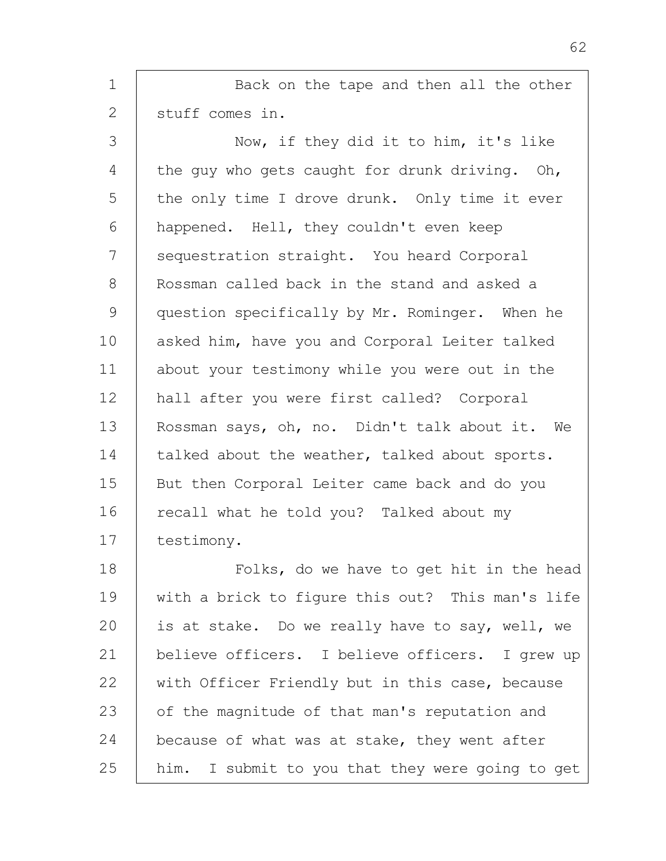1 2 3 4 5 6 7 8 9 10 11 12 13 14 15 16 17 18 19 20 21 22 23 24 25 Back on the tape and then all the other stuff comes in. Now, if they did it to him, it's like the guy who gets caught for drunk driving. Oh, the only time I drove drunk. Only time it ever happened. Hell, they couldn't even keep sequestration straight. You heard Corporal Rossman called back in the stand and asked a question specifically by Mr. Rominger. When he asked him, have you and Corporal Leiter talked about your testimony while you were out in the hall after you were first called? Corporal Rossman says, oh, no. Didn't talk about it. We talked about the weather, talked about sports. But then Corporal Leiter came back and do you recall what he told you? Talked about my testimony. Folks, do we have to get hit in the head with a brick to figure this out? This man's life is at stake. Do we really have to say, well, we believe officers. I believe officers. I grew up with Officer Friendly but in this case, because of the magnitude of that man's reputation and because of what was at stake, they went after him. I submit to you that they were going to get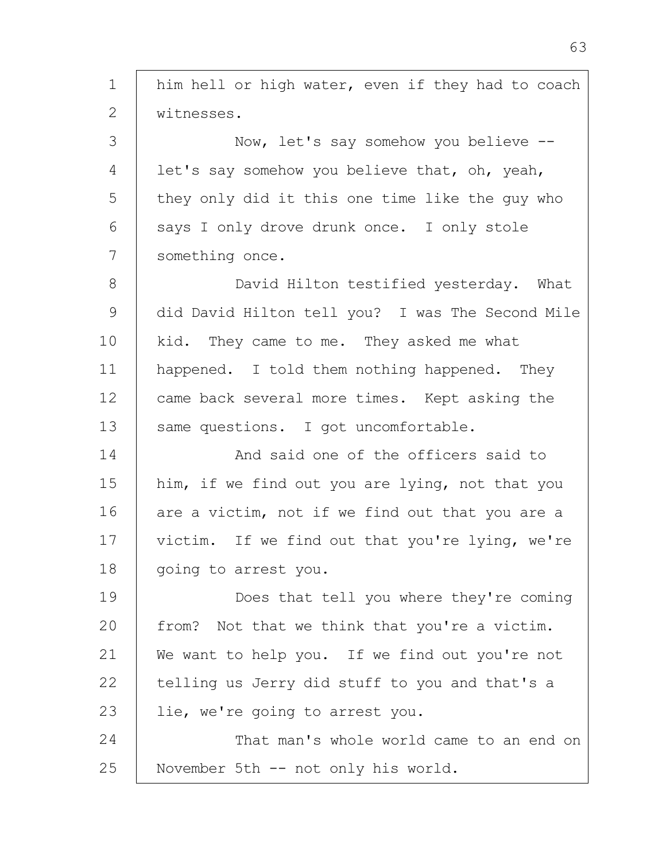| $\mathbf 1$ | him hell or high water, even if they had to coach |
|-------------|---------------------------------------------------|
| 2           | witnesses.                                        |
| 3           | Now, let's say somehow you believe --             |
| 4           | let's say somehow you believe that, oh, yeah,     |
| 5           | they only did it this one time like the guy who   |
| 6           | says I only drove drunk once. I only stole        |
| 7           | something once.                                   |
| 8           | David Hilton testified yesterday. What            |
| 9           | did David Hilton tell you? I was The Second Mile  |
| 10          | kid. They came to me. They asked me what          |
| 11          | happened. I told them nothing happened. They      |
| 12          | came back several more times. Kept asking the     |
| 13          | same questions. I got uncomfortable.              |
| 14          | And said one of the officers said to              |
| 15          | him, if we find out you are lying, not that you   |
| 16          | are a victim, not if we find out that you are a   |
| 17          | victim. If we find out that you're lying, we're   |
| 18          | going to arrest you.                              |
| 19          | Does that tell you where they're coming           |
| 20          | from? Not that we think that you're a victim.     |
| 21          | We want to help you. If we find out you're not    |
| 22          | telling us Jerry did stuff to you and that's a    |
| 23          | lie, we're going to arrest you.                   |
| 24          | That man's whole world came to an end on          |
| 25          | November 5th -- not only his world.               |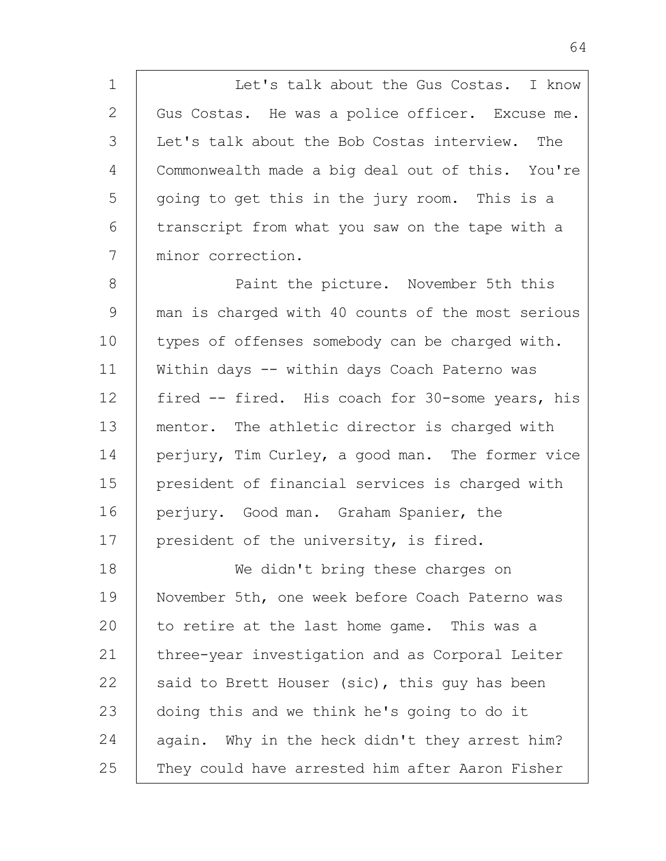1 2 3 4 5 6 7 Let's talk about the Gus Costas. I know Gus Costas. He was a police officer. Excuse me. Let's talk about the Bob Costas interview. The Commonwealth made a big deal out of this. You're going to get this in the jury room. This is a transcript from what you saw on the tape with a minor correction.

8 9 10 11 12 13 14 15 16 17 Paint the picture. November 5th this man is charged with 40 counts of the most serious types of offenses somebody can be charged with. Within days -- within days Coach Paterno was fired -- fired. His coach for 30-some years, his mentor. The athletic director is charged with perjury, Tim Curley, a good man. The former vice president of financial services is charged with perjury. Good man. Graham Spanier, the president of the university, is fired.

18 19 20 21 22 23 24 25 We didn't bring these charges on November 5th, one week before Coach Paterno was to retire at the last home game. This was a three-year investigation and as Corporal Leiter said to Brett Houser (sic), this guy has been doing this and we think he's going to do it again. Why in the heck didn't they arrest him? They could have arrested him after Aaron Fisher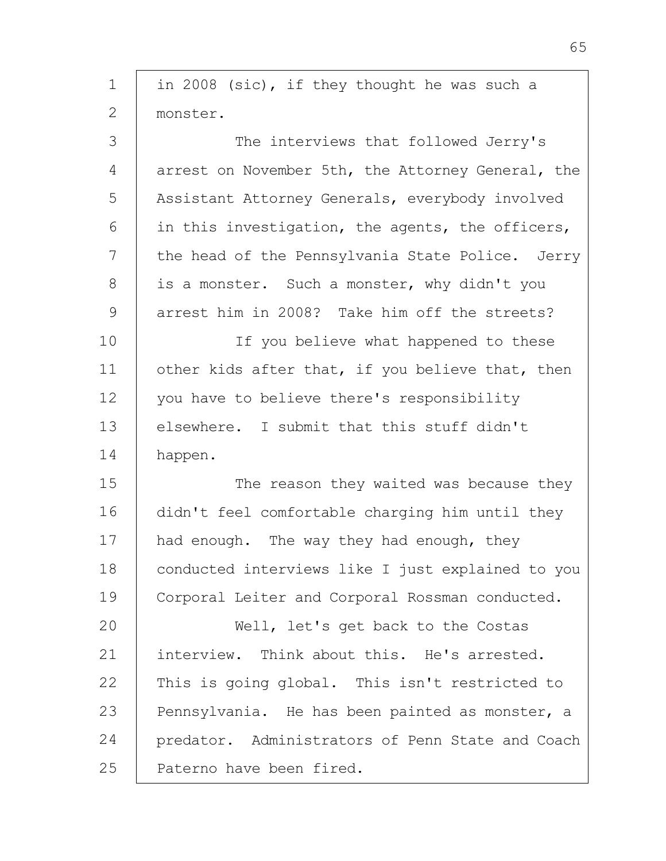| $\mathbf 1$   | in 2008 (sic), if they thought he was such a      |
|---------------|---------------------------------------------------|
| $\mathbf{2}$  | monster.                                          |
| 3             | The interviews that followed Jerry's              |
| 4             | arrest on November 5th, the Attorney General, the |
| 5             | Assistant Attorney Generals, everybody involved   |
| 6             | in this investigation, the agents, the officers,  |
| 7             | the head of the Pennsylvania State Police. Jerry  |
| 8             | is a monster. Such a monster, why didn't you      |
| $\mathcal{G}$ | arrest him in 2008? Take him off the streets?     |
| 10            | If you believe what happened to these             |
| 11            | other kids after that, if you believe that, then  |
| 12            | you have to believe there's responsibility        |
| 13            | elsewhere. I submit that this stuff didn't        |
| 14            | happen.                                           |
| 15            | The reason they waited was because they           |
| 16            | didn't feel comfortable charging him until they   |
| 17            | had enough. The way they had enough, they         |
| 18            | conducted interviews like I just explained to you |
| 19            | Corporal Leiter and Corporal Rossman conducted.   |
| 20            | Well, let's get back to the Costas                |
| 21            | interview. Think about this. He's arrested.       |
| 22            | This is going global. This isn't restricted to    |
| 23            | Pennsylvania. He has been painted as monster, a   |
| 24            | predator. Administrators of Penn State and Coach  |
| 25            | Paterno have been fired.                          |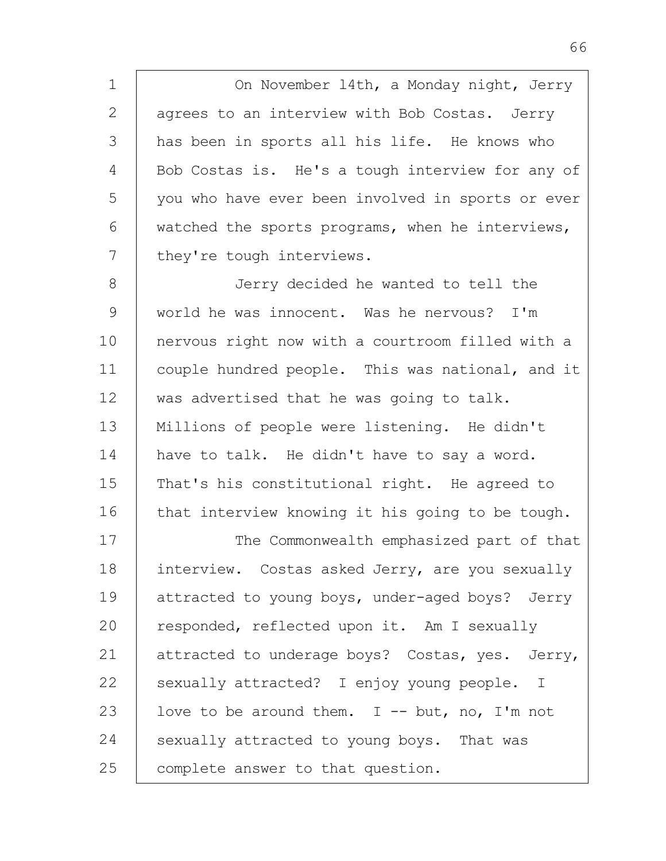1 2 3 4 5 6 7 On November l4th, a Monday night, Jerry agrees to an interview with Bob Costas. Jerry has been in sports all his life. He knows who Bob Costas is. He's a tough interview for any of you who have ever been involved in sports or ever watched the sports programs, when he interviews, they're tough interviews.

8 9 10 11 12 13 14 15 16 17 Jerry decided he wanted to tell the world he was innocent. Was he nervous? I'm nervous right now with a courtroom filled with a couple hundred people. This was national, and it was advertised that he was going to talk. Millions of people were listening. He didn't have to talk. He didn't have to say a word. That's his constitutional right. He agreed to that interview knowing it his going to be tough. The Commonwealth emphasized part of that

18 19 20 21 22 23 24 25 interview. Costas asked Jerry, are you sexually attracted to young boys, under-aged boys? Jerry responded, reflected upon it. Am I sexually attracted to underage boys? Costas, yes. Jerry, sexually attracted? I enjoy young people. I love to be around them.  $I$  -- but, no, I'm not sexually attracted to young boys. That was complete answer to that question.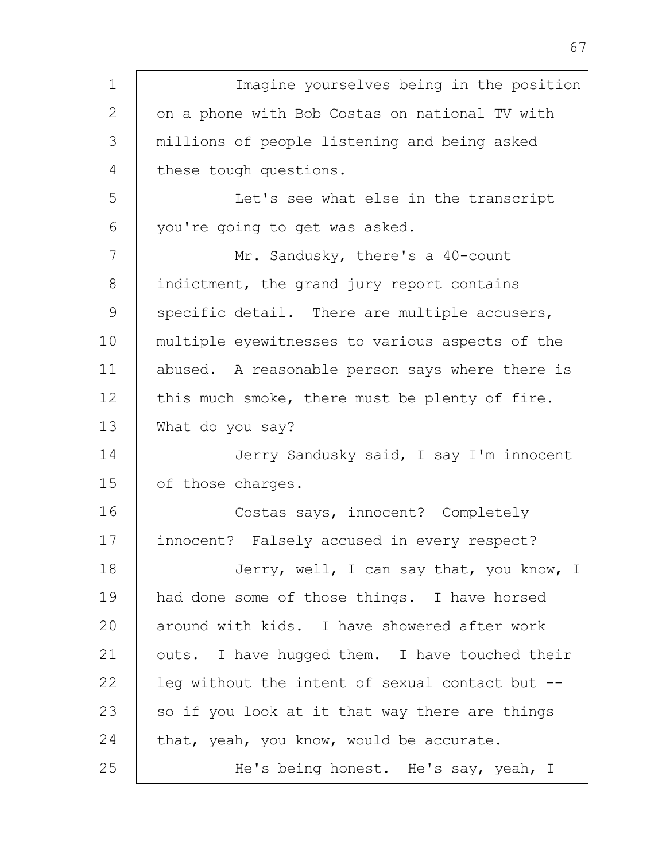| $\mathbf 1$  | Imagine yourselves being in the position        |
|--------------|-------------------------------------------------|
| $\mathbf{2}$ | on a phone with Bob Costas on national TV with  |
| 3            | millions of people listening and being asked    |
| 4            | these tough questions.                          |
| 5            | Let's see what else in the transcript           |
| 6            | you're going to get was asked.                  |
| 7            | Mr. Sandusky, there's a 40-count                |
| 8            | indictment, the grand jury report contains      |
| 9            | specific detail. There are multiple accusers,   |
| 10           | multiple eyewitnesses to various aspects of the |
| 11           | abused. A reasonable person says where there is |
| 12           | this much smoke, there must be plenty of fire.  |
| 13           | What do you say?                                |
| 14           | Jerry Sandusky said, I say I'm innocent         |
| 15           | of those charges.                               |
| 16           | Costas says, innocent? Completely               |
| 17           | innocent? Falsely accused in every respect?     |
| 18           | Jerry, well, I can say that, you know, I        |
| 19           | had done some of those things. I have horsed    |
| 20           | around with kids. I have showered after work    |
| 21           | outs. I have hugged them. I have touched their  |
| 22           | leq without the intent of sexual contact but -- |
| 23           | so if you look at it that way there are things  |
| 24           | that, yeah, you know, would be accurate.        |
| 25           | He's being honest. He's say, yeah, I            |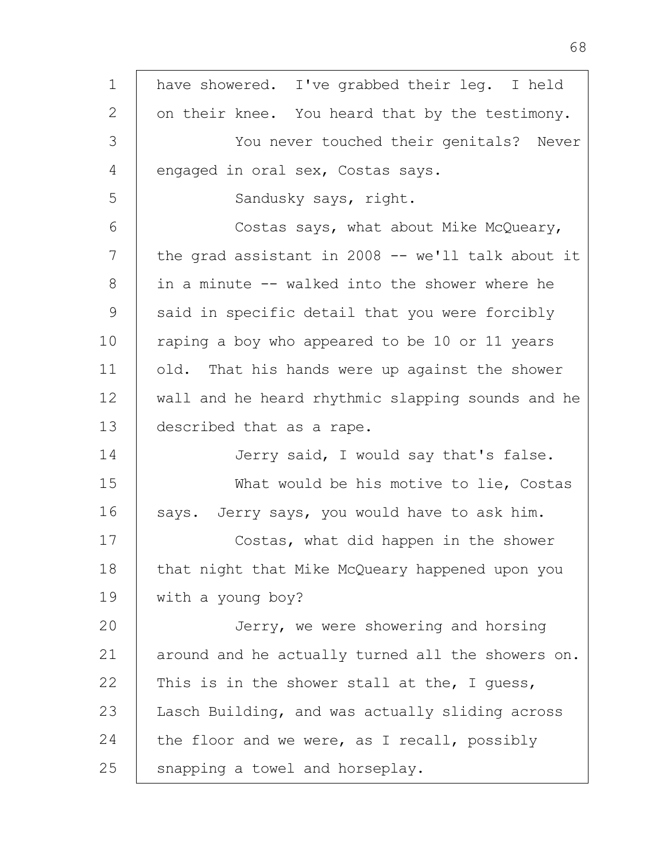| $\mathbf 1$  | have showered. I've grabbed their leg. I held     |
|--------------|---------------------------------------------------|
| $\mathbf{2}$ | on their knee. You heard that by the testimony.   |
| 3            | You never touched their genitals? Never           |
| 4            | engaged in oral sex, Costas says.                 |
| 5            | Sandusky says, right.                             |
| 6            | Costas says, what about Mike McQueary,            |
| 7            | the grad assistant in 2008 -- we'll talk about it |
| 8            | in a minute -- walked into the shower where he    |
| 9            | said in specific detail that you were forcibly    |
| 10           | raping a boy who appeared to be 10 or 11 years    |
| 11           | old. That his hands were up against the shower    |
| 12           | wall and he heard rhythmic slapping sounds and he |
| 13           | described that as a rape.                         |
| 14           | Jerry said, I would say that's false.             |
| 15           | What would be his motive to lie, Costas           |
| 16           | says. Jerry says, you would have to ask him.      |
| 17           | Costas, what did happen in the shower             |
| 18           | that night that Mike McQueary happened upon you   |
| 19           | with a young boy?                                 |
| 20           | Jerry, we were showering and horsing              |
| 21           | around and he actually turned all the showers on. |
| 22           | This is in the shower stall at the, I guess,      |
| 23           | Lasch Building, and was actually sliding across   |
| 24           | the floor and we were, as I recall, possibly      |
| 25           | snapping a towel and horseplay.                   |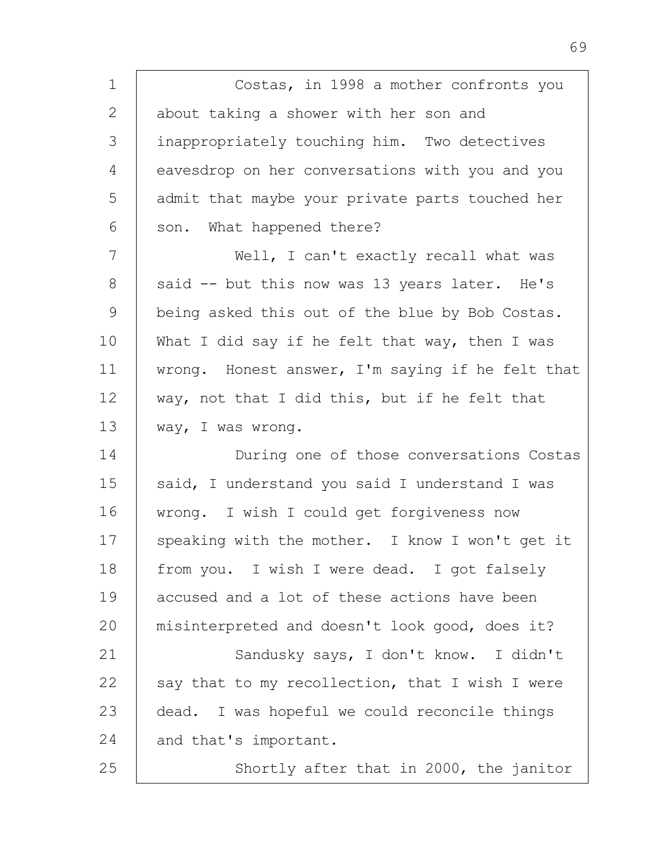| $\mathbf 1$   | Costas, in 1998 a mother confronts you           |
|---------------|--------------------------------------------------|
| 2             | about taking a shower with her son and           |
| 3             | inappropriately touching him. Two detectives     |
| 4             | eavesdrop on her conversations with you and you  |
| 5             | admit that maybe your private parts touched her  |
| 6             | son. What happened there?                        |
| 7             | Well, I can't exactly recall what was            |
| 8             | said -- but this now was 13 years later. He's    |
| $\mathcal{G}$ | being asked this out of the blue by Bob Costas.  |
| 10            | What I did say if he felt that way, then I was   |
| 11            | wrong. Honest answer, I'm saying if he felt that |
| 12            | way, not that I did this, but if he felt that    |
| 13            | way, I was wrong.                                |
| 14            | During one of those conversations Costas         |
| 15            | said, I understand you said I understand I was   |
| 16            | wrong. I wish I could get forgiveness now        |
| 17            | speaking with the mother. I know I won't get it  |
| 18            | from you. I wish I were dead. I got falsely      |
| 19            | accused and a lot of these actions have been     |
| 20            | misinterpreted and doesn't look good, does it?   |
| 21            | Sandusky says, I don't know. I didn't            |
| 22            | say that to my recollection, that I wish I were  |
| 23            | dead. I was hopeful we could reconcile things    |
| 24            | and that's important.                            |
| 25            | Shortly after that in 2000, the janitor          |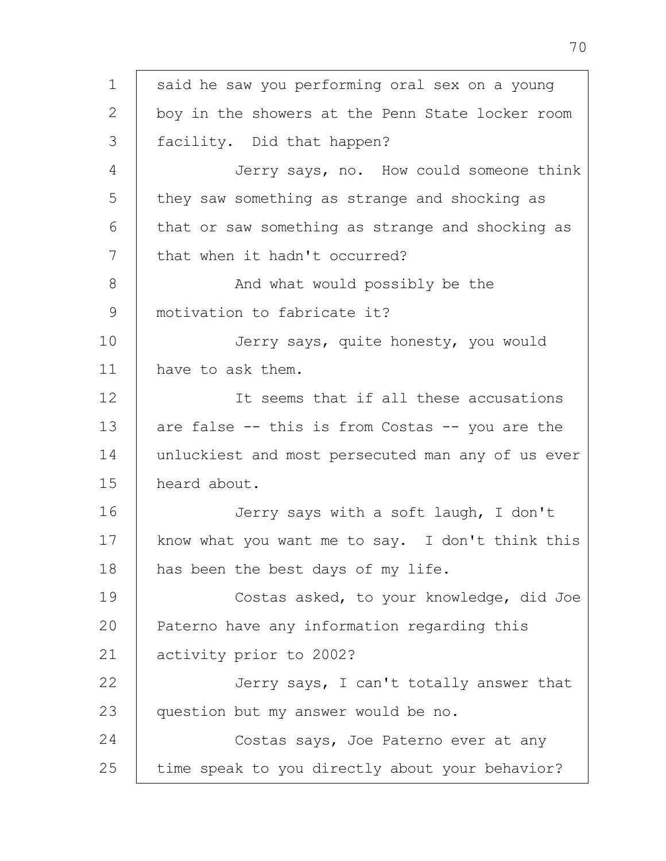1 2 3 4 5 6 7 8 9 10 11 12 13 14 15 16 17 18 19  $20$ 21 22 23 24 25 said he saw you performing oral sex on a young boy in the showers at the Penn State locker room facility. Did that happen? Jerry says, no. How could someone think they saw something as strange and shocking as that or saw something as strange and shocking as that when it hadn't occurred? And what would possibly be the motivation to fabricate it? Jerry says, quite honesty, you would have to ask them. It seems that if all these accusations are false -- this is from Costas -- you are the unluckiest and most persecuted man any of us ever heard about. Jerry says with a soft laugh, I don't know what you want me to say. I don't think this has been the best days of my life. Costas asked, to your knowledge, did Joe Paterno have any information regarding this activity prior to 2002? Jerry says, I can't totally answer that question but my answer would be no. Costas says, Joe Paterno ever at any time speak to you directly about your behavior?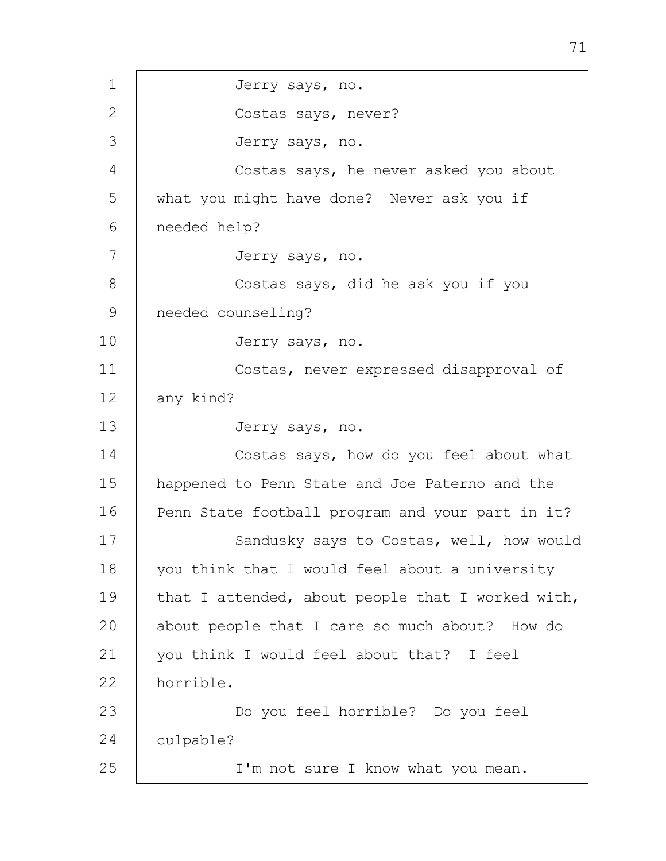1 2 3 4 5 6 7 8 9 10 11 12 13 14 15 16 17 18 19  $20$ 21 22 23 24 25 Jerry says, no. Costas says, never? Jerry says, no. Costas says, he never asked you about what you might have done? Never ask you if needed help? Jerry says, no. Costas says, did he ask you if you needed counseling? Jerry says, no. Costas, never expressed disapproval of any kind? Jerry says, no. Costas says, how do you feel about what happened to Penn State and Joe Paterno and the Penn State football program and your part in it? Sandusky says to Costas, well, how would you think that I would feel about a university that I attended, about people that I worked with, about people that I care so much about? How do you think I would feel about that? I feel horrible. Do you feel horrible? Do you feel culpable? I'm not sure I know what you mean.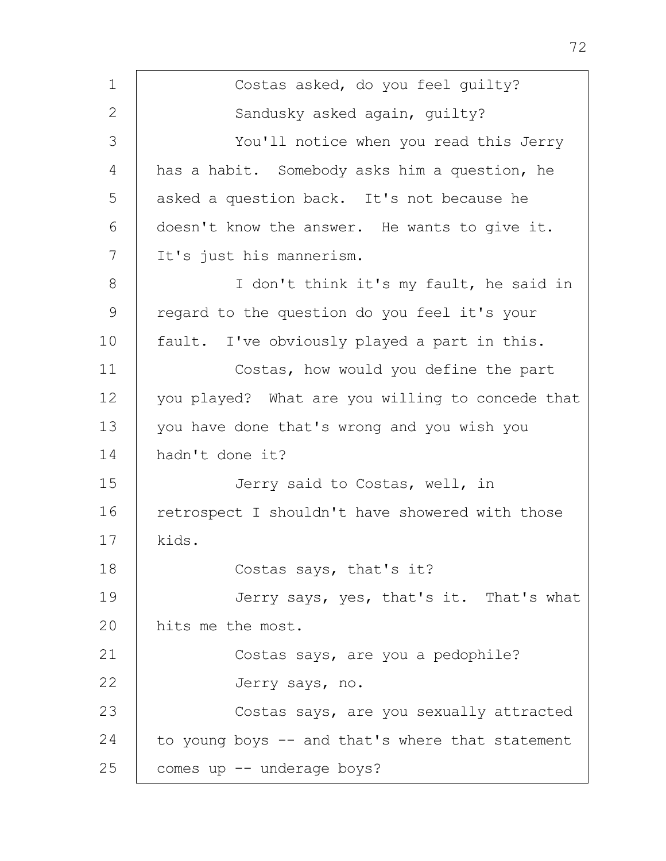| $\mathbf 1$   | Costas asked, do you feel guilty?                |
|---------------|--------------------------------------------------|
| $\mathbf{2}$  | Sandusky asked again, guilty?                    |
| 3             | You'll notice when you read this Jerry           |
| 4             | has a habit. Somebody asks him a question, he    |
| 5             | asked a question back. It's not because he       |
| 6             | doesn't know the answer. He wants to give it.    |
| 7             | It's just his mannerism.                         |
| 8             | I don't think it's my fault, he said in          |
| $\mathcal{G}$ | regard to the question do you feel it's your     |
| 10            | fault. I've obviously played a part in this.     |
| 11            | Costas, how would you define the part            |
| 12            | you played? What are you willing to concede that |
| 13            | you have done that's wrong and you wish you      |
| 14            | hadn't done it?                                  |
| 15            | Jerry said to Costas, well, in                   |
| 16            | retrospect I shouldn't have showered with those  |
| 17            | kids.                                            |
| 18            | Costas says, that's it?                          |
| 19            | Jerry says, yes, that's it. That's what          |
| 20            | hits me the most.                                |
| 21            | Costas says, are you a pedophile?                |
| 22            | Jerry says, no.                                  |
| 23            | Costas says, are you sexually attracted          |
| 24            | to young boys -- and that's where that statement |
| 25            | comes up -- underage boys?                       |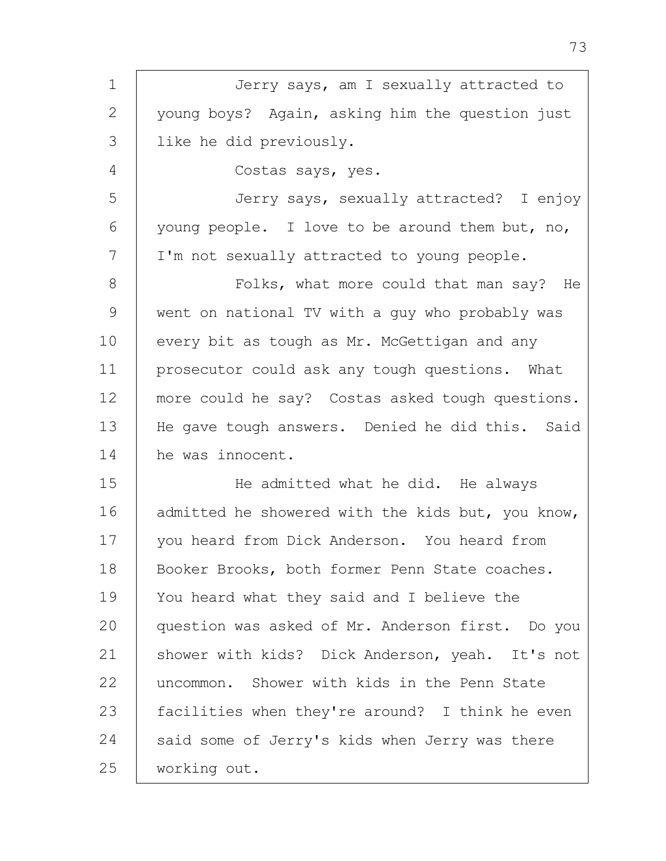| $\mathbf 1$  | Jerry says, am I sexually attracted to            |
|--------------|---------------------------------------------------|
| $\mathbf{2}$ | young boys? Again, asking him the question just   |
| 3            | like he did previously.                           |
| 4            | Costas says, yes.                                 |
| 5            | Jerry says, sexually attracted? I enjoy           |
| 6            | young people. I love to be around them but, no,   |
| 7            | I'm not sexually attracted to young people.       |
| 8            | Folks, what more could that man say? He           |
| 9            | went on national TV with a guy who probably was   |
| 10           | every bit as tough as Mr. McGettigan and any      |
| 11           | prosecutor could ask any tough questions. What    |
| 12           | more could he say? Costas asked tough questions.  |
| 13           | He gave tough answers. Denied he did this. Said   |
| 14           | he was innocent.                                  |
| 15           | He admitted what he did. He always                |
| 16           | admitted he showered with the kids but, you know, |
| 17           | you heard from Dick Anderson. You heard from      |
| 18           | Booker Brooks, both former Penn State coaches.    |
| 19           | You heard what they said and I believe the        |
| 20           | question was asked of Mr. Anderson first. Do you  |
| 21           | shower with kids? Dick Anderson, yeah. It's not   |
| 22           | uncommon. Shower with kids in the Penn State      |
| 23           | facilities when they're around? I think he even   |
| 24           | said some of Jerry's kids when Jerry was there    |
| 25           | working out.                                      |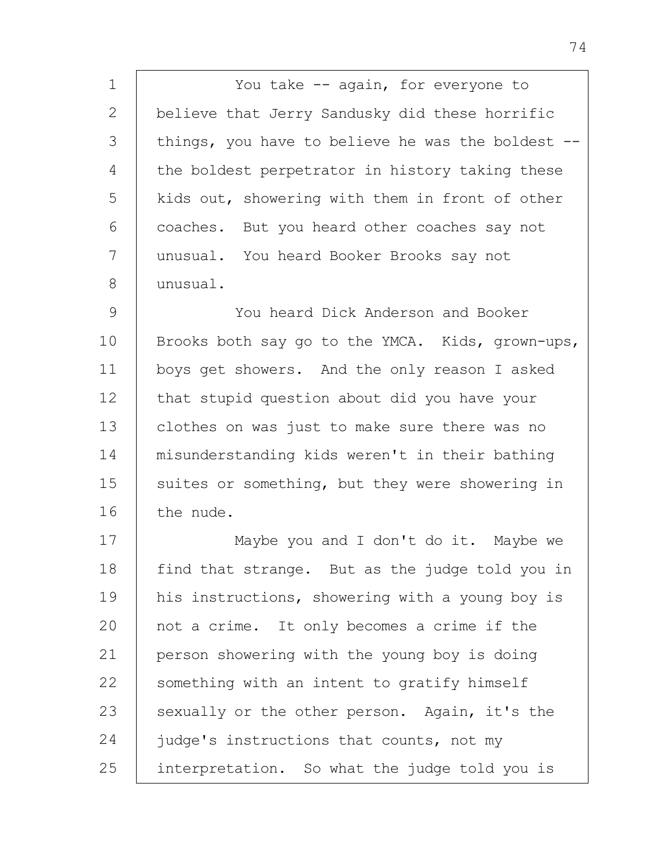1 2 3 4 5 6 7 8 You take -- again, for everyone to believe that Jerry Sandusky did these horrific things, you have to believe he was the boldest - the boldest perpetrator in history taking these kids out, showering with them in front of other coaches. But you heard other coaches say not unusual. You heard Booker Brooks say not unusual.

9 10 11 12 13 14 15 16 You heard Dick Anderson and Booker Brooks both say go to the YMCA. Kids, grown-ups, boys get showers. And the only reason I asked that stupid question about did you have your clothes on was just to make sure there was no misunderstanding kids weren't in their bathing suites or something, but they were showering in the nude.

17 18 19  $20$ 21 22 23 24 25 Maybe you and I don't do it. Maybe we find that strange. But as the judge told you in his instructions, showering with a young boy is not a crime. It only becomes a crime if the person showering with the young boy is doing something with an intent to gratify himself sexually or the other person. Again, it's the judge's instructions that counts, not my interpretation. So what the judge told you is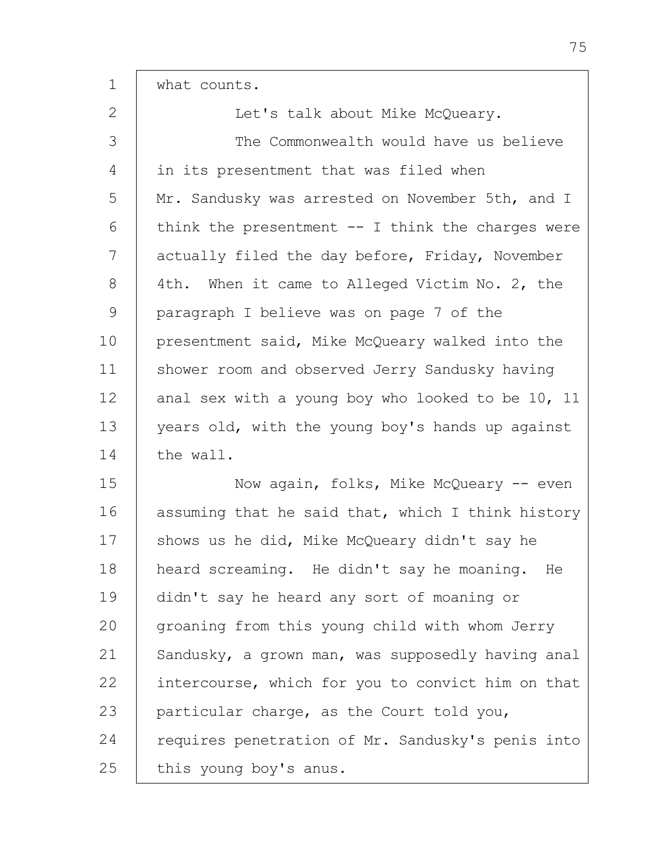| $\mathbf 1$   | what counts.                                        |
|---------------|-----------------------------------------------------|
| $\mathbf{2}$  | Let's talk about Mike McQueary.                     |
| 3             | The Commonwealth would have us believe              |
| 4             | in its presentment that was filed when              |
| 5             | Mr. Sandusky was arrested on November 5th, and I    |
| 6             | think the presentment $--$ I think the charges were |
| 7             | actually filed the day before, Friday, November     |
| 8             | 4th. When it came to Alleged Victim No. 2, the      |
| $\mathcal{G}$ | paragraph I believe was on page 7 of the            |
| 10            | presentment said, Mike McQueary walked into the     |
| 11            | shower room and observed Jerry Sandusky having      |
| 12            | anal sex with a young boy who looked to be 10, 11   |
| 13            | years old, with the young boy's hands up against    |
| 14            | the wall.                                           |
| 15            | Now again, folks, Mike McQueary -- even             |
| 16            | assuming that he said that, which I think history   |
| 17            | shows us he did, Mike McQueary didn't say he        |
| 18            | heard screaming. He didn't say he moaning. He       |
| 19            | didn't say he heard any sort of moaning or          |
| 20            | groaning from this young child with whom Jerry      |
| 21            | Sandusky, a grown man, was supposedly having anal   |
| 22            | intercourse, which for you to convict him on that   |
| 23            | particular charge, as the Court told you,           |
| 24            | requires penetration of Mr. Sandusky's penis into   |
| 25            | this young boy's anus.                              |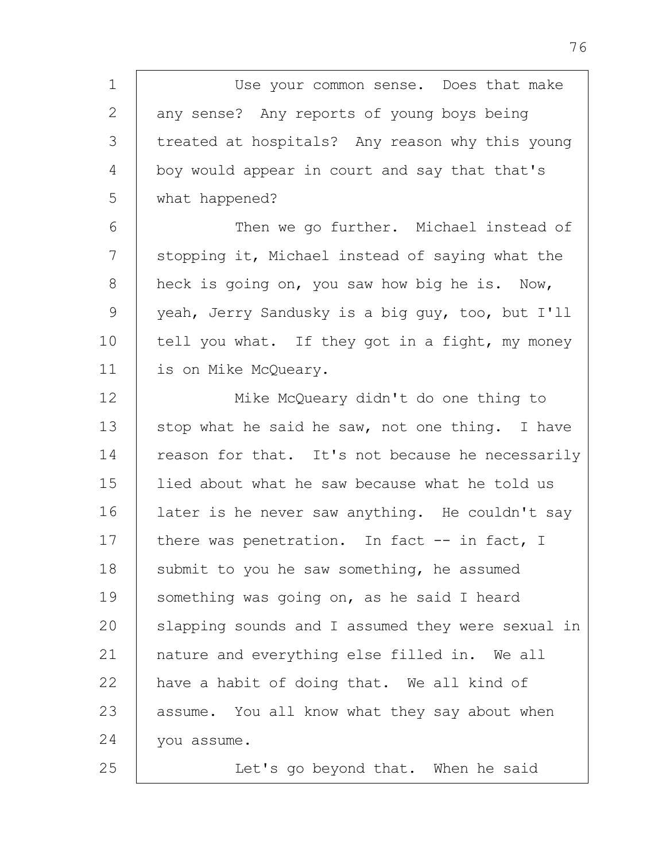1 2 3 4 5 6 7 8 9 10 11 Use your common sense. Does that make any sense? Any reports of young boys being treated at hospitals? Any reason why this young boy would appear in court and say that that's what happened? Then we go further. Michael instead of stopping it, Michael instead of saying what the heck is going on, you saw how big he is. Now, yeah, Jerry Sandusky is a big guy, too, but I'll tell you what. If they got in a fight, my money is on Mike McQueary.

12 13 14 15 16 17 18 19 20 21 22 23 24 25 Mike McQueary didn't do one thing to stop what he said he saw, not one thing. I have reason for that. It's not because he necessarily lied about what he saw because what he told us later is he never saw anything. He couldn't say there was penetration. In fact -- in fact, I submit to you he saw something, he assumed something was going on, as he said I heard slapping sounds and I assumed they were sexual in nature and everything else filled in. We all have a habit of doing that. We all kind of assume. You all know what they say about when you assume.

Let's go beyond that. When he said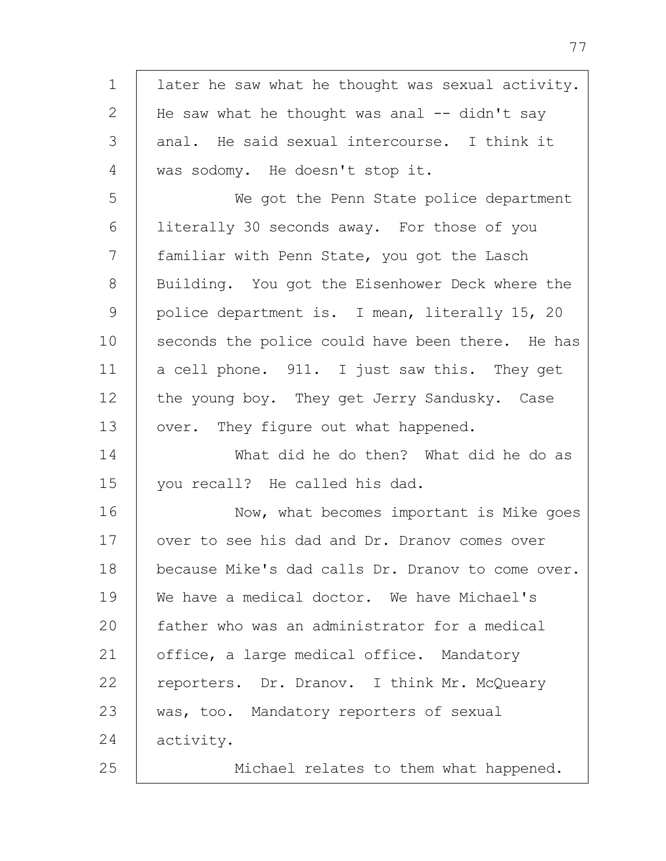| $\mathbf 1$  | later he saw what he thought was sexual activity. |
|--------------|---------------------------------------------------|
| $\mathbf{2}$ | He saw what he thought was anal -- didn't say     |
| 3            | anal. He said sexual intercourse. I think it      |
| 4            | was sodomy. He doesn't stop it.                   |
| 5            | We got the Penn State police department           |
| 6            | literally 30 seconds away. For those of you       |
| 7            | familiar with Penn State, you got the Lasch       |
| 8            | Building. You got the Eisenhower Deck where the   |
| 9            | police department is. I mean, literally 15, 20    |
| 10           | seconds the police could have been there. He has  |
| 11           | a cell phone. 911. I just saw this. They get      |
| 12           | the young boy. They get Jerry Sandusky. Case      |
| 13           | over. They figure out what happened.              |
| 14           | What did he do then? What did he do as            |
| 15           | you recall? He called his dad.                    |
| 16           | Now, what becomes important is Mike goes          |
| 17           | over to see his dad and Dr. Dranov comes over     |
| 18           | because Mike's dad calls Dr. Dranov to come over. |
| 19           | We have a medical doctor. We have Michael's       |
| 20           | father who was an administrator for a medical     |
| 21           | office, a large medical office. Mandatory         |
| 22           | reporters. Dr. Dranov. I think Mr. McQueary       |
| 23           | was, too. Mandatory reporters of sexual           |
| 24           | activity.                                         |
| 25           | Michael relates to them what happened.            |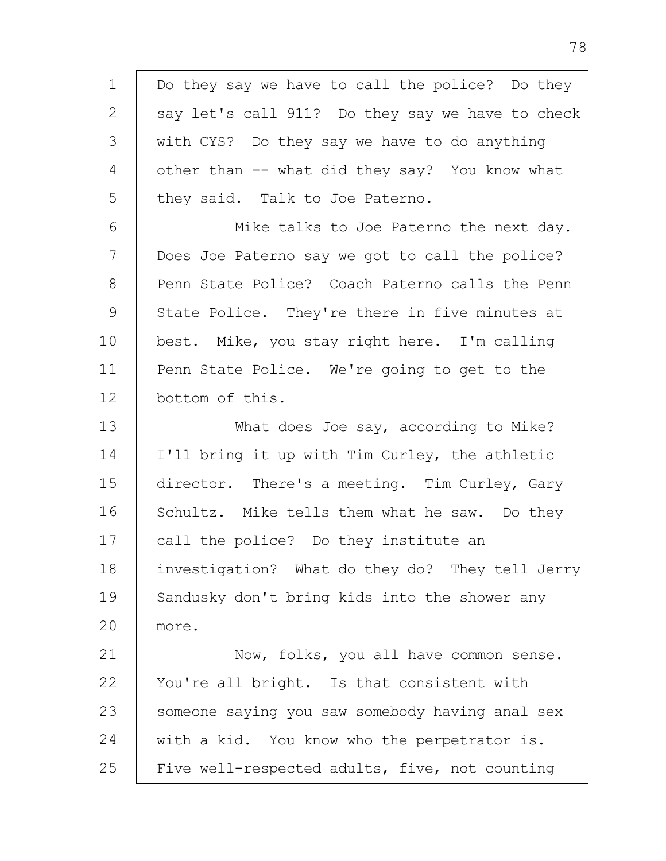1 2 3 4 5 6 7 8 9 10 11 12 13 14 15 16 17 18 19 20 21 22 23 24 25 Do they say we have to call the police? Do they say let's call 911? Do they say we have to check with CYS? Do they say we have to do anything other than -- what did they say? You know what they said. Talk to Joe Paterno. Mike talks to Joe Paterno the next day. Does Joe Paterno say we got to call the police? Penn State Police? Coach Paterno calls the Penn State Police. They're there in five minutes at best. Mike, you stay right here. I'm calling Penn State Police. We're going to get to the bottom of this. What does Joe say, according to Mike? I'll bring it up with Tim Curley, the athletic director. There's a meeting. Tim Curley, Gary Schultz. Mike tells them what he saw. Do they call the police? Do they institute an investigation? What do they do? They tell Jerry Sandusky don't bring kids into the shower any more. Now, folks, you all have common sense. You're all bright. Is that consistent with someone saying you saw somebody having anal sex with a kid. You know who the perpetrator is. Five well-respected adults, five, not counting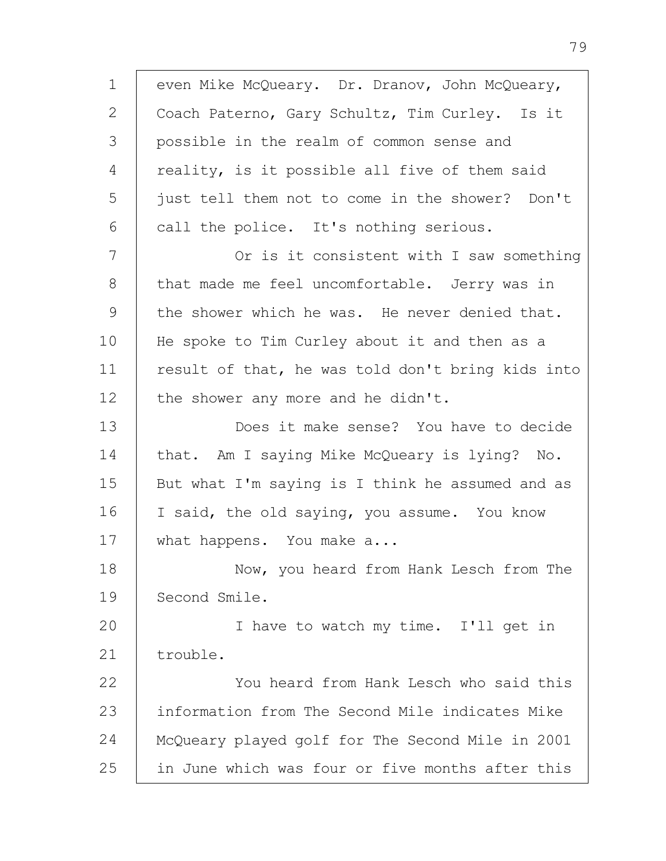1 2 3 4 5 6 7 8 9 10 11 12 13 14 15 16 17 18 19  $20$ 21 22 23 24 25 even Mike McQueary. Dr. Dranov, John McQueary, Coach Paterno, Gary Schultz, Tim Curley. Is it possible in the realm of common sense and reality, is it possible all five of them said just tell them not to come in the shower? Don't call the police. It's nothing serious. Or is it consistent with I saw something that made me feel uncomfortable. Jerry was in the shower which he was. He never denied that. He spoke to Tim Curley about it and then as a result of that, he was told don't bring kids into the shower any more and he didn't. Does it make sense? You have to decide that. Am I saying Mike McQueary is lying? No. But what I'm saying is I think he assumed and as I said, the old saying, you assume. You know what happens. You make a... Now, you heard from Hank Lesch from The Second Smile. I have to watch my time. I'll get in trouble. You heard from Hank Lesch who said this information from The Second Mile indicates Mike McQueary played golf for The Second Mile in 2001 in June which was four or five months after this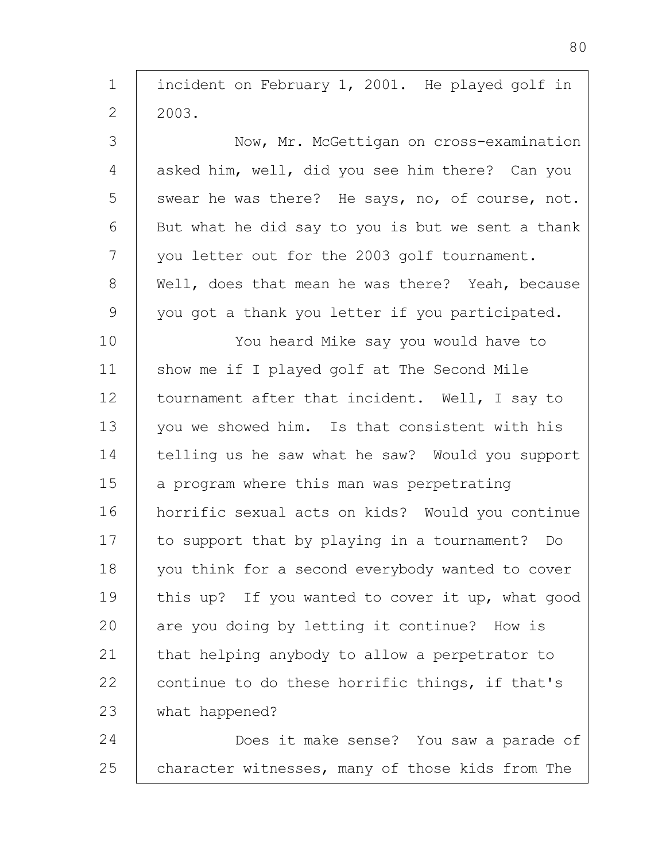| $\mathbf 1$  | incident on February 1, 2001. He played golf in   |
|--------------|---------------------------------------------------|
| $\mathbf{2}$ | 2003.                                             |
| 3            | Now, Mr. McGettigan on cross-examination          |
| 4            | asked him, well, did you see him there? Can you   |
| 5            | swear he was there? He says, no, of course, not.  |
| 6            | But what he did say to you is but we sent a thank |
| 7            | you letter out for the 2003 golf tournament.      |
| 8            | Well, does that mean he was there? Yeah, because  |
| 9            | you got a thank you letter if you participated.   |
| 10           | You heard Mike say you would have to              |
| 11           | show me if I played golf at The Second Mile       |
| 12           | tournament after that incident. Well, I say to    |
| 13           | you we showed him. Is that consistent with his    |
| 14           | telling us he saw what he saw? Would you support  |
| 15           | a program where this man was perpetrating         |
| 16           | horrific sexual acts on kids? Would you continue  |
| 17           | to support that by playing in a tournament? Do    |
| 18           | you think for a second everybody wanted to cover  |
| 19           | this up? If you wanted to cover it up, what good  |
| 20           | are you doing by letting it continue? How is      |
| 21           | that helping anybody to allow a perpetrator to    |
| 22           | continue to do these horrific things, if that's   |
| 23           | what happened?                                    |
| 24           | Does it make sense? You saw a parade of           |
| 25           | character witnesses, many of those kids from The  |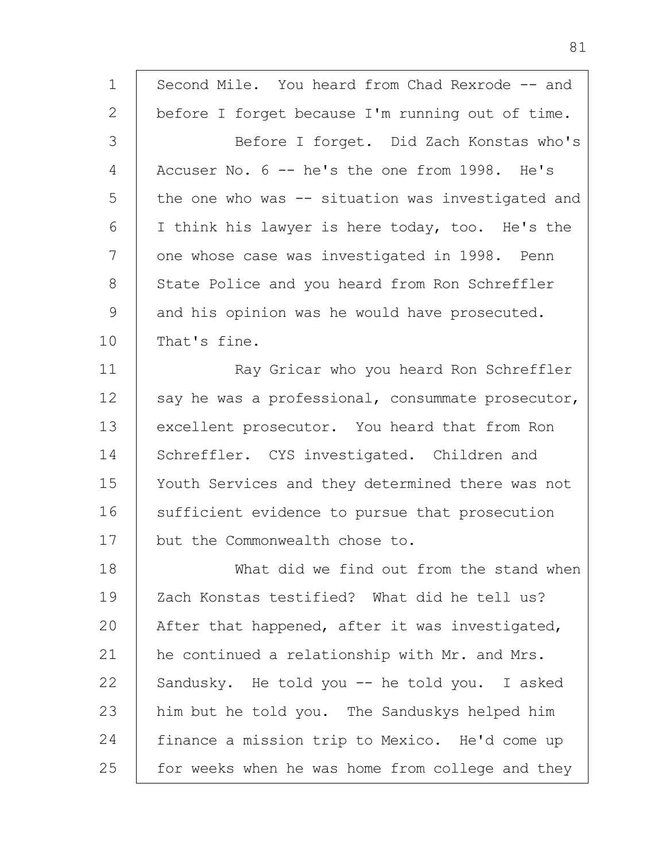| $\mathbf 1$   | Second Mile. You heard from Chad Rexrode -- and    |
|---------------|----------------------------------------------------|
| $\mathbf{2}$  | before I forget because I'm running out of time.   |
| 3             | Before I forget. Did Zach Konstas who's            |
| 4             | Accuser No. 6 -- he's the one from 1998. He's      |
| 5             | the one who was $-$ situation was investigated and |
| 6             | I think his lawyer is here today, too. He's the    |
| 7             | one whose case was investigated in 1998. Penn      |
| 8             | State Police and you heard from Ron Schreffler     |
| $\mathcal{G}$ | and his opinion was he would have prosecuted.      |
| 10            | That's fine.                                       |
| 11            | Ray Gricar who you heard Ron Schreffler            |
| 12            | say he was a professional, consummate prosecutor,  |
| 13            | excellent prosecutor. You heard that from Ron      |
| 14            | Schreffler. CYS investigated. Children and         |
| 15            | Youth Services and they determined there was not   |
| 16            | sufficient evidence to pursue that prosecution     |
| 17            | but the Commonwealth chose to.                     |
| 18            | What did we find out from the stand when           |
| 19            | Zach Konstas testified? What did he tell us?       |
| 20            | After that happened, after it was investigated,    |
| 21            | he continued a relationship with Mr. and Mrs.      |
| 22            | Sandusky. He told you -- he told you. I asked      |
| 23            | him but he told you. The Sanduskys helped him      |
| 24            | finance a mission trip to Mexico. He'd come up     |
| 25            | for weeks when he was home from college and they   |

81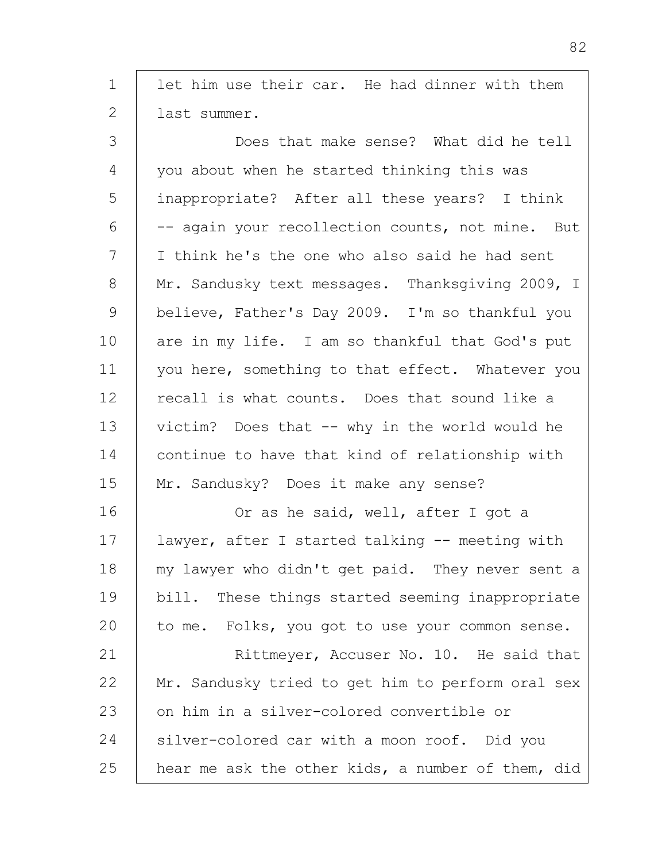1 2 3 4 5 6 7 8 9 10 11 12 13 14 15 16 17 18 19  $20$ 21 22 23 24 let him use their car. He had dinner with them last summer. Does that make sense? What did he tell you about when he started thinking this was inappropriate? After all these years? I think -- again your recollection counts, not mine. But I think he's the one who also said he had sent Mr. Sandusky text messages. Thanksgiving 2009, I believe, Father's Day 2009. I'm so thankful you are in my life. I am so thankful that God's put you here, something to that effect. Whatever you recall is what counts. Does that sound like a victim? Does that -- why in the world would he continue to have that kind of relationship with Mr. Sandusky? Does it make any sense? Or as he said, well, after I got a lawyer, after I started talking -- meeting with my lawyer who didn't get paid. They never sent a bill. These things started seeming inappropriate to me. Folks, you got to use your common sense. Rittmeyer, Accuser No. 10. He said that Mr. Sandusky tried to get him to perform oral sex on him in a silver-colored convertible or silver-colored car with a moon roof. Did you

hear me ask the other kids, a number of them, did

25

82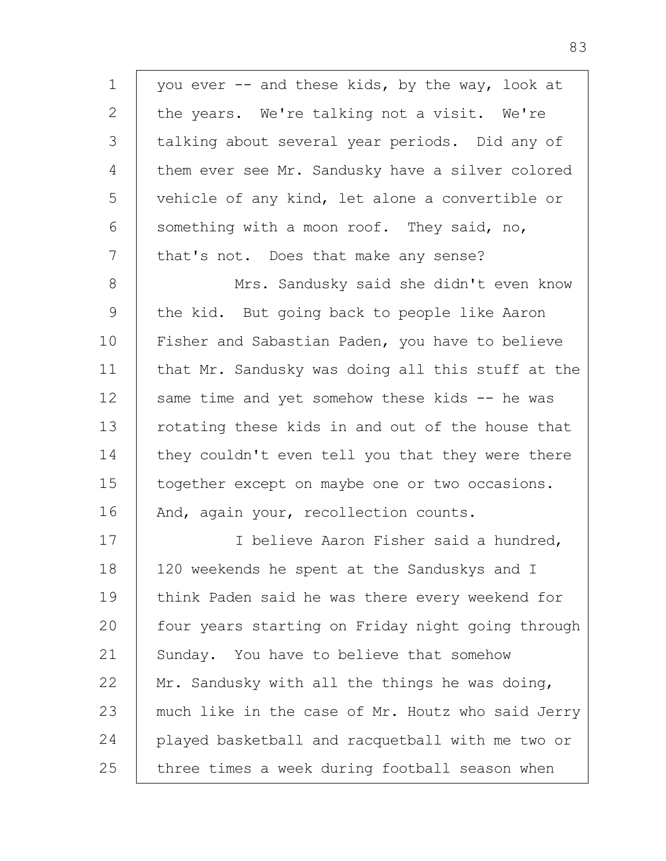1 2 3 4 5 6 7 8 9 10 11 12 13 14 you ever -- and these kids, by the way, look at the years. We're talking not a visit. We're talking about several year periods. Did any of them ever see Mr. Sandusky have a silver colored vehicle of any kind, let alone a convertible or something with a moon roof. They said, no, that's not. Does that make any sense? Mrs. Sandusky said she didn't even know the kid. But going back to people like Aaron Fisher and Sabastian Paden, you have to believe that Mr. Sandusky was doing all this stuff at the same time and yet somehow these kids -- he was rotating these kids in and out of the house that they couldn't even tell you that they were there

15 16 together except on maybe one or two occasions. And, again your, recollection counts.

17 18 19 20 21 22 23 24 25 I believe Aaron Fisher said a hundred, 120 weekends he spent at the Sanduskys and I think Paden said he was there every weekend for four years starting on Friday night going through Sunday. You have to believe that somehow Mr. Sandusky with all the things he was doing, much like in the case of Mr. Houtz who said Jerry played basketball and racquetball with me two or three times a week during football season when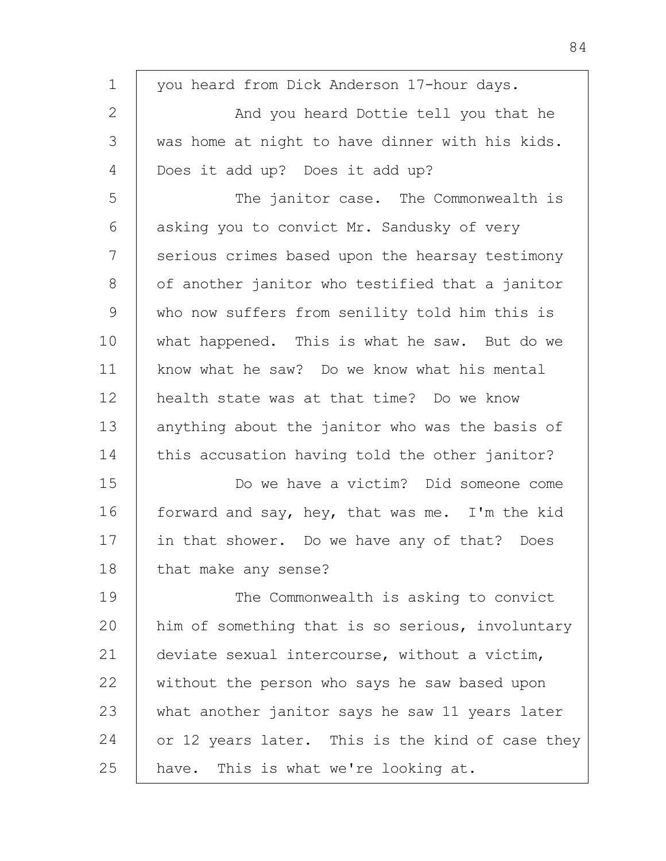| $\mathbf 1$ | you heard from Dick Anderson 17-hour days.       |
|-------------|--------------------------------------------------|
| 2           | And you heard Dottie tell you that he            |
| 3           | was home at night to have dinner with his kids.  |
| 4           | Does it add up? Does it add up?                  |
| 5           | The janitor case. The Commonwealth is            |
| 6           | asking you to convict Mr. Sandusky of very       |
| 7           | serious crimes based upon the hearsay testimony  |
| 8           | of another janitor who testified that a janitor  |
| 9           | who now suffers from senility told him this is   |
| 10          | what happened. This is what he saw. But do we    |
| 11          | know what he saw? Do we know what his mental     |
| 12          | health state was at that time? Do we know        |
| 13          | anything about the janitor who was the basis of  |
| 14          | this accusation having told the other janitor?   |
| 15          | Do we have a victim? Did someone come            |
| 16          | forward and say, hey, that was me. I'm the kid   |
| 17          | in that shower. Do we have any of that? Does     |
| 18          | that make any sense?                             |
| 19          | The Commonwealth is asking to convict            |
| 20          | him of something that is so serious, involuntary |
| 21          | deviate sexual intercourse, without a victim,    |
| 22          | without the person who says he saw based upon    |
| 23          | what another janitor says he saw 11 years later  |
| 24          | or 12 years later. This is the kind of case they |
| 25          | have. This is what we're looking at.             |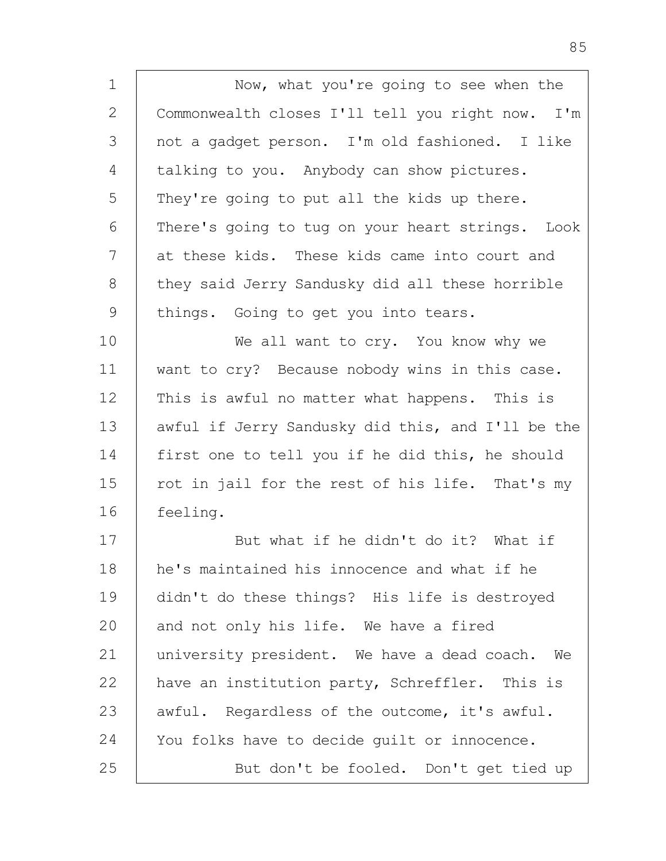1 2 3 4 5 6 7 8 9 10 11 12 13 14 15 16 17 18 19 Now, what you're going to see when the Commonwealth closes I'll tell you right now. I'm not a gadget person. I'm old fashioned. I like talking to you. Anybody can show pictures. They're going to put all the kids up there. There's going to tug on your heart strings. Look at these kids. These kids came into court and they said Jerry Sandusky did all these horrible things. Going to get you into tears. We all want to cry. You know why we want to cry? Because nobody wins in this case. This is awful no matter what happens. This is awful if Jerry Sandusky did this, and I'll be the first one to tell you if he did this, he should rot in jail for the rest of his life. That's my feeling. But what if he didn't do it? What if he's maintained his innocence and what if he didn't do these things? His life is destroyed

20 21 22 23 24 25 and not only his life. We have a fired university president. We have a dead coach. We have an institution party, Schreffler. This is awful. Regardless of the outcome, it's awful. You folks have to decide guilt or innocence. But don't be fooled. Don't get tied up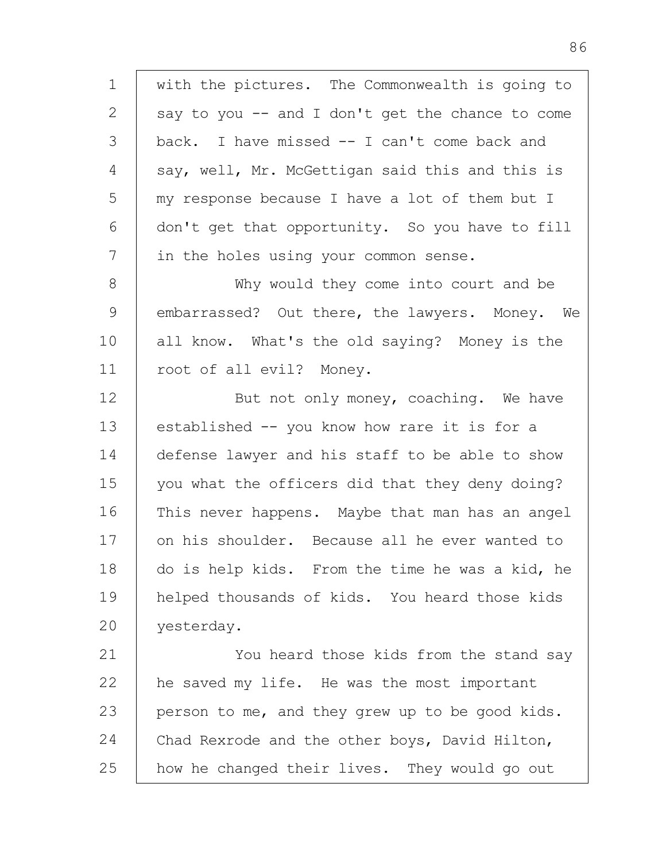1 2 3 4 5 6 7 8 9 10 11 12 13 14 15 16 17 18 19  $20$ 21 22 23 24 25 with the pictures. The Commonwealth is going to say to you  $--$  and I don't get the chance to come back. I have missed -- I can't come back and say, well, Mr. McGettigan said this and this is my response because I have a lot of them but I don't get that opportunity. So you have to fill in the holes using your common sense. Why would they come into court and be embarrassed? Out there, the lawyers. Money. We all know. What's the old saying? Money is the root of all evil? Money. But not only money, coaching. We have established -- you know how rare it is for a defense lawyer and his staff to be able to show you what the officers did that they deny doing? This never happens. Maybe that man has an angel on his shoulder. Because all he ever wanted to do is help kids. From the time he was a kid, he helped thousands of kids. You heard those kids yesterday. You heard those kids from the stand say he saved my life. He was the most important person to me, and they grew up to be good kids. Chad Rexrode and the other boys, David Hilton, how he changed their lives. They would go out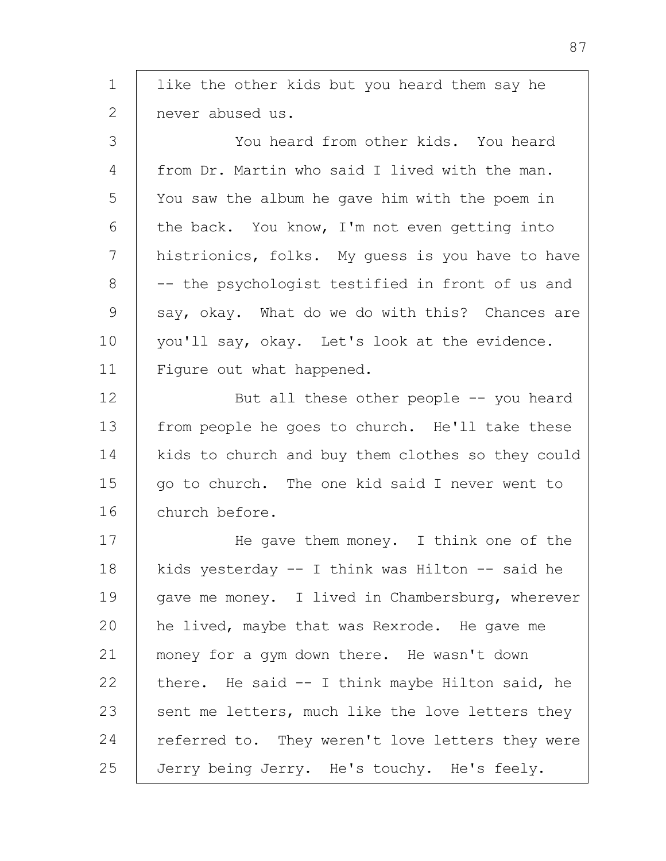1 2 3 4 5 6 7 8 9 10 11 12 13 14 15 16 17 18 19  $20$ 21 22 23 24 25 like the other kids but you heard them say he never abused us. You heard from other kids. You heard from Dr. Martin who said I lived with the man. You saw the album he gave him with the poem in the back. You know, I'm not even getting into histrionics, folks. My guess is you have to have -- the psychologist testified in front of us and say, okay. What do we do with this? Chances are you'll say, okay. Let's look at the evidence. Figure out what happened. But all these other people -- you heard from people he goes to church. He'll take these kids to church and buy them clothes so they could go to church. The one kid said I never went to church before. He gave them money. I think one of the kids yesterday  $-$  I think was Hilton  $-$  said he gave me money. I lived in Chambersburg, wherever he lived, maybe that was Rexrode. He gave me money for a gym down there. He wasn't down there. He said -- I think maybe Hilton said, he sent me letters, much like the love letters they referred to. They weren't love letters they were Jerry being Jerry. He's touchy. He's feely.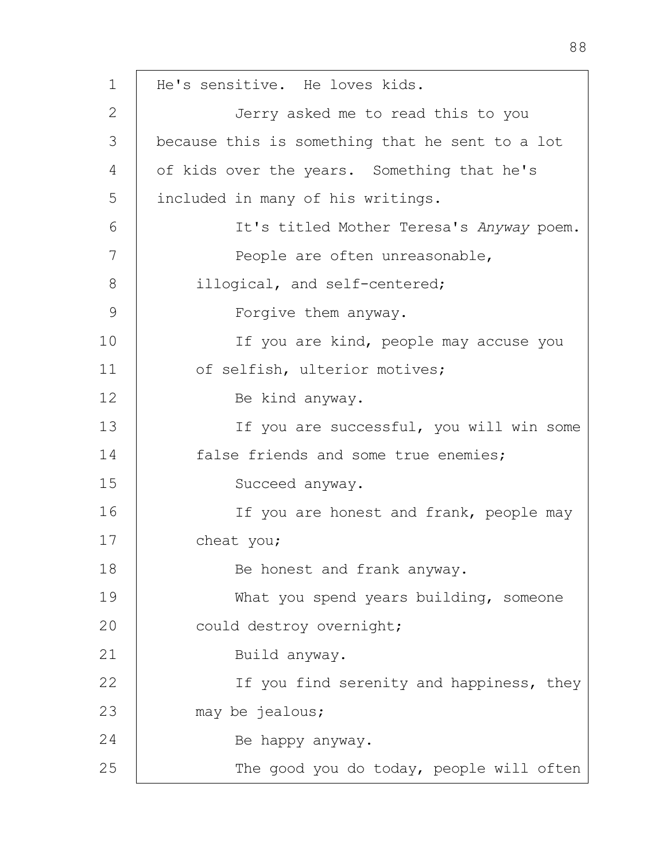1 2 3 4 5 6 7 8 9 10 11 12 13 14 15 16 17 18 19  $20$ 21 22 23 24 25 He's sensitive. He loves kids. Jerry asked me to read this to you because this is something that he sent to a lot of kids over the years. Something that he's included in many of his writings. It's titled Mother Teresa's *Anyway* poem. People are often unreasonable, illogical, and self-centered; Forgive them anyway. If you are kind, people may accuse you of selfish, ulterior motives; Be kind anyway. If you are successful, you will win some false friends and some true enemies; Succeed anyway. If you are honest and frank, people may cheat you; Be honest and frank anyway. What you spend years building, someone could destroy overnight; Build anyway. If you find serenity and happiness, they may be jealous; Be happy anyway. The good you do today, people will often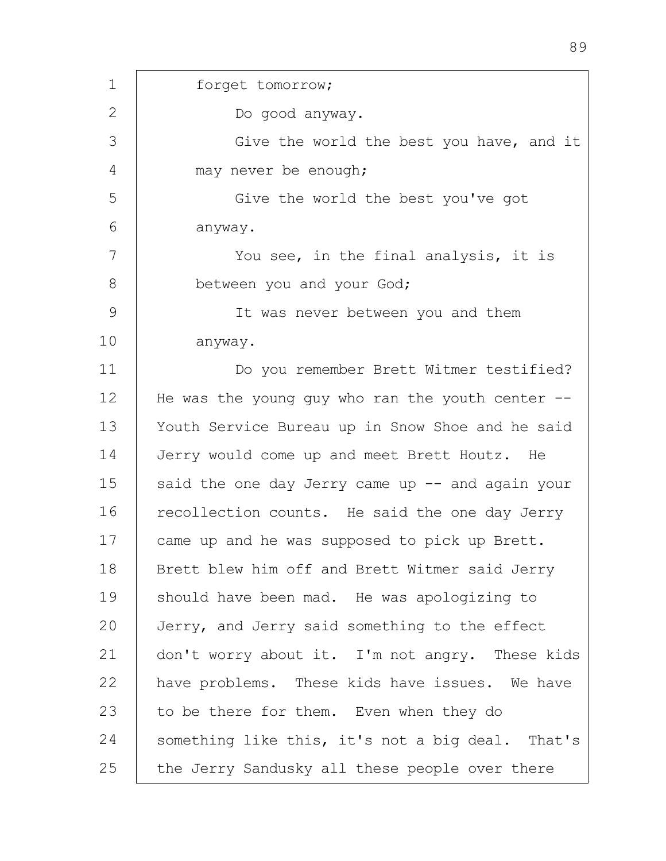1 2 3 4 5 6 7 8 9 10 11 12 13 14 15 16 17 18 19 20 21 22 23 24 25 forget tomorrow; Do good anyway. Give the world the best you have, and it may never be enough; Give the world the best you've got anyway. You see, in the final analysis, it is between you and your God; It was never between you and them anyway. Do you remember Brett Witmer testified? He was the young guy who ran the youth center  $-$ -Youth Service Bureau up in Snow Shoe and he said Jerry would come up and meet Brett Houtz. He said the one day Jerry came up  $-$  and again your recollection counts. He said the one day Jerry came up and he was supposed to pick up Brett. Brett blew him off and Brett Witmer said Jerry should have been mad. He was apologizing to Jerry, and Jerry said something to the effect don't worry about it. I'm not angry. These kids have problems. These kids have issues. We have to be there for them. Even when they do something like this, it's not a big deal. That's the Jerry Sandusky all these people over there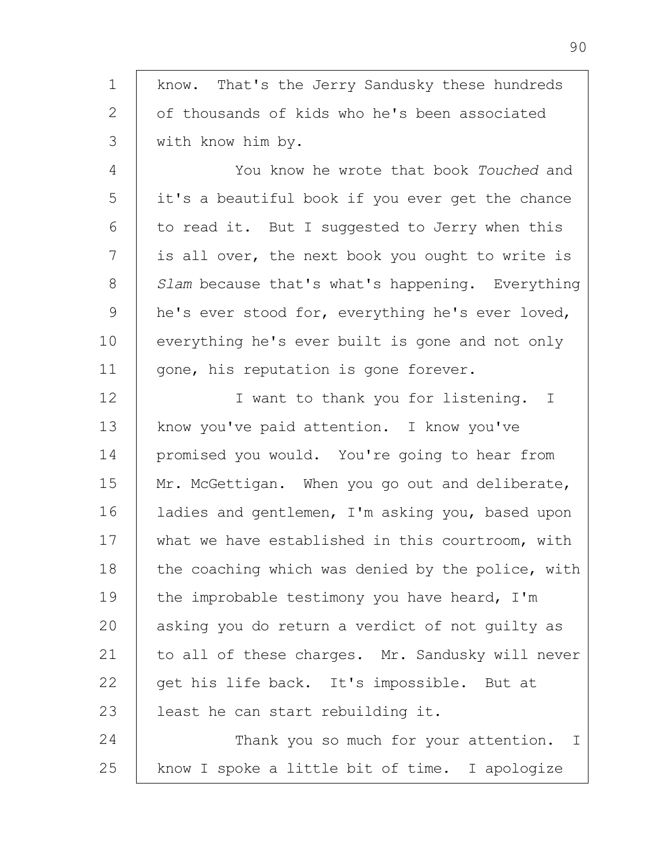1 2 3 know. That's the Jerry Sandusky these hundreds of thousands of kids who he's been associated with know him by.

4 5 6 7 8 9 10 11 You know he wrote that book *Touched* and it's a beautiful book if you ever get the chance to read it. But I suggested to Jerry when this is all over, the next book you ought to write is *Slam* because that's what's happening. Everything he's ever stood for, everything he's ever loved, everything he's ever built is gone and not only gone, his reputation is gone forever.

12 13 14 15 16 17 18 19  $20$ 21 22 23 24 I want to thank you for listening. I know you've paid attention. I know you've promised you would. You're going to hear from Mr. McGettigan. When you go out and deliberate, ladies and gentlemen, I'm asking you, based upon what we have established in this courtroom, with the coaching which was denied by the police, with the improbable testimony you have heard, I'm asking you do return a verdict of not guilty as to all of these charges. Mr. Sandusky will never get his life back. It's impossible. But at least he can start rebuilding it. Thank you so much for your attention. I

25 know I spoke a little bit of time. I apologize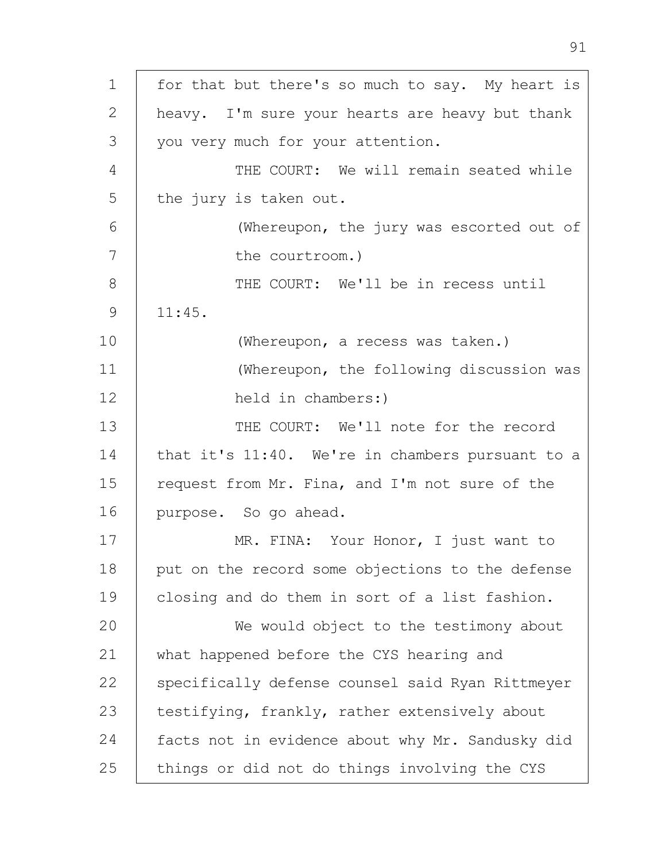1 2 3 4 5 6 7 8 9 10 11 12 13 14 15 16 17 18 19 20 21 22 23 24 25 for that but there's so much to say. My heart is heavy. I'm sure your hearts are heavy but thank you very much for your attention. THE COURT: We will remain seated while the jury is taken out. (Whereupon, the jury was escorted out of the courtroom.) THE COURT: We'll be in recess until 11:45. (Whereupon, a recess was taken.) (Whereupon, the following discussion was held in chambers:) THE COURT: We'll note for the record that it's 11:40. We're in chambers pursuant to a request from Mr. Fina, and I'm not sure of the purpose. So go ahead. MR. FINA: Your Honor, I just want to put on the record some objections to the defense closing and do them in sort of a list fashion. We would object to the testimony about what happened before the CYS hearing and specifically defense counsel said Ryan Rittmeyer testifying, frankly, rather extensively about facts not in evidence about why Mr. Sandusky did things or did not do things involving the CYS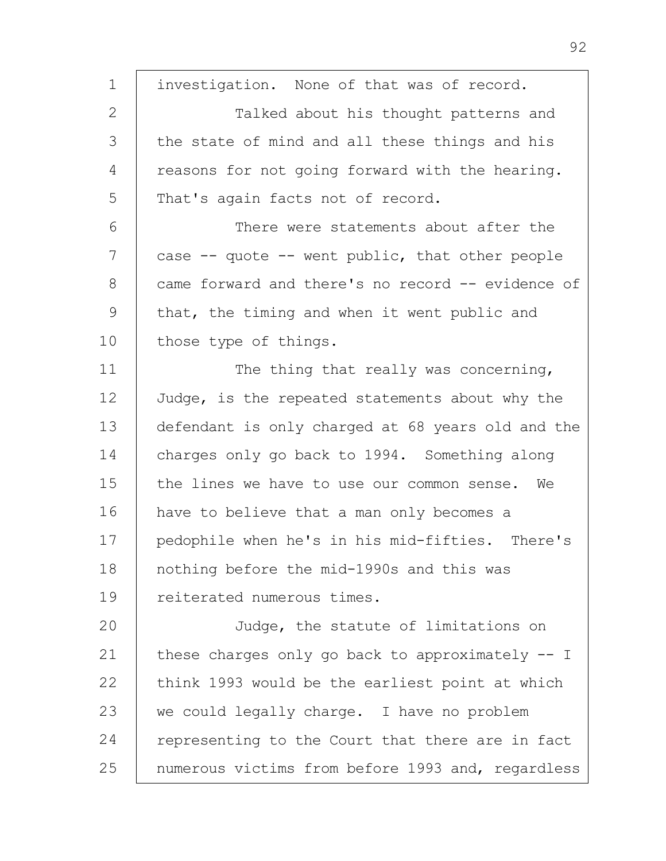1 2 3 4 5 6 7 8 9 10 11 12 13 14 15 16 17 18 19 20 21 22 23 24 25 investigation. None of that was of record. Talked about his thought patterns and the state of mind and all these things and his reasons for not going forward with the hearing. That's again facts not of record. There were statements about after the case  $-$ - quote  $-$ - went public, that other people came forward and there's no record -- evidence of that, the timing and when it went public and those type of things. The thing that really was concerning, Judge, is the repeated statements about why the defendant is only charged at 68 years old and the charges only go back to 1994. Something along the lines we have to use our common sense. We have to believe that a man only becomes a pedophile when he's in his mid-fifties. There's nothing before the mid-1990s and this was reiterated numerous times. Judge, the statute of limitations on these charges only go back to approximately -- I think 1993 would be the earliest point at which we could legally charge. I have no problem representing to the Court that there are in fact numerous victims from before 1993 and, regardless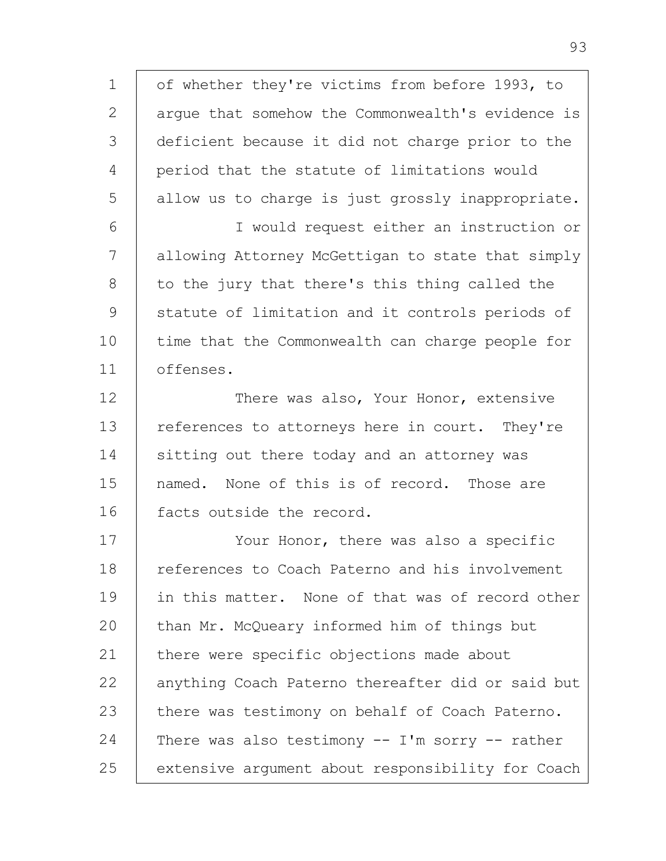1 2 3 4 5 6 7 8 9 10 11 12 13 14 15 16 17 18 19 20 21 22 23 24 25 of whether they're victims from before 1993, to argue that somehow the Commonwealth's evidence is deficient because it did not charge prior to the period that the statute of limitations would allow us to charge is just grossly inappropriate. I would request either an instruction or allowing Attorney McGettigan to state that simply to the jury that there's this thing called the statute of limitation and it controls periods of time that the Commonwealth can charge people for offenses. There was also, Your Honor, extensive references to attorneys here in court. They're sitting out there today and an attorney was named. None of this is of record. Those are facts outside the record. Your Honor, there was also a specific references to Coach Paterno and his involvement in this matter. None of that was of record other than Mr. McQueary informed him of things but there were specific objections made about anything Coach Paterno thereafter did or said but there was testimony on behalf of Coach Paterno. There was also testimony  $-$  I'm sorry  $-$  rather extensive argument about responsibility for Coach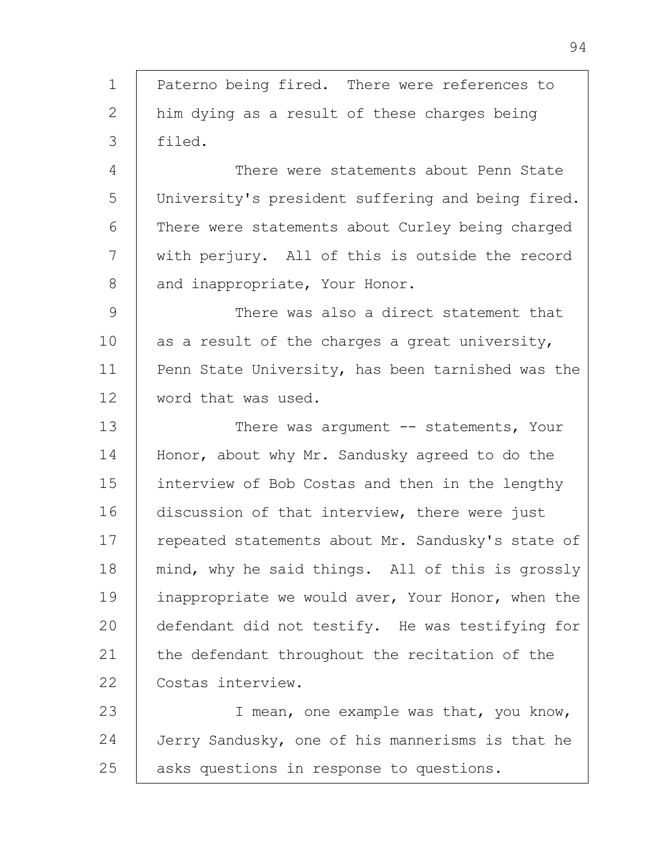1 2 3 4 5 6 7 8 9 10 11 12 13 14 15 16 17 18 19 20 21 22 23 24 25 Paterno being fired. There were references to him dying as a result of these charges being filed. There were statements about Penn State University's president suffering and being fired. There were statements about Curley being charged with perjury. All of this is outside the record and inappropriate, Your Honor. There was also a direct statement that as a result of the charges a great university, Penn State University, has been tarnished was the word that was used. There was argument -- statements, Your Honor, about why Mr. Sandusky agreed to do the interview of Bob Costas and then in the lengthy discussion of that interview, there were just repeated statements about Mr. Sandusky's state of mind, why he said things. All of this is grossly inappropriate we would aver, Your Honor, when the defendant did not testify. He was testifying for the defendant throughout the recitation of the Costas interview. I mean, one example was that, you know, Jerry Sandusky, one of his mannerisms is that he asks questions in response to questions.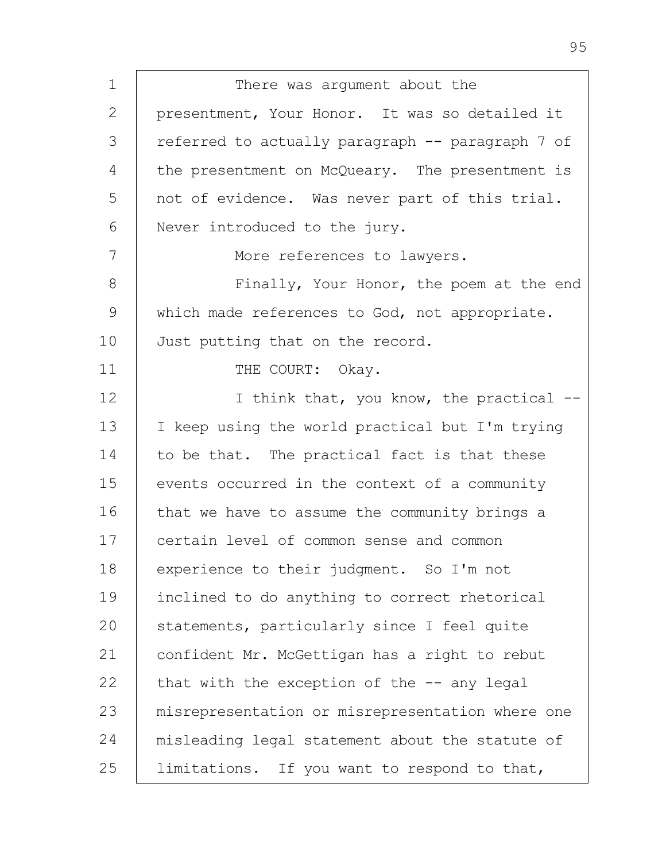1 2 3 4 5 6 7 8 9 10 11 12 13 14 15 16 17 18 19 20 21 22 23 24 25 There was argument about the presentment, Your Honor. It was so detailed it referred to actually paragraph -- paragraph 7 of the presentment on McQueary. The presentment is not of evidence. Was never part of this trial. Never introduced to the jury. More references to lawyers. Finally, Your Honor, the poem at the end which made references to God, not appropriate. Just putting that on the record. THE COURT: Okay. I think that, you know, the practical -- I keep using the world practical but I'm trying to be that. The practical fact is that these events occurred in the context of a community that we have to assume the community brings a certain level of common sense and common experience to their judgment. So I'm not inclined to do anything to correct rhetorical statements, particularly since I feel quite confident Mr. McGettigan has a right to rebut that with the exception of the  $-$ - any legal misrepresentation or misrepresentation where one misleading legal statement about the statute of limitations. If you want to respond to that,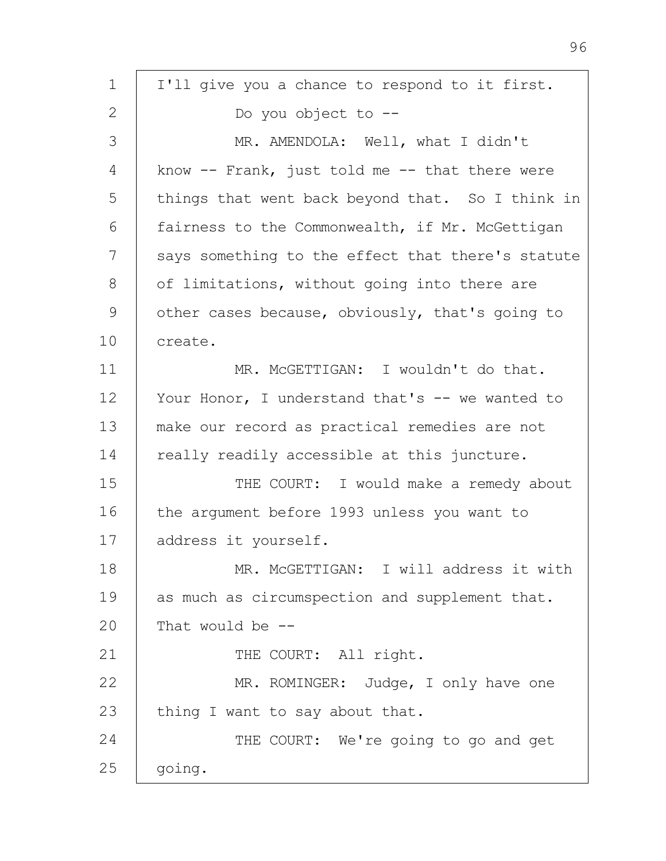| 1  | I'll give you a chance to respond to it first.     |
|----|----------------------------------------------------|
| 2  | Do you object to --                                |
| 3  | MR. AMENDOLA: Well, what I didn't                  |
| 4  | know $--$ Frank, just told me $--$ that there were |
| 5  | things that went back beyond that. So I think in   |
| 6  | fairness to the Commonwealth, if Mr. McGettigan    |
| 7  | says something to the effect that there's statute  |
| 8  | of limitations, without going into there are       |
| 9  | other cases because, obviously, that's going to    |
| 10 | create.                                            |
| 11 | MR. MCGETTIGAN: I wouldn't do that.                |
| 12 | Your Honor, I understand that's -- we wanted to    |
| 13 | make our record as practical remedies are not      |
| 14 | really readily accessible at this juncture.        |
| 15 | THE COURT: I would make a remedy about             |
| 16 | the argument before 1993 unless you want to        |
| 17 | address it yourself.                               |
| 18 | MR. MCGETTIGAN: I will address it with             |
| 19 | as much as circumspection and supplement that.     |
| 20 | That would be $-$ -                                |
| 21 | THE COURT: All right.                              |
| 22 | MR. ROMINGER: Judge, I only have one               |
| 23 | thing I want to say about that.                    |
| 24 | THE COURT: We're going to go and get               |
| 25 | going.                                             |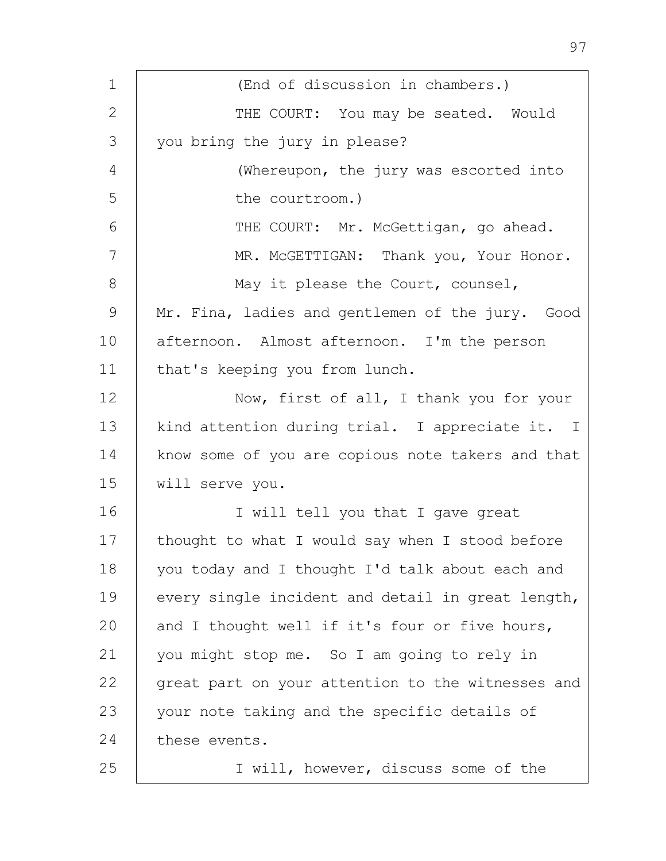| $\mathbf 1$ | (End of discussion in chambers.)                  |
|-------------|---------------------------------------------------|
| 2           | THE COURT: You may be seated. Would               |
| 3           | you bring the jury in please?                     |
| 4           | (Whereupon, the jury was escorted into            |
| 5           | the courtroom.)                                   |
| 6           | THE COURT: Mr. McGettigan, go ahead.              |
| 7           | MR. MCGETTIGAN: Thank you, Your Honor.            |
| 8           | May it please the Court, counsel,                 |
| 9           | Mr. Fina, ladies and gentlemen of the jury. Good  |
| 10          | afternoon. Almost afternoon. I'm the person       |
| 11          | that's keeping you from lunch.                    |
| 12          | Now, first of all, I thank you for your           |
| 13          | kind attention during trial. I appreciate it. I   |
| 14          | know some of you are copious note takers and that |
| 15          | will serve you.                                   |
| 16          | I will tell you that I gave great                 |
| 17          | thought to what I would say when I stood before   |
| 18          | you today and I thought I'd talk about each and   |
| 19          | every single incident and detail in great length, |
| 20          | and I thought well if it's four or five hours,    |
| 21          | you might stop me. So I am going to rely in       |
| 22          | great part on your attention to the witnesses and |
| 23          | your note taking and the specific details of      |
| 24          | these events.                                     |
| 25          | I will, however, discuss some of the              |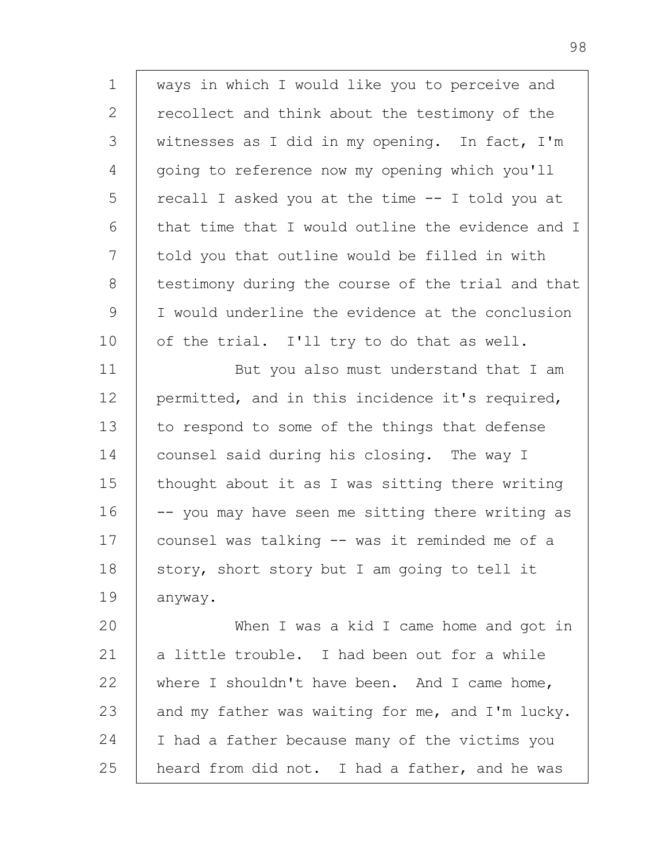1 2 3 4 5 6 7 8 9 10 11 12 13 14 15 16 17 18 19 20 21 22 23 24 25 ways in which I would like you to perceive and recollect and think about the testimony of the witnesses as I did in my opening. In fact, I'm going to reference now my opening which you'll recall I asked you at the time -- I told you at that time that I would outline the evidence and I told you that outline would be filled in with testimony during the course of the trial and that I would underline the evidence at the conclusion of the trial. I'll try to do that as well. But you also must understand that I am permitted, and in this incidence it's required, to respond to some of the things that defense counsel said during his closing. The way I thought about it as I was sitting there writing -- you may have seen me sitting there writing as counsel was talking -- was it reminded me of a story, short story but I am going to tell it anyway. When I was a kid I came home and got in a little trouble. I had been out for a while where I shouldn't have been. And I came home, and my father was waiting for me, and I'm lucky. I had a father because many of the victims you heard from did not. I had a father, and he was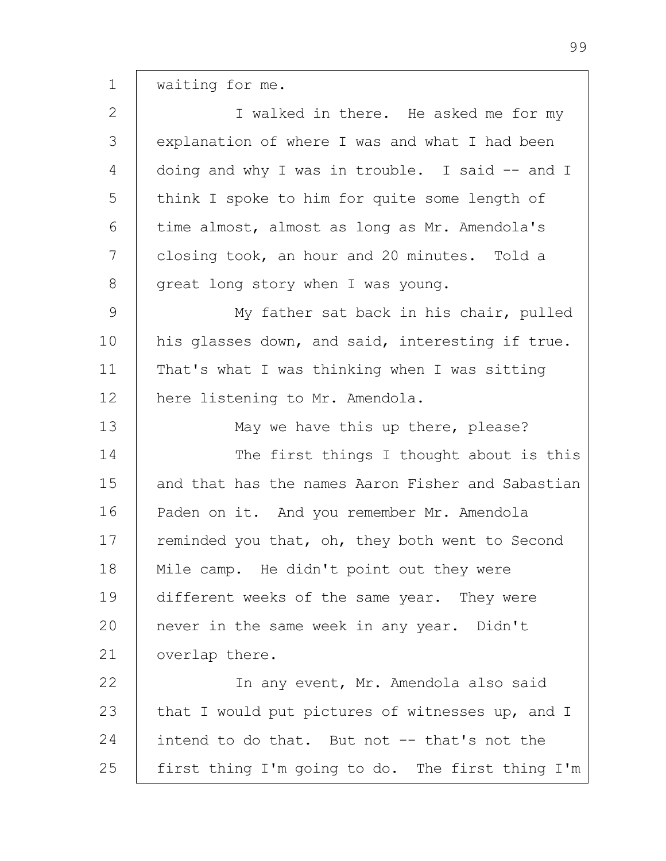waiting for me.

1

| $\mathbf{2}$  | I walked in there. He asked me for my             |
|---------------|---------------------------------------------------|
| 3             | explanation of where I was and what I had been    |
| 4             | doing and why I was in trouble. I said $-$ and I  |
| 5             | think I spoke to him for quite some length of     |
| 6             | time almost, almost as long as Mr. Amendola's     |
| 7             | closing took, an hour and 20 minutes. Told a      |
| $8\,$         | great long story when I was young.                |
| $\mathcal{G}$ | My father sat back in his chair, pulled           |
| 10            | his glasses down, and said, interesting if true.  |
| 11            | That's what I was thinking when I was sitting     |
| 12            | here listening to Mr. Amendola.                   |
| 13            | May we have this up there, please?                |
| 14            | The first things I thought about is this          |
| 15            | and that has the names Aaron Fisher and Sabastian |
| 16            | Paden on it. And you remember Mr. Amendola        |
| 17            | reminded you that, oh, they both went to Second   |
| 18            | Mile camp. He didn't point out they were          |
| 19            | different weeks of the same year. They were       |
| 20            | never in the same week in any year. Didn't        |
| 21            | overlap there.                                    |
| 22            | In any event, Mr. Amendola also said              |
| 23            | that I would put pictures of witnesses up, and I  |
| 24            | intend to do that. But not -- that's not the      |
| 25            | first thing I'm going to do. The first thing I'm  |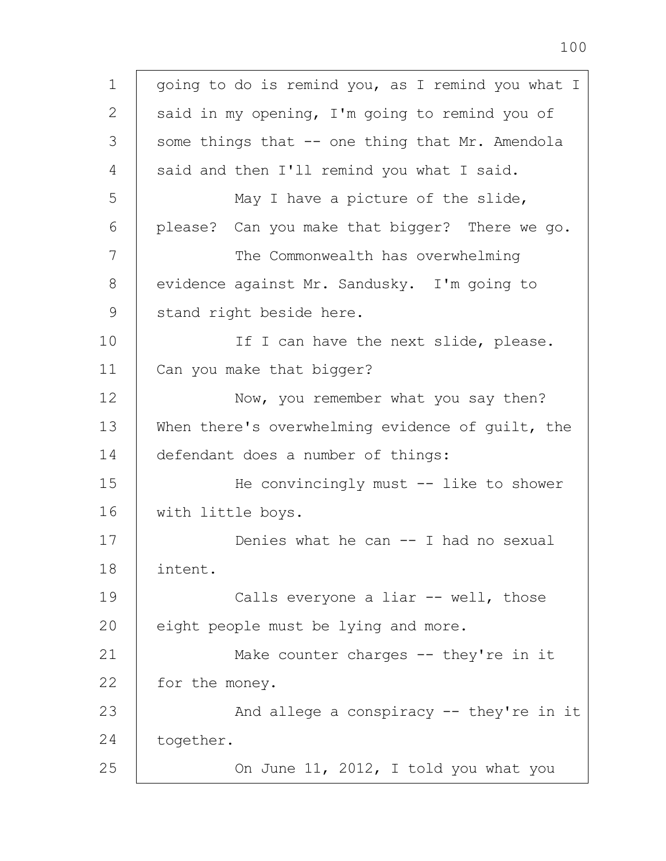| $\mathbf 1$  | going to do is remind you, as I remind you what I |
|--------------|---------------------------------------------------|
| $\mathbf{2}$ | said in my opening, I'm going to remind you of    |
| 3            | some things that -- one thing that Mr. Amendola   |
| 4            | said and then I'll remind you what I said.        |
| 5            | May I have a picture of the slide,                |
| 6            | please? Can you make that bigger? There we go.    |
| 7            | The Commonwealth has overwhelming                 |
| 8            | evidence against Mr. Sandusky. I'm going to       |
| 9            | stand right beside here.                          |
| 10           | If I can have the next slide, please.             |
| 11           | Can you make that bigger?                         |
| 12           | Now, you remember what you say then?              |
| 13           | When there's overwhelming evidence of guilt, the  |
| 14           | defendant does a number of things:                |
| 15           | He convincingly must -- like to shower            |
| 16           | with little boys.                                 |
| 17           | Denies what he can $--$ I had no sexual           |
| 18           | intent.                                           |
| 19           | Calls everyone a liar -- well, those              |
| 20           | eight people must be lying and more.              |
| 21           | Make counter charges $--$ they're in it           |
| 22           | for the money.                                    |
| 23           | And allege a conspiracy -- they're in it          |
| 24           | together.                                         |
| 25           | On June 11, 2012, I told you what you             |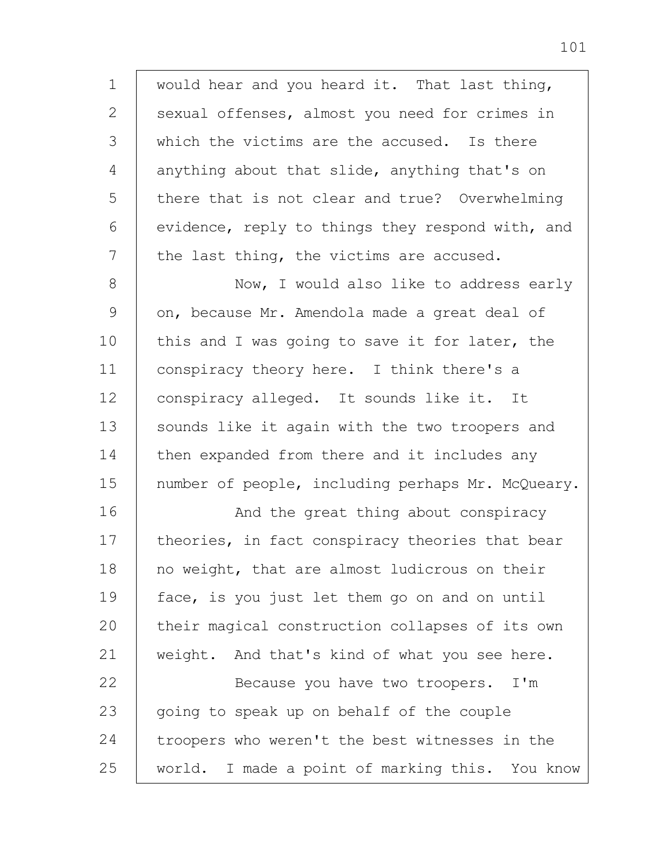1 2 3 4 5 6 7 would hear and you heard it. That last thing, sexual offenses, almost you need for crimes in which the victims are the accused. Is there anything about that slide, anything that's on there that is not clear and true? Overwhelming evidence, reply to things they respond with, and the last thing, the victims are accused.

8 9 10 11 12 13 14 15 Now, I would also like to address early on, because Mr. Amendola made a great deal of this and I was going to save it for later, the conspiracy theory here. I think there's a conspiracy alleged. It sounds like it. It sounds like it again with the two troopers and then expanded from there and it includes any number of people, including perhaps Mr. McQueary.

16 17 18 19 20 21 22 23 And the great thing about conspiracy theories, in fact conspiracy theories that bear no weight, that are almost ludicrous on their face, is you just let them go on and on until their magical construction collapses of its own weight. And that's kind of what you see here. Because you have two troopers. I'm going to speak up on behalf of the couple

24 25 troopers who weren't the best witnesses in the world. I made a point of marking this. You know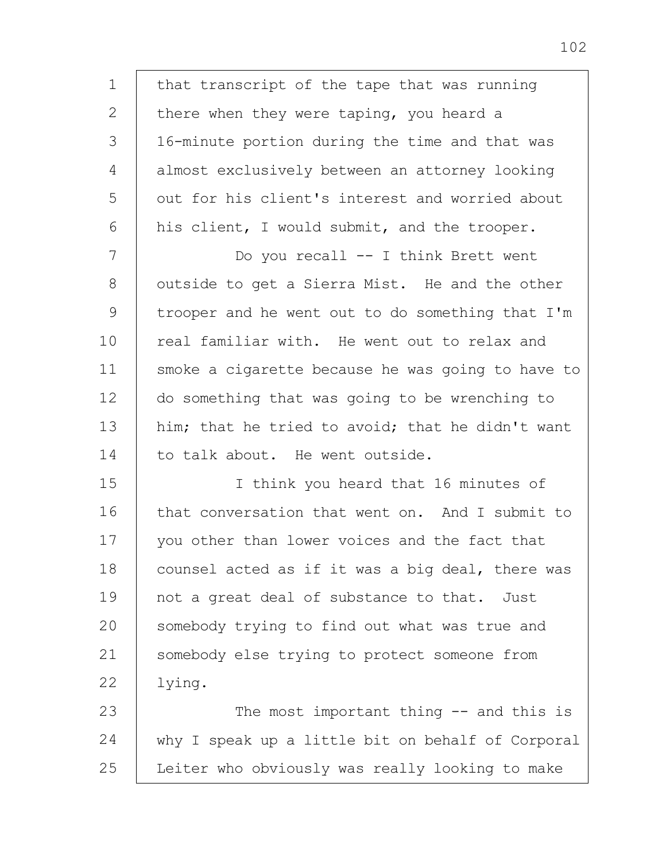1 2 3 4 5 6 7 8 9 10 11 12 13 14 15 16 17 18 19  $20$ 21 22 23 24 25 that transcript of the tape that was running there when they were taping, you heard a 16-minute portion during the time and that was almost exclusively between an attorney looking out for his client's interest and worried about his client, I would submit, and the trooper. Do you recall -- I think Brett went outside to get a Sierra Mist. He and the other trooper and he went out to do something that I'm real familiar with. He went out to relax and smoke a cigarette because he was going to have to do something that was going to be wrenching to him; that he tried to avoid; that he didn't want to talk about. He went outside. I think you heard that 16 minutes of that conversation that went on. And I submit to you other than lower voices and the fact that counsel acted as if it was a big deal, there was not a great deal of substance to that. Just somebody trying to find out what was true and somebody else trying to protect someone from lying. The most important thing -- and this is why I speak up a little bit on behalf of Corporal Leiter who obviously was really looking to make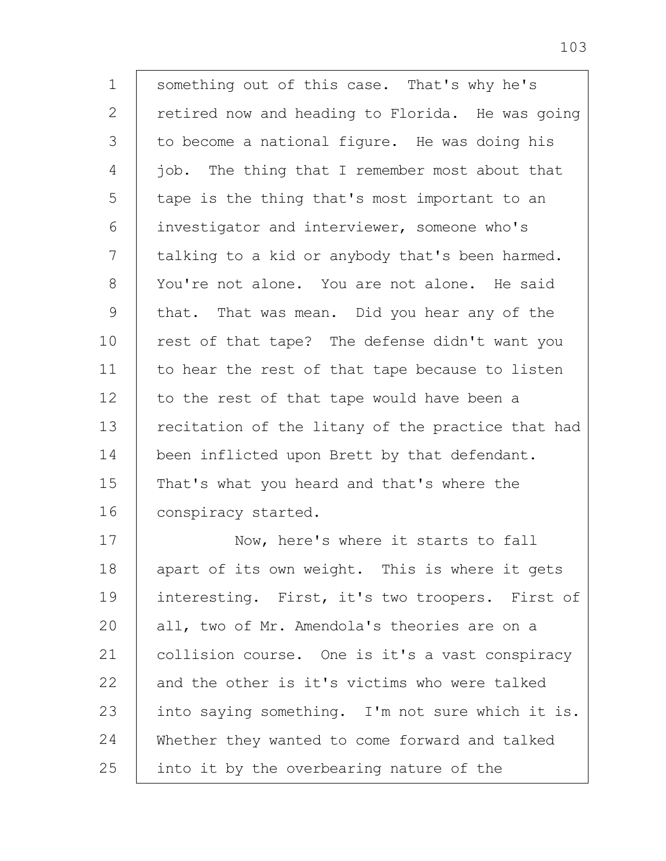1 2 3 4 5 6 7 8 9 10 11 12 13 14 15 16 17 18 19  $20$ 21 22 23 something out of this case. That's why he's retired now and heading to Florida. He was going to become a national figure. He was doing his job. The thing that I remember most about that tape is the thing that's most important to an investigator and interviewer, someone who's talking to a kid or anybody that's been harmed. You're not alone. You are not alone. He said that. That was mean. Did you hear any of the rest of that tape? The defense didn't want you to hear the rest of that tape because to listen to the rest of that tape would have been a recitation of the litany of the practice that had been inflicted upon Brett by that defendant. That's what you heard and that's where the conspiracy started. Now, here's where it starts to fall apart of its own weight. This is where it gets interesting. First, it's two troopers. First of all, two of Mr. Amendola's theories are on a collision course. One is it's a vast conspiracy and the other is it's victims who were talked into saying something. I'm not sure which it is.

24 Whether they wanted to come forward and talked

25 into it by the overbearing nature of the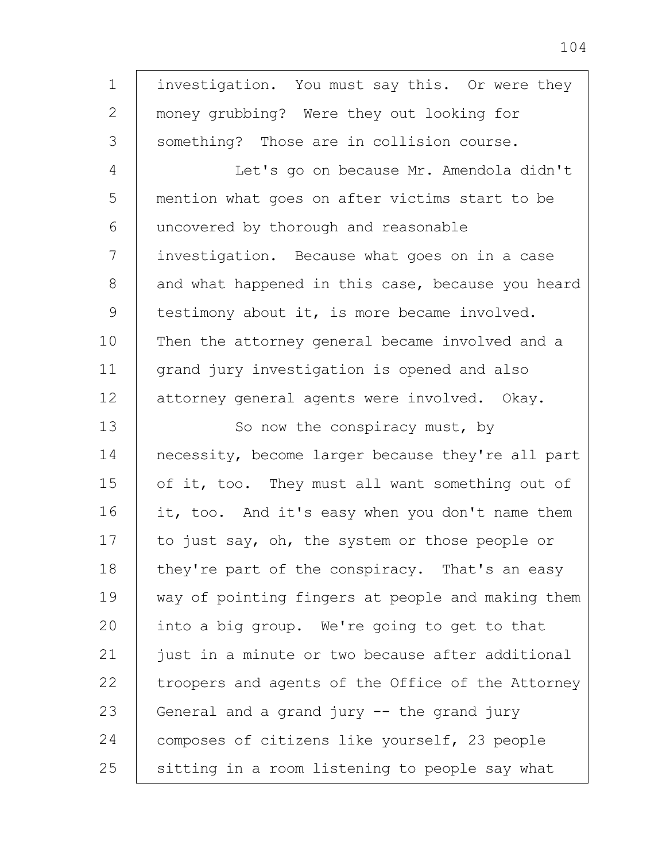1 2 3 4 5 6 7 8 9 10 11 12 13 14 15 16 17 18 19 20 21 22 23 24 25 investigation. You must say this. Or were they money grubbing? Were they out looking for something? Those are in collision course. Let's go on because Mr. Amendola didn't mention what goes on after victims start to be uncovered by thorough and reasonable investigation. Because what goes on in a case and what happened in this case, because you heard testimony about it, is more became involved. Then the attorney general became involved and a grand jury investigation is opened and also attorney general agents were involved. Okay. So now the conspiracy must, by necessity, become larger because they're all part of it, too. They must all want something out of it, too. And it's easy when you don't name them to just say, oh, the system or those people or they're part of the conspiracy. That's an easy way of pointing fingers at people and making them into a big group. We're going to get to that just in a minute or two because after additional troopers and agents of the Office of the Attorney General and a grand jury -- the grand jury composes of citizens like yourself, 23 people sitting in a room listening to people say what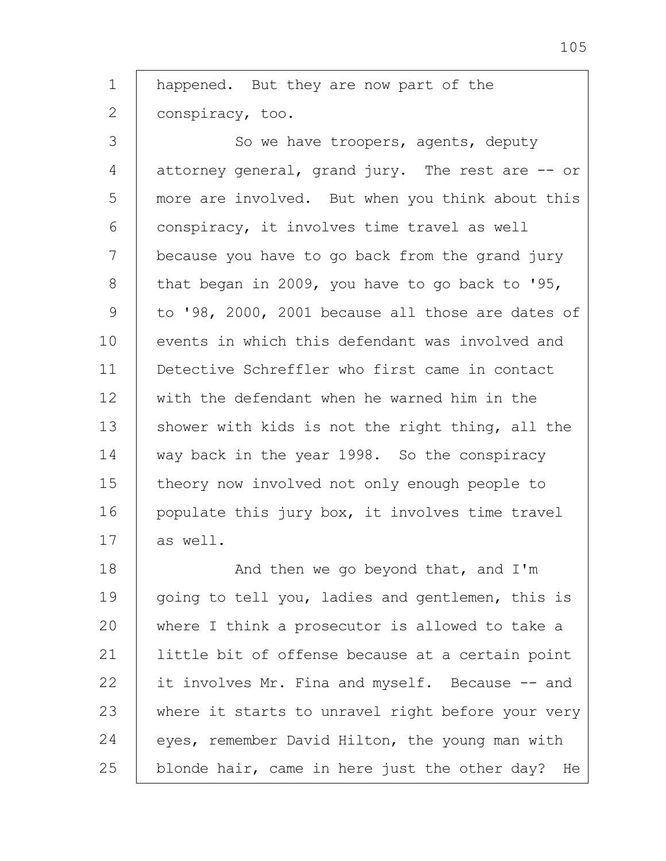1 2 happened. But they are now part of the conspiracy, too.

3 4 5 6 7 8 9 10 11 12 13 14 15 16 17 So we have troopers, agents, deputy attorney general, grand jury. The rest are -- or more are involved. But when you think about this conspiracy, it involves time travel as well because you have to go back from the grand jury that began in 2009, you have to go back to '95, to '98, 2000, 2001 because all those are dates of events in which this defendant was involved and Detective Schreffler who first came in contact with the defendant when he warned him in the shower with kids is not the right thing, all the way back in the year 1998. So the conspiracy theory now involved not only enough people to populate this jury box, it involves time travel as well.

18 19 20 21 22 23 24 25 And then we go beyond that, and I'm going to tell you, ladies and gentlemen, this is where I think a prosecutor is allowed to take a little bit of offense because at a certain point it involves Mr. Fina and myself. Because -- and where it starts to unravel right before your very eyes, remember David Hilton, the young man with blonde hair, came in here just the other day? He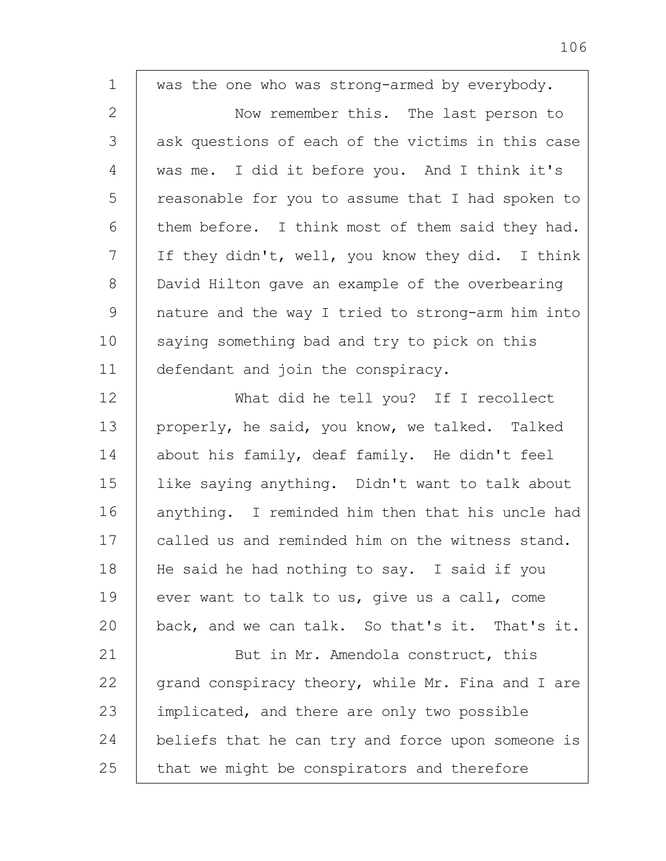1 2 3 4 5 6 7 8 9 10 11 12 13 14 15 16 17 18 19 20 21 22 23 24 25 was the one who was strong-armed by everybody. Now remember this. The last person to ask questions of each of the victims in this case was me. I did it before you. And I think it's reasonable for you to assume that I had spoken to them before. I think most of them said they had. If they didn't, well, you know they did. I think David Hilton gave an example of the overbearing nature and the way I tried to strong-arm him into saying something bad and try to pick on this defendant and join the conspiracy. What did he tell you? If I recollect properly, he said, you know, we talked. Talked about his family, deaf family. He didn't feel like saying anything. Didn't want to talk about anything. I reminded him then that his uncle had called us and reminded him on the witness stand. He said he had nothing to say. I said if you ever want to talk to us, give us a call, come back, and we can talk. So that's it. That's it. But in Mr. Amendola construct, this grand conspiracy theory, while Mr. Fina and I are implicated, and there are only two possible beliefs that he can try and force upon someone is that we might be conspirators and therefore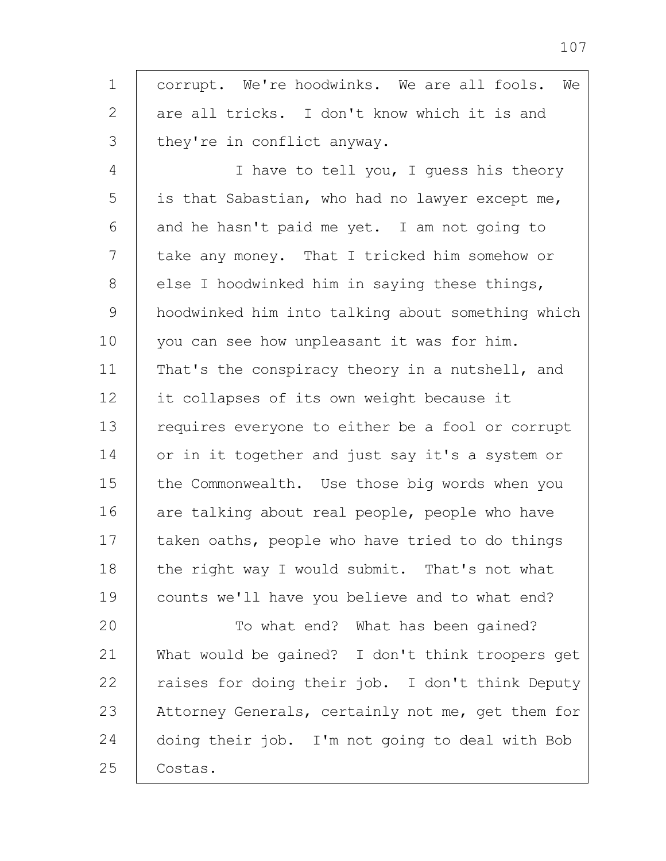1 2 3 4 5 6 7 8 9 10 11 12 13 14 15 16 17 18 19 20 21 22 23 corrupt. We're hoodwinks. We are all fools. We are all tricks. I don't know which it is and they're in conflict anyway. I have to tell you, I guess his theory is that Sabastian, who had no lawyer except me, and he hasn't paid me yet. I am not going to take any money. That I tricked him somehow or else I hoodwinked him in saying these things, hoodwinked him into talking about something which you can see how unpleasant it was for him. That's the conspiracy theory in a nutshell, and it collapses of its own weight because it requires everyone to either be a fool or corrupt or in it together and just say it's a system or the Commonwealth. Use those big words when you are talking about real people, people who have taken oaths, people who have tried to do things the right way I would submit. That's not what counts we'll have you believe and to what end? To what end? What has been gained? What would be gained? I don't think troopers get raises for doing their job. I don't think Deputy Attorney Generals, certainly not me, get them for

24 25 doing their job. I'm not going to deal with Bob Costas.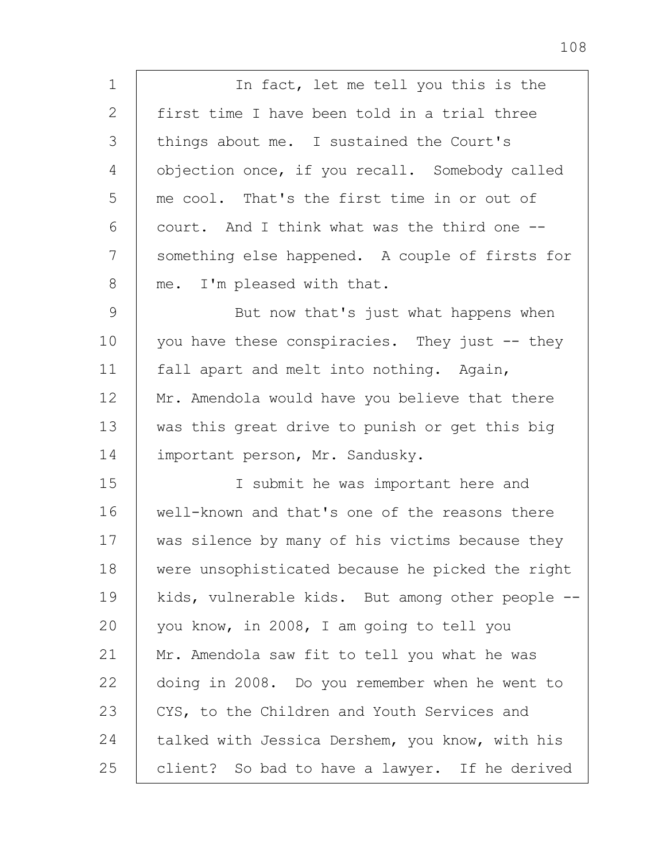1 2 3 4 5 6 7 8 9 10 11 12 13 14 15 16 17 18 19  $20$ 21 In fact, let me tell you this is the first time I have been told in a trial three things about me. I sustained the Court's objection once, if you recall. Somebody called me cool. That's the first time in or out of court. And I think what was the third one - something else happened. A couple of firsts for me. I'm pleased with that. But now that's just what happens when you have these conspiracies. They just -- they fall apart and melt into nothing. Again, Mr. Amendola would have you believe that there was this great drive to punish or get this big important person, Mr. Sandusky. I submit he was important here and well-known and that's one of the reasons there was silence by many of his victims because they were unsophisticated because he picked the right kids, vulnerable kids. But among other people - you know, in 2008, I am going to tell you Mr. Amendola saw fit to tell you what he was

22 23 24 25 doing in 2008. Do you remember when he went to CYS, to the Children and Youth Services and talked with Jessica Dershem, you know, with his client? So bad to have a lawyer. If he derived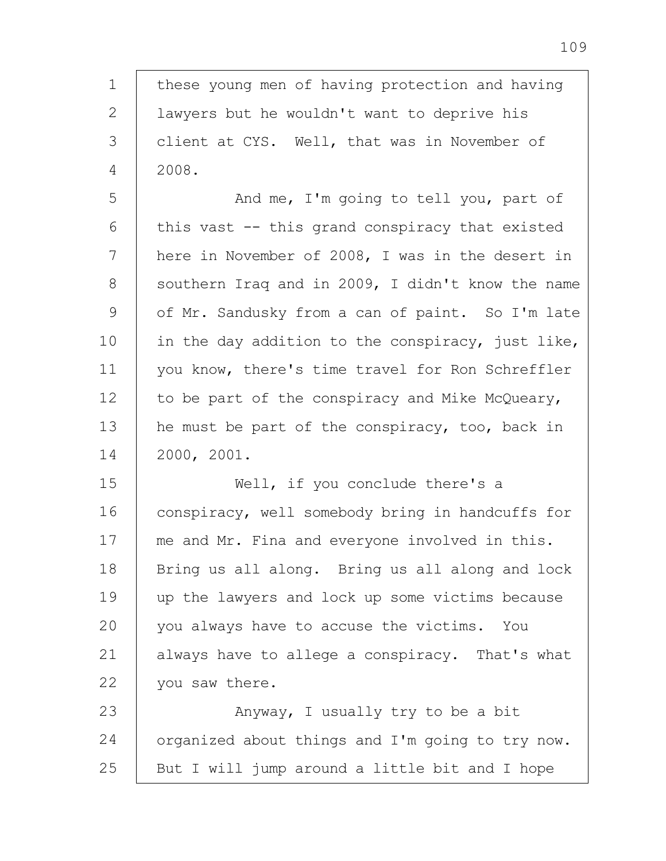1 2 3 4 5 6 7 8 9 10 11 12 13 14 15 16 17 18 19 20 21 22 23 24 25 these young men of having protection and having lawyers but he wouldn't want to deprive his client at CYS. Well, that was in November of 2008. And me, I'm going to tell you, part of this vast -- this grand conspiracy that existed here in November of 2008, I was in the desert in southern Iraq and in 2009, I didn't know the name of Mr. Sandusky from a can of paint. So I'm late in the day addition to the conspiracy, just like, you know, there's time travel for Ron Schreffler to be part of the conspiracy and Mike McQueary, he must be part of the conspiracy, too, back in 2000, 2001. Well, if you conclude there's a conspiracy, well somebody bring in handcuffs for me and Mr. Fina and everyone involved in this. Bring us all along. Bring us all along and lock up the lawyers and lock up some victims because you always have to accuse the victims. You always have to allege a conspiracy. That's what you saw there. Anyway, I usually try to be a bit organized about things and I'm going to try now. But I will jump around a little bit and I hope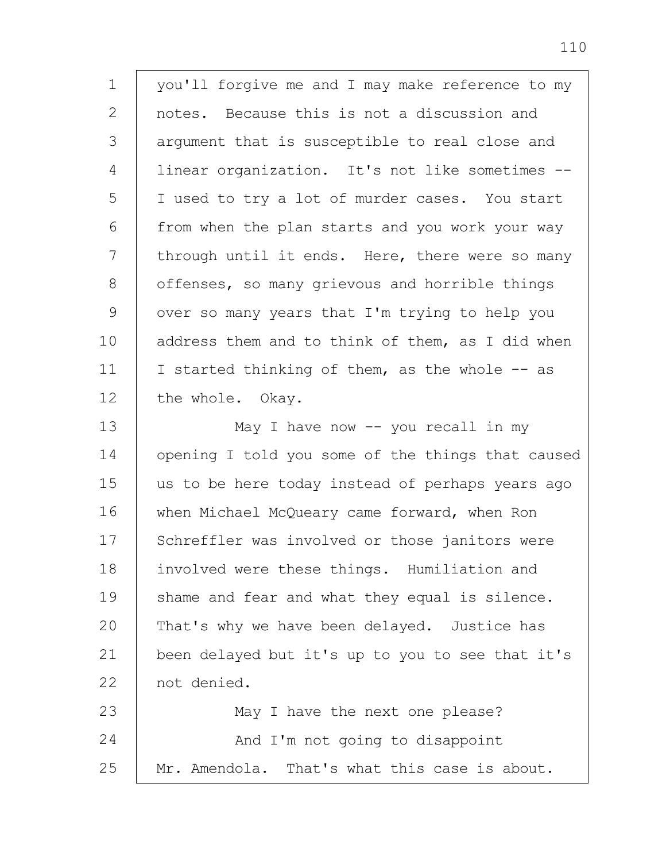1 2 3 4 5 6 7 8 9 10 11 12 13 14 15 16 17 18 19 20 21 22 23 24 25 you'll forgive me and I may make reference to my notes. Because this is not a discussion and argument that is susceptible to real close and linear organization. It's not like sometimes -- I used to try a lot of murder cases. You start from when the plan starts and you work your way through until it ends. Here, there were so many offenses, so many grievous and horrible things over so many years that I'm trying to help you address them and to think of them, as I did when I started thinking of them, as the whole -- as the whole. Okay. May I have now -- you recall in my opening I told you some of the things that caused us to be here today instead of perhaps years ago when Michael McQueary came forward, when Ron Schreffler was involved or those janitors were involved were these things. Humiliation and shame and fear and what they equal is silence. That's why we have been delayed. Justice has been delayed but it's up to you to see that it's not denied. May I have the next one please? And I'm not going to disappoint Mr. Amendola. That's what this case is about.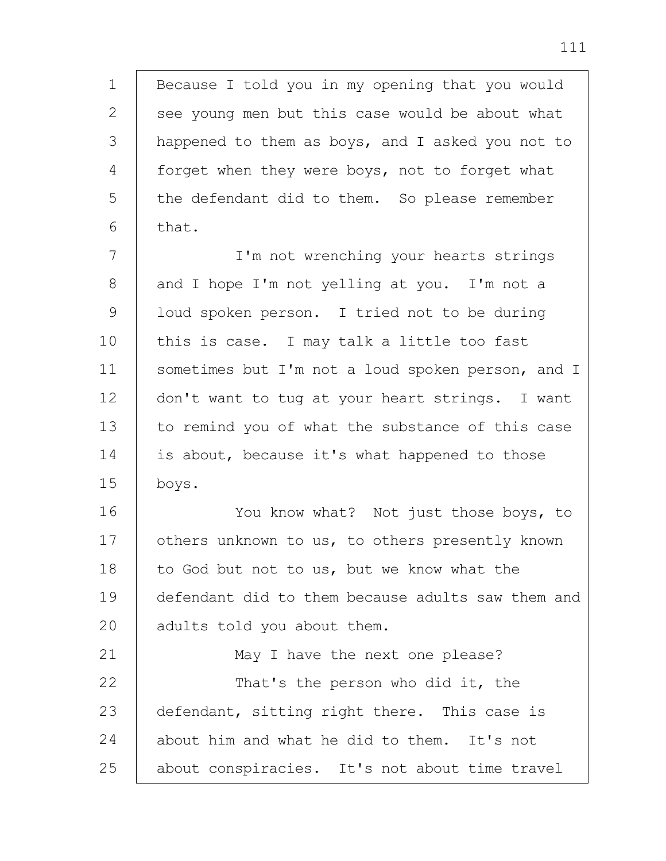1 2 3 4 5 6 Because I told you in my opening that you would see young men but this case would be about what happened to them as boys, and I asked you not to forget when they were boys, not to forget what the defendant did to them. So please remember that.

7 8 9 10 11 12 13 14 15 I'm not wrenching your hearts strings and I hope I'm not yelling at you. I'm not a loud spoken person. I tried not to be during this is case. I may talk a little too fast sometimes but I'm not a loud spoken person, and I don't want to tug at your heart strings. I want to remind you of what the substance of this case is about, because it's what happened to those boys.

16 17 18 19 20 You know what? Not just those boys, to others unknown to us, to others presently known to God but not to us, but we know what the defendant did to them because adults saw them and adults told you about them.

21 22 23 24 25 May I have the next one please? That's the person who did it, the defendant, sitting right there. This case is about him and what he did to them. It's not about conspiracies. It's not about time travel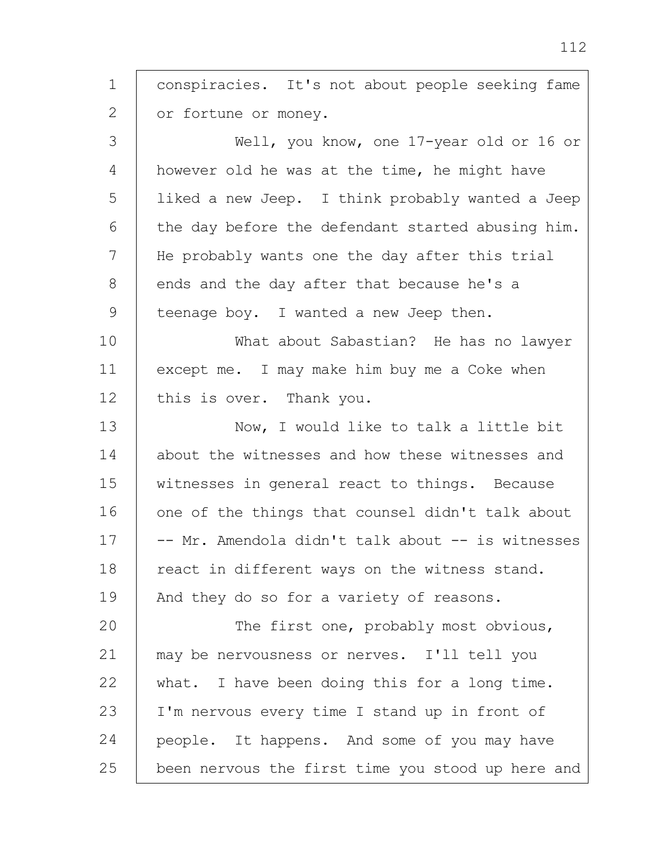1 2 3 4 5 6 7 8 9 10 11 12 13 14 15 16 17 18 19 20 21 22 23 24 25 conspiracies. It's not about people seeking fame or fortune or money. Well, you know, one 17-year old or 16 or however old he was at the time, he might have liked a new Jeep. I think probably wanted a Jeep the day before the defendant started abusing him. He probably wants one the day after this trial ends and the day after that because he's a teenage boy. I wanted a new Jeep then. What about Sabastian? He has no lawyer except me. I may make him buy me a Coke when this is over. Thank you. Now, I would like to talk a little bit about the witnesses and how these witnesses and witnesses in general react to things. Because one of the things that counsel didn't talk about -- Mr. Amendola didn't talk about -- is witnesses react in different ways on the witness stand. And they do so for a variety of reasons. The first one, probably most obvious, may be nervousness or nerves. I'll tell you what. I have been doing this for a long time. I'm nervous every time I stand up in front of people. It happens. And some of you may have been nervous the first time you stood up here and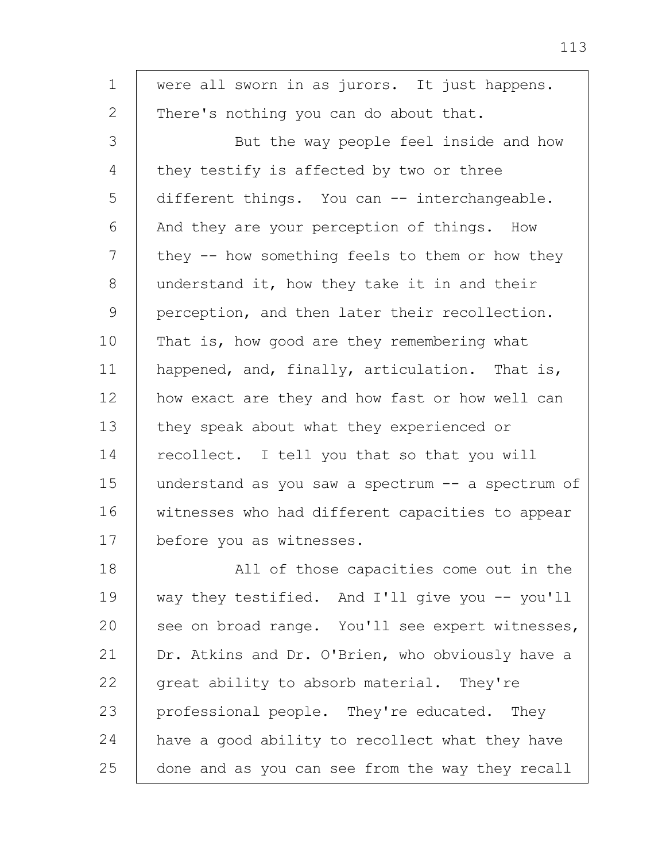| $\mathbf 1$  | were all sworn in as jurors. It just happens.     |
|--------------|---------------------------------------------------|
| $\mathbf{2}$ | There's nothing you can do about that.            |
| 3            | But the way people feel inside and how            |
| 4            | they testify is affected by two or three          |
| 5            | different things. You can -- interchangeable.     |
| 6            | And they are your perception of things. How       |
| 7            | they -- how something feels to them or how they   |
| 8            | understand it, how they take it in and their      |
| 9            | perception, and then later their recollection.    |
| 10           | That is, how good are they remembering what       |
| 11           | happened, and, finally, articulation. That is,    |
| 12           | how exact are they and how fast or how well can   |
| 13           | they speak about what they experienced or         |
| 14           | recollect. I tell you that so that you will       |
| 15           | understand as you saw a spectrum -- a spectrum of |
| 16           | witnesses who had different capacities to appear  |
| 17           | before you as witnesses.                          |
| 18           | All of those capacities come out in the           |
| 19           | way they testified. And I'll give you -- you'll   |
| 20           | see on broad range. You'll see expert witnesses,  |
| 21           | Dr. Atkins and Dr. O'Brien, who obviously have a  |
| 22           | great ability to absorb material. They're         |
| 23           | professional people. They're educated. They       |
| 24           | have a good ability to recollect what they have   |

done and as you can see from the way they recall

25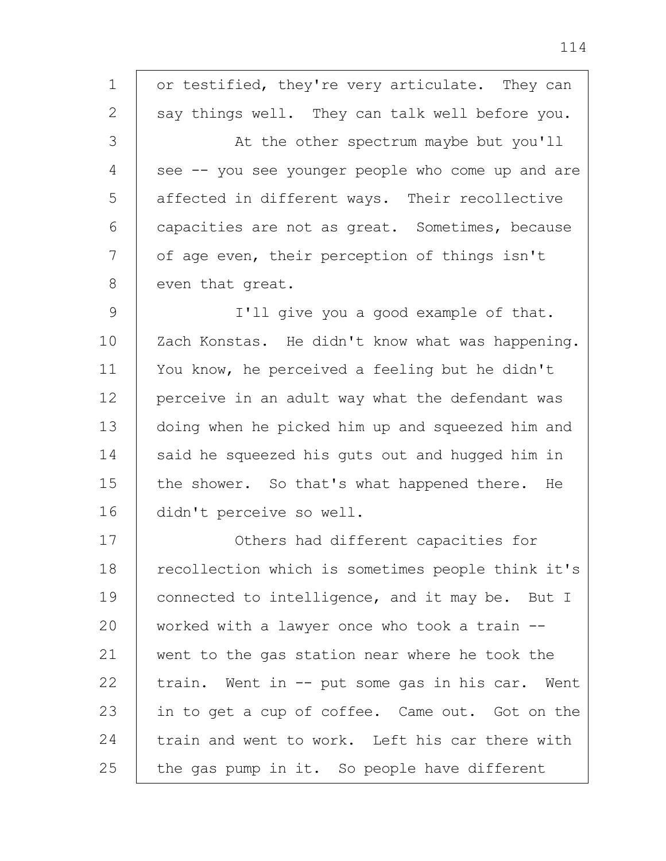1 2 3 4 5 6 7 8 9 10 11 12 13 14 15 16 17 18 19 20 21 22 23 24 25 or testified, they're very articulate. They can say things well. They can talk well before you. At the other spectrum maybe but you'll see -- you see younger people who come up and are affected in different ways. Their recollective capacities are not as great. Sometimes, because of age even, their perception of things isn't even that great. I'll give you a good example of that. Zach Konstas. He didn't know what was happening. You know, he perceived a feeling but he didn't perceive in an adult way what the defendant was doing when he picked him up and squeezed him and said he squeezed his guts out and hugged him in the shower. So that's what happened there. He didn't perceive so well. Others had different capacities for recollection which is sometimes people think it's connected to intelligence, and it may be. But I worked with a lawyer once who took a train - went to the gas station near where he took the train. Went in -- put some gas in his car. Went in to get a cup of coffee. Came out. Got on the train and went to work. Left his car there with the gas pump in it. So people have different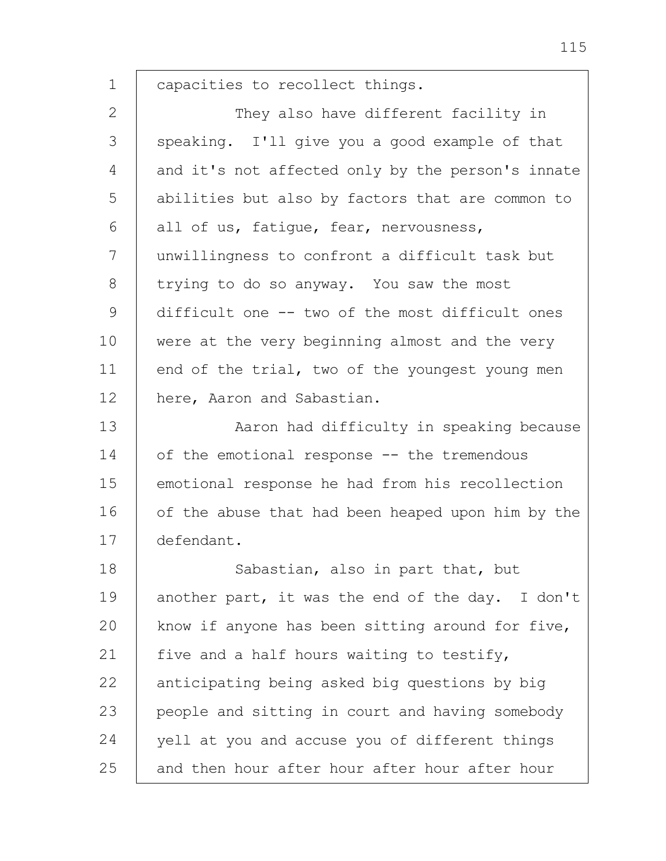1 capacities to recollect things.

2 3 4 5 6 7 8 9 10 11 12 They also have different facility in speaking. I'll give you a good example of that and it's not affected only by the person's innate abilities but also by factors that are common to all of us, fatigue, fear, nervousness, unwillingness to confront a difficult task but trying to do so anyway. You saw the most difficult one -- two of the most difficult ones were at the very beginning almost and the very end of the trial, two of the youngest young men here, Aaron and Sabastian.

13 14 15 16 17 Aaron had difficulty in speaking because of the emotional response -- the tremendous emotional response he had from his recollection of the abuse that had been heaped upon him by the defendant.

18 19 20 21 22 23 24 25 Sabastian, also in part that, but another part, it was the end of the day. I don't know if anyone has been sitting around for five, five and a half hours waiting to testify, anticipating being asked big questions by big people and sitting in court and having somebody yell at you and accuse you of different things and then hour after hour after hour after hour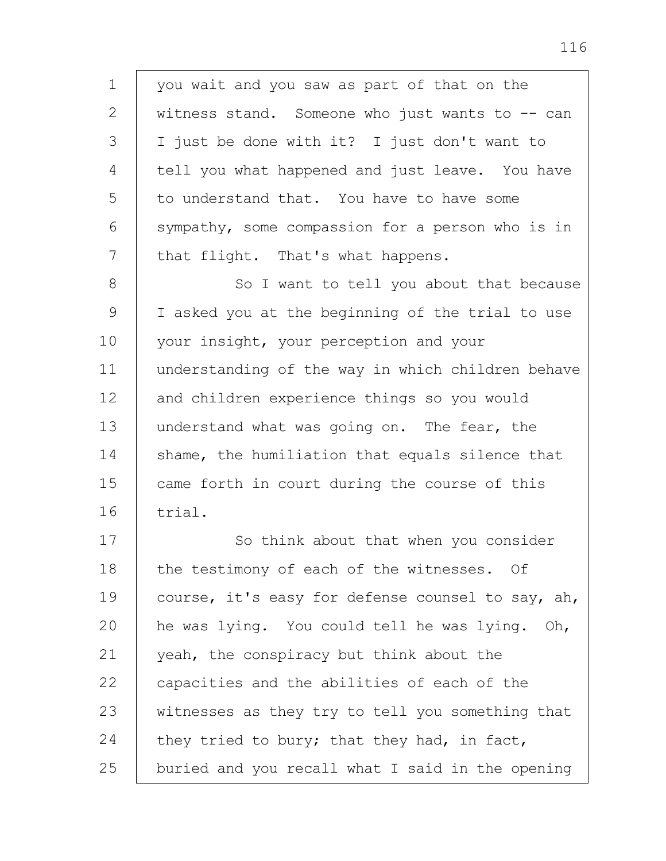1 2 3 4 5 6 7 you wait and you saw as part of that on the witness stand. Someone who just wants to  $-$  can I just be done with it? I just don't want to tell you what happened and just leave. You have to understand that. You have to have some sympathy, some compassion for a person who is in that flight. That's what happens.

8 9 10 11 12 13 14 15 16 So I want to tell you about that because I asked you at the beginning of the trial to use your insight, your perception and your understanding of the way in which children behave and children experience things so you would understand what was going on. The fear, the shame, the humiliation that equals silence that came forth in court during the course of this trial.

17 18 19 20 21 22 23 24 25 So think about that when you consider the testimony of each of the witnesses. Of course, it's easy for defense counsel to say, ah, he was lying. You could tell he was lying. Oh, yeah, the conspiracy but think about the capacities and the abilities of each of the witnesses as they try to tell you something that they tried to bury; that they had, in fact, buried and you recall what I said in the opening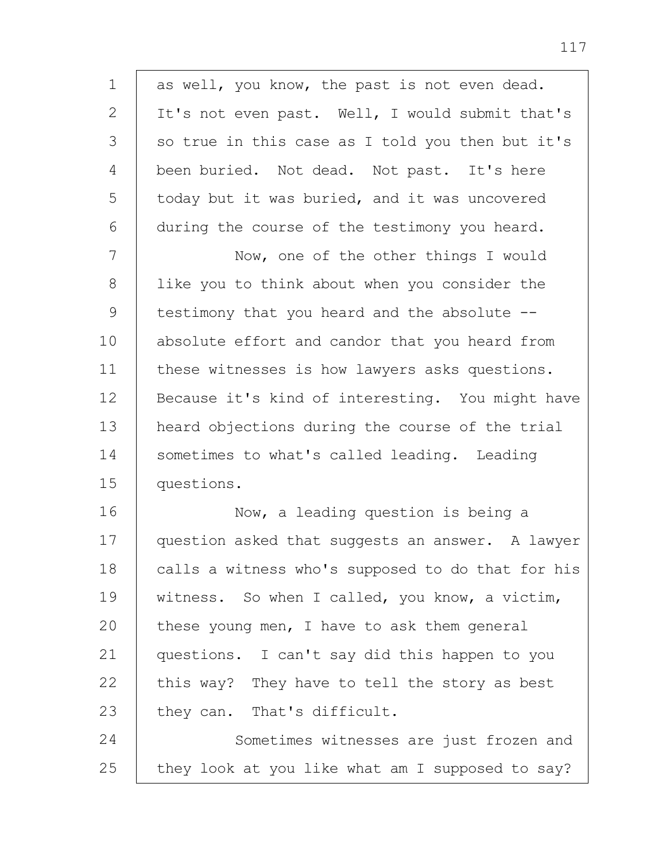1 2 3 4 5 6 7 8 9 10 11 12 13 14 15 16 17 18 19 20 21 22 23 24 25 as well, you know, the past is not even dead. It's not even past. Well, I would submit that's so true in this case as I told you then but it's been buried. Not dead. Not past. It's here today but it was buried, and it was uncovered during the course of the testimony you heard. Now, one of the other things I would like you to think about when you consider the testimony that you heard and the absolute - absolute effort and candor that you heard from these witnesses is how lawyers asks questions. Because it's kind of interesting. You might have heard objections during the course of the trial sometimes to what's called leading. Leading questions. Now, a leading question is being a question asked that suggests an answer. A lawyer calls a witness who's supposed to do that for his witness. So when I called, you know, a victim, these young men, I have to ask them general questions. I can't say did this happen to you this way? They have to tell the story as best they can. That's difficult. Sometimes witnesses are just frozen and they look at you like what am I supposed to say?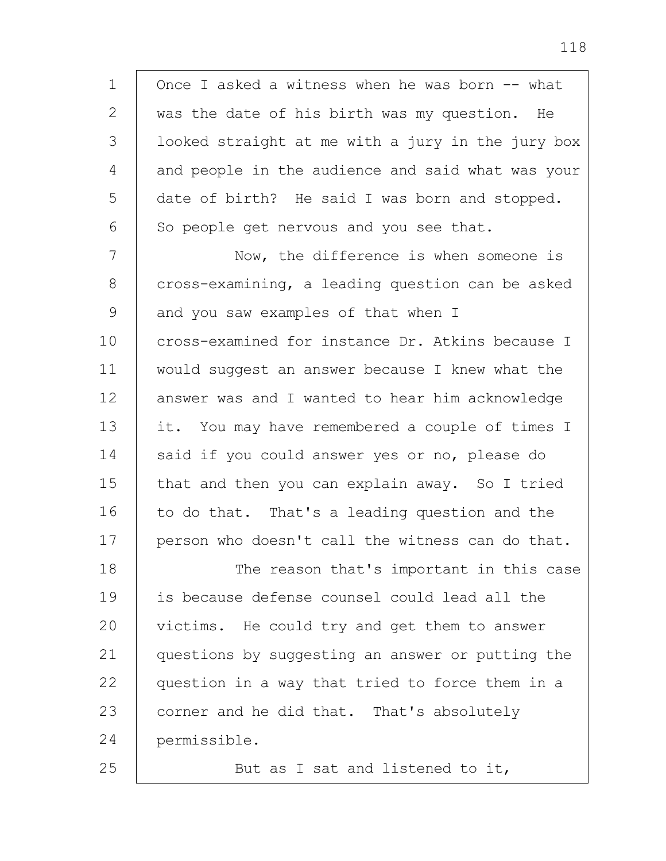1 2 3 4 5 6 7 8 9 10 11 12 13 14 15 16 17 18 19  $20$ 21 22 23 Once I asked a witness when he was born -- what was the date of his birth was my question. He looked straight at me with a jury in the jury box and people in the audience and said what was your date of birth? He said I was born and stopped. So people get nervous and you see that. Now, the difference is when someone is cross-examining, a leading question can be asked and you saw examples of that when I cross-examined for instance Dr. Atkins because I would suggest an answer because I knew what the answer was and I wanted to hear him acknowledge it. You may have remembered a couple of times I said if you could answer yes or no, please do that and then you can explain away. So I tried to do that. That's a leading question and the person who doesn't call the witness can do that. The reason that's important in this case is because defense counsel could lead all the victims. He could try and get them to answer questions by suggesting an answer or putting the question in a way that tried to force them in a corner and he did that. That's absolutely

24 permissible.

25

But as I sat and listened to it,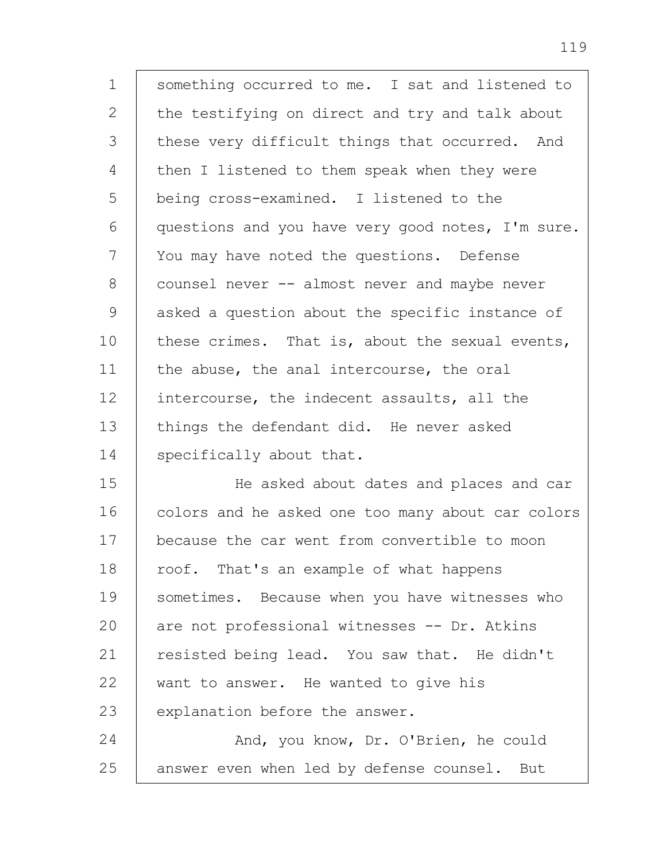| $\mathbf 1$   | something occurred to me. I sat and listened to   |
|---------------|---------------------------------------------------|
| $\mathbf{2}$  | the testifying on direct and try and talk about   |
| 3             | these very difficult things that occurred. And    |
| 4             | then I listened to them speak when they were      |
| 5             | being cross-examined. I listened to the           |
| 6             | questions and you have very good notes, I'm sure. |
| 7             | You may have noted the questions. Defense         |
| 8             | counsel never -- almost never and maybe never     |
| $\mathcal{G}$ | asked a question about the specific instance of   |
| 10            | these crimes. That is, about the sexual events,   |
| 11            | the abuse, the anal intercourse, the oral         |
| 12            | intercourse, the indecent assaults, all the       |
| 13            | things the defendant did. He never asked          |
| 14            | specifically about that.                          |
| 15            | He asked about dates and places and car           |
| 16            | colors and he asked one too many about car colors |
| 17            | because the car went from convertible to moon     |
| 18            | roof. That's an example of what happens           |
| 19            | sometimes. Because when you have witnesses who    |
| 20            | are not professional witnesses -- Dr. Atkins      |
| 21            | resisted being lead. You saw that. He didn't      |
| 22            | want to answer. He wanted to give his             |
| 23            | explanation before the answer.                    |
| 24            | And, you know, Dr. O'Brien, he could              |
| 25            | answer even when led by defense counsel. But      |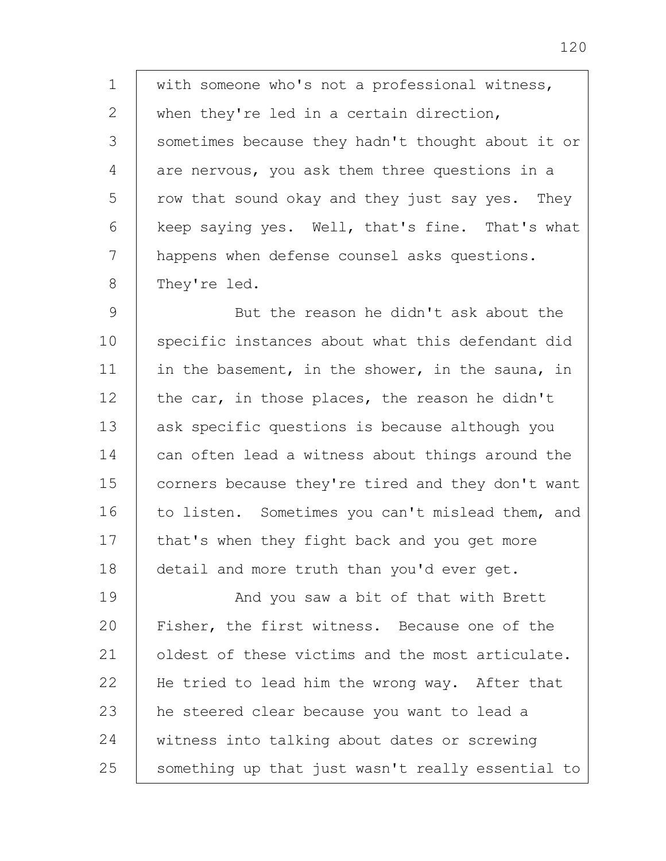1 2 3 4 5 6 7 8 with someone who's not a professional witness, when they're led in a certain direction, sometimes because they hadn't thought about it or are nervous, you ask them three questions in a row that sound okay and they just say yes. They keep saying yes. Well, that's fine. That's what happens when defense counsel asks questions. They're led.

9 10 11 12 13 14 15 16 17 18 But the reason he didn't ask about the specific instances about what this defendant did in the basement, in the shower, in the sauna, in the car, in those places, the reason he didn't ask specific questions is because although you can often lead a witness about things around the corners because they're tired and they don't want to listen. Sometimes you can't mislead them, and that's when they fight back and you get more detail and more truth than you'd ever get.

19 20 21 22 23 24 25 And you saw a bit of that with Brett Fisher, the first witness. Because one of the oldest of these victims and the most articulate. He tried to lead him the wrong way. After that he steered clear because you want to lead a witness into talking about dates or screwing something up that just wasn't really essential to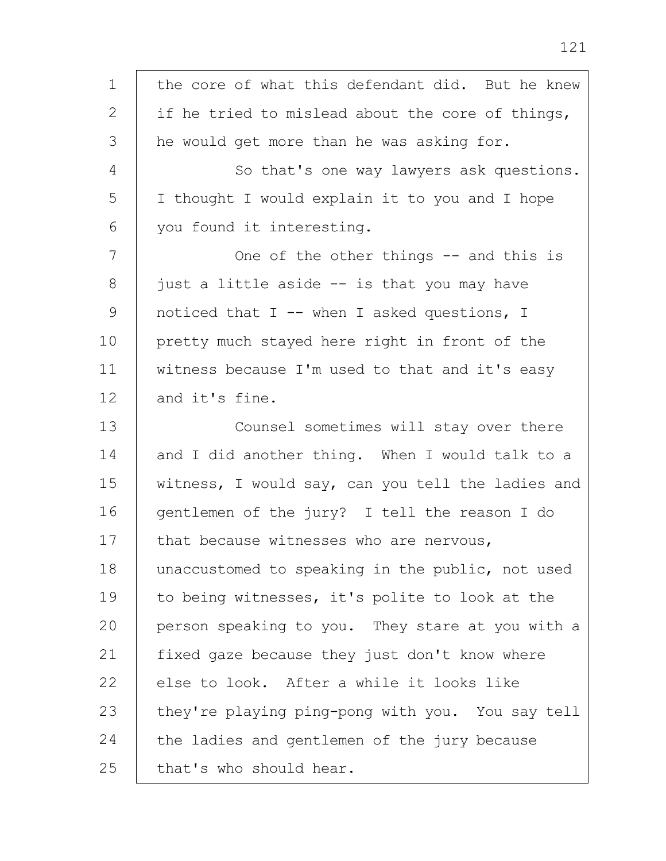1 2 3 4 5 6 7 8 9 10 11 12 13 14 15 16 17 18 19  $20$ 21 22 23 24 25 the core of what this defendant did. But he knew if he tried to mislead about the core of things, he would get more than he was asking for. So that's one way lawyers ask questions. I thought I would explain it to you and I hope you found it interesting. One of the other things -- and this is just a little aside -- is that you may have noticed that I -- when I asked questions, I pretty much stayed here right in front of the witness because I'm used to that and it's easy and it's fine. Counsel sometimes will stay over there and I did another thing. When I would talk to a witness, I would say, can you tell the ladies and gentlemen of the jury? I tell the reason I do that because witnesses who are nervous, unaccustomed to speaking in the public, not used to being witnesses, it's polite to look at the person speaking to you. They stare at you with a fixed gaze because they just don't know where else to look. After a while it looks like they're playing ping-pong with you. You say tell the ladies and gentlemen of the jury because that's who should hear.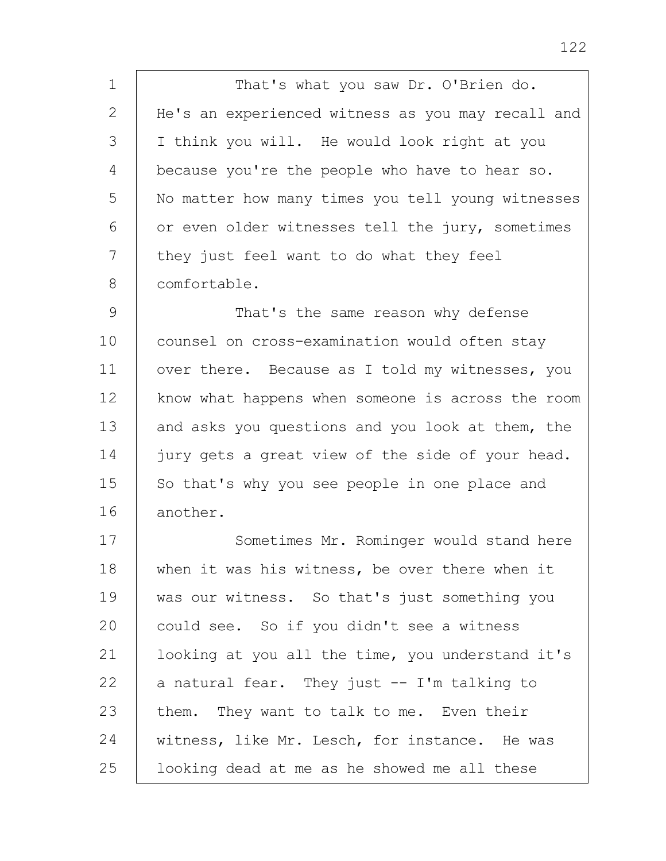1 2 3 4 5 6 7 8 That's what you saw Dr. O'Brien do. He's an experienced witness as you may recall and I think you will. He would look right at you because you're the people who have to hear so. No matter how many times you tell young witnesses or even older witnesses tell the jury, sometimes they just feel want to do what they feel comfortable.

9 10 11 12 13 14 15 16 That's the same reason why defense counsel on cross-examination would often stay over there. Because as I told my witnesses, you know what happens when someone is across the room and asks you questions and you look at them, the jury gets a great view of the side of your head. So that's why you see people in one place and another.

17 18 19 20 21 22 23 24 25 Sometimes Mr. Rominger would stand here when it was his witness, be over there when it was our witness. So that's just something you could see. So if you didn't see a witness looking at you all the time, you understand it's a natural fear. They just -- I'm talking to them. They want to talk to me. Even their witness, like Mr. Lesch, for instance. He was looking dead at me as he showed me all these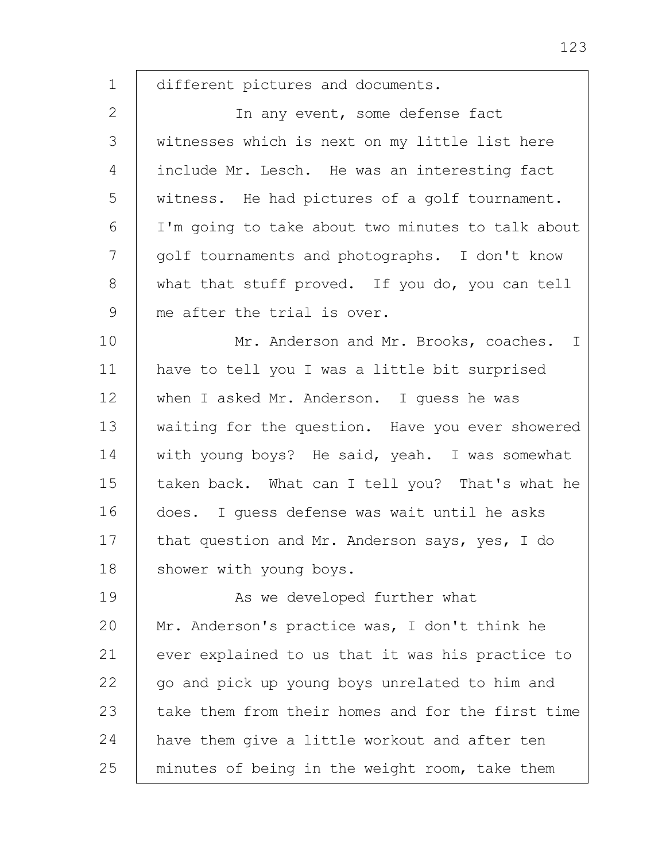1 2 3 4 5 6 7 8 9 10 11 12 13 14 15 16 17 18 19  $20$ 21 22 23 24 different pictures and documents. In any event, some defense fact witnesses which is next on my little list here include Mr. Lesch. He was an interesting fact witness. He had pictures of a golf tournament. I'm going to take about two minutes to talk about golf tournaments and photographs. I don't know what that stuff proved. If you do, you can tell me after the trial is over. Mr. Anderson and Mr. Brooks, coaches. I have to tell you I was a little bit surprised when I asked Mr. Anderson. I guess he was waiting for the question. Have you ever showered with young boys? He said, yeah. I was somewhat taken back. What can I tell you? That's what he does. I guess defense was wait until he asks that question and Mr. Anderson says, yes, I do shower with young boys. As we developed further what Mr. Anderson's practice was, I don't think he ever explained to us that it was his practice to go and pick up young boys unrelated to him and take them from their homes and for the first time have them give a little workout and after ten

minutes of being in the weight room, take them

25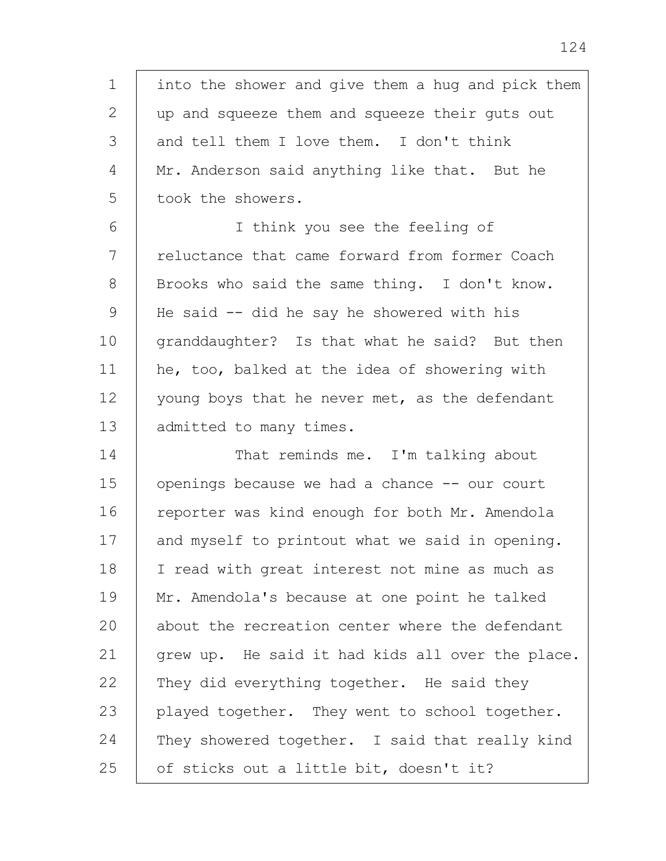1 2 3 4 5 into the shower and give them a hug and pick them up and squeeze them and squeeze their guts out and tell them I love them. I don't think Mr. Anderson said anything like that. But he took the showers.

6 7 8 9 10 11 12 13 I think you see the feeling of reluctance that came forward from former Coach Brooks who said the same thing. I don't know. He said -- did he say he showered with his granddaughter? Is that what he said? But then he, too, balked at the idea of showering with young boys that he never met, as the defendant admitted to many times.

14 15 16 17 18 19 20 21 22 23 24 25 That reminds me. I'm talking about openings because we had a chance -- our court reporter was kind enough for both Mr. Amendola and myself to printout what we said in opening. I read with great interest not mine as much as Mr. Amendola's because at one point he talked about the recreation center where the defendant grew up. He said it had kids all over the place. They did everything together. He said they played together. They went to school together. They showered together. I said that really kind of sticks out a little bit, doesn't it?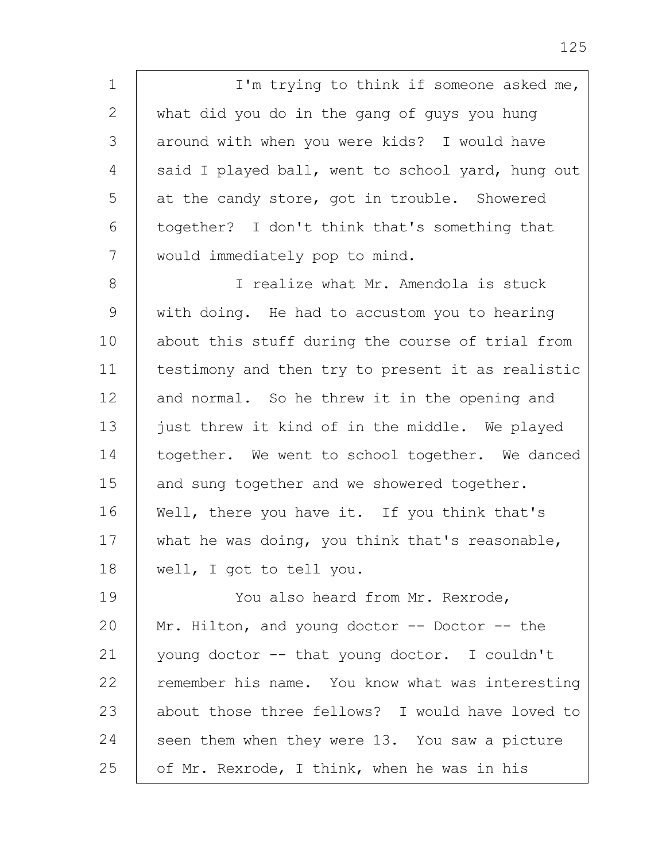1 2 3 4 5 6 7 I'm trying to think if someone asked me, what did you do in the gang of guys you hung around with when you were kids? I would have said I played ball, went to school yard, hung out at the candy store, got in trouble. Showered together? I don't think that's something that would immediately pop to mind.

8 9 10 11 12 13 14 15 16 17 18 I realize what Mr. Amendola is stuck with doing. He had to accustom you to hearing about this stuff during the course of trial from testimony and then try to present it as realistic and normal. So he threw it in the opening and just threw it kind of in the middle. We played together. We went to school together. We danced and sung together and we showered together. Well, there you have it. If you think that's what he was doing, you think that's reasonable, well, I got to tell you.

19 20 21 22 23 24 25 You also heard from Mr. Rexrode, Mr. Hilton, and young doctor -- Doctor -- the young doctor -- that young doctor. I couldn't remember his name. You know what was interesting about those three fellows? I would have loved to seen them when they were 13. You saw a picture of Mr. Rexrode, I think, when he was in his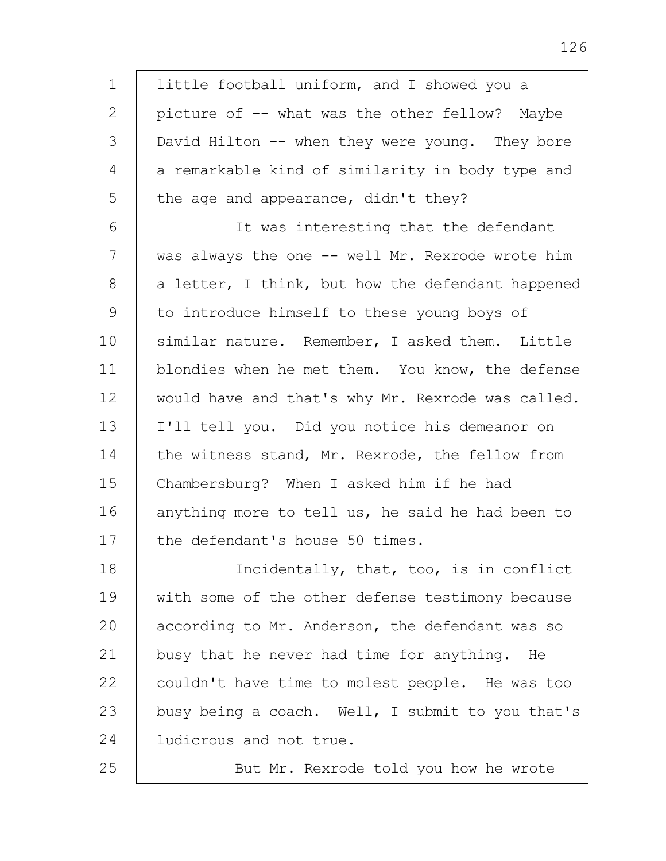little football uniform, and I showed you a picture of -- what was the other fellow? Maybe David Hilton -- when they were young. They bore a remarkable kind of similarity in body type and the age and appearance, didn't they?

1

2

3

4

5

25

6 7 8 9 10 11 12 13 14 15 16 17 It was interesting that the defendant was always the one -- well Mr. Rexrode wrote him a letter, I think, but how the defendant happened to introduce himself to these young boys of similar nature. Remember, I asked them. Little blondies when he met them. You know, the defense would have and that's why Mr. Rexrode was called. I'll tell you. Did you notice his demeanor on the witness stand, Mr. Rexrode, the fellow from Chambersburg? When I asked him if he had anything more to tell us, he said he had been to the defendant's house 50 times.

18 19 20 21 22 23 24 Incidentally, that, too, is in conflict with some of the other defense testimony because according to Mr. Anderson, the defendant was so busy that he never had time for anything. He couldn't have time to molest people. He was too busy being a coach. Well, I submit to you that's ludicrous and not true.

But Mr. Rexrode told you how he wrote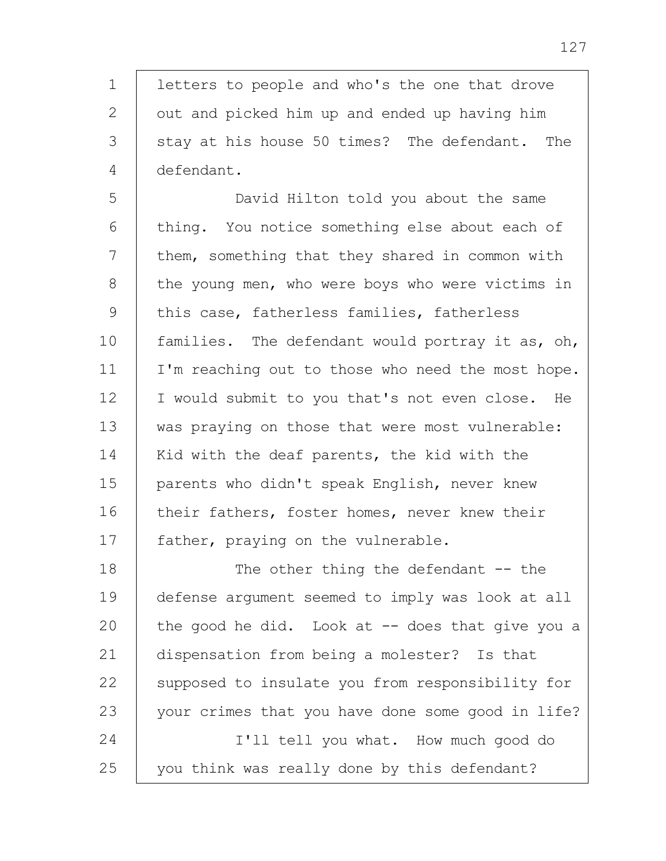1 2 3 4 letters to people and who's the one that drove out and picked him up and ended up having him stay at his house 50 times? The defendant. The defendant.

5 6 7 8 9 10 11 12 13 14 15 16 17 David Hilton told you about the same thing. You notice something else about each of them, something that they shared in common with the young men, who were boys who were victims in this case, fatherless families, fatherless families. The defendant would portray it as, oh, I'm reaching out to those who need the most hope. I would submit to you that's not even close. He was praying on those that were most vulnerable: Kid with the deaf parents, the kid with the parents who didn't speak English, never knew their fathers, foster homes, never knew their father, praying on the vulnerable.

18 19 20 21 22 23 24 25 The other thing the defendant  $-$ - the defense argument seemed to imply was look at all the good he did. Look at  $-$  does that give you a dispensation from being a molester? Is that supposed to insulate you from responsibility for your crimes that you have done some good in life? I'll tell you what. How much good do you think was really done by this defendant?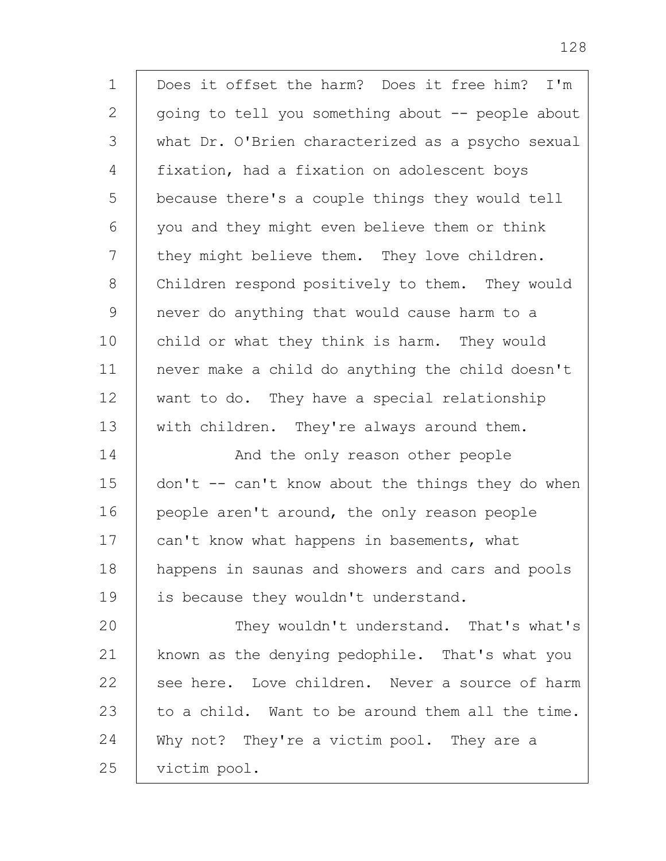| $\mathbf 1$  | Does it offset the harm? Does it free him? I'm    |
|--------------|---------------------------------------------------|
| 2            | going to tell you something about -- people about |
| 3            | what Dr. O'Brien characterized as a psycho sexual |
| 4            | fixation, had a fixation on adolescent boys       |
| 5            | because there's a couple things they would tell   |
| 6            | you and they might even believe them or think     |
| 7            | they might believe them. They love children.      |
| 8            | Children respond positively to them. They would   |
| $\mathsf{O}$ | never do anything that would cause harm to a      |
| 10           | child or what they think is harm. They would      |
| 11           | never make a child do anything the child doesn't  |
| 12           | want to do. They have a special relationship      |
| 13           | with children. They're always around them.        |
| 14           | And the only reason other people                  |
| 15           | don't -- can't know about the things they do when |
| 16           | people aren't around, the only reason people      |
| 17           | can't know what happens in basements, what        |
| 18           | happens in saunas and showers and cars and pools  |
| 19           | is because they wouldn't understand.              |
| 20           | They wouldn't understand. That's what's           |
| 21           | known as the denying pedophile. That's what you   |
| 22           | see here. Love children. Never a source of harm   |
| 23           | to a child. Want to be around them all the time.  |
| 24           | Why not? They're a victim pool. They are a        |
| 25           | victim pool.                                      |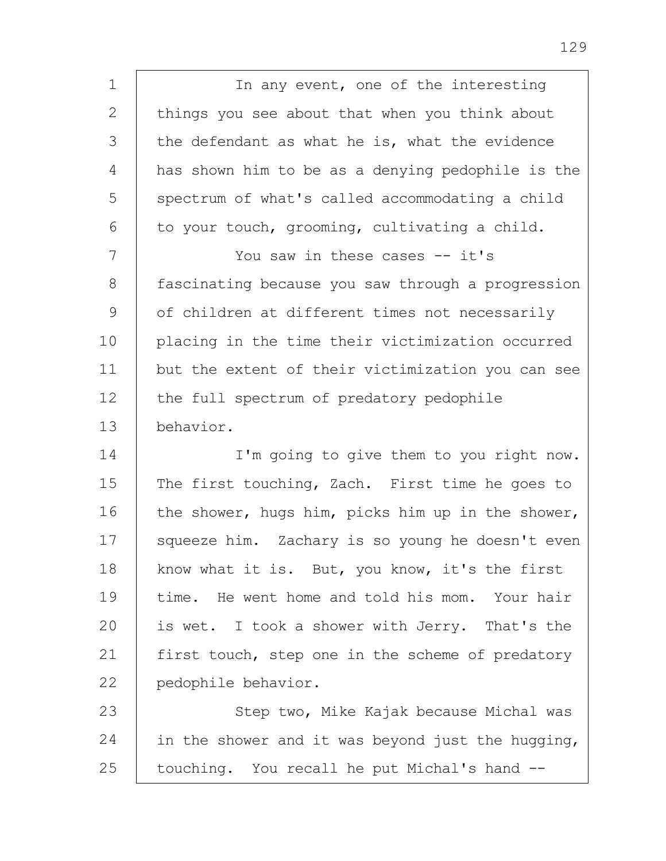1 2 3 4 5 6 7 8 9 10 11 12 13 14 15 16 17 18 19 20 21 22 23 24 25 In any event, one of the interesting things you see about that when you think about the defendant as what he is, what the evidence has shown him to be as a denying pedophile is the spectrum of what's called accommodating a child to your touch, grooming, cultivating a child. You saw in these cases -- it's fascinating because you saw through a progression of children at different times not necessarily placing in the time their victimization occurred but the extent of their victimization you can see the full spectrum of predatory pedophile behavior. I'm going to give them to you right now. The first touching, Zach. First time he goes to the shower, hugs him, picks him up in the shower, squeeze him. Zachary is so young he doesn't even know what it is. But, you know, it's the first time. He went home and told his mom. Your hair is wet. I took a shower with Jerry. That's the first touch, step one in the scheme of predatory pedophile behavior. Step two, Mike Kajak because Michal was in the shower and it was beyond just the hugging, touching. You recall he put Michal's hand --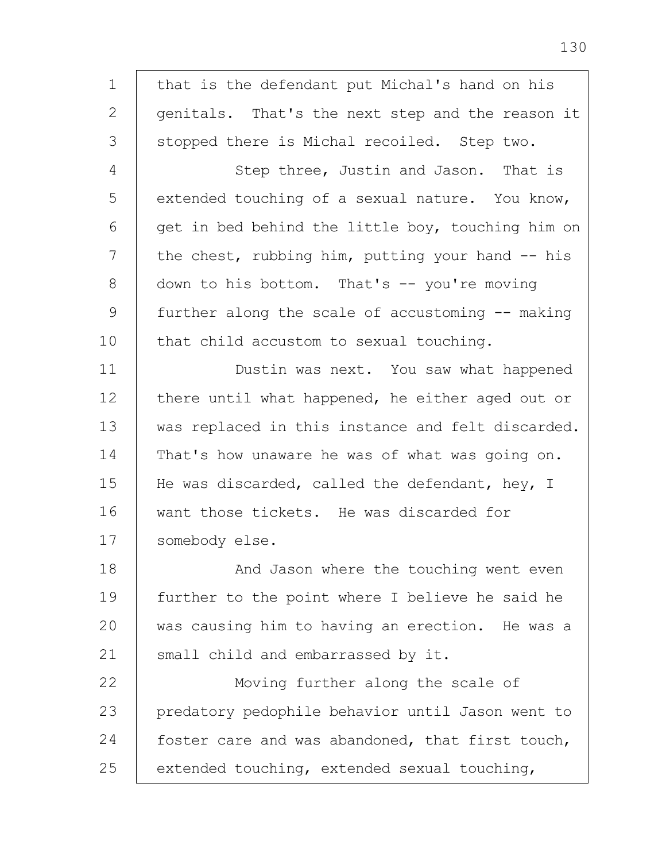1 2 3 4 5 6 7 8 9 10 11 12 13 14 15 16 17 18 19 20 21 22 23 24 25 that is the defendant put Michal's hand on his genitals. That's the next step and the reason it stopped there is Michal recoiled. Step two. Step three, Justin and Jason. That is extended touching of a sexual nature. You know, get in bed behind the little boy, touching him on the chest, rubbing him, putting your hand  $-$  his down to his bottom. That's -- you're moving further along the scale of accustoming -- making that child accustom to sexual touching. Dustin was next. You saw what happened there until what happened, he either aged out or was replaced in this instance and felt discarded. That's how unaware he was of what was going on. He was discarded, called the defendant, hey, I want those tickets. He was discarded for somebody else. And Jason where the touching went even further to the point where I believe he said he was causing him to having an erection. He was a small child and embarrassed by it. Moving further along the scale of predatory pedophile behavior until Jason went to foster care and was abandoned, that first touch, extended touching, extended sexual touching,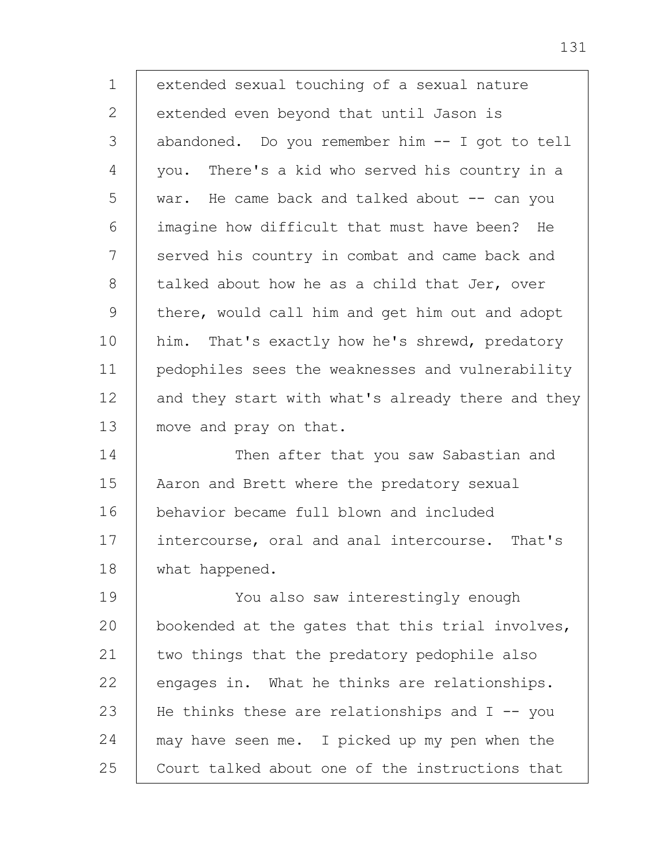1 2 3 4 5 6 7 8 9 10 11 12 13 14 15 16 17 18 19 20 21 22 23 24 extended sexual touching of a sexual nature extended even beyond that until Jason is abandoned. Do you remember him -- I got to tell you. There's a kid who served his country in a war. He came back and talked about -- can you imagine how difficult that must have been? He served his country in combat and came back and talked about how he as a child that Jer, over there, would call him and get him out and adopt him. That's exactly how he's shrewd, predatory pedophiles sees the weaknesses and vulnerability and they start with what's already there and they move and pray on that. Then after that you saw Sabastian and Aaron and Brett where the predatory sexual behavior became full blown and included intercourse, oral and anal intercourse. That's what happened. You also saw interestingly enough bookended at the gates that this trial involves, two things that the predatory pedophile also engages in. What he thinks are relationships. He thinks these are relationships and  $I$  -- you may have seen me. I picked up my pen when the

Court talked about one of the instructions that

131

25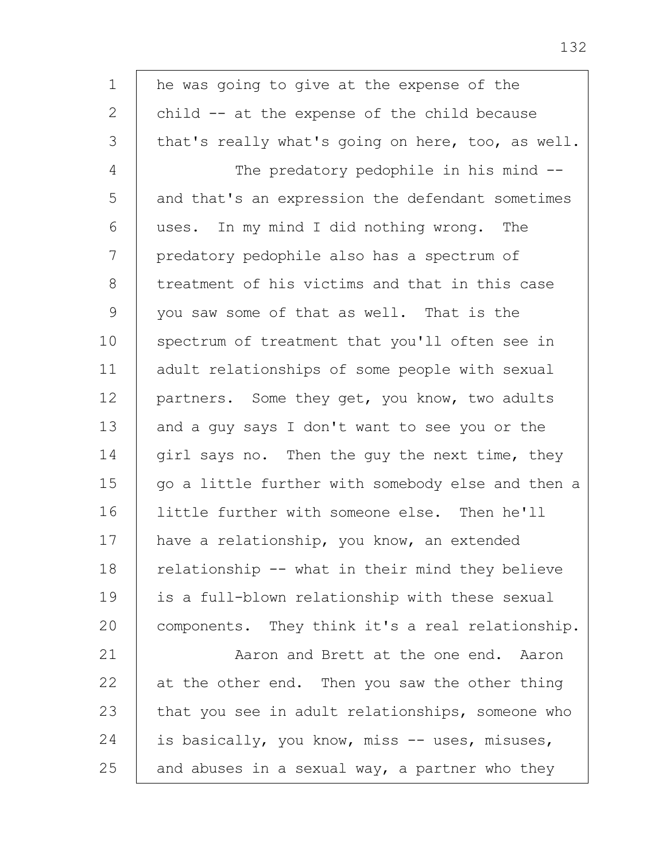1 2 3 4 5 6 7 8 9 10 11 12 13 14 15 16 17 18 19 20 21 22 23 24 25 he was going to give at the expense of the child -- at the expense of the child because that's really what's going on here, too, as well. The predatory pedophile in his mind -and that's an expression the defendant sometimes uses. In my mind I did nothing wrong. The predatory pedophile also has a spectrum of treatment of his victims and that in this case you saw some of that as well. That is the spectrum of treatment that you'll often see in adult relationships of some people with sexual partners. Some they get, you know, two adults and a guy says I don't want to see you or the girl says no. Then the guy the next time, they go a little further with somebody else and then a little further with someone else. Then he'll have a relationship, you know, an extended relationship -- what in their mind they believe is a full-blown relationship with these sexual components. They think it's a real relationship. Aaron and Brett at the one end. Aaron at the other end. Then you saw the other thing that you see in adult relationships, someone who is basically, you know, miss -- uses, misuses, and abuses in a sexual way, a partner who they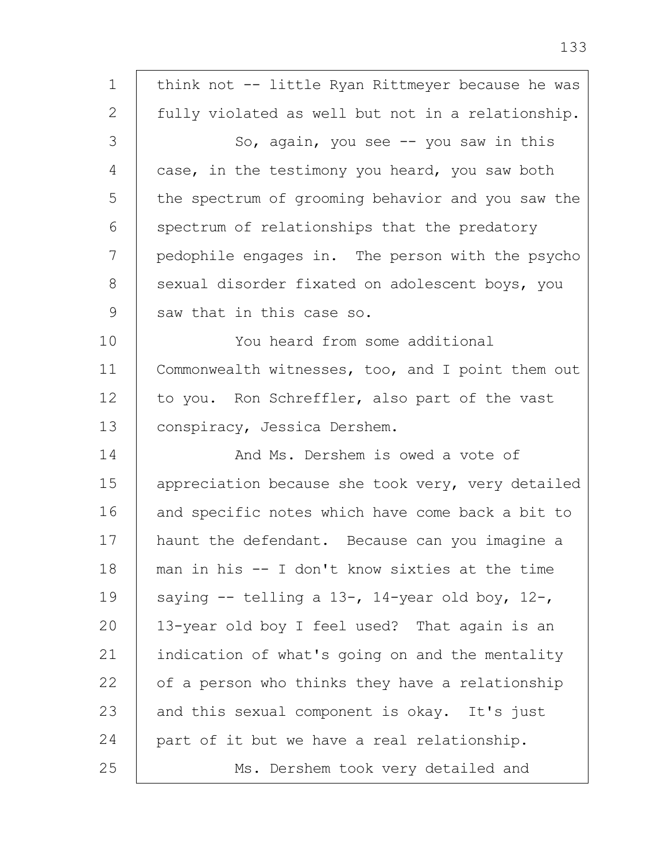| 1             | think not -- little Ryan Rittmeyer because he was |
|---------------|---------------------------------------------------|
| $\mathbf{2}$  | fully violated as well but not in a relationship. |
| 3             | So, again, you see -- you saw in this             |
| 4             | case, in the testimony you heard, you saw both    |
| 5             | the spectrum of grooming behavior and you saw the |
| 6             | spectrum of relationships that the predatory      |
| 7             | pedophile engages in. The person with the psycho  |
| 8             | sexual disorder fixated on adolescent boys, you   |
| $\mathcal{G}$ | saw that in this case so.                         |
| 10            | You heard from some additional                    |
| 11            | Commonwealth witnesses, too, and I point them out |
| 12            | to you. Ron Schreffler, also part of the vast     |
| 13            | conspiracy, Jessica Dershem.                      |
| 14            | And Ms. Dershem is owed a vote of                 |
| 15            | appreciation because she took very, very detailed |
| 16            | and specific notes which have come back a bit to  |
| 17            | haunt the defendant. Because can you imagine a    |
| 18            | man in his -- I don't know sixties at the time    |
| 19            | saying $--$ telling a 13-, 14-year old boy, 12-,  |
| 20            | 13-year old boy I feel used? That again is an     |
| 21            | indication of what's going on and the mentality   |
| 22            | of a person who thinks they have a relationship   |
| 23            | and this sexual component is okay. It's just      |
| 24            | part of it but we have a real relationship.       |
| 25            | Ms. Dershem took very detailed and                |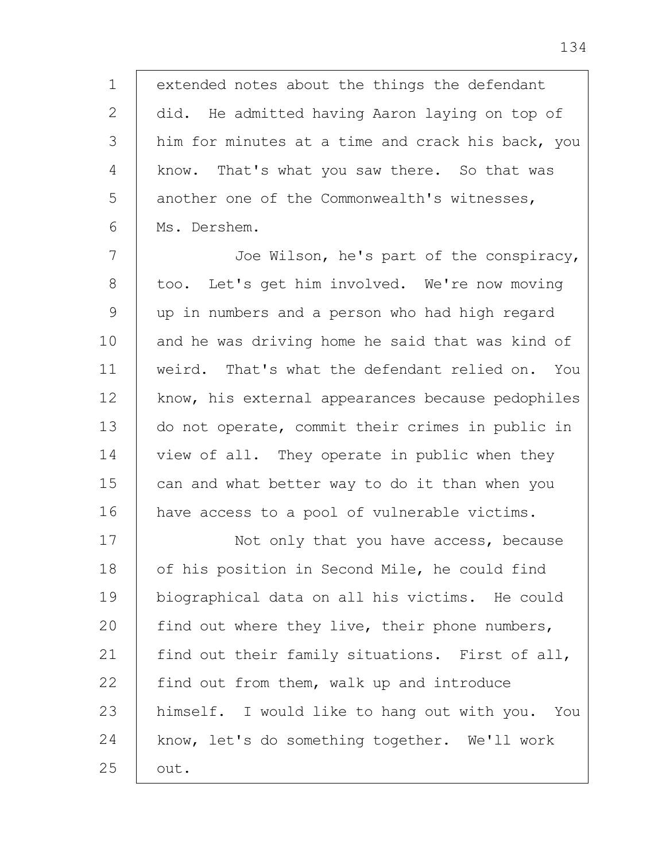1 2 3 4 5 6 extended notes about the things the defendant did. He admitted having Aaron laying on top of him for minutes at a time and crack his back, you know. That's what you saw there. So that was another one of the Commonwealth's witnesses, Ms. Dershem.

7 8 9 10 11 12 13 14 15 16 Joe Wilson, he's part of the conspiracy, too. Let's get him involved. We're now moving up in numbers and a person who had high regard and he was driving home he said that was kind of weird. That's what the defendant relied on. You know, his external appearances because pedophiles do not operate, commit their crimes in public in view of all. They operate in public when they can and what better way to do it than when you have access to a pool of vulnerable victims.

17 18 19 20 21 22 23 24 25 Not only that you have access, because of his position in Second Mile, he could find biographical data on all his victims. He could find out where they live, their phone numbers, find out their family situations. First of all, find out from them, walk up and introduce himself. I would like to hang out with you. You know, let's do something together. We'll work out.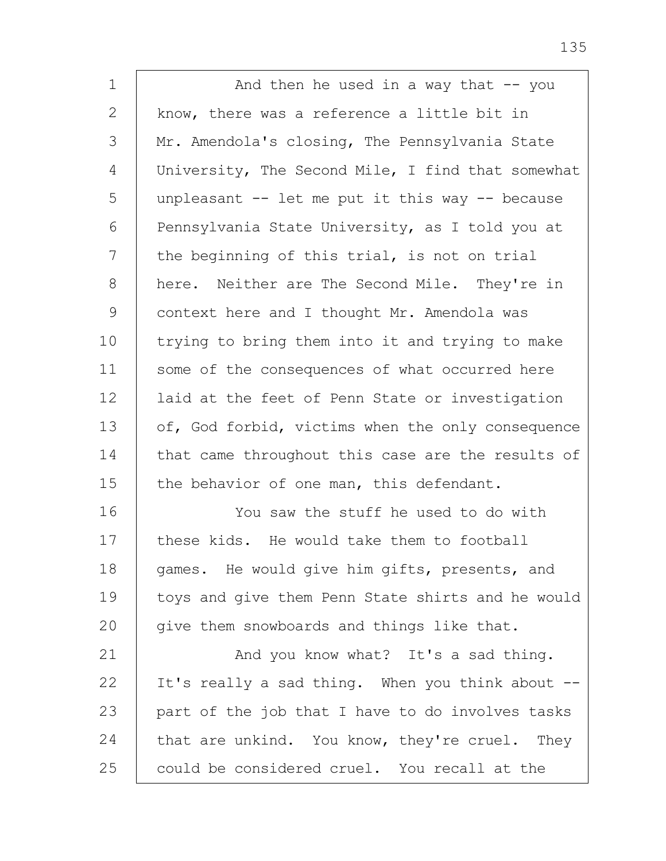| $\mathbf 1$  | And then he used in a way that -- you             |
|--------------|---------------------------------------------------|
| $\mathbf{2}$ | know, there was a reference a little bit in       |
| 3            | Mr. Amendola's closing, The Pennsylvania State    |
| 4            | University, The Second Mile, I find that somewhat |
| 5            | unpleasant -- let me put it this way -- because   |
| 6            | Pennsylvania State University, as I told you at   |
| 7            | the beginning of this trial, is not on trial      |
| 8            | here. Neither are The Second Mile. They're in     |
| $\mathsf 9$  | context here and I thought Mr. Amendola was       |
| 10           | trying to bring them into it and trying to make   |
| 11           | some of the consequences of what occurred here    |
| 12           | laid at the feet of Penn State or investigation   |
| 13           | of, God forbid, victims when the only consequence |
| 14           | that came throughout this case are the results of |
| 15           | the behavior of one man, this defendant.          |
| 16           | You saw the stuff he used to do with              |
| 17           | these kids. He would take them to football        |
| 18           | games. He would give him gifts, presents, and     |
| 19           | toys and give them Penn State shirts and he would |
| 20           | give them snowboards and things like that.        |
| 21           | And you know what? It's a sad thing.              |
| 22           | It's really a sad thing. When you think about --  |
| 23           | part of the job that I have to do involves tasks  |
| 24           | that are unkind. You know, they're cruel. They    |
| 25           | could be considered cruel. You recall at the      |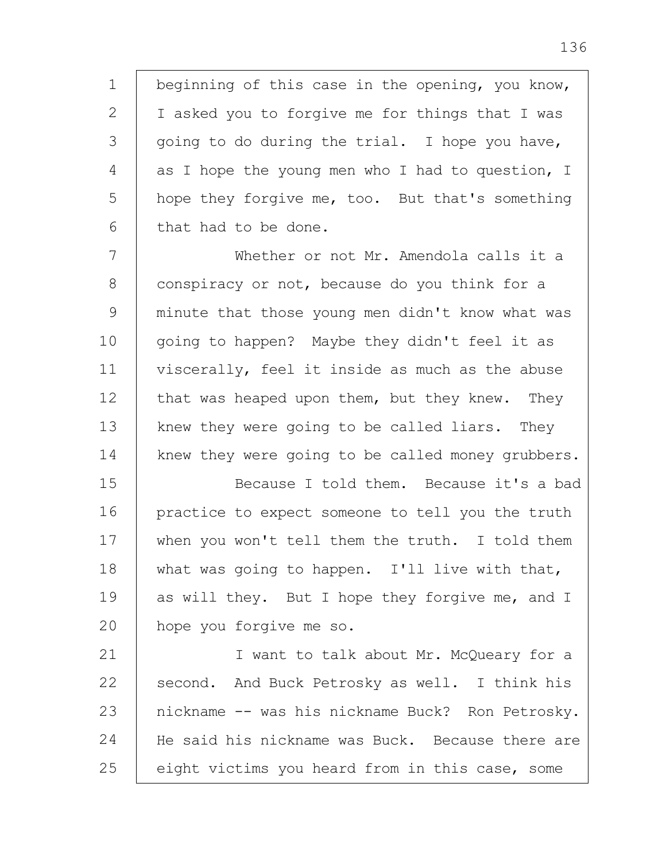1 2 3 4 5 6 beginning of this case in the opening, you know, I asked you to forgive me for things that I was going to do during the trial. I hope you have, as I hope the young men who I had to question, I hope they forgive me, too. But that's something that had to be done.

7 8 9 10 11 12 13 14 Whether or not Mr. Amendola calls it a conspiracy or not, because do you think for a minute that those young men didn't know what was going to happen? Maybe they didn't feel it as viscerally, feel it inside as much as the abuse that was heaped upon them, but they knew. They knew they were going to be called liars. They knew they were going to be called money grubbers.

15 16 17 18 19 20 Because I told them. Because it's a bad practice to expect someone to tell you the truth when you won't tell them the truth. I told them what was going to happen. I'll live with that, as will they. But I hope they forgive me, and I hope you forgive me so.

21 22 23 24 25 I want to talk about Mr. McQueary for a second. And Buck Petrosky as well. I think his nickname -- was his nickname Buck? Ron Petrosky. He said his nickname was Buck. Because there are eight victims you heard from in this case, some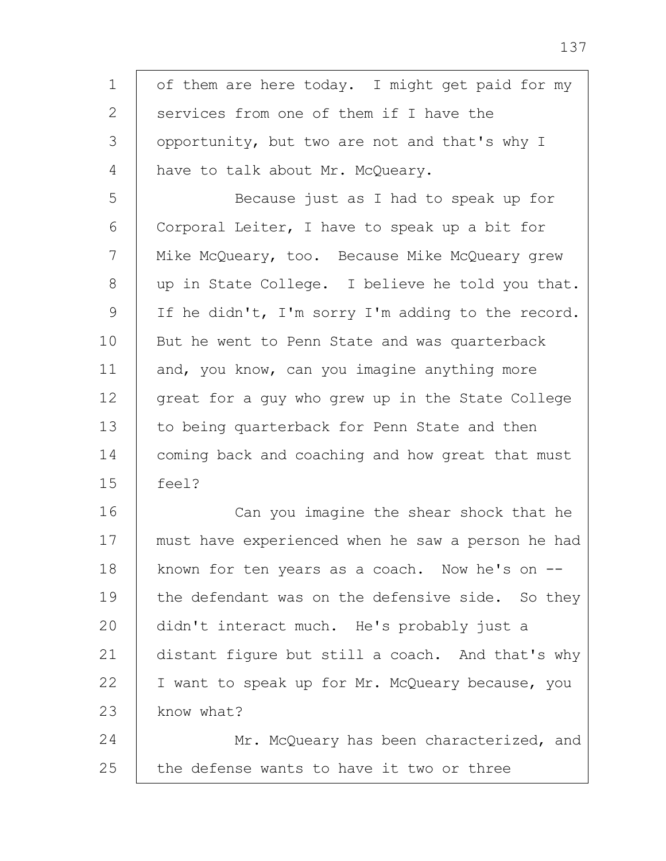1 2 3 4 5 6 7 8 9 10 11 12 13 14 15 16 17 18 19 20 21 22 23 24 25 of them are here today. I might get paid for my services from one of them if I have the opportunity, but two are not and that's why I have to talk about Mr. McQueary. Because just as I had to speak up for Corporal Leiter, I have to speak up a bit for Mike McQueary, too. Because Mike McQueary grew up in State College. I believe he told you that. If he didn't, I'm sorry I'm adding to the record. But he went to Penn State and was quarterback and, you know, can you imagine anything more great for a guy who grew up in the State College to being quarterback for Penn State and then coming back and coaching and how great that must feel? Can you imagine the shear shock that he must have experienced when he saw a person he had known for ten years as a coach. Now he's on - the defendant was on the defensive side. So they didn't interact much. He's probably just a distant figure but still a coach. And that's why I want to speak up for Mr. McQueary because, you know what? Mr. McQueary has been characterized, and the defense wants to have it two or three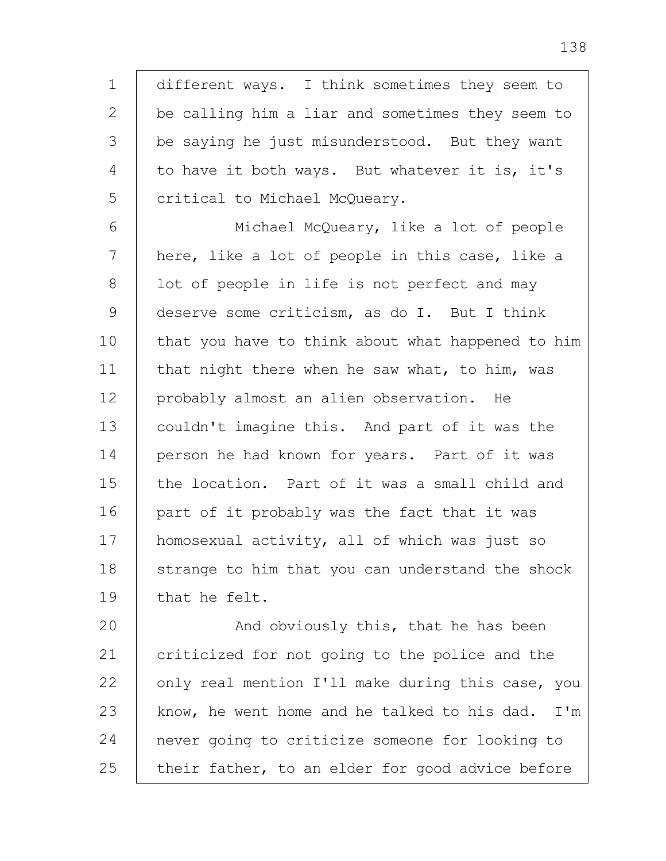1 2 3 4 5 different ways. I think sometimes they seem to be calling him a liar and sometimes they seem to be saying he just misunderstood. But they want to have it both ways. But whatever it is, it's critical to Michael McQueary.

6 7 8 9 10 11 12 13 14 15 16 17 18 19 Michael McQueary, like a lot of people here, like a lot of people in this case, like a lot of people in life is not perfect and may deserve some criticism, as do I. But I think that you have to think about what happened to him that night there when he saw what, to him, was probably almost an alien observation. He couldn't imagine this. And part of it was the person he had known for years. Part of it was the location. Part of it was a small child and part of it probably was the fact that it was homosexual activity, all of which was just so strange to him that you can understand the shock that he felt.

20 21 22 23 24 25 And obviously this, that he has been criticized for not going to the police and the only real mention I'll make during this case, you know, he went home and he talked to his dad. I'm never going to criticize someone for looking to their father, to an elder for good advice before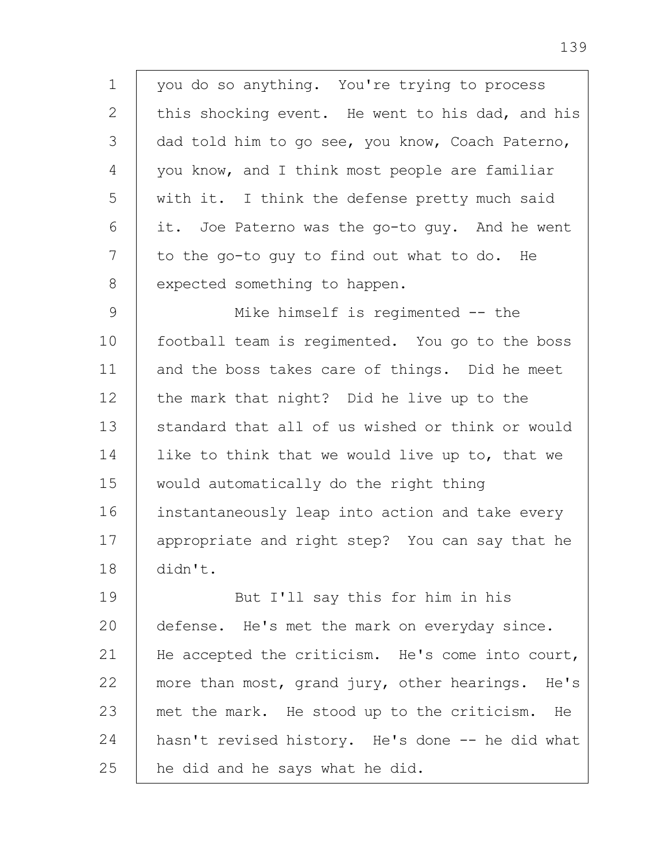1 2 3 4 5 6 7 8 you do so anything. You're trying to process this shocking event. He went to his dad, and his dad told him to go see, you know, Coach Paterno, you know, and I think most people are familiar with it. I think the defense pretty much said it. Joe Paterno was the go-to guy. And he went to the go-to guy to find out what to do. He expected something to happen.

9 10 11 12 13 14 15 16 17 18 Mike himself is regimented -- the football team is regimented. You go to the boss and the boss takes care of things. Did he meet the mark that night? Did he live up to the standard that all of us wished or think or would like to think that we would live up to, that we would automatically do the right thing instantaneously leap into action and take every appropriate and right step? You can say that he didn't.

19 20 21 22 23 24 25 But I'll say this for him in his defense. He's met the mark on everyday since. He accepted the criticism. He's come into court, more than most, grand jury, other hearings. He's met the mark. He stood up to the criticism. He hasn't revised history. He's done -- he did what he did and he says what he did.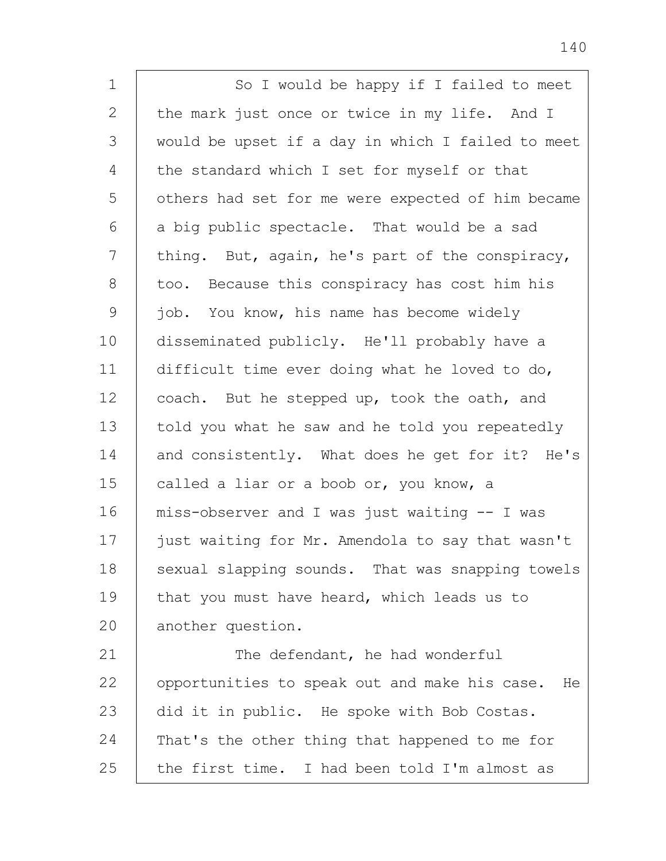| $\mathbf 1$   | So I would be happy if I failed to meet             |
|---------------|-----------------------------------------------------|
| 2             | the mark just once or twice in my life. And I       |
| 3             | would be upset if a day in which I failed to meet   |
| 4             | the standard which I set for myself or that         |
| 5             | others had set for me were expected of him became   |
| 6             | a big public spectacle. That would be a sad         |
| 7             | thing. But, again, he's part of the conspiracy,     |
| 8             | too. Because this conspiracy has cost him his       |
| $\mathcal{G}$ | job. You know, his name has become widely           |
| 10            | disseminated publicly. He'll probably have a        |
| 11            | difficult time ever doing what he loved to do,      |
| 12            | coach. But he stepped up, took the oath, and        |
| 13            | told you what he saw and he told you repeatedly     |
| 14            | and consistently. What does he get for it? He's     |
| 15            | called a liar or a boob or, you know, a             |
| 16            | miss-observer and I was just waiting -- I was       |
| 17            | just waiting for Mr. Amendola to say that wasn't    |
| 18            | sexual slapping sounds. That was snapping towels    |
| 19            | that you must have heard, which leads us to         |
| 20            | another question.                                   |
| 21            | The defendant, he had wonderful                     |
| 22            | opportunities to speak out and make his case.<br>He |
| 23            | did it in public. He spoke with Bob Costas.         |
| 24            | That's the other thing that happened to me for      |
| 25            | the first time. I had been told I'm almost as       |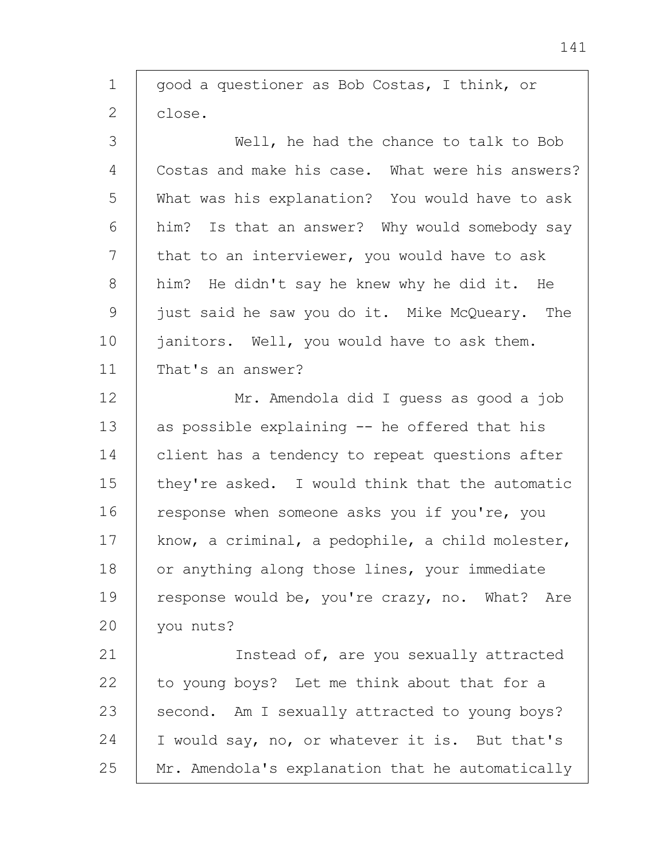| $\mathbf 1$   | good a questioner as Bob Costas, I think, or     |
|---------------|--------------------------------------------------|
| 2             | close.                                           |
| $\mathcal{S}$ | Well, he had the chance to talk to Bob           |
| 4             | Costas and make his case. What were his answers? |
| 5             | What was his explanation? You would have to ask  |
| 6             | him? Is that an answer? Why would somebody say   |
| 7             | that to an interviewer, you would have to ask    |
| 8             | him? He didn't say he knew why he did it. He     |
| $\mathcal{G}$ | just said he saw you do it. Mike McQueary. The   |
| 10            | janitors. Well, you would have to ask them.      |
| 11            | That's an answer?                                |
| 12            | Mr. Amendola did I quess as good a job           |
| 13            | as possible explaining -- he offered that his    |
| 14            | client has a tendency to repeat questions after  |
| 15            | they're asked. I would think that the automatic  |
| 16            | response when someone asks you if you're, you    |
| 17            | know, a criminal, a pedophile, a child molester, |
| 18            | or anything along those lines, your immediate    |
| 19            | response would be, you're crazy, no. What? Are   |
| 20            | you nuts?                                        |
| 21            | Instead of, are you sexually attracted           |
| 22            | to young boys? Let me think about that for a     |
| 23            | second. Am I sexually attracted to young boys?   |
| 24            | I would say, no, or whatever it is. But that's   |
| 25            | Mr. Amendola's explanation that he automatically |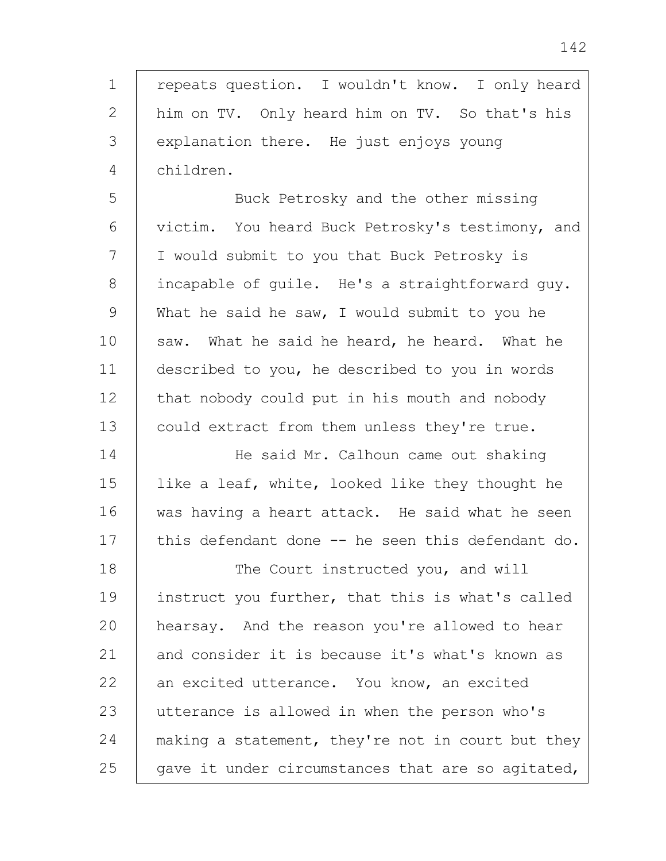1 2 3 4 repeats question. I wouldn't know. I only heard him on TV. Only heard him on TV. So that's his explanation there. He just enjoys young children.

5 6 7 8 9 10 11 12 13 Buck Petrosky and the other missing victim. You heard Buck Petrosky's testimony, and I would submit to you that Buck Petrosky is incapable of guile. He's a straightforward guy. What he said he saw, I would submit to you he saw. What he said he heard, he heard. What he described to you, he described to you in words that nobody could put in his mouth and nobody could extract from them unless they're true.

14 15 16 17 He said Mr. Calhoun came out shaking like a leaf, white, looked like they thought he was having a heart attack. He said what he seen this defendant done -- he seen this defendant do.

18 19 20 21 22 23 24 25 The Court instructed you, and will instruct you further, that this is what's called hearsay. And the reason you're allowed to hear and consider it is because it's what's known as an excited utterance. You know, an excited utterance is allowed in when the person who's making a statement, they're not in court but they gave it under circumstances that are so agitated,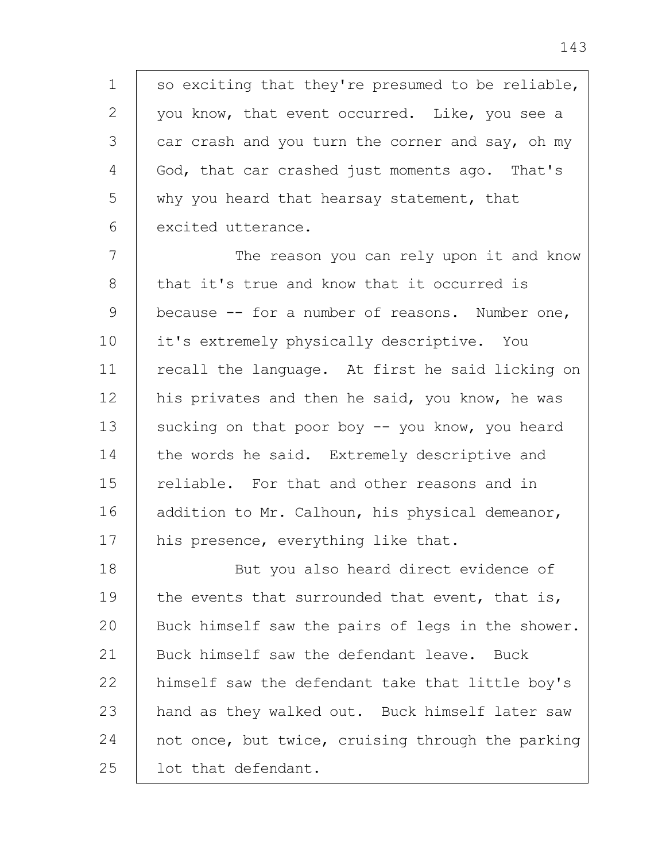1 2 3 4 5 6 so exciting that they're presumed to be reliable, you know, that event occurred. Like, you see a car crash and you turn the corner and say, oh my God, that car crashed just moments ago. That's why you heard that hearsay statement, that excited utterance.

7 8 9 10 11 12 13 14 15 16 17 The reason you can rely upon it and know that it's true and know that it occurred is because -- for a number of reasons. Number one, it's extremely physically descriptive. You recall the language. At first he said licking on his privates and then he said, you know, he was sucking on that poor boy  $-$  you know, you heard the words he said. Extremely descriptive and reliable. For that and other reasons and in addition to Mr. Calhoun, his physical demeanor, his presence, everything like that.

18 19  $20$ 21 22 23 24 25 But you also heard direct evidence of the events that surrounded that event, that is, Buck himself saw the pairs of legs in the shower. Buck himself saw the defendant leave. Buck himself saw the defendant take that little boy's hand as they walked out. Buck himself later saw not once, but twice, cruising through the parking lot that defendant.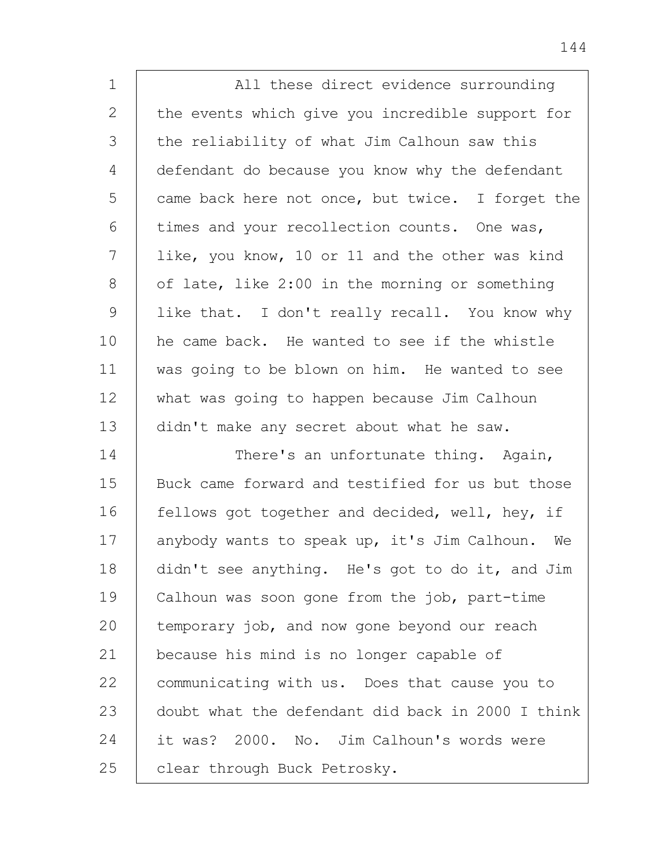| $\mathbf 1$   | All these direct evidence surrounding             |
|---------------|---------------------------------------------------|
| $\mathbf{2}$  | the events which give you incredible support for  |
| 3             | the reliability of what Jim Calhoun saw this      |
| 4             | defendant do because you know why the defendant   |
| 5             | came back here not once, but twice. I forget the  |
| 6             | times and your recollection counts. One was,      |
| 7             | like, you know, 10 or 11 and the other was kind   |
| 8             | of late, like 2:00 in the morning or something    |
| $\mathcal{G}$ | like that. I don't really recall. You know why    |
| 10            | he came back. He wanted to see if the whistle     |
| 11            | was going to be blown on him. He wanted to see    |
| 12            | what was going to happen because Jim Calhoun      |
| 13            | didn't make any secret about what he saw.         |
| 14            | There's an unfortunate thing. Again,              |
| 15            | Buck came forward and testified for us but those  |
| 16            | fellows got together and decided, well, hey, if   |
| 17            | anybody wants to speak up, it's Jim Calhoun. We   |
| 18            | didn't see anything. He's got to do it, and Jim   |
| 19            | Calhoun was soon gone from the job, part-time     |
| 20            | temporary job, and now gone beyond our reach      |
| 21            | because his mind is no longer capable of          |
| 22            | communicating with us. Does that cause you to     |
| 23            | doubt what the defendant did back in 2000 I think |
| 24            | it was? 2000. No. Jim Calhoun's words were        |
| 25            | clear through Buck Petrosky.                      |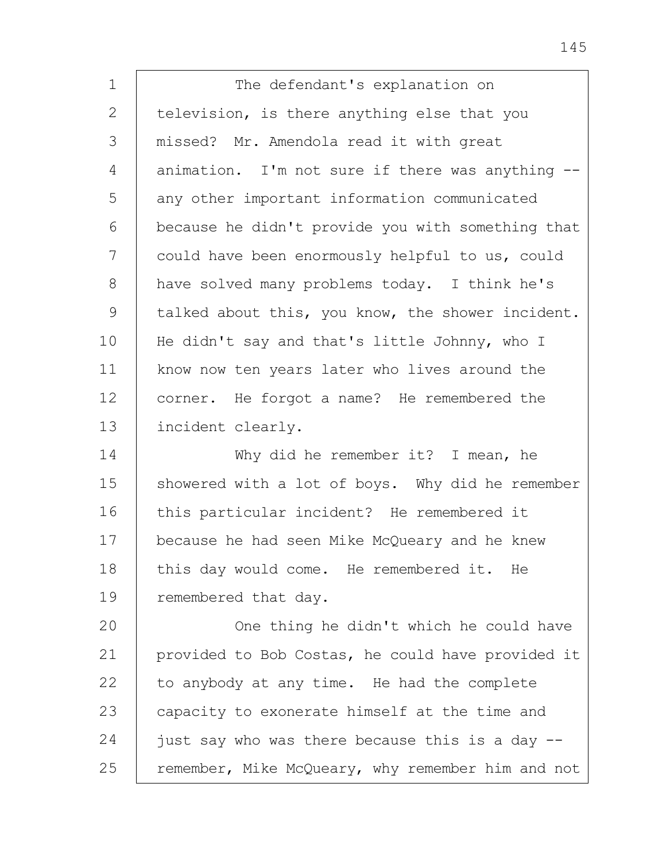1 2 3 4 5 6 7 8 9 10 11 12 13 14 15 16 17 18 19 20 21 22 23 24 25 The defendant's explanation on television, is there anything else that you missed? Mr. Amendola read it with great animation. I'm not sure if there was anything - any other important information communicated because he didn't provide you with something that could have been enormously helpful to us, could have solved many problems today. I think he's talked about this, you know, the shower incident. He didn't say and that's little Johnny, who I know now ten years later who lives around the corner. He forgot a name? He remembered the incident clearly. Why did he remember it? I mean, he showered with a lot of boys. Why did he remember this particular incident? He remembered it because he had seen Mike McQueary and he knew this day would come. He remembered it. He remembered that day. One thing he didn't which he could have provided to Bob Costas, he could have provided it to anybody at any time. He had the complete capacity to exonerate himself at the time and just say who was there because this is a day - remember, Mike McQueary, why remember him and not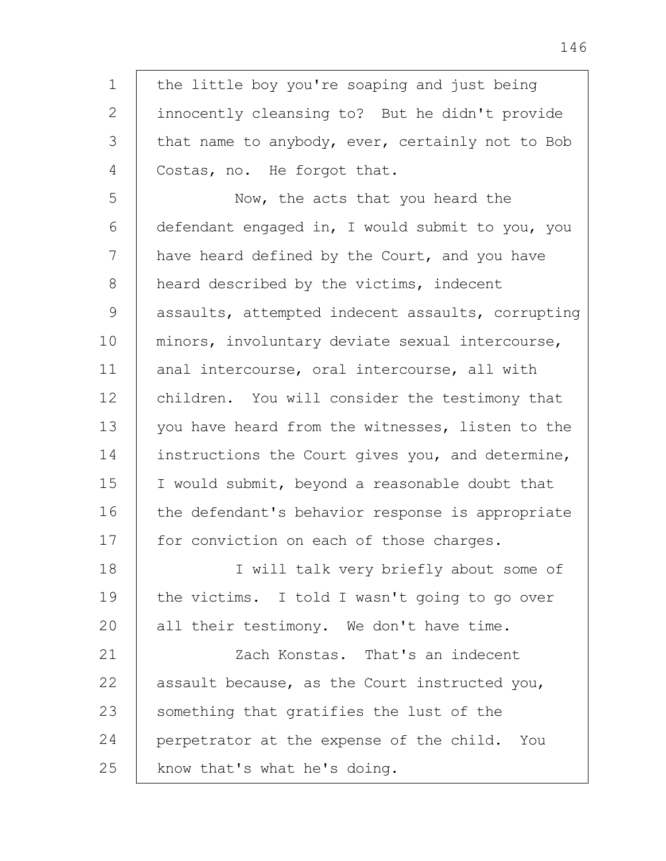1 2 3 4 5 6 7 8 9 10 11 12 13 14 15 16 17 18 19 20 21 22 23 24 25 the little boy you're soaping and just being innocently cleansing to? But he didn't provide that name to anybody, ever, certainly not to Bob Costas, no. He forgot that. Now, the acts that you heard the defendant engaged in, I would submit to you, you have heard defined by the Court, and you have heard described by the victims, indecent assaults, attempted indecent assaults, corrupting minors, involuntary deviate sexual intercourse, anal intercourse, oral intercourse, all with children. You will consider the testimony that you have heard from the witnesses, listen to the instructions the Court gives you, and determine, I would submit, beyond a reasonable doubt that the defendant's behavior response is appropriate for conviction on each of those charges. I will talk very briefly about some of the victims. I told I wasn't going to go over all their testimony. We don't have time. Zach Konstas. That's an indecent assault because, as the Court instructed you, something that gratifies the lust of the perpetrator at the expense of the child. You know that's what he's doing.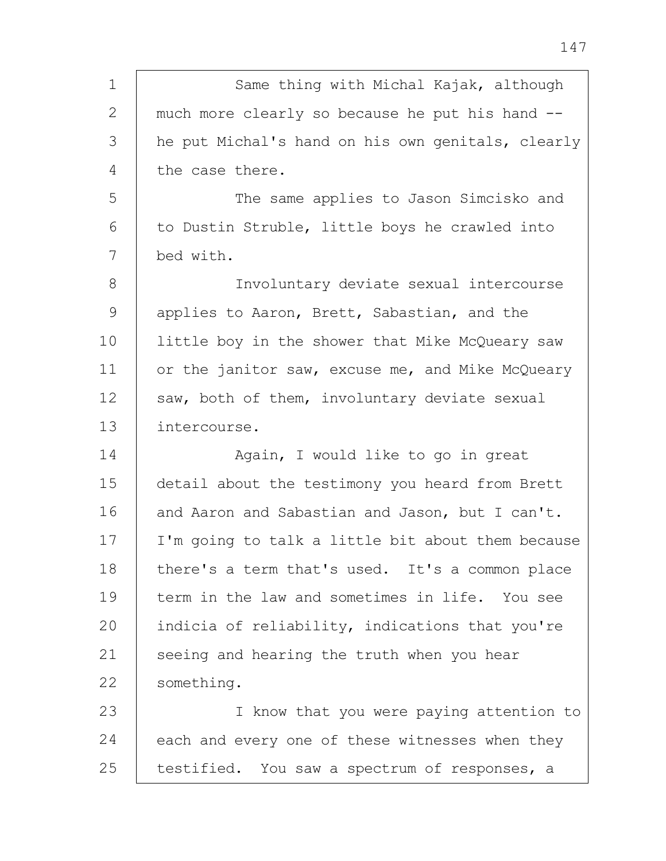| $\mathbf 1$ | Same thing with Michal Kajak, although            |
|-------------|---------------------------------------------------|
| 2           | much more clearly so because he put his hand --   |
| 3           | he put Michal's hand on his own genitals, clearly |
| 4           | the case there.                                   |
| 5           | The same applies to Jason Simcisko and            |
| 6           | to Dustin Struble, little boys he crawled into    |
| 7           | bed with.                                         |
| 8           | Involuntary deviate sexual intercourse            |
| 9           | applies to Aaron, Brett, Sabastian, and the       |
| 10          | little boy in the shower that Mike McQueary saw   |
| 11          | or the janitor saw, excuse me, and Mike McQueary  |
| 12          | saw, both of them, involuntary deviate sexual     |
| 13          | intercourse.                                      |
| 14          | Again, I would like to go in great                |
| 15          | detail about the testimony you heard from Brett   |
| 16          | and Aaron and Sabastian and Jason, but I can't.   |
| 17          | I'm going to talk a little bit about them because |
| 18          | there's a term that's used. It's a common place   |
| 19          | term in the law and sometimes in life. You see    |
| 20          | indicia of reliability, indications that you're   |
| 21          | seeing and hearing the truth when you hear        |
| 22          | something.                                        |
| 23          | I know that you were paying attention to          |
| 24          | each and every one of these witnesses when they   |
| 25          | testified. You saw a spectrum of responses, a     |

147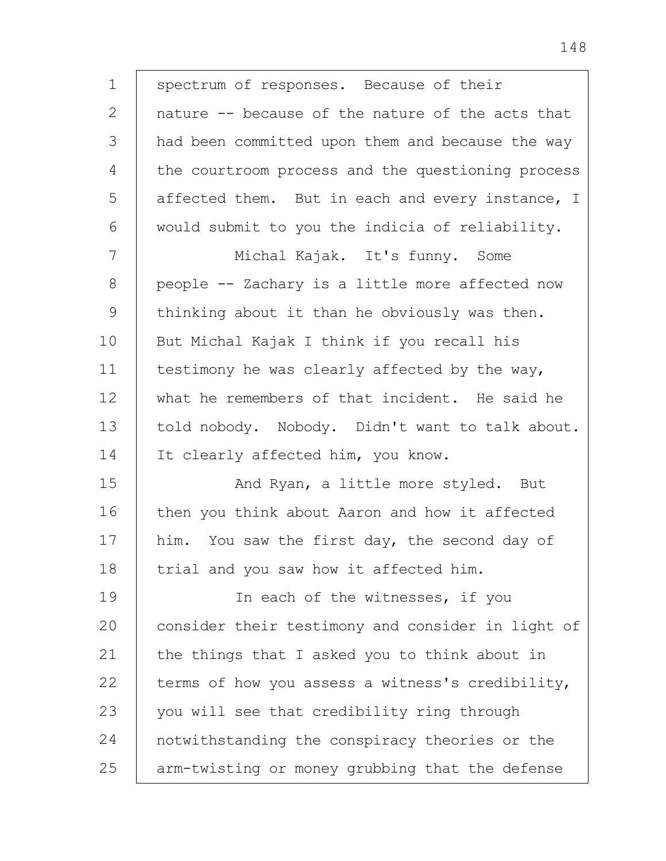1 2 3 4 5 6 7 8 9 10 11 12 13 14 15 16 17 18 19 20 21 22 23 24 25 spectrum of responses. Because of their nature -- because of the nature of the acts that had been committed upon them and because the way the courtroom process and the questioning process affected them. But in each and every instance, I would submit to you the indicia of reliability. Michal Kajak. It's funny. Some people -- Zachary is a little more affected now thinking about it than he obviously was then. But Michal Kajak I think if you recall his testimony he was clearly affected by the way, what he remembers of that incident. He said he told nobody. Nobody. Didn't want to talk about. It clearly affected him, you know. And Ryan, a little more styled. But then you think about Aaron and how it affected him. You saw the first day, the second day of trial and you saw how it affected him. In each of the witnesses, if you consider their testimony and consider in light of the things that I asked you to think about in terms of how you assess a witness's credibility, you will see that credibility ring through notwithstanding the conspiracy theories or the arm-twisting or money grubbing that the defense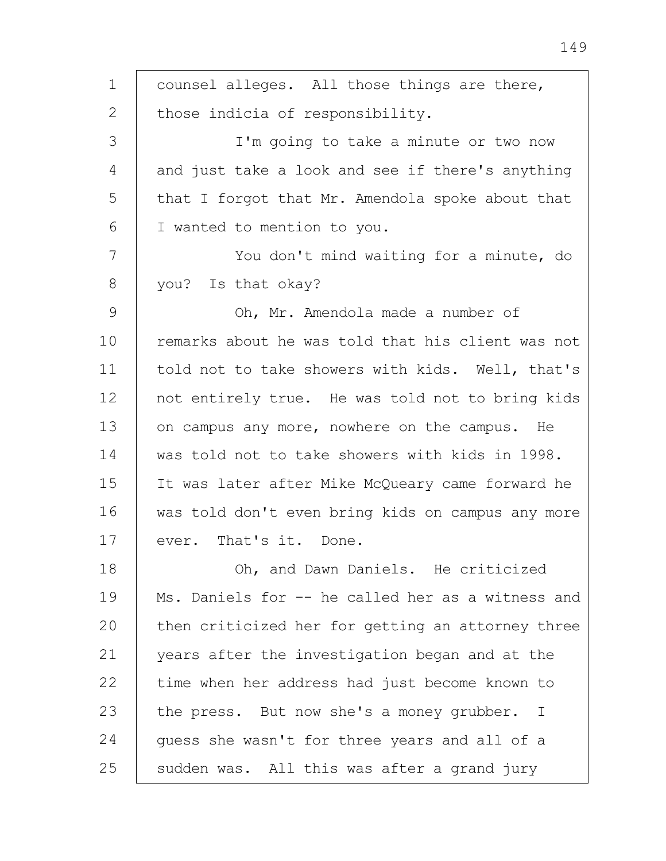1 2 3 4 5 6 7 8 9 10 11 12 13 14 15 16 17 18 19  $20$ 21 22 23 24 25 counsel alleges. All those things are there, those indicia of responsibility. I'm going to take a minute or two now and just take a look and see if there's anything that I forgot that Mr. Amendola spoke about that I wanted to mention to you. You don't mind waiting for a minute, do you? Is that okay? Oh, Mr. Amendola made a number of remarks about he was told that his client was not told not to take showers with kids. Well, that's not entirely true. He was told not to bring kids on campus any more, nowhere on the campus. He was told not to take showers with kids in 1998. It was later after Mike McQueary came forward he was told don't even bring kids on campus any more ever. That's it. Done. Oh, and Dawn Daniels. He criticized Ms. Daniels for -- he called her as a witness and then criticized her for getting an attorney three years after the investigation began and at the time when her address had just become known to the press. But now she's a money grubber. I guess she wasn't for three years and all of a sudden was. All this was after a grand jury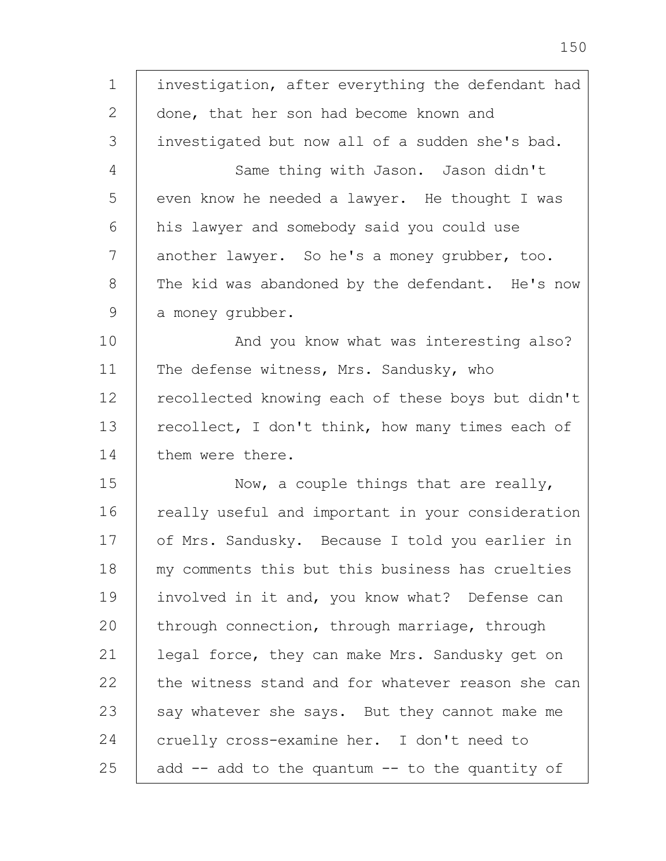1 2 3 4 5 6 7 8 9 10 11 12 13 14 15 16 17 18 19 20 21 22 23 24 25 investigation, after everything the defendant had done, that her son had become known and investigated but now all of a sudden she's bad. Same thing with Jason. Jason didn't even know he needed a lawyer. He thought I was his lawyer and somebody said you could use another lawyer. So he's a money grubber, too. The kid was abandoned by the defendant. He's now a money grubber. And you know what was interesting also? The defense witness, Mrs. Sandusky, who recollected knowing each of these boys but didn't recollect, I don't think, how many times each of them were there. Now, a couple things that are really, really useful and important in your consideration of Mrs. Sandusky. Because I told you earlier in my comments this but this business has cruelties involved in it and, you know what? Defense can through connection, through marriage, through legal force, they can make Mrs. Sandusky get on the witness stand and for whatever reason she can say whatever she says. But they cannot make me cruelly cross-examine her. I don't need to add -- add to the quantum -- to the quantity of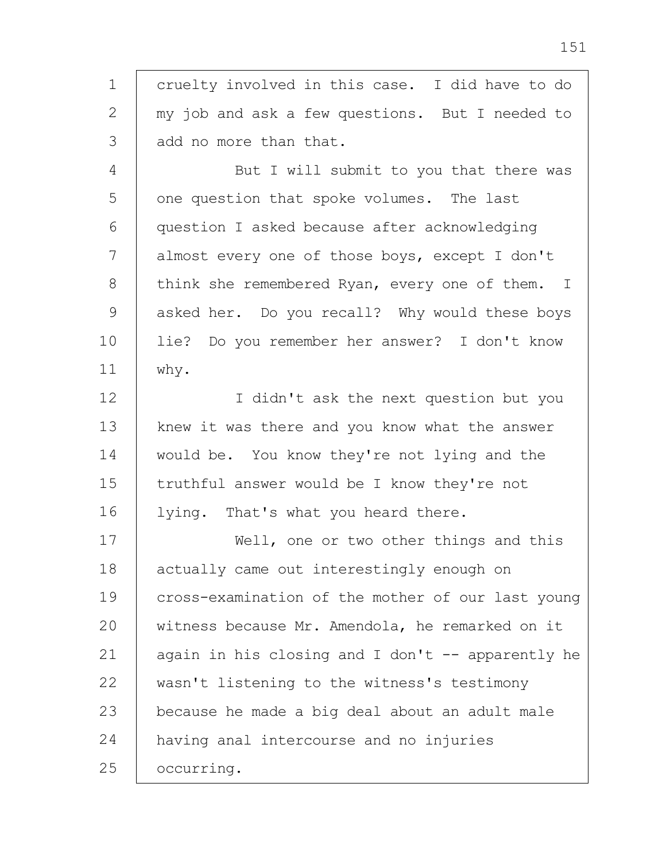1 2 3 4 5 6 7 8 9 10 11 12 13 14 15 16 17 18 19 cruelty involved in this case. I did have to do my job and ask a few questions. But I needed to add no more than that. But I will submit to you that there was one question that spoke volumes. The last question I asked because after acknowledging almost every one of those boys, except I don't think she remembered Ryan, every one of them. I asked her. Do you recall? Why would these boys lie? Do you remember her answer? I don't know why. I didn't ask the next question but you knew it was there and you know what the answer would be. You know they're not lying and the truthful answer would be I know they're not lying. That's what you heard there. Well, one or two other things and this actually came out interestingly enough on cross-examination of the mother of our last young

20 21 22 23 24 25 witness because Mr. Amendola, he remarked on it again in his closing and I don't  $-$  apparently he wasn't listening to the witness's testimony because he made a big deal about an adult male having anal intercourse and no injuries occurring.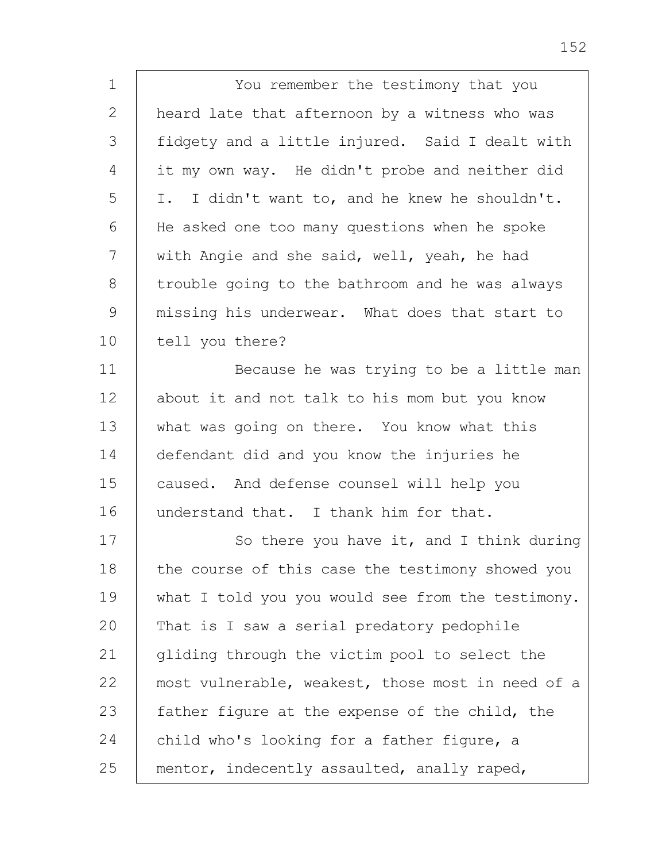| $\mathbf 1$   | You remember the testimony that you               |
|---------------|---------------------------------------------------|
| $\mathbf{2}$  | heard late that afternoon by a witness who was    |
| 3             | fidgety and a little injured. Said I dealt with   |
| 4             | it my own way. He didn't probe and neither did    |
| 5             | I. I didn't want to, and he knew he shouldn't.    |
| 6             | He asked one too many questions when he spoke     |
| 7             | with Angie and she said, well, yeah, he had       |
| 8             | trouble going to the bathroom and he was always   |
| $\mathcal{G}$ | missing his underwear. What does that start to    |
| 10            | tell you there?                                   |
| 11            | Because he was trying to be a little man          |
| 12            | about it and not talk to his mom but you know     |
| 13            | what was going on there. You know what this       |
| 14            | defendant did and you know the injuries he        |
| 15            | caused. And defense counsel will help you         |
| 16            | understand that. I thank him for that.            |
| 17            | So there you have it, and I think during          |
| 18            | the course of this case the testimony showed you  |
| 19            | what I told you you would see from the testimony. |
| 20            | That is I saw a serial predatory pedophile        |
| 21            | gliding through the victim pool to select the     |
| 22            | most vulnerable, weakest, those most in need of a |
| 23            | father figure at the expense of the child, the    |
| 24            | child who's looking for a father figure, a        |
| 25            | mentor, indecently assaulted, anally raped,       |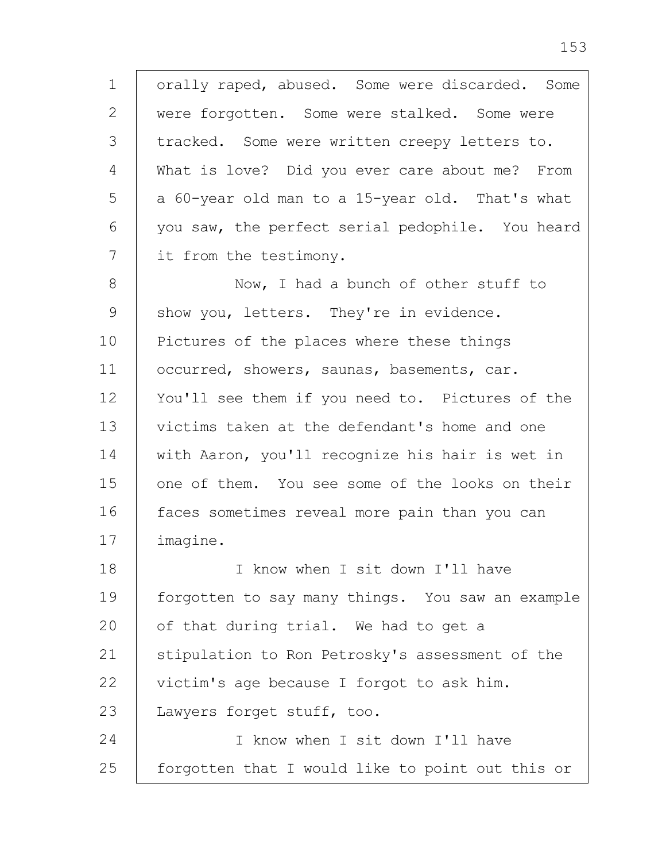1 2 3 4 5 6 7 8 9 10 11 12 13 14 15 16 17 18 19 20 21 22 23 24 25 orally raped, abused. Some were discarded. Some were forgotten. Some were stalked. Some were tracked. Some were written creepy letters to. What is love? Did you ever care about me? From a 60-year old man to a 15-year old. That's what you saw, the perfect serial pedophile. You heard it from the testimony. Now, I had a bunch of other stuff to show you, letters. They're in evidence. Pictures of the places where these things occurred, showers, saunas, basements, car. You'll see them if you need to. Pictures of the victims taken at the defendant's home and one with Aaron, you'll recognize his hair is wet in one of them. You see some of the looks on their faces sometimes reveal more pain than you can imagine. I know when I sit down I'll have forgotten to say many things. You saw an example of that during trial. We had to get a stipulation to Ron Petrosky's assessment of the victim's age because I forgot to ask him. Lawyers forget stuff, too. I know when I sit down I'll have forgotten that I would like to point out this or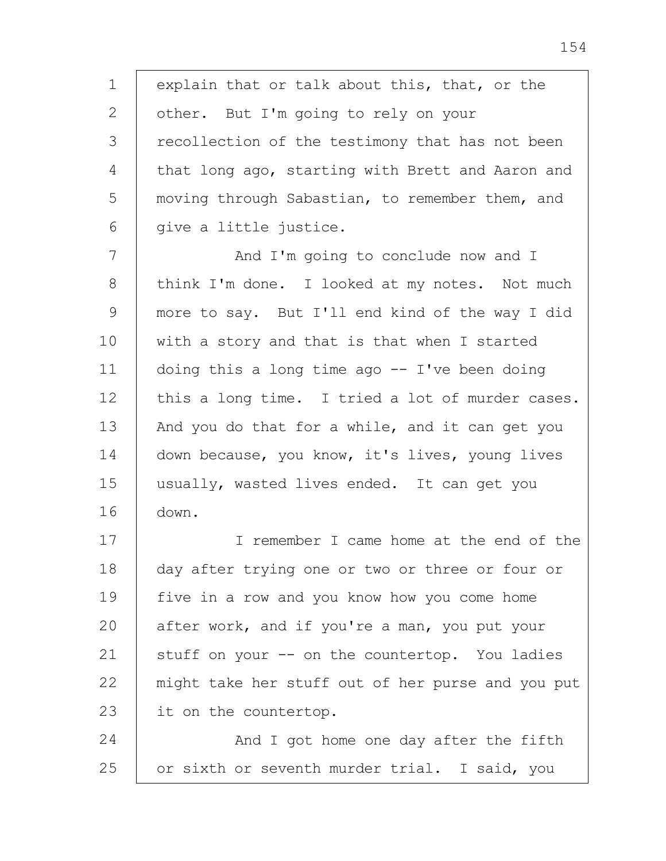1 2 3 4 5 6 explain that or talk about this, that, or the other. But I'm going to rely on your recollection of the testimony that has not been that long ago, starting with Brett and Aaron and moving through Sabastian, to remember them, and give a little justice.

7 8 9 10 11 12 13 14 15 16 And I'm going to conclude now and I think I'm done. I looked at my notes. Not much more to say. But I'll end kind of the way I did with a story and that is that when I started doing this a long time ago  $-$  I've been doing this a long time. I tried a lot of murder cases. And you do that for a while, and it can get you down because, you know, it's lives, young lives usually, wasted lives ended. It can get you down.

17 18 19 20 21 22 23 I remember I came home at the end of the day after trying one or two or three or four or five in a row and you know how you come home after work, and if you're a man, you put your stuff on your -- on the countertop. You ladies might take her stuff out of her purse and you put it on the countertop.

24 25 And I got home one day after the fifth or sixth or seventh murder trial. I said, you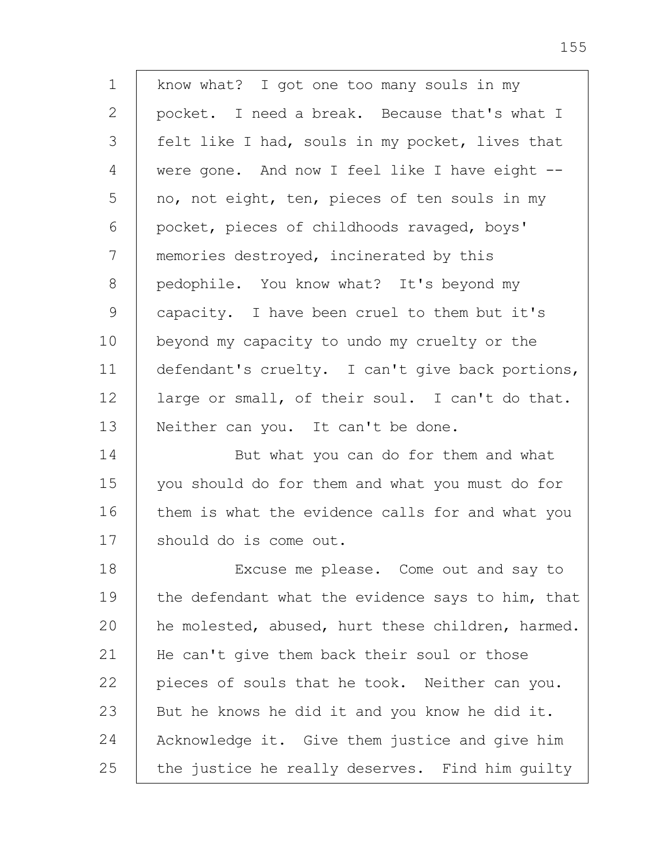1 2 3 4 5 6 7 8 9 10 11 12 13 14 15 16 17 18 19 20 21 22 23 24 25 know what? I got one too many souls in my pocket. I need a break. Because that's what I felt like I had, souls in my pocket, lives that were gone. And now I feel like I have eight - no, not eight, ten, pieces of ten souls in my pocket, pieces of childhoods ravaged, boys' memories destroyed, incinerated by this pedophile. You know what? It's beyond my capacity. I have been cruel to them but it's beyond my capacity to undo my cruelty or the defendant's cruelty. I can't give back portions, large or small, of their soul. I can't do that. Neither can you. It can't be done. But what you can do for them and what you should do for them and what you must do for them is what the evidence calls for and what you should do is come out. Excuse me please. Come out and say to the defendant what the evidence says to him, that he molested, abused, hurt these children, harmed. He can't give them back their soul or those pieces of souls that he took. Neither can you. But he knows he did it and you know he did it. Acknowledge it. Give them justice and give him the justice he really deserves. Find him guilty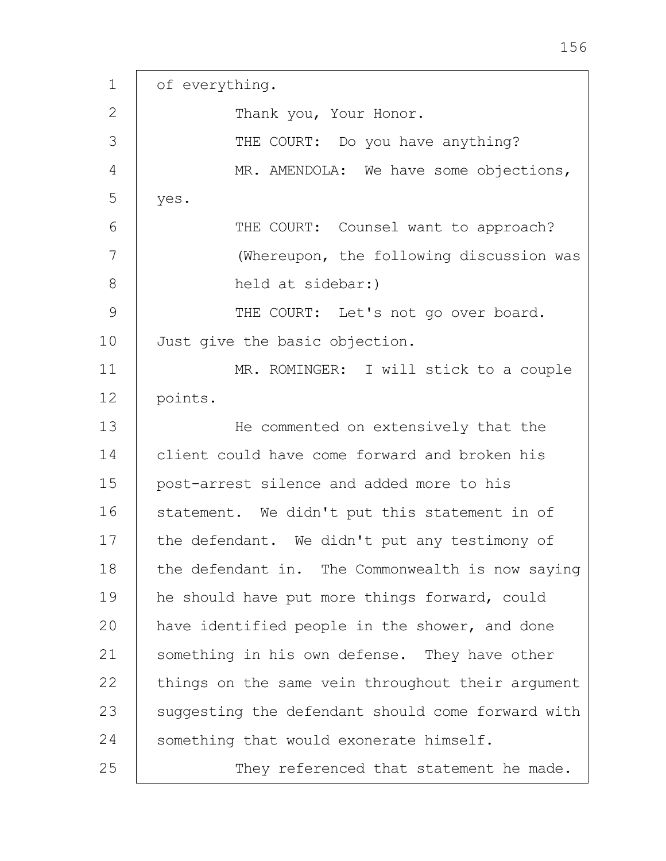1 2 3 4 5 6 7 8 9 10 11 12 13 14 15 16 17 18 19 20 21 22 23 24 25 of everything. Thank you, Your Honor. THE COURT: Do you have anything? MR. AMENDOLA: We have some objections, yes. THE COURT: Counsel want to approach? (Whereupon, the following discussion was held at sidebar:) THE COURT: Let's not go over board. Just give the basic objection. MR. ROMINGER: I will stick to a couple points. He commented on extensively that the client could have come forward and broken his post-arrest silence and added more to his statement. We didn't put this statement in of the defendant. We didn't put any testimony of the defendant in. The Commonwealth is now saying he should have put more things forward, could have identified people in the shower, and done something in his own defense. They have other things on the same vein throughout their argument suggesting the defendant should come forward with something that would exonerate himself. They referenced that statement he made.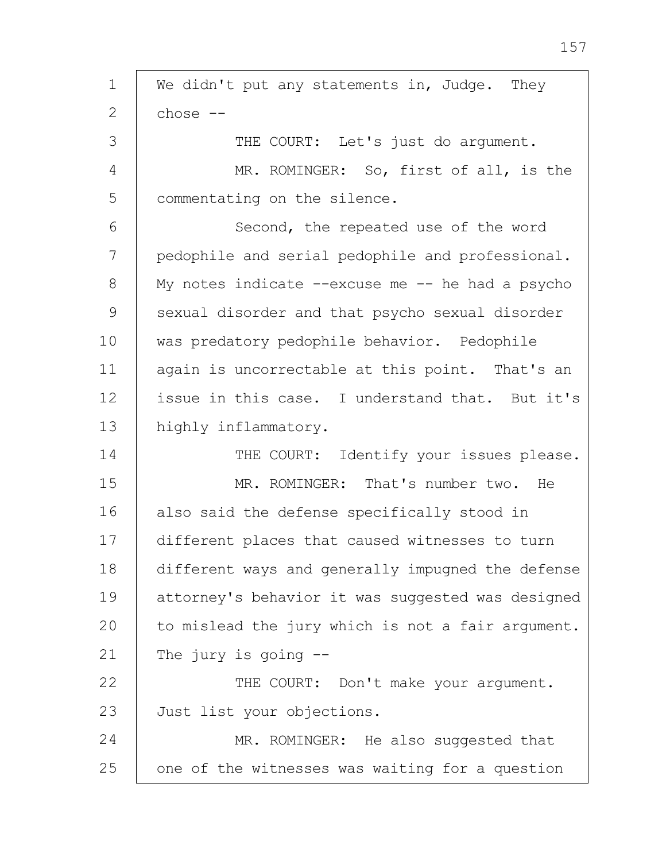1 2 3 4 5 6 7 8 9 10 11 12 13 14 15 16 17 18 19 20 21 22 23 24 25 We didn't put any statements in, Judge. They chose -- THE COURT: Let's just do argument. MR. ROMINGER: So, first of all, is the commentating on the silence. Second, the repeated use of the word pedophile and serial pedophile and professional. My notes indicate  $--$ excuse me  $--$  he had a psycho sexual disorder and that psycho sexual disorder was predatory pedophile behavior. Pedophile again is uncorrectable at this point. That's an issue in this case. I understand that. But it's highly inflammatory. THE COURT: Identify your issues please. MR. ROMINGER: That's number two. He also said the defense specifically stood in different places that caused witnesses to turn different ways and generally impugned the defense attorney's behavior it was suggested was designed to mislead the jury which is not a fair argument. The jury is going -- THE COURT: Don't make your argument. Just list your objections. MR. ROMINGER: He also suggested that one of the witnesses was waiting for a question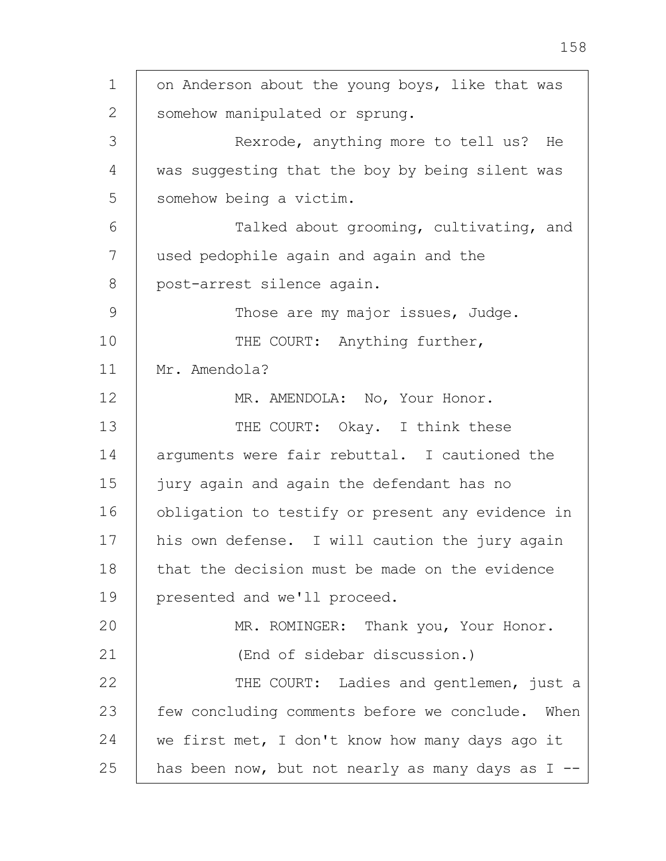1 2 3 4 5 6 7 8 9 10 11 12 13 14 15 16 17 18 19 20 21 22 23 24 25 on Anderson about the young boys, like that was somehow manipulated or sprung. Rexrode, anything more to tell us? He was suggesting that the boy by being silent was somehow being a victim. Talked about grooming, cultivating, and used pedophile again and again and the post-arrest silence again. Those are my major issues, Judge. THE COURT: Anything further, Mr. Amendola? MR. AMENDOLA: No, Your Honor. THE COURT: Okay. I think these arguments were fair rebuttal. I cautioned the jury again and again the defendant has no obligation to testify or present any evidence in his own defense. I will caution the jury again that the decision must be made on the evidence presented and we'll proceed. MR. ROMINGER: Thank you, Your Honor. (End of sidebar discussion.) THE COURT: Ladies and gentlemen, just a few concluding comments before we conclude. When we first met, I don't know how many days ago it has been now, but not nearly as many days as I --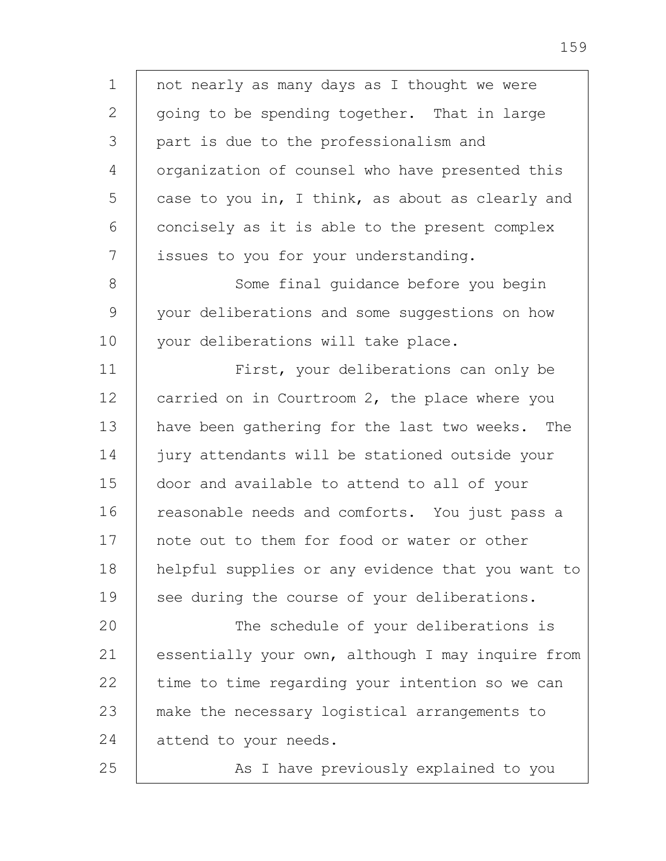1 2 3 4 5 6 7 8 9 10 11 12 13 14 15 16 17 18 19 20 21 22 23 24 25 not nearly as many days as I thought we were going to be spending together. That in large part is due to the professionalism and organization of counsel who have presented this case to you in, I think, as about as clearly and concisely as it is able to the present complex issues to you for your understanding. Some final guidance before you begin your deliberations and some suggestions on how your deliberations will take place. First, your deliberations can only be carried on in Courtroom 2, the place where you have been gathering for the last two weeks. The jury attendants will be stationed outside your door and available to attend to all of your reasonable needs and comforts. You just pass a note out to them for food or water or other helpful supplies or any evidence that you want to see during the course of your deliberations. The schedule of your deliberations is essentially your own, although I may inquire from time to time regarding your intention so we can make the necessary logistical arrangements to attend to your needs. As I have previously explained to you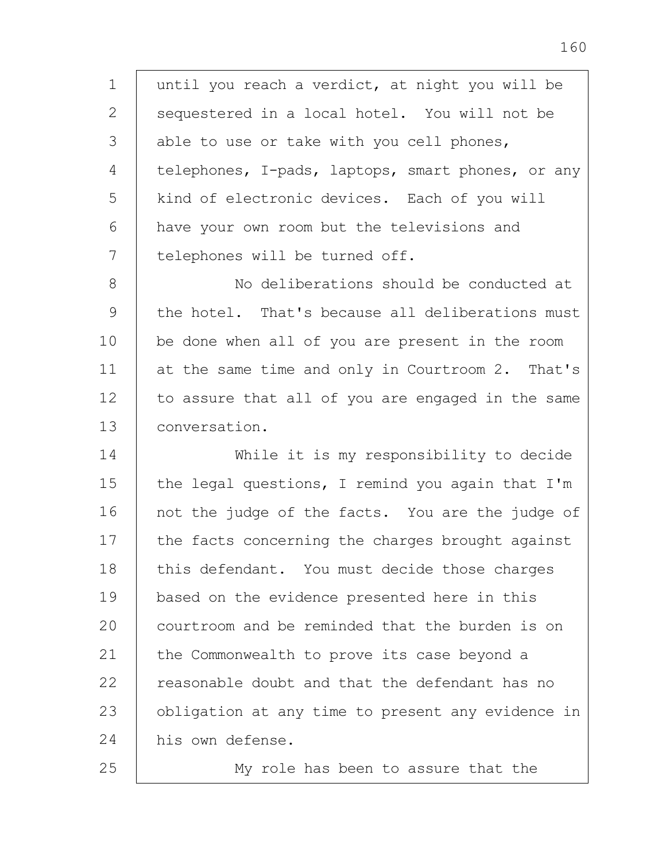1 2 3 4 5 6 7 8 9 10 11 12 13 until you reach a verdict, at night you will be sequestered in a local hotel. You will not be able to use or take with you cell phones, telephones, I-pads, laptops, smart phones, or any kind of electronic devices. Each of you will have your own room but the televisions and telephones will be turned off. No deliberations should be conducted at the hotel. That's because all deliberations must be done when all of you are present in the room at the same time and only in Courtroom 2. That's to assure that all of you are engaged in the same conversation.

14 15 16 17 18 19 20 21 22 23 24 While it is my responsibility to decide the legal questions, I remind you again that I'm not the judge of the facts. You are the judge of the facts concerning the charges brought against this defendant. You must decide those charges based on the evidence presented here in this courtroom and be reminded that the burden is on the Commonwealth to prove its case beyond a reasonable doubt and that the defendant has no obligation at any time to present any evidence in his own defense.

25

My role has been to assure that the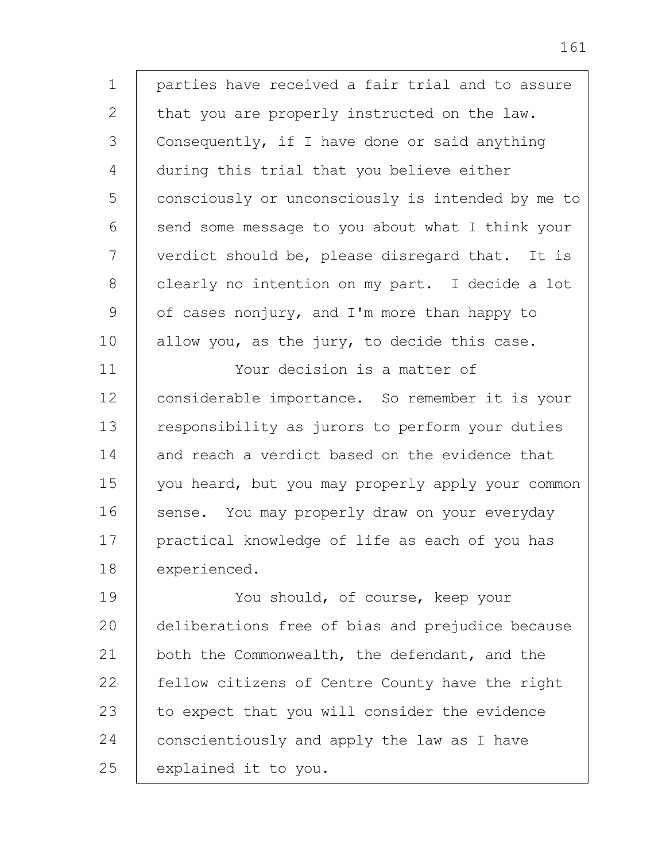1 2 3 4 5 6 7 8 9 10 11 12 13 14 15 16 17 18 19 parties have received a fair trial and to assure that you are properly instructed on the law. Consequently, if I have done or said anything during this trial that you believe either consciously or unconsciously is intended by me to send some message to you about what I think your verdict should be, please disregard that. It is clearly no intention on my part. I decide a lot of cases nonjury, and I'm more than happy to allow you, as the jury, to decide this case. Your decision is a matter of considerable importance. So remember it is your responsibility as jurors to perform your duties and reach a verdict based on the evidence that you heard, but you may properly apply your common sense. You may properly draw on your everyday practical knowledge of life as each of you has experienced. You should, of course, keep your

20 21 22 23 24 25 deliberations free of bias and prejudice because both the Commonwealth, the defendant, and the fellow citizens of Centre County have the right to expect that you will consider the evidence conscientiously and apply the law as I have explained it to you.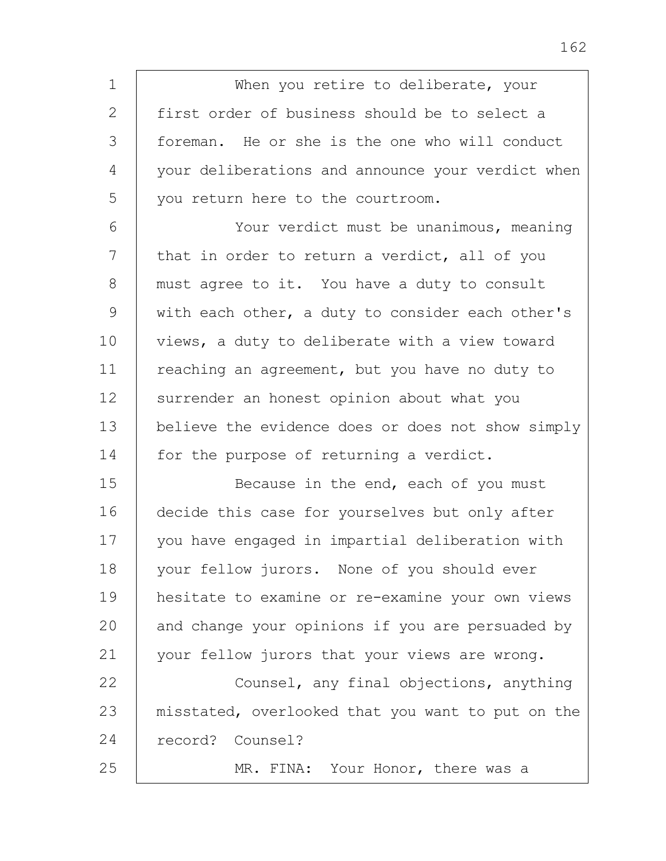1 2 3 4 5 6 7 8 9 10 11 12 13 14 15 16 17 18 19 20 21 22 23 24 25 When you retire to deliberate, your first order of business should be to select a foreman. He or she is the one who will conduct your deliberations and announce your verdict when you return here to the courtroom. Your verdict must be unanimous, meaning that in order to return a verdict, all of you must agree to it. You have a duty to consult with each other, a duty to consider each other's views, a duty to deliberate with a view toward reaching an agreement, but you have no duty to surrender an honest opinion about what you believe the evidence does or does not show simply for the purpose of returning a verdict. Because in the end, each of you must decide this case for yourselves but only after you have engaged in impartial deliberation with your fellow jurors. None of you should ever hesitate to examine or re-examine your own views and change your opinions if you are persuaded by your fellow jurors that your views are wrong. Counsel, any final objections, anything misstated, overlooked that you want to put on the record? Counsel? MR. FINA: Your Honor, there was a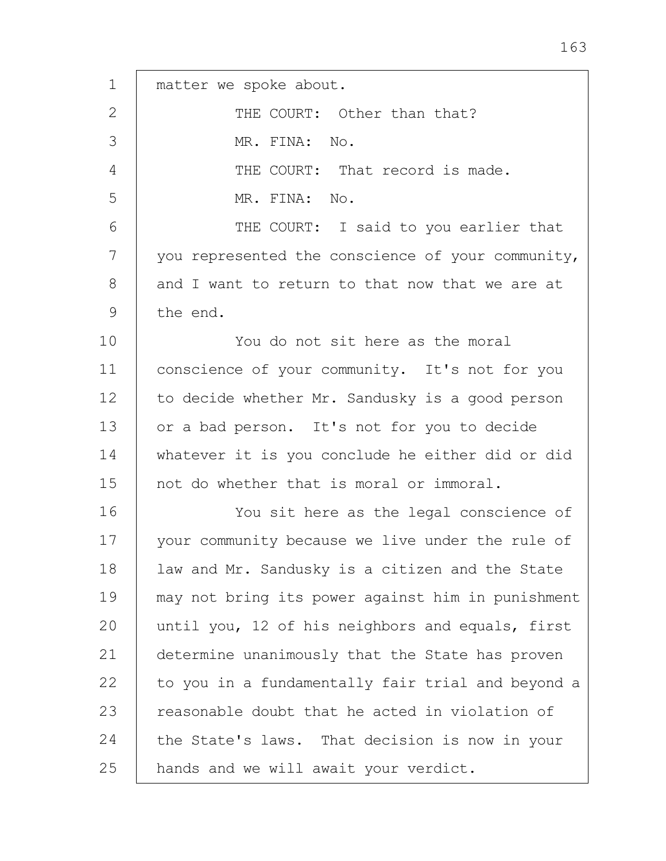| $\mathbf 1$ | matter we spoke about.                            |
|-------------|---------------------------------------------------|
| 2           | THE COURT: Other than that?                       |
| 3           | MR. FINA: No.                                     |
| 4           | THE COURT: That record is made.                   |
| 5           | MR. FINA: No.                                     |
| 6           | THE COURT: I said to you earlier that             |
| 7           | you represented the conscience of your community, |
| 8           | and I want to return to that now that we are at   |
| 9           | the end.                                          |
| 10          | You do not sit here as the moral                  |
| 11          | conscience of your community. It's not for you    |
| 12          | to decide whether Mr. Sandusky is a good person   |
| 13          | or a bad person. It's not for you to decide       |
| 14          | whatever it is you conclude he either did or did  |
| 15          | not do whether that is moral or immoral.          |
| 16          | You sit here as the legal conscience of           |
| 17          | your community because we live under the rule of  |
| 18          | law and Mr. Sandusky is a citizen and the State   |
| 19          | may not bring its power against him in punishment |
| 20          | until you, 12 of his neighbors and equals, first  |
| 21          | determine unanimously that the State has proven   |
| 22          | to you in a fundamentally fair trial and beyond a |
| 23          | reasonable doubt that he acted in violation of    |
| 24          | the State's laws. That decision is now in your    |
| 25          | hands and we will await your verdict.             |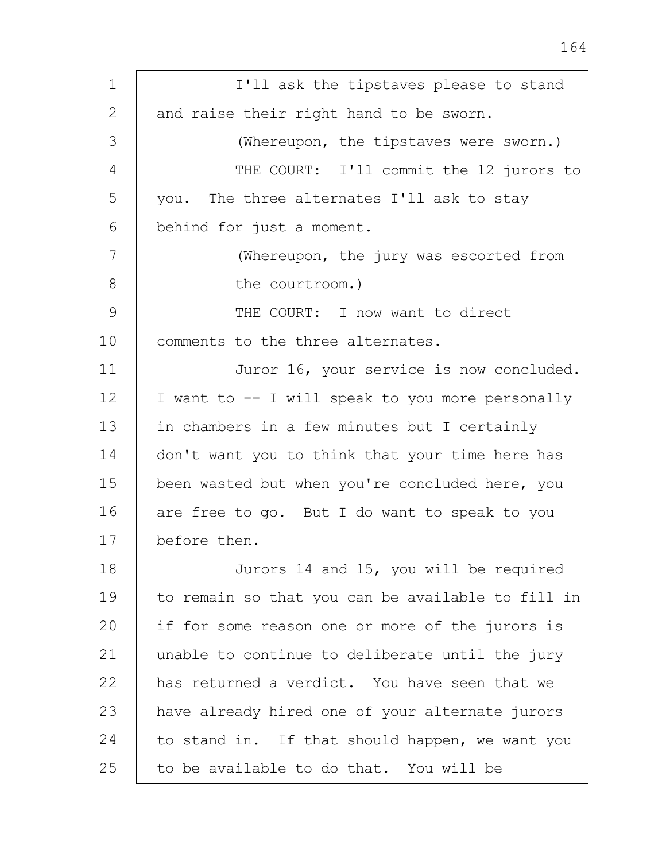| 1  | I'll ask the tipstaves please to stand            |
|----|---------------------------------------------------|
| 2  | and raise their right hand to be sworn.           |
| 3  | (Whereupon, the tipstaves were sworn.)            |
| 4  | THE COURT: I'll commit the 12 jurors to           |
| 5  | you. The three alternates I'll ask to stay        |
| 6  | behind for just a moment.                         |
| 7  | (Whereupon, the jury was escorted from            |
| 8  | the courtroom.)                                   |
| 9  | THE COURT: I now want to direct                   |
| 10 | comments to the three alternates.                 |
| 11 | Juror 16, your service is now concluded.          |
| 12 | I want to -- I will speak to you more personally  |
| 13 | in chambers in a few minutes but I certainly      |
| 14 | don't want you to think that your time here has   |
| 15 | been wasted but when you're concluded here, you   |
| 16 | are free to go. But I do want to speak to you     |
| 17 | before then.                                      |
| 18 | Jurors 14 and 15, you will be required            |
| 19 | to remain so that you can be available to fill in |
| 20 | if for some reason one or more of the jurors is   |
| 21 | unable to continue to deliberate until the jury   |
| 22 | has returned a verdict. You have seen that we     |
| 23 | have already hired one of your alternate jurors   |
| 24 | to stand in. If that should happen, we want you   |
| 25 | to be available to do that. You will be           |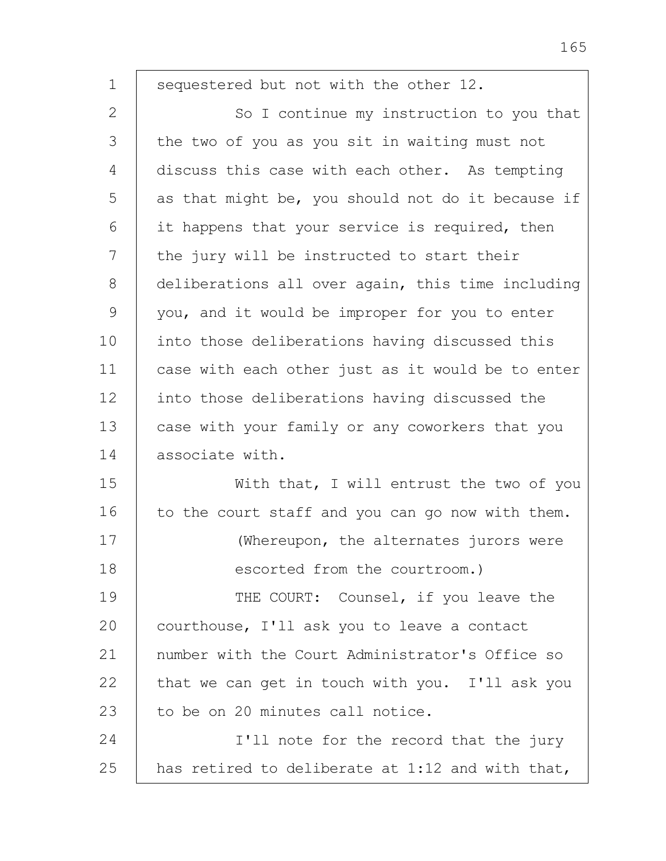| $\mathbf 1$ | sequestered but not with the other 12.            |
|-------------|---------------------------------------------------|
| 2           | So I continue my instruction to you that          |
| 3           | the two of you as you sit in waiting must not     |
| 4           | discuss this case with each other. As tempting    |
| 5           | as that might be, you should not do it because if |
| 6           | it happens that your service is required, then    |
| 7           | the jury will be instructed to start their        |
| 8           | deliberations all over again, this time including |
| 9           | you, and it would be improper for you to enter    |
| 10          | into those deliberations having discussed this    |
| 11          | case with each other just as it would be to enter |
| 12          | into those deliberations having discussed the     |
| 13          | case with your family or any coworkers that you   |
| 14          | associate with.                                   |
| 15          | With that, I will entrust the two of you          |
| 16          | to the court staff and you can go now with them.  |
| 17          | (Whereupon, the alternates jurors were            |
| 18          | escorted from the courtroom.)                     |
| 19          | THE COURT: Counsel, if you leave the              |
| 20          | courthouse, I'll ask you to leave a contact       |
| 21          | number with the Court Administrator's Office so   |
| 22          | that we can get in touch with you. I'll ask you   |
| 23          | to be on 20 minutes call notice.                  |
| 24          | I'll note for the record that the jury            |
| 25          | has retired to deliberate at 1:12 and with that,  |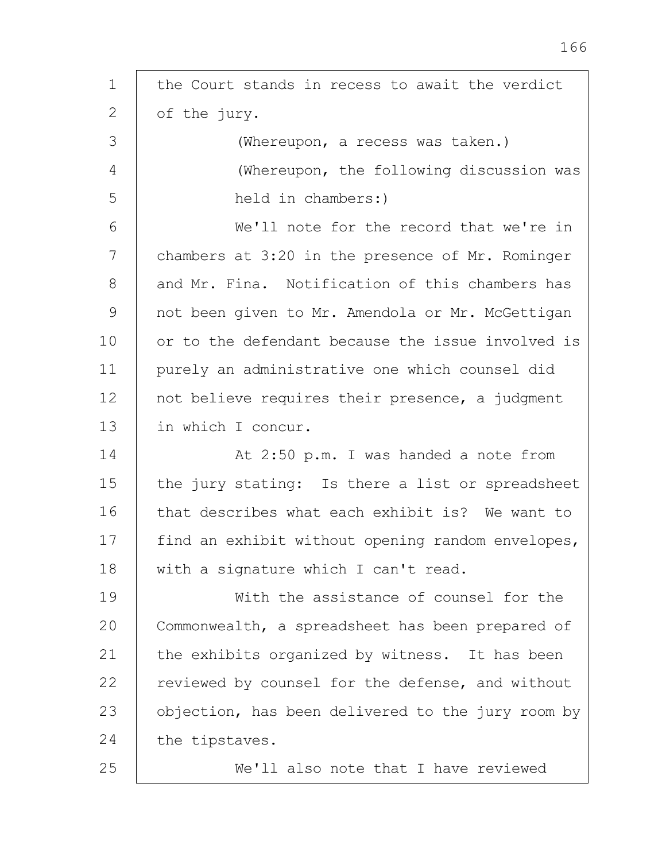| $\mathbf 1$ | the Court stands in recess to await the verdict   |
|-------------|---------------------------------------------------|
| 2           | of the jury.                                      |
| 3           | (Whereupon, a recess was taken.)                  |
| 4           | (Whereupon, the following discussion was          |
| 5           | held in chambers:)                                |
| 6           | We'll note for the record that we're in           |
| 7           | chambers at 3:20 in the presence of Mr. Rominger  |
| 8           | and Mr. Fina. Notification of this chambers has   |
| 9           | not been given to Mr. Amendola or Mr. McGettigan  |
| 10          | or to the defendant because the issue involved is |
| 11          | purely an administrative one which counsel did    |
| 12          | not believe requires their presence, a judgment   |
| 13          | in which I concur.                                |
| 14          | At 2:50 p.m. I was handed a note from             |
| 15          | the jury stating: Is there a list or spreadsheet  |
| 16          | that describes what each exhibit is? We want to   |
| 17          | find an exhibit without opening random envelopes, |
| 18          | with a signature which I can't read.              |
| 19          | With the assistance of counsel for the            |
| 20          | Commonwealth, a spreadsheet has been prepared of  |
| 21          | the exhibits organized by witness. It has been    |
| 22          | reviewed by counsel for the defense, and without  |
| 23          | objection, has been delivered to the jury room by |
| 24          | the tipstaves.                                    |
| 25          | We'll also note that I have reviewed              |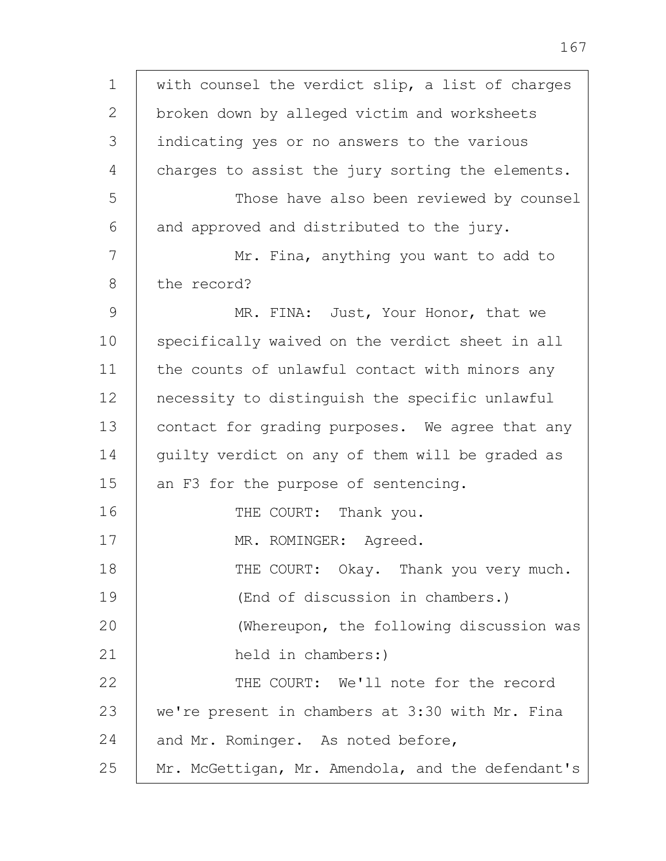1 2 3 4 5 6 7 8 9 10 11 12 13 14 15 16 17 18 19 20 21 22 23 24 25 with counsel the verdict slip, a list of charges broken down by alleged victim and worksheets indicating yes or no answers to the various charges to assist the jury sorting the elements. Those have also been reviewed by counsel and approved and distributed to the jury. Mr. Fina, anything you want to add to the record? MR. FINA: Just, Your Honor, that we specifically waived on the verdict sheet in all the counts of unlawful contact with minors any necessity to distinguish the specific unlawful contact for grading purposes. We agree that any guilty verdict on any of them will be graded as an F3 for the purpose of sentencing. THE COURT: Thank you. MR. ROMINGER: Agreed. THE COURT: Okay. Thank you very much. (End of discussion in chambers.) (Whereupon, the following discussion was held in chambers:) THE COURT: We'll note for the record we're present in chambers at 3:30 with Mr. Fina and Mr. Rominger. As noted before, Mr. McGettigan, Mr. Amendola, and the defendant's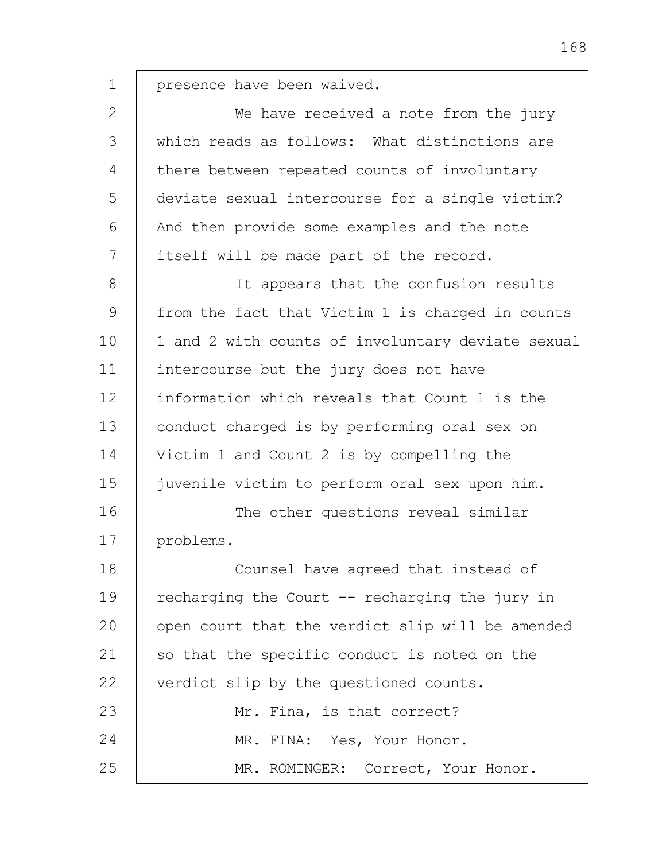1 presence have been waived.

2 3 4 5 6 7 8 9 10 We have received a note from the jury which reads as follows: What distinctions are there between repeated counts of involuntary deviate sexual intercourse for a single victim? And then provide some examples and the note itself will be made part of the record. It appears that the confusion results from the fact that Victim 1 is charged in counts 1 and 2 with counts of involuntary deviate sexual

11 12 13 14 15 16 intercourse but the jury does not have information which reveals that Count 1 is the conduct charged is by performing oral sex on Victim 1 and Count 2 is by compelling the juvenile victim to perform oral sex upon him. The other questions reveal similar

17 problems.

18 19  $20$ 21 22 23 24 25 Counsel have agreed that instead of recharging the Court -- recharging the jury in open court that the verdict slip will be amended so that the specific conduct is noted on the verdict slip by the questioned counts. Mr. Fina, is that correct? MR. FINA: Yes, Your Honor. MR. ROMINGER: Correct, Your Honor.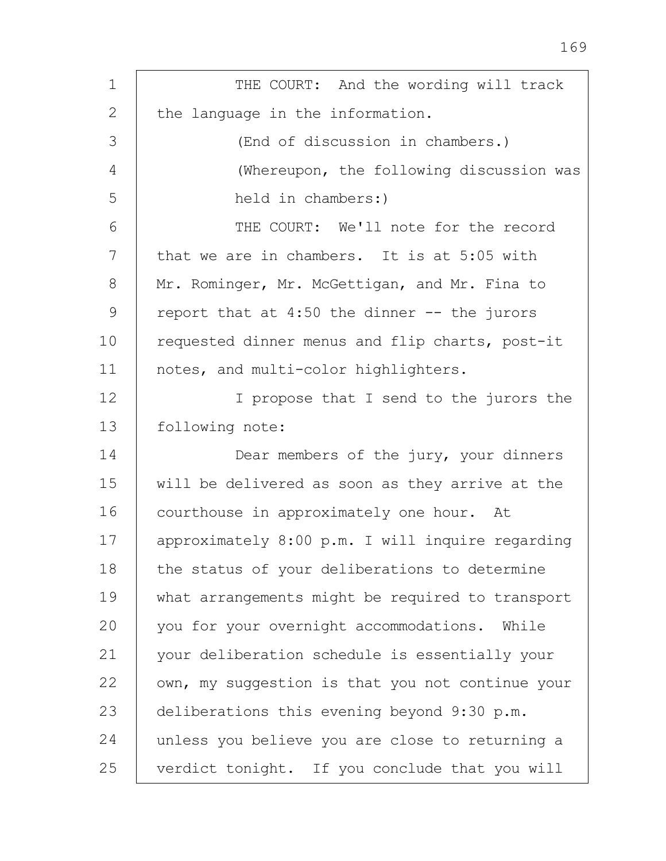| $\mathbf 1$  | THE COURT: And the wording will track            |
|--------------|--------------------------------------------------|
| $\mathbf{2}$ | the language in the information.                 |
|              |                                                  |
| 3            | (End of discussion in chambers.)                 |
| 4            | (Whereupon, the following discussion was         |
| 5            | held in chambers:)                               |
| 6            | THE COURT: We'll note for the record             |
| 7            | that we are in chambers. It is at 5:05 with      |
| 8            | Mr. Rominger, Mr. McGettigan, and Mr. Fina to    |
| 9            | report that at $4:50$ the dinner $-$ the jurors  |
| 10           | requested dinner menus and flip charts, post-it  |
| 11           | notes, and multi-color highlighters.             |
| 12           | I propose that I send to the jurors the          |
| 13           | following note:                                  |
| 14           | Dear members of the jury, your dinners           |
| 15           | will be delivered as soon as they arrive at the  |
| 16           | courthouse in approximately one hour. At         |
| 17           | approximately 8:00 p.m. I will inquire regarding |
| 18           | the status of your deliberations to determine    |
| 19           | what arrangements might be required to transport |
| 20           | you for your overnight accommodations. While     |
| 21           | your deliberation schedule is essentially your   |
| 22           | own, my suggestion is that you not continue your |
| 23           | deliberations this evening beyond 9:30 p.m.      |
| 24           | unless you believe you are close to returning a  |
| 25           | verdict tonight. If you conclude that you will   |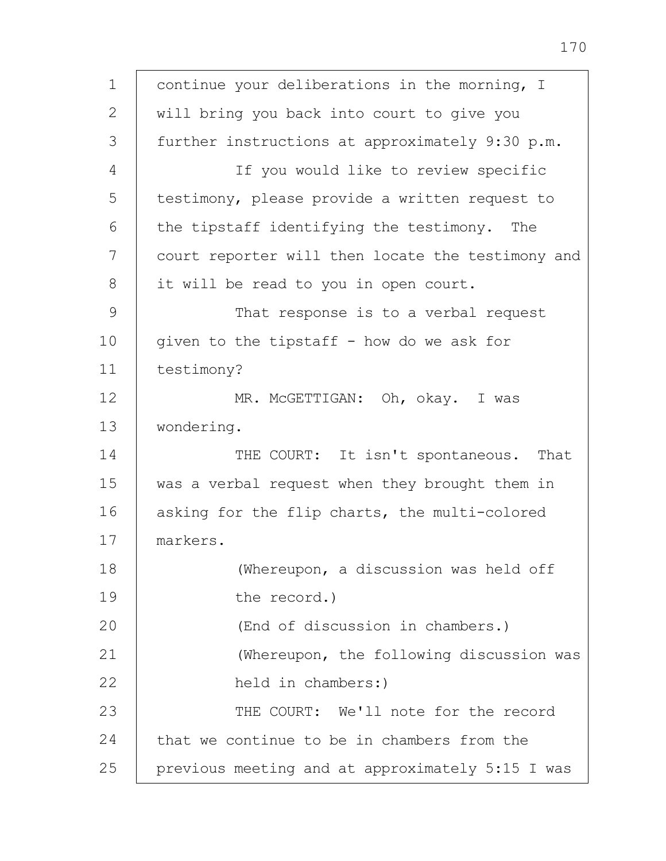1 2 3 4 5 6 7 8 9 10 11 12 13 14 15 16 17 18 19  $20$ 21 22 23 24 25 continue your deliberations in the morning, I will bring you back into court to give you further instructions at approximately 9:30 p.m. If you would like to review specific testimony, please provide a written request to the tipstaff identifying the testimony. The court reporter will then locate the testimony and it will be read to you in open court. That response is to a verbal request given to the tipstaff - how do we ask for testimony? MR. McGETTIGAN: Oh, okay. I was wondering. THE COURT: It isn't spontaneous. That was a verbal request when they brought them in asking for the flip charts, the multi-colored markers. (Whereupon, a discussion was held off the record.) (End of discussion in chambers.) (Whereupon, the following discussion was held in chambers:) THE COURT: We'll note for the record that we continue to be in chambers from the previous meeting and at approximately 5:15 I was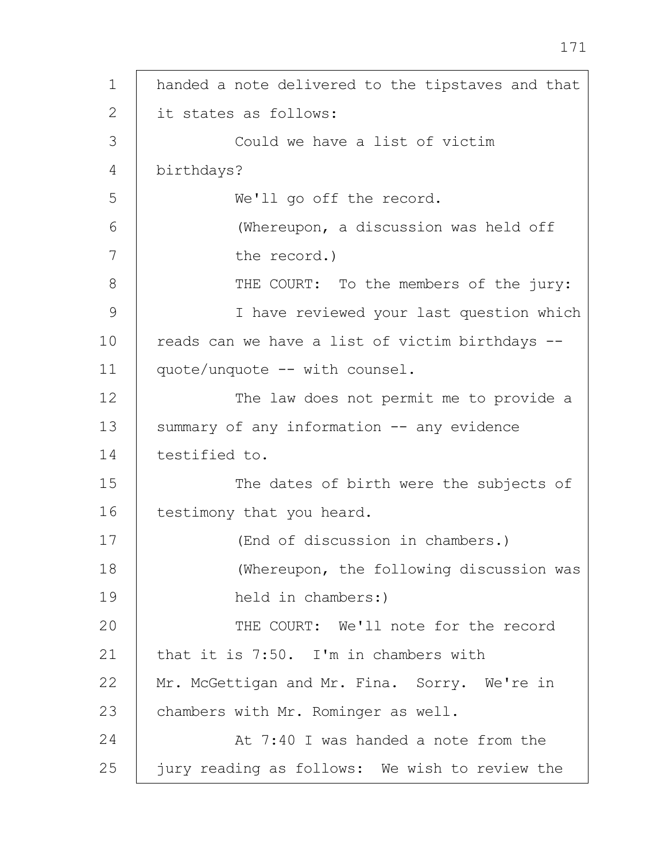1  $\mathcal{L}$ 3 4 5 6 7 8 9 10 11 12 13 14 15 16 17 18 19  $20$ 21 22 23 24 25 handed a note delivered to the tipstaves and that it states as follows: Could we have a list of victim birthdays? We'll go off the record. (Whereupon, a discussion was held off the record.) THE COURT: To the members of the jury: I have reviewed your last question which reads can we have a list of victim birthdays - quote/unquote -- with counsel. The law does not permit me to provide a summary of any information -- any evidence testified to. The dates of birth were the subjects of testimony that you heard. (End of discussion in chambers.) (Whereupon, the following discussion was held in chambers:) THE COURT: We'll note for the record that it is 7:50. I'm in chambers with Mr. McGettigan and Mr. Fina. Sorry. We're in chambers with Mr. Rominger as well. At 7:40 I was handed a note from the jury reading as follows: We wish to review the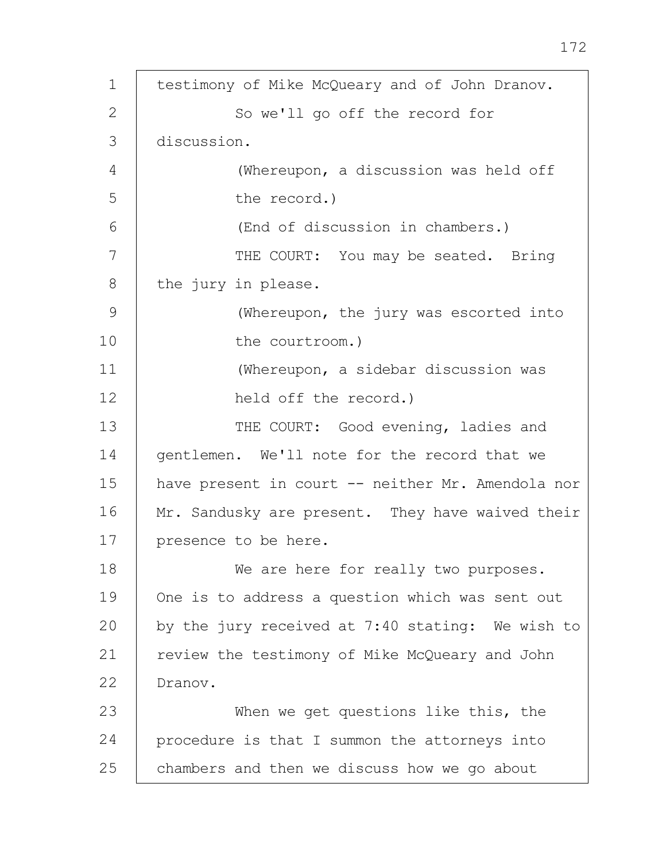1 2 3 4 5 6 7 8 9 10 11 12 13 14 15 16 17 18 19 20 21 22 23 24 25 testimony of Mike McQueary and of John Dranov. So we'll go off the record for discussion. (Whereupon, a discussion was held off the record.) (End of discussion in chambers.) THE COURT: You may be seated. Bring the jury in please. (Whereupon, the jury was escorted into the courtroom.) (Whereupon, a sidebar discussion was held off the record.) THE COURT: Good evening, ladies and gentlemen. We'll note for the record that we have present in court -- neither Mr. Amendola nor Mr. Sandusky are present. They have waived their presence to be here. We are here for really two purposes. One is to address a question which was sent out by the jury received at 7:40 stating: We wish to review the testimony of Mike McQueary and John Dranov. When we get questions like this, the procedure is that I summon the attorneys into chambers and then we discuss how we go about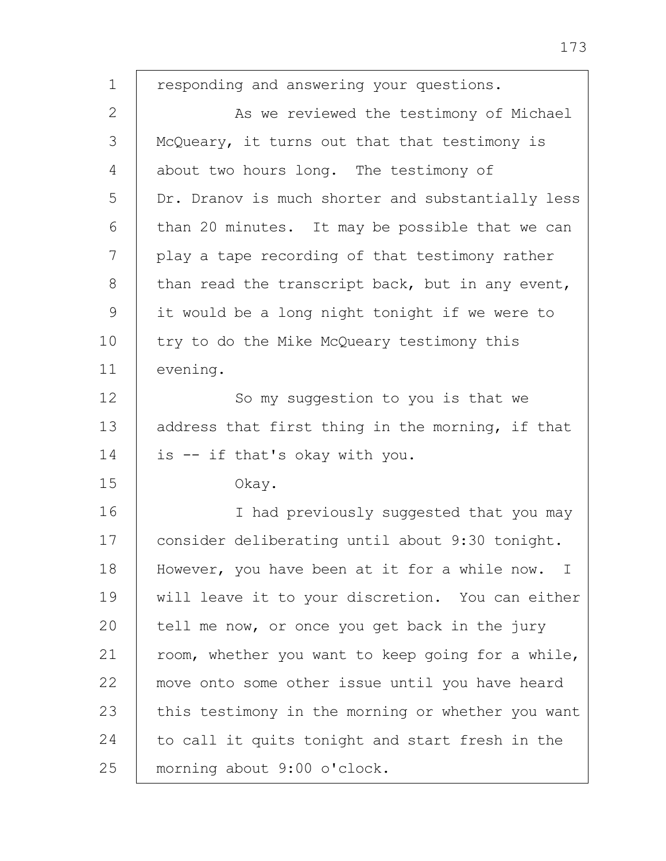1 2 3 4 5 6 7 8 9 10 11 12 13 14 15 16 17 18 19 20 21 22 23 24 25 responding and answering your questions. As we reviewed the testimony of Michael McQueary, it turns out that that testimony is about two hours long. The testimony of Dr. Dranov is much shorter and substantially less than 20 minutes. It may be possible that we can play a tape recording of that testimony rather than read the transcript back, but in any event, it would be a long night tonight if we were to try to do the Mike McQueary testimony this evening. So my suggestion to you is that we address that first thing in the morning, if that is -- if that's okay with you. Okay. I had previously suggested that you may consider deliberating until about 9:30 tonight. However, you have been at it for a while now. I will leave it to your discretion. You can either tell me now, or once you get back in the jury room, whether you want to keep going for a while, move onto some other issue until you have heard this testimony in the morning or whether you want to call it quits tonight and start fresh in the morning about 9:00 o'clock.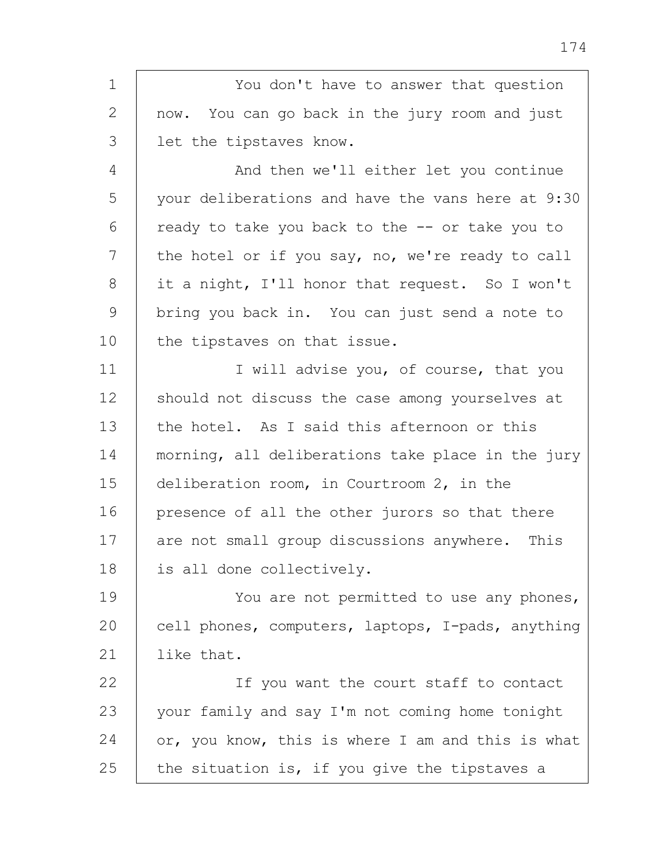1 2 3 4 5 6 7 8 9 10 11 12 13 14 15 16 17 18 19  $20$ 21 22 23 24 25 You don't have to answer that question now. You can go back in the jury room and just let the tipstaves know. And then we'll either let you continue your deliberations and have the vans here at 9:30 ready to take you back to the -- or take you to the hotel or if you say, no, we're ready to call it a night, I'll honor that request. So I won't bring you back in. You can just send a note to the tipstaves on that issue. I will advise you, of course, that you should not discuss the case among yourselves at the hotel. As I said this afternoon or this morning, all deliberations take place in the jury deliberation room, in Courtroom 2, in the presence of all the other jurors so that there are not small group discussions anywhere. This is all done collectively. You are not permitted to use any phones, cell phones, computers, laptops, I-pads, anything like that. If you want the court staff to contact your family and say I'm not coming home tonight or, you know, this is where I am and this is what the situation is, if you give the tipstaves a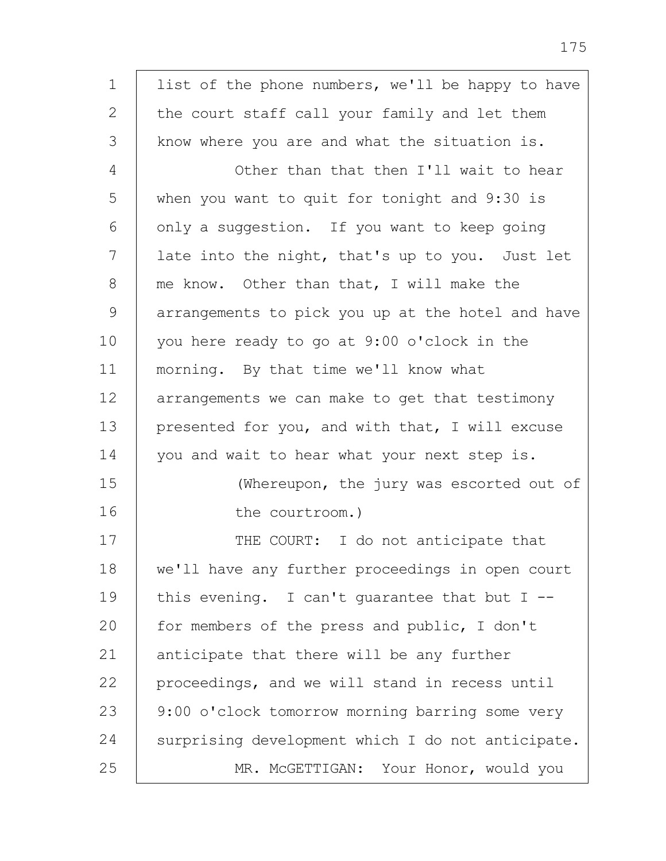1 2 3 4 5 6 7 8 9 10 11 12 13 14 15 16 17 18 19 20 21 22 23 24 25 list of the phone numbers, we'll be happy to have the court staff call your family and let them know where you are and what the situation is. Other than that then I'll wait to hear when you want to quit for tonight and 9:30 is only a suggestion. If you want to keep going late into the night, that's up to you. Just let me know. Other than that, I will make the arrangements to pick you up at the hotel and have you here ready to go at 9:00 o'clock in the morning. By that time we'll know what arrangements we can make to get that testimony presented for you, and with that, I will excuse you and wait to hear what your next step is. (Whereupon, the jury was escorted out of the courtroom.) THE COURT: I do not anticipate that we'll have any further proceedings in open court this evening. I can't quarantee that but  $I$  -for members of the press and public, I don't anticipate that there will be any further proceedings, and we will stand in recess until 9:00 o'clock tomorrow morning barring some very surprising development which I do not anticipate. MR. McGETTIGAN: Your Honor, would you

175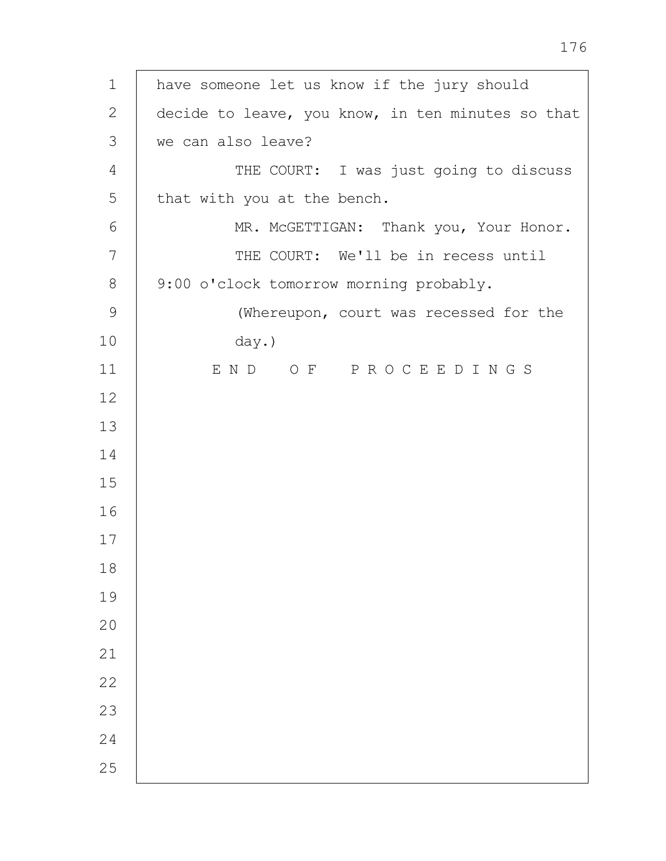| $\mathbf 1$    | have someone let us know if the jury should       |
|----------------|---------------------------------------------------|
| 2              | decide to leave, you know, in ten minutes so that |
| $\mathfrak{Z}$ | we can also leave?                                |
| 4              | THE COURT: I was just going to discuss            |
| 5              | that with you at the bench.                       |
| 6              | MR. MCGETTIGAN: Thank you, Your Honor.            |
| 7              | THE COURT: We'll be in recess until               |
| $8\,$          | 9:00 o'clock tomorrow morning probably.           |
| 9              | (Whereupon, court was recessed for the            |
| 10             | day.)                                             |
| 11             | END OF PROCEEDINGS                                |
| 12             |                                                   |
| 13             |                                                   |
| 14             |                                                   |
| 15             |                                                   |
| 16             |                                                   |
| 17             |                                                   |
| 18             |                                                   |
| 19             |                                                   |
| 20             |                                                   |
| 21             |                                                   |
| 22             |                                                   |
| 23             |                                                   |
| 24             |                                                   |
| 25             |                                                   |